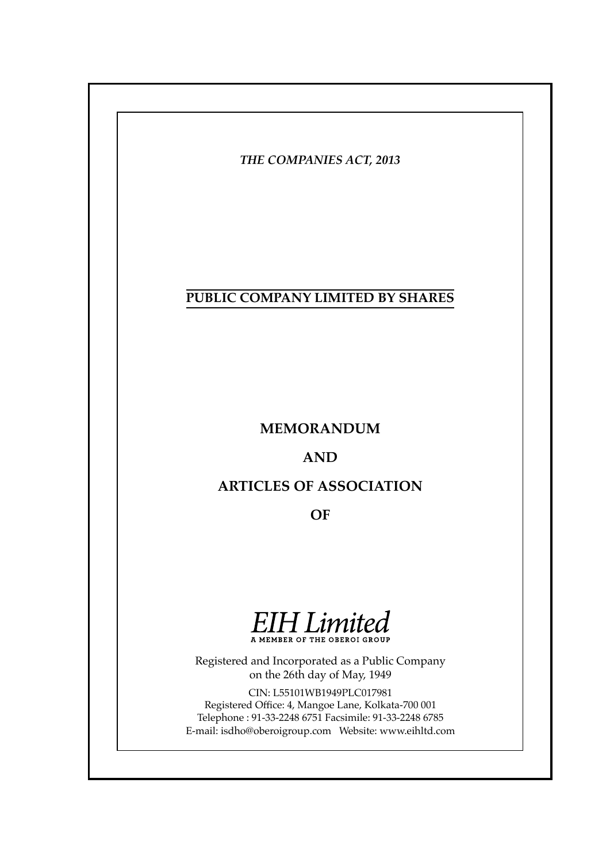# **PUBLIC COMPANY LIMITED BY SHARES**

# **MEMORANDUM**

# **AND**

# **ARTICLES OF ASSOCIATION**

**OF**



A MEMBER OF THE OBEROI GROUP

Registered and Incorporated as a Public Company on the 26th day of May, 1949

CIN: L55101WB1949PLC017981 Registered Office: 4, Mangoe Lane, Kolkata-700 001 Telephone : 91-33-2248 6751 Facsimile: 91-33-2248 6785 E-mail: isdho@oberoigroup.com Website: www.eihltd.com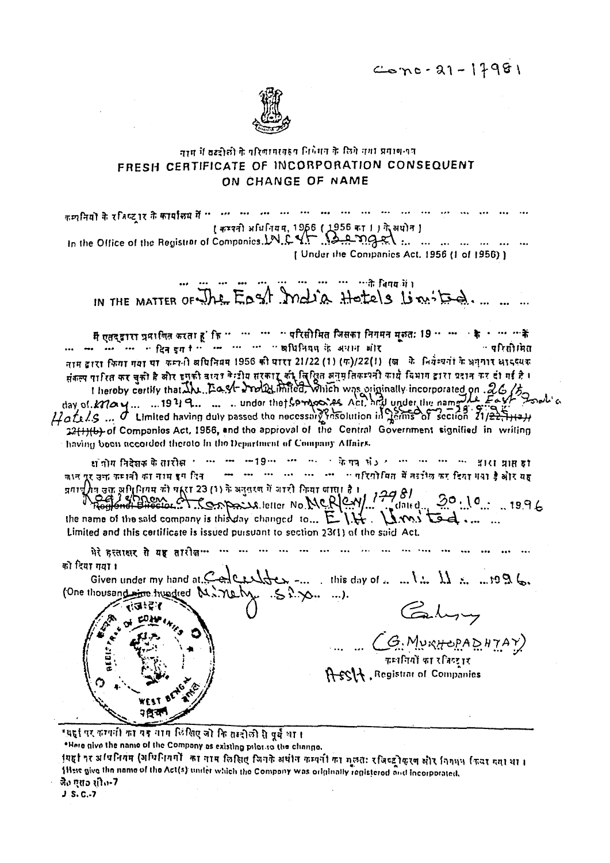$Corn-21-17981$ 



# नाम में बढदीकी के परिणामस्वरूप निर्वेमन के लिये नगा प्रमाण-पत्र FRESH CERTIFICATE OF INCORPORATION CONSEQUENT ON CHANGE OF NAME

[ कम्पनी अधिनियम, 1956 ( 1956 का 1 ) ने अधोन ] In the Office of the Registrar of Companics LN.C.Y. See ngel ... ... ... ... ... ... ... [ Under the Companies Act. 1956 (1 of 1956) ]

... ... ... ...के विषय*ों*। IN THE MATTER OF The East madia Hotels Limited.

मैं एतद्द्वारा प्रमाणित करता हूं कि " " " " परिसीमित जिसका निगमन मूरुत: 19 " " के ' " "के ... ... ... ... ... ... ... ... ... ... ... ... ... ... ... ... ... ... ... ... ... ... ... ... ... ... ... .. ः परिसी मित नाम द्वारा किया गया या कम्पनी अधिनियम 1956 की घारा 21/22 (1) (फ)/22(1) (ख. के नियंत्र्यतां के अनुसार आदर्श्यक संकल्प पारित कर चकी है और इसकी वायर केन्द्रीय सरकार की विश्वित अनुमतिकम्पनी कार्य विभाग द्वारा प्रदान कर दो गई है । thereby certify that the Predict Product into was originally incorporated on 26/5 32(1)(b) of Companies Act, 1956, and the approval of the Central Government signified in writing having boen accorded thereto in the Department of Company Affairs.

धाँगीय निदेशक के तारीख़ ''' '' '' ''' ''' '' '' के पत्र सं ) '' ''' ''' ''' '' '' '' अप हा --- --- --- --- --- --- -- "परियोमित में तर्दांश्व कर दिया मया है और यह जान पूर उक्त कम्पनी का नाम इस दिन 18 pct 1 17 and 1717 23 (1) as the second for periodic to the principle of the principle of the principle of the principle of the principle of the principle of the product of the product of the product of the product of th

 $20.10...19.96$  $\overline{\mathsf{d}}$ ated $\overline{\mathsf{d}}$ the name of the said company is this day changed to... E.I.H. LAMS tod ... ... Limited and this certificate is issued pursuant to section 23(1) of the said Act.

को दिया गया। Given under my hand at  $C$  on extract  $C$  -... this day of ...  $\ldots$  is  $\ldots$  if  $\ldots$  if  $\mathfrak{B}$  is (One thousand the hundred M. nety. 52.70. ...). Caby いるいです  $\frac{1}{\sqrt{G}\cdot M_{\mathcal{V}}\times \mathcal{H}}\times P\times \mathcal{H}\times \mathcal{H}}$ A-SSA, Registrar of Companies

"यहां पर कम्पनी का यह नाम लिखिए जो कि तब्दीली से पूर्व था।

\*Here give the name of the Company as existing prior to the change.

गयहां पर अधिनियम (अधिनियमों का नाम लिखिए जिनके अर्थान कम्पनी का मूलतः रजिल्ट्रोकुरण और निगमन किया गया था। 1Here give the name of the Act(s) under which the Company was originally registered and incorporated. जै० एस० सीत-7

 $J.S. C.-7$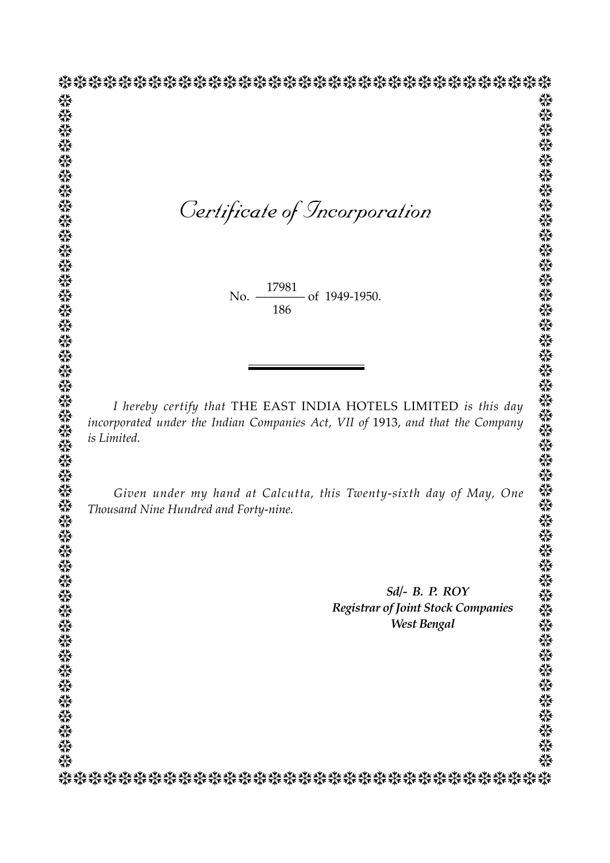*Certificate of Incorporation* ❆❆❆❆❆❆❆❆❆❆❆❆❆❆❆❆❆❆❆❆❆❆❆❆❆❆❆❆❆❆❆❆❆ ❆❆❆❆❆❆❆❆❆❆❆❆❆❆❆❆❆❆❆❆❆❆❆❆❆❆❆❆❆❆❆❆❆ ❆❆❆❆❆❆❆❆❆❆❆❆❆❆❆❆❆❆❆❆❆❆❆❆❆❆❆❆❆❆❆❆❆❆❆❆❆❆❆❆❆❆❆❆❆ ❆❆❆❆❆❆❆❆❆❆❆❆❆❆❆❆❆❆❆❆❆❆❆❆❆❆❆❆❆❆❆❆❆❆❆❆❆❆❆❆❆❆❆❆❆

No. <u>17501</u> of 1949-1950. 17981 186

 *I hereby certify that* THE EAST INDIA HOTELS LIMITED *is this day incorporated under the Indian Companies Act, VII of* 1913, *and that the Company is Limited.*

 *Given under my hand at Calcutta, this Twenty-sixth day of May, One Thousand Nine Hundred and Forty-nine.*

> *Sd/- B. P. ROY Registrar of Joint Stock Companies West Bengal*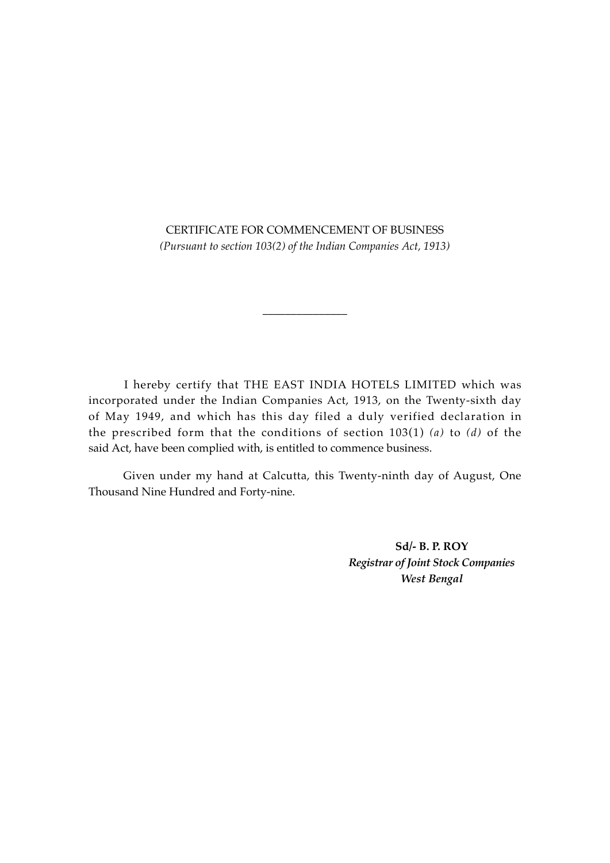CERTIFICATE FOR COMMENCEMENT OF BUSINESS *(Pursuant to section 103(2) of the Indian Companies Act, 1913)*

*\_\_\_\_\_\_\_\_\_\_\_\_\_\_\_*

 I hereby certify that THE EAST INDIA HOTELS LIMITED which was incorporated under the Indian Companies Act, 1913, on the Twenty-sixth day of May 1949, and which has this day filed a duly verified declaration in the prescribed form that the conditions of section 103(1) *(a)* to *(d)* of the said Act, have been complied with, is entitled to commence business.

 Given under my hand at Calcutta, this Twenty-ninth day of August, One Thousand Nine Hundred and Forty-nine.

> **Sd/- B. P. ROY** *Registrar of Joint Stock Companies West Bengal*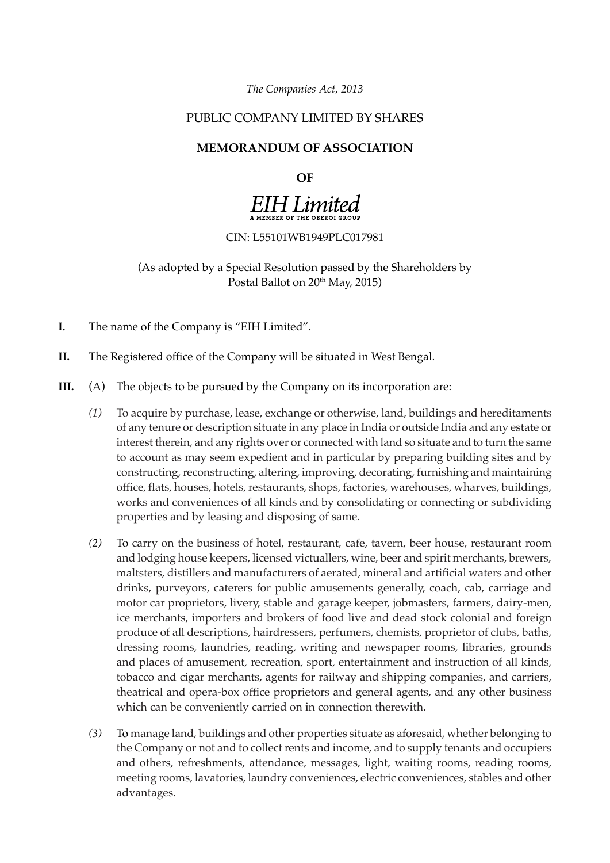*The Companies Act, 2013*

# PUBLIC COMPANY LIMITED BY SHARES

### **MEMORANDUM OF ASSOCIATION**

#### **OF**

# **EIH Limited**

#### CIN: L55101WB1949PLC017981

(As adopted by a Special Resolution passed by the Shareholders by Postal Ballot on 20<sup>th</sup> May, 2015)

- **I.** The name of the Company is "EIH Limited".
- **II.** The Registered office of the Company will be situated in West Bengal.
- **III.** (A) The objects to be pursued by the Company on its incorporation are:
	- *(1)* To acquire by purchase, lease, exchange or otherwise, land, buildings and hereditaments of any tenure or description situate in any place in India or outside India and any estate or interest therein, and any rights over or connected with land so situate and to turn the same to account as may seem expedient and in particular by preparing building sites and by constructing, reconstructing, altering, improving, decorating, furnishing and maintaining office, flats, houses, hotels, restaurants, shops, factories, warehouses, wharves, buildings, works and conveniences of all kinds and by consolidating or connecting or subdividing properties and by leasing and disposing of same.
	- *(2)* To carry on the business of hotel, restaurant, cafe, tavern, beer house, restaurant room and lodging house keepers, licensed victuallers, wine, beer and spirit merchants, brewers, maltsters, distillers and manufacturers of aerated, mineral and artificial waters and other drinks, purveyors, caterers for public amusements generally, coach, cab, carriage and motor car proprietors, livery, stable and garage keeper, jobmasters, farmers, dairy-men, ice merchants, importers and brokers of food live and dead stock colonial and foreign produce of all descriptions, hairdressers, perfumers, chemists, proprietor of clubs, baths, dressing rooms, laundries, reading, writing and newspaper rooms, libraries, grounds and places of amusement, recreation, sport, entertainment and instruction of all kinds, tobacco and cigar merchants, agents for railway and shipping companies, and carriers, theatrical and opera-box office proprietors and general agents, and any other business which can be conveniently carried on in connection therewith.
	- *(3)* To manage land, buildings and other properties situate as aforesaid, whether belonging to the Company or not and to collect rents and income, and to supply tenants and occupiers and others, refreshments, attendance, messages, light, waiting rooms, reading rooms, meeting rooms, lavatories, laundry conveniences, electric conveniences, stables and other advantages.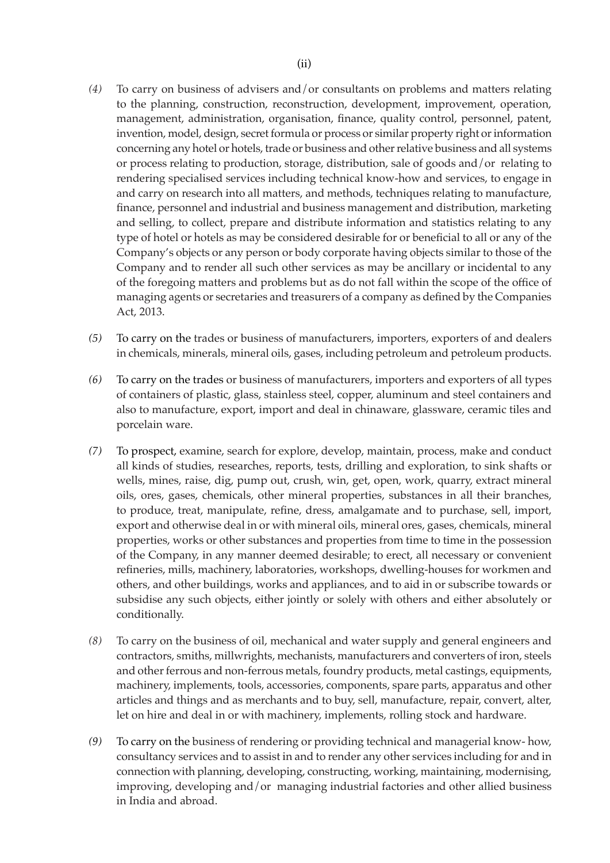- *(4)* To carry on business of advisers and/or consultants on problems and matters relating to the planning, construction, reconstruction, development, improvement, operation, management, administration, organisation, finance, quality control, personnel, patent, invention, model, design, secret formula or process or similar property right or information concerning any hotel or hotels, trade or business and other relative business and all systems or process relating to production, storage, distribution, sale of goods and/or relating to rendering specialised services including technical know-how and services, to engage in and carry on research into all matters, and methods, techniques relating to manufacture, finance, personnel and industrial and business management and distribution, marketing and selling, to collect, prepare and distribute information and statistics relating to any type of hotel or hotels as may be considered desirable for or beneficial to all or any of the Company's objects or any person or body corporate having objects similar to those of the Company and to render all such other services as may be ancillary or incidental to any of the foregoing matters and problems but as do not fall within the scope of the office of managing agents or secretaries and treasurers of a company as defined by the Companies Act, 2013.
- *(5)* To carry on the trades or business of manufacturers, importers, exporters of and dealers in chemicals, minerals, mineral oils, gases, including petroleum and petroleum products.
- *(6)* To carry on the trades or business of manufacturers, importers and exporters of all types of containers of plastic, glass, stainless steel, copper, aluminum and steel containers and also to manufacture, export, import and deal in chinaware, glassware, ceramic tiles and porcelain ware.
- *(7)* To prospect, examine, search for explore, develop, maintain, process, make and conduct all kinds of studies, researches, reports, tests, drilling and exploration, to sink shafts or wells, mines, raise, dig, pump out, crush, win, get, open, work, quarry, extract mineral oils, ores, gases, chemicals, other mineral properties, substances in all their branches, to produce, treat, manipulate, refine, dress, amalgamate and to purchase, sell, import, export and otherwise deal in or with mineral oils, mineral ores, gases, chemicals, mineral properties, works or other substances and properties from time to time in the possession of the Company, in any manner deemed desirable; to erect, all necessary or convenient refineries, mills, machinery, laboratories, workshops, dwelling-houses for workmen and others, and other buildings, works and appliances, and to aid in or subscribe towards or subsidise any such objects, either jointly or solely with others and either absolutely or conditionally.
- *(8)* To carry on the business of oil, mechanical and water supply and general engineers and contractors, smiths, millwrights, mechanists, manufacturers and converters of iron, steels and other ferrous and non-ferrous metals, foundry products, metal castings, equipments, machinery, implements, tools, accessories, components, spare parts, apparatus and other articles and things and as merchants and to buy, sell, manufacture, repair, convert, alter, let on hire and deal in or with machinery, implements, rolling stock and hardware.
- *(9)* To carry on the business of rendering or providing technical and managerial know- how, consultancy services and to assist in and to render any other services including for and in connection with planning, developing, constructing, working, maintaining, modernising, improving, developing and/or managing industrial factories and other allied business in India and abroad.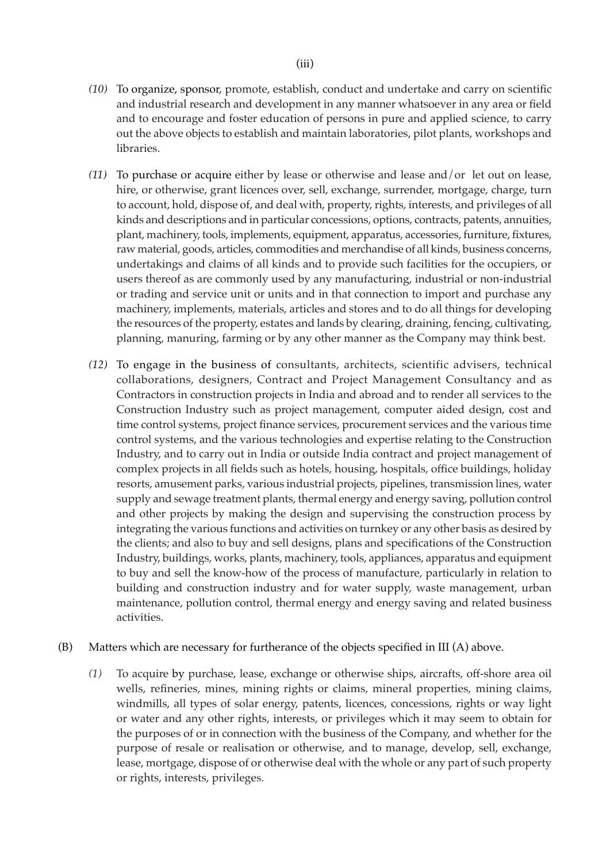- *(10)* To organize, sponsor, promote, establish, conduct and undertake and carry on scientific and industrial research and development in any manner whatsoever in any area or field and to encourage and foster education of persons in pure and applied science, to carry out the above objects to establish and maintain laboratories, pilot plants, workshops and libraries.
- *(11)* To purchase or acquire either by lease or otherwise and lease and/or let out on lease, hire, or otherwise, grant licences over, sell, exchange, surrender, mortgage, charge, turn to account, hold, dispose of, and deal with, property, rights, interests, and privileges of all kinds and descriptions and in particular concessions, options, contracts, patents, annuities, plant, machinery, tools, implements, equipment, apparatus, accessories, furniture, fixtures, raw material, goods, articles, commodities and merchandise of all kinds, business concerns, undertakings and claims of all kinds and to provide such facilities for the occupiers, or users thereof as are commonly used by any manufacturing, industrial or non-industrial or trading and service unit or units and in that connection to import and purchase any machinery, implements, materials, articles and stores and to do all things for developing the resources of the property, estates and lands by clearing, draining, fencing, cultivating, planning, manuring, farming or by any other manner as the Company may think best.
- *(12)* To engage in the business of consultants, architects, scientific advisers, technical collaborations, designers, Contract and Project Management Consultancy and as Contractors in construction projects in India and abroad and to render all services to the Construction Industry such as project management, computer aided design, cost and time control systems, project finance services, procurement services and the various time control systems, and the various technologies and expertise relating to the Construction Industry, and to carry out in India or outside India contract and project management of complex projects in all fields such as hotels, housing, hospitals, office buildings, holiday resorts, amusement parks, various industrial projects, pipelines, transmission lines, water supply and sewage treatment plants, thermal energy and energy saving, pollution control and other projects by making the design and supervising the construction process by integrating the various functions and activities on turnkey or any other basis as desired by the clients; and also to buy and sell designs, plans and specifications of the Construction Industry, buildings, works, plants, machinery, tools, appliances, apparatus and equipment to buy and sell the know-how of the process of manufacture, particularly in relation to building and construction industry and for water supply, waste management, urban maintenance, pollution control, thermal energy and energy saving and related business activities.
- (B) Matters which are necessary for furtherance of the objects specified in III (A) above.
	- *(1)* To acquire by purchase, lease, exchange or otherwise ships, aircrafts, off-shore area oil wells, refineries, mines, mining rights or claims, mineral properties, mining claims, windmills, all types of solar energy, patents, licences, concessions, rights or way light or water and any other rights, interests, or privileges which it may seem to obtain for the purposes of or in connection with the business of the Company, and whether for the purpose of resale or realisation or otherwise, and to manage, develop, sell, exchange, lease, mortgage, dispose of or otherwise deal with the whole or any part of such property or rights, interests, privileges.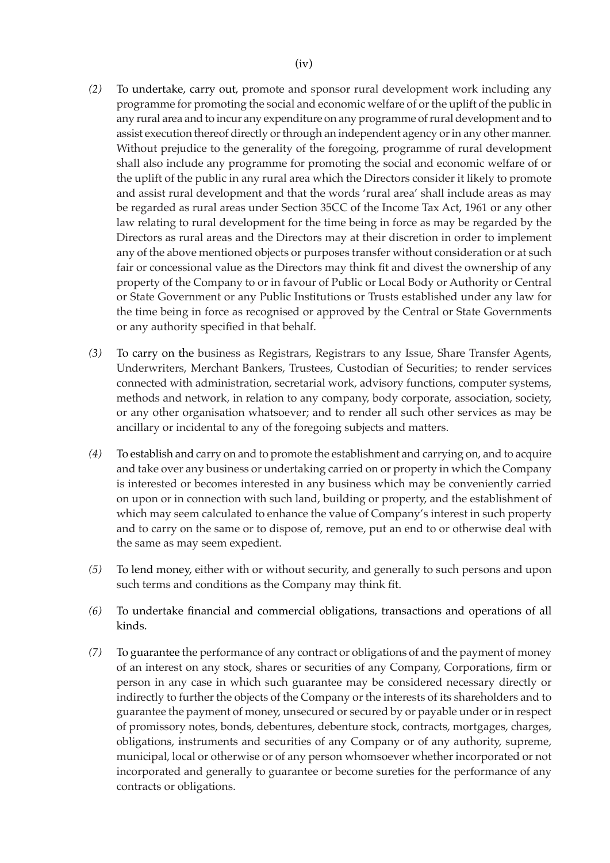- *(2)* To undertake, carry out, promote and sponsor rural development work including any programme for promoting the social and economic welfare of or the uplift of the public in any rural area and to incur any expenditure on any programme of rural development and to assist execution thereof directly or through an independent agency or in any other manner. Without prejudice to the generality of the foregoing, programme of rural development shall also include any programme for promoting the social and economic welfare of or the uplift of the public in any rural area which the Directors consider it likely to promote and assist rural development and that the words 'rural area' shall include areas as may be regarded as rural areas under Section 35CC of the Income Tax Act, 1961 or any other law relating to rural development for the time being in force as may be regarded by the Directors as rural areas and the Directors may at their discretion in order to implement any of the above mentioned objects or purposes transfer without consideration or at such fair or concessional value as the Directors may think fit and divest the ownership of any property of the Company to or in favour of Public or Local Body or Authority or Central or State Government or any Public Institutions or Trusts established under any law for the time being in force as recognised or approved by the Central or State Governments or any authority specified in that behalf.
- *(3)* To carry on the business as Registrars, Registrars to any Issue, Share Transfer Agents, Underwriters, Merchant Bankers, Trustees, Custodian of Securities; to render services connected with administration, secretarial work, advisory functions, computer systems, methods and network, in relation to any company, body corporate, association, society, or any other organisation whatsoever; and to render all such other services as may be ancillary or incidental to any of the foregoing subjects and matters.
- *(4)* To establish and carry on and to promote the establishment and carrying on, and to acquire and take over any business or undertaking carried on or property in which the Company is interested or becomes interested in any business which may be conveniently carried on upon or in connection with such land, building or property, and the establishment of which may seem calculated to enhance the value of Company's interest in such property and to carry on the same or to dispose of, remove, put an end to or otherwise deal with the same as may seem expedient.
- *(5)* To lend money, either with or without security, and generally to such persons and upon such terms and conditions as the Company may think fit.
- *(6)* To undertake financial and commercial obligations, transactions and operations of all kinds.
- *(7)* To guarantee the performance of any contract or obligations of and the payment of money of an interest on any stock, shares or securities of any Company, Corporations, firm or person in any case in which such guarantee may be considered necessary directly or indirectly to further the objects of the Company or the interests of its shareholders and to guarantee the payment of money, unsecured or secured by or payable under or in respect of promissory notes, bonds, debentures, debenture stock, contracts, mortgages, charges, obligations, instruments and securities of any Company or of any authority, supreme, municipal, local or otherwise or of any person whomsoever whether incorporated or not incorporated and generally to guarantee or become sureties for the performance of any contracts or obligations.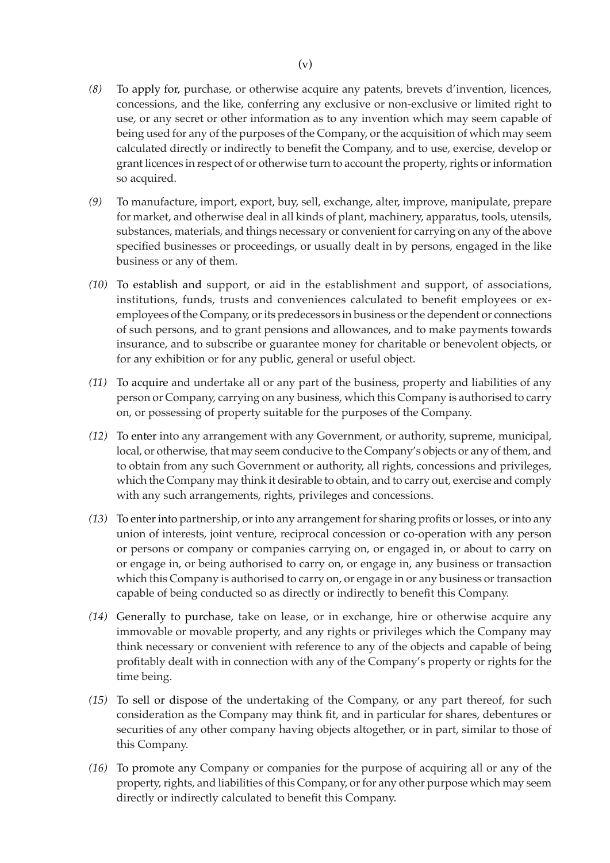- *(8)* To apply for, purchase, or otherwise acquire any patents, brevets d'invention, licences, concessions, and the like, conferring any exclusive or non-exclusive or limited right to use, or any secret or other information as to any invention which may seem capable of being used for any of the purposes of the Company, or the acquisition of which may seem calculated directly or indirectly to benefit the Company, and to use, exercise, develop or grant licences in respect of or otherwise turn to account the property, rights or information so acquired.
- *(9)* To manufacture, import, export, buy, sell, exchange, alter, improve, manipulate, prepare for market, and otherwise deal in all kinds of plant, machinery, apparatus, tools, utensils, substances, materials, and things necessary or convenient for carrying on any of the above specified businesses or proceedings, or usually dealt in by persons, engaged in the like business or any of them.
- *(10)* To establish and support, or aid in the establishment and support, of associations, institutions, funds, trusts and conveniences calculated to benefit employees or exemployees of the Company, or its predecessors in business or the dependent or connections of such persons, and to grant pensions and allowances, and to make payments towards insurance, and to subscribe or guarantee money for charitable or benevolent objects, or for any exhibition or for any public, general or useful object.
- *(11)* To acquire and undertake all or any part of the business, property and liabilities of any person or Company, carrying on any business, which this Company is authorised to carry on, or possessing of property suitable for the purposes of the Company.
- *(12)* To enter into any arrangement with any Government, or authority, supreme, municipal, local, or otherwise, that may seem conducive to the Company's objects or any of them, and to obtain from any such Government or authority, all rights, concessions and privileges, which the Company may think it desirable to obtain, and to carry out, exercise and comply with any such arrangements, rights, privileges and concessions.
- *(13)* To enter into partnership, or into any arrangement for sharing profits or losses, or into any union of interests, joint venture, reciprocal concession or co-operation with any person or persons or company or companies carrying on, or engaged in, or about to carry on or engage in, or being authorised to carry on, or engage in, any business or transaction which this Company is authorised to carry on, or engage in or any business or transaction capable of being conducted so as directly or indirectly to benefit this Company.
- *(14)* Generally to purchase, take on lease, or in exchange, hire or otherwise acquire any immovable or movable property, and any rights or privileges which the Company may think necessary or convenient with reference to any of the objects and capable of being profitably dealt with in connection with any of the Company's property or rights for the time being.
- *(15)* To sell or dispose of the undertaking of the Company, or any part thereof, for such consideration as the Company may think fit, and in particular for shares, debentures or securities of any other company having objects altogether, or in part, similar to those of this Company.
- *(16)* To promote any Company or companies for the purpose of acquiring all or any of the property, rights, and liabilities of this Company, or for any other purpose which may seem directly or indirectly calculated to benefit this Company.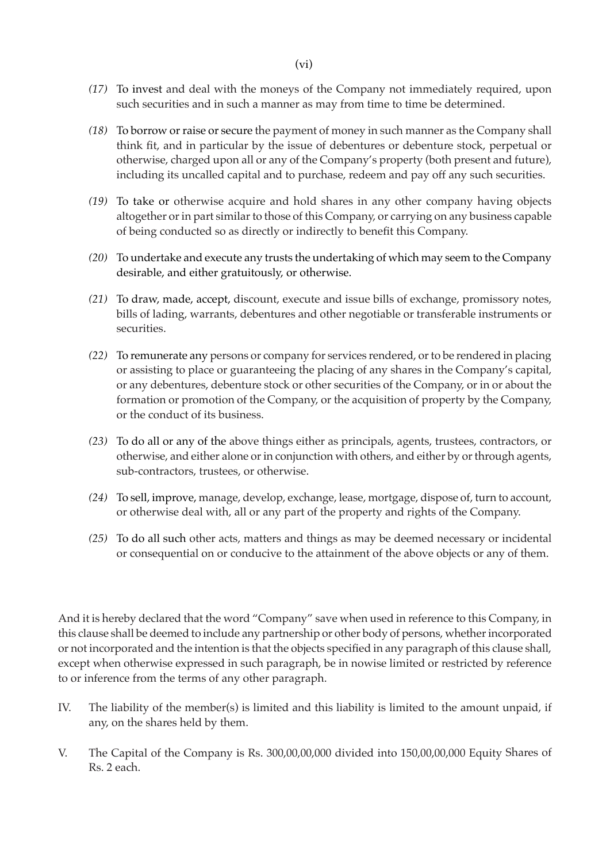- *(17)* To invest and deal with the moneys of the Company not immediately required, upon such securities and in such a manner as may from time to time be determined.
- *(18)* To borrow or raise or secure the payment of money in such manner as the Company shall think fit, and in particular by the issue of debentures or debenture stock, perpetual or otherwise, charged upon all or any of the Company's property (both present and future), including its uncalled capital and to purchase, redeem and pay off any such securities.
- *(19)* To take or otherwise acquire and hold shares in any other company having objects altogether or in part similar to those of this Company, or carrying on any business capable of being conducted so as directly or indirectly to benefit this Company.
- *(20)* To undertake and execute any trusts the undertaking of which may seem to the Company desirable, and either gratuitously, or otherwise.
- *(21)* To draw, made, accept, discount, execute and issue bills of exchange, promissory notes, bills of lading, warrants, debentures and other negotiable or transferable instruments or securities.
- *(22)* To remunerate any persons or company for services rendered, or to be rendered in placing or assisting to place or guaranteeing the placing of any shares in the Company's capital, or any debentures, debenture stock or other securities of the Company, or in or about the formation or promotion of the Company, or the acquisition of property by the Company, or the conduct of its business.
- *(23)* To do all or any of the above things either as principals, agents, trustees, contractors, or otherwise, and either alone or in conjunction with others, and either by or through agents, sub-contractors, trustees, or otherwise.
- *(24)* To sell, improve, manage, develop, exchange, lease, mortgage, dispose of, turn to account, or otherwise deal with, all or any part of the property and rights of the Company.
- *(25)* To do all such other acts, matters and things as may be deemed necessary or incidental or consequential on or conducive to the attainment of the above objects or any of them.

And it is hereby declared that the word "Company" save when used in reference to this Company, in this clause shall be deemed to include any partnership or other body of persons, whether incorporated or not incorporated and the intention is that the objects specified in any paragraph of this clause shall, except when otherwise expressed in such paragraph, be in nowise limited or restricted by reference to or inference from the terms of any other paragraph.

- IV. The liability of the member(s) is limited and this liability is limited to the amount unpaid, if any, on the shares held by them.
- V. The Capital of the Company is Rs. 300,00,00,000 divided into 150,00,00,000 Equity Shares of Rs. 2 each.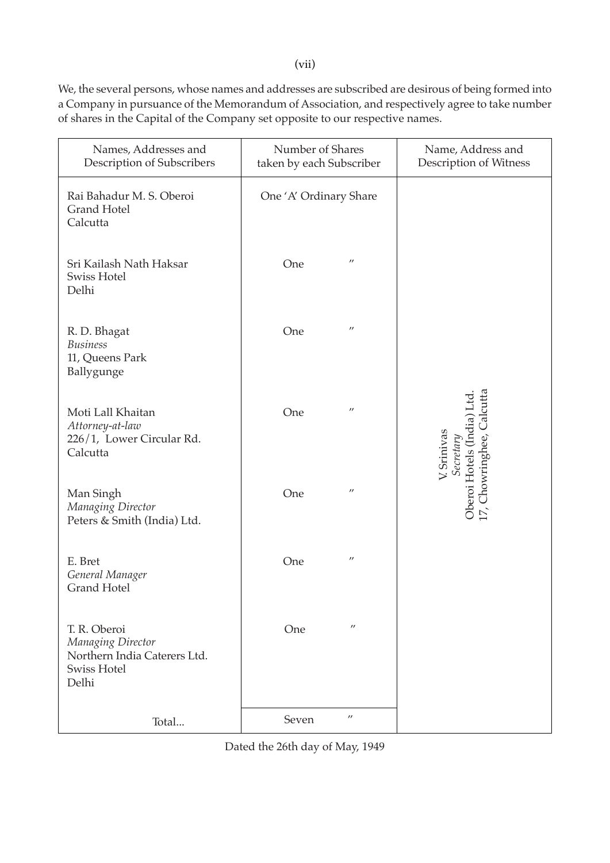(vii)

We, the several persons, whose names and addresses are subscribed are desirous of being formed into a Company in pursuance of the Memorandum of Association, and respectively agree to take number of shares in the Capital of the Company set opposite to our respective names.

| Names, Addresses and<br>Description of Subscribers                                               | Number of Shares<br>taken by each Subscriber | Name, Address and<br>Description of Witness                                                                  |
|--------------------------------------------------------------------------------------------------|----------------------------------------------|--------------------------------------------------------------------------------------------------------------|
| Rai Bahadur M. S. Oberoi<br><b>Grand Hotel</b><br>Calcutta                                       | One 'A' Ordinary Share                       |                                                                                                              |
| Sri Kailash Nath Haksar<br><b>Swiss Hotel</b><br>Delhi                                           | $^{\prime\prime}$<br>One                     |                                                                                                              |
| R. D. Bhagat<br><b>Business</b><br>11, Queens Park<br>Ballygunge                                 | $^{\prime\prime}$<br>One                     |                                                                                                              |
| Moti Lall Khaitan<br>Attorney-at-law<br>226/1, Lower Circular Rd.<br>Calcutta                    | $^{\prime\prime}$<br>One                     | Chowringhee, Calcutta<br>Oberoi Hotels (Índia) Ltd.<br>17, Chowringhee, Calcutta<br>V. Srinivas<br>Secretary |
| Man Singh<br>Managing Director<br>Peters & Smith (India) Ltd.                                    | $^{\prime\prime}$<br>One                     |                                                                                                              |
| E. Bret<br>General Manager<br><b>Grand Hotel</b>                                                 | $^{\prime\prime}$<br>One                     |                                                                                                              |
| T. R. Oberoi<br>Managing Director<br>Northern India Caterers Ltd.<br><b>Swiss Hotel</b><br>Delhi | $^{\prime\prime}$<br>One                     |                                                                                                              |
| Total                                                                                            | $^{\prime\prime}$<br>Seven                   |                                                                                                              |

Dated the 26th day of May, 1949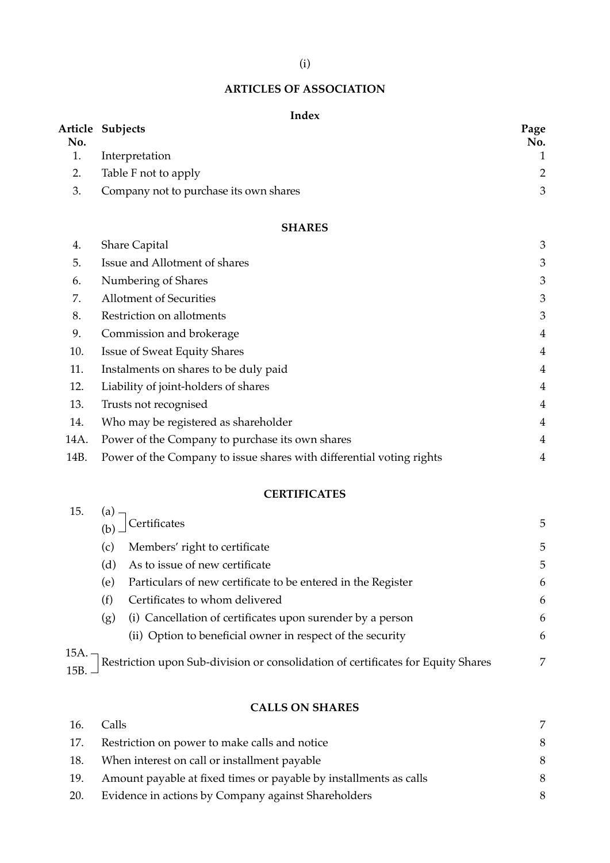# (i)

# **ARTICLES OF ASSOCIATION**

#### **Index**

| No. | Article Subjects                       | Page<br>No. |
|-----|----------------------------------------|-------------|
| 1.  | Interpretation                         |             |
| 2.  | Table F not to apply                   | 2           |
| 3.  | Company not to purchase its own shares | 3           |
|     | <b>SHARES</b>                          |             |
| 4.  | <b>Share Capital</b>                   | 3           |

| 5.   | Issue and Allotment of shares                                        | 3              |
|------|----------------------------------------------------------------------|----------------|
| 6.   | Numbering of Shares                                                  | 3              |
| 7.   | <b>Allotment of Securities</b>                                       | 3              |
| 8.   | Restriction on allotments                                            | 3              |
| 9.   | Commission and brokerage                                             | $\overline{4}$ |
| 10.  | <b>Issue of Sweat Equity Shares</b>                                  | $\overline{4}$ |
| 11.  | Instalments on shares to be duly paid                                | $\overline{4}$ |
| 12.  | Liability of joint-holders of shares                                 | $\overline{4}$ |
| 13.  | Trusts not recognised                                                | $\overline{4}$ |
| 14.  | Who may be registered as shareholder                                 | $\overline{4}$ |
| 14A. | Power of the Company to purchase its own shares                      | $\overline{4}$ |
| 14B. | Power of the Company to issue shares with differential voting rights | 4              |

# **CERTIFICATES**

| 15.              | (a) –<br>(b) – | Certificates                                                                     | 5 |
|------------------|----------------|----------------------------------------------------------------------------------|---|
|                  | (c)            | Members' right to certificate                                                    | 5 |
|                  | (d)            | As to issue of new certificate                                                   | 5 |
|                  | (e)            | Particulars of new certificate to be entered in the Register                     | 6 |
|                  | (f)            | Certificates to whom delivered                                                   | 6 |
|                  | (g)            | (i) Cancellation of certificates upon surender by a person                       | 6 |
|                  |                | (ii) Option to beneficial owner in respect of the security                       | 6 |
| 15A. -<br>15B. - |                | Restriction upon Sub-division or consolidation of certificates for Equity Shares | 7 |

## **CALLS ON SHARES**

| 16. | Calls.                                                            |   |
|-----|-------------------------------------------------------------------|---|
| 17. | Restriction on power to make calls and notice                     | 8 |
| 18. | When interest on call or installment payable                      |   |
| 19. | Amount payable at fixed times or payable by installments as calls |   |
| 20. | Evidence in actions by Company against Shareholders               |   |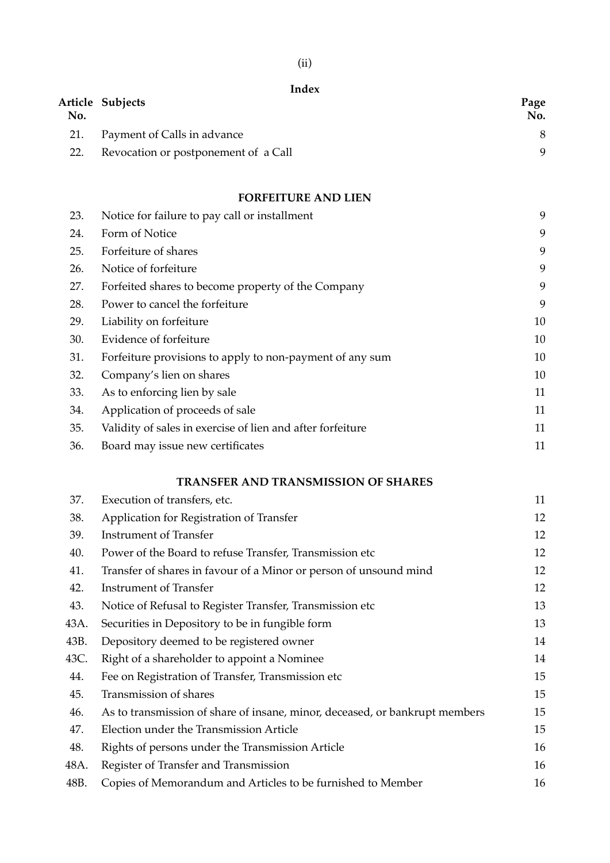# **Index**

| No. | Article Subjects                     | Page<br>No. |
|-----|--------------------------------------|-------------|
| 21. | Payment of Calls in advance          |             |
| 22. | Revocation or postponement of a Call | Q           |

# **FORFEITURE AND LIEN**

| 23. | Notice for failure to pay call or installment              | 9  |
|-----|------------------------------------------------------------|----|
| 24. | Form of Notice                                             | 9  |
| 25. | Forfeiture of shares                                       | 9  |
| 26. | Notice of forfeiture                                       | 9  |
| 27. | Forfeited shares to become property of the Company         | 9  |
| 28. | Power to cancel the forfeiture                             | 9  |
| 29. | Liability on forfeiture                                    | 10 |
| 30. | Evidence of forfeiture                                     | 10 |
| 31. | Forfeiture provisions to apply to non-payment of any sum   | 10 |
| 32. | Company's lien on shares                                   | 10 |
| 33. | As to enforcing lien by sale                               | 11 |
| 34. | Application of proceeds of sale                            | 11 |
| 35. | Validity of sales in exercise of lien and after forfeiture | 11 |
| 36. | Board may issue new certificates                           | 11 |
|     |                                                            |    |

## **TRANSFER AND TRANSMISSION OF SHARES**

| 37.  | Execution of transfers, etc.                                                | 11 |
|------|-----------------------------------------------------------------------------|----|
| 38.  | Application for Registration of Transfer                                    | 12 |
| 39.  | <b>Instrument of Transfer</b>                                               | 12 |
| 40.  | Power of the Board to refuse Transfer, Transmission etc.                    | 12 |
| 41.  | Transfer of shares in favour of a Minor or person of unsound mind           | 12 |
| 42.  | <b>Instrument of Transfer</b>                                               | 12 |
| 43.  | Notice of Refusal to Register Transfer, Transmission etc                    | 13 |
| 43A. | Securities in Depository to be in fungible form                             | 13 |
| 43B. | Depository deemed to be registered owner                                    | 14 |
| 43C. | Right of a shareholder to appoint a Nominee                                 | 14 |
| 44.  | Fee on Registration of Transfer, Transmission etc                           | 15 |
| 45.  | Transmission of shares                                                      | 15 |
| 46.  | As to transmission of share of insane, minor, deceased, or bankrupt members | 15 |
| 47.  | Election under the Transmission Article                                     | 15 |
| 48.  | Rights of persons under the Transmission Article                            | 16 |
| 48A. | Register of Transfer and Transmission                                       | 16 |
| 48B. | Copies of Memorandum and Articles to be furnished to Member                 | 16 |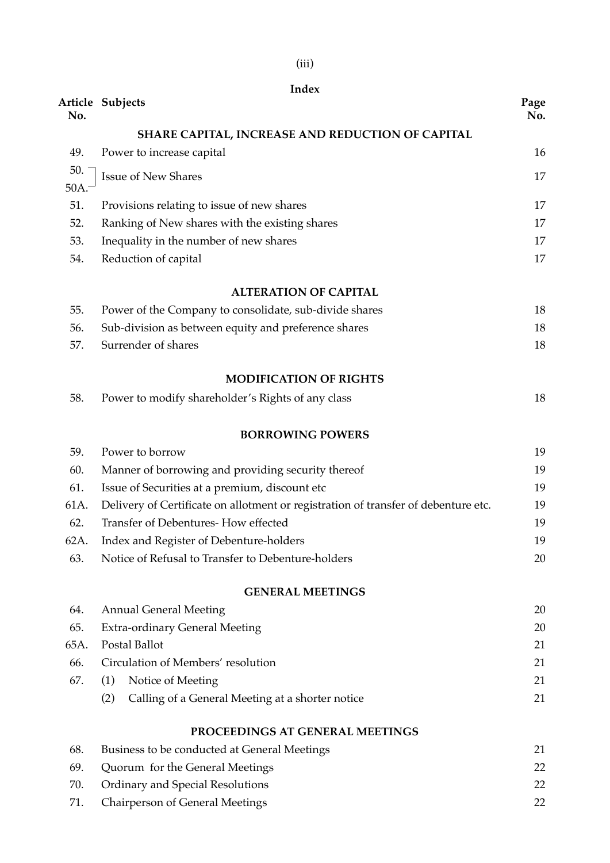|      | Index                                                                              |             |
|------|------------------------------------------------------------------------------------|-------------|
| No.  | Article Subjects                                                                   | Page<br>No. |
|      | SHARE CAPITAL, INCREASE AND REDUCTION OF CAPITAL                                   |             |
| 49.  | Power to increase capital                                                          | 16          |
| 50.  | <b>Issue of New Shares</b>                                                         | 17          |
| 50A. |                                                                                    |             |
| 51.  | Provisions relating to issue of new shares                                         | 17          |
| 52.  | Ranking of New shares with the existing shares                                     | 17          |
| 53.  | Inequality in the number of new shares                                             | 17          |
| 54.  | Reduction of capital                                                               | 17          |
|      | <b>ALTERATION OF CAPITAL</b>                                                       |             |
| 55.  | Power of the Company to consolidate, sub-divide shares                             | 18          |
| 56.  | Sub-division as between equity and preference shares                               | 18          |
| 57.  | Surrender of shares                                                                | 18          |
|      | <b>MODIFICATION OF RIGHTS</b>                                                      |             |
| 58.  | Power to modify shareholder's Rights of any class                                  | 18          |
|      | <b>BORROWING POWERS</b>                                                            |             |
| 59.  | Power to borrow                                                                    | 19          |
| 60.  | Manner of borrowing and providing security thereof                                 | 19          |
| 61.  | Issue of Securities at a premium, discount etc                                     | 19          |
| 61A. | Delivery of Certificate on allotment or registration of transfer of debenture etc. | 19          |
| 62.  | Transfer of Debentures-How effected                                                | 19          |
| 62A. | Index and Register of Debenture-holders                                            | 19          |
| 63.  | Notice of Refusal to Transfer to Debenture-holders                                 | 20          |
|      | <b>GENERAL MEETINGS</b>                                                            |             |
| 64.  | <b>Annual General Meeting</b>                                                      | 20          |
| 65.  | <b>Extra-ordinary General Meeting</b>                                              | 20          |
| 65A. | Postal Ballot                                                                      | 21          |
| 66.  | Circulation of Members' resolution                                                 | 21          |
| 67.  | Notice of Meeting<br>(1)                                                           | 21          |
|      | (2)<br>Calling of a General Meeting at a shorter notice                            | 21          |
|      | PROCEEDINGS AT GENERAL MEETINGS                                                    |             |
| 68.  | Business to be conducted at General Meetings                                       | 21          |
| 69.  | Quorum for the General Meetings                                                    | 22          |
| 70.  | <b>Ordinary and Special Resolutions</b>                                            | 22          |
| 71.  | <b>Chairperson of General Meetings</b>                                             | 22          |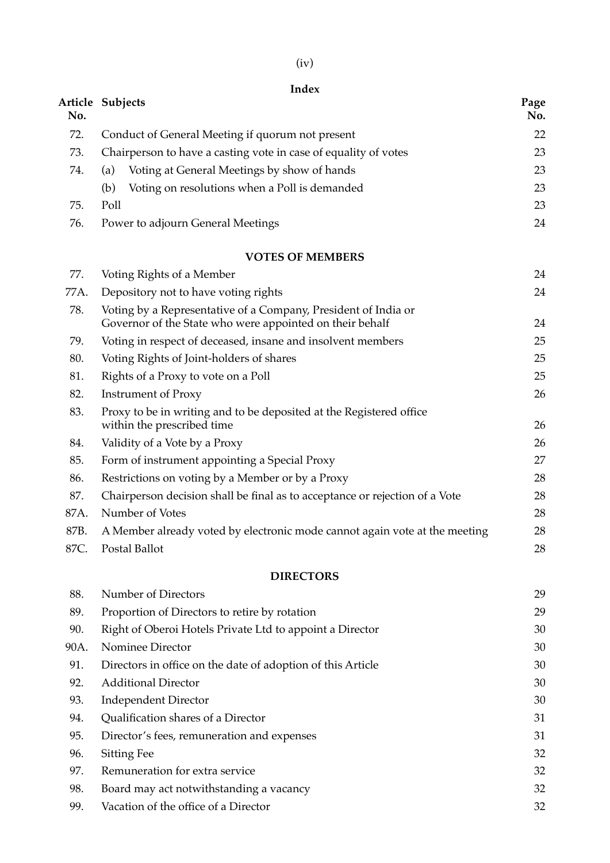|      | Index                                                                                                                      |             |
|------|----------------------------------------------------------------------------------------------------------------------------|-------------|
| No.  | Article Subjects                                                                                                           | Page<br>No. |
| 72.  | Conduct of General Meeting if quorum not present                                                                           | 22          |
| 73.  | Chairperson to have a casting vote in case of equality of votes                                                            | 23          |
| 74.  | Voting at General Meetings by show of hands<br>(a)                                                                         | 23          |
|      | Voting on resolutions when a Poll is demanded<br>(b)                                                                       | 23          |
| 75.  | Poll                                                                                                                       | 23          |
| 76.  | Power to adjourn General Meetings                                                                                          | 24          |
|      | <b>VOTES OF MEMBERS</b>                                                                                                    |             |
| 77.  | Voting Rights of a Member                                                                                                  | 24          |
| 77A. | Depository not to have voting rights                                                                                       | 24          |
| 78.  | Voting by a Representative of a Company, President of India or<br>Governor of the State who were appointed on their behalf | 24          |
| 79.  | Voting in respect of deceased, insane and insolvent members                                                                | 25          |
| 80.  | Voting Rights of Joint-holders of shares                                                                                   | 25          |
| 81.  | Rights of a Proxy to vote on a Poll                                                                                        | 25          |
| 82.  | <b>Instrument of Proxy</b>                                                                                                 | 26          |
| 83.  | Proxy to be in writing and to be deposited at the Registered office<br>within the prescribed time                          | 26          |
| 84.  | Validity of a Vote by a Proxy                                                                                              | 26          |
| 85.  | Form of instrument appointing a Special Proxy                                                                              | 27          |
| 86.  | Restrictions on voting by a Member or by a Proxy                                                                           | 28          |
| 87.  | Chairperson decision shall be final as to acceptance or rejection of a Vote                                                | 28          |
| 87A. | Number of Votes                                                                                                            | 28          |
| 87B. | A Member already voted by electronic mode cannot again vote at the meeting                                                 | 28          |
| 87C. | Postal Ballot                                                                                                              | 28          |
|      | <b>DIRECTORS</b>                                                                                                           |             |
| 88.  | Number of Directors                                                                                                        | 29          |
| 89.  | Proportion of Directors to retire by rotation                                                                              | 29          |
| 90.  | Right of Oberoi Hotels Private Ltd to appoint a Director                                                                   | 30          |
| 90A. | Nominee Director                                                                                                           | 30          |
| 91.  | Directors in office on the date of adoption of this Article                                                                | 30          |
| 92.  | <b>Additional Director</b>                                                                                                 | 30          |
| 93.  | <b>Independent Director</b>                                                                                                | 30          |
| 94.  | Qualification shares of a Director                                                                                         | 31          |
| 95.  | Director's fees, remuneration and expenses                                                                                 | 31          |
| 96.  | <b>Sitting Fee</b>                                                                                                         | 32          |
| 97.  | Remuneration for extra service                                                                                             | 32          |
| 98.  | Board may act notwithstanding a vacancy                                                                                    | 32          |

99. Vacation of the office of a Director 32

(iv)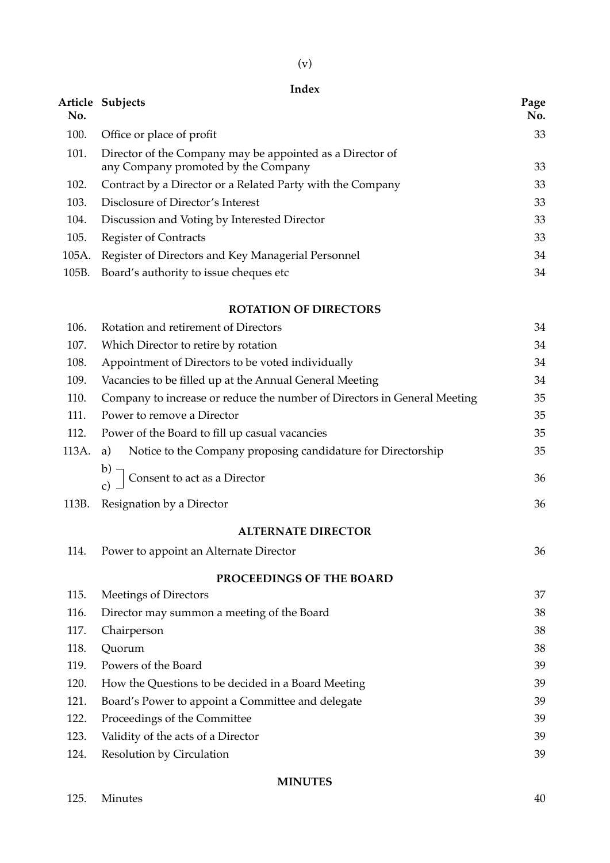| ٦ |  |
|---|--|

# **Index**

| No.   | Article Subjects                                                                                 | Page<br>No. |  |  |
|-------|--------------------------------------------------------------------------------------------------|-------------|--|--|
| 100.  | Office or place of profit                                                                        | 33          |  |  |
| 101.  | Director of the Company may be appointed as a Director of<br>any Company promoted by the Company |             |  |  |
| 102.  | Contract by a Director or a Related Party with the Company                                       | 33<br>33    |  |  |
| 103.  | Disclosure of Director's Interest                                                                | 33          |  |  |
| 104.  | Discussion and Voting by Interested Director                                                     | 33          |  |  |
| 105.  | <b>Register of Contracts</b>                                                                     | 33          |  |  |
| 105A. | Register of Directors and Key Managerial Personnel                                               | 34          |  |  |
| 105B. | Board's authority to issue cheques etc                                                           | 34          |  |  |
|       | <b>ROTATION OF DIRECTORS</b>                                                                     |             |  |  |
| 106.  | Rotation and retirement of Directors                                                             | 34          |  |  |
| 107.  | Which Director to retire by rotation                                                             | 34          |  |  |
| 108.  | Appointment of Directors to be voted individually                                                | 34          |  |  |
| 109.  | Vacancies to be filled up at the Annual General Meeting                                          | 34          |  |  |
| 110.  | Company to increase or reduce the number of Directors in General Meeting                         | 35          |  |  |
| 111.  | Power to remove a Director                                                                       | 35          |  |  |
| 112.  | Power of the Board to fill up casual vacancies                                                   | 35          |  |  |
| 113A. | Notice to the Company proposing candidature for Directorship<br>a)                               | 35          |  |  |
|       | Consent to act as a Director                                                                     | 36          |  |  |
| 113B. | Resignation by a Director                                                                        | 36          |  |  |
|       | <b>ALTERNATE DIRECTOR</b>                                                                        |             |  |  |
|       | 114. Power to appoint an Alternate Director                                                      | 36          |  |  |
|       | PROCEEDINGS OF THE BOARD                                                                         |             |  |  |
| 115.  | Meetings of Directors                                                                            | 37          |  |  |
| 116.  | Director may summon a meeting of the Board                                                       | 38          |  |  |
| 117.  | Chairperson                                                                                      | 38          |  |  |
| 118.  | Quorum                                                                                           | 38          |  |  |
| 119.  | Powers of the Board                                                                              | 39          |  |  |
| 120.  | How the Questions to be decided in a Board Meeting                                               | 39          |  |  |
| 121.  | Board's Power to appoint a Committee and delegate                                                | 39          |  |  |
| 122.  | Proceedings of the Committee                                                                     | 39          |  |  |
| 123.  | Validity of the acts of a Director                                                               | 39          |  |  |
| 124.  | Resolution by Circulation                                                                        | 39          |  |  |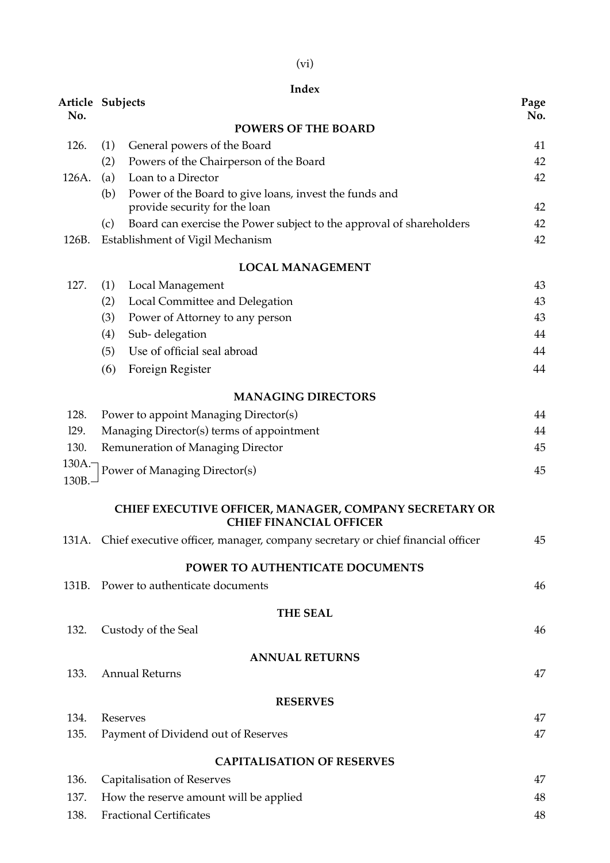|                  |     | Index                                                                                |      |
|------------------|-----|--------------------------------------------------------------------------------------|------|
| Article Subjects |     |                                                                                      | Page |
| No.              |     | <b>POWERS OF THE BOARD</b>                                                           | No.  |
| 126.             | (1) | General powers of the Board                                                          | 41   |
|                  | (2) | Powers of the Chairperson of the Board                                               | 42   |
| 126A.            | (a) | Loan to a Director                                                                   | 42   |
|                  | (b) | Power of the Board to give loans, invest the funds and                               |      |
|                  |     | provide security for the loan                                                        | 42   |
|                  | (c) | Board can exercise the Power subject to the approval of shareholders                 | 42   |
| 126B.            |     | Establishment of Vigil Mechanism                                                     | 42   |
|                  |     | <b>LOCAL MANAGEMENT</b>                                                              |      |
| 127.             | (1) | Local Management                                                                     | 43   |
|                  | (2) | Local Committee and Delegation                                                       | 43   |
|                  | (3) | Power of Attorney to any person                                                      | 43   |
|                  | (4) | Sub-delegation                                                                       | 44   |
|                  | (5) | Use of official seal abroad                                                          | 44   |
|                  | (6) | Foreign Register                                                                     | 44   |
|                  |     | <b>MANAGING DIRECTORS</b>                                                            |      |
| 128.             |     | Power to appoint Managing Director(s)                                                | 44   |
| 129.             |     | Managing Director(s) terms of appointment                                            | 44   |
| 130.             |     | Remuneration of Managing Director                                                    | 45   |
| 130A.-           |     | Power of Managing Director(s)                                                        | 45   |
| 130B.-           |     |                                                                                      |      |
|                  |     | CHIEF EXECUTIVE OFFICER, MANAGER, COMPANY SECRETARY OR                               |      |
|                  |     | <b>CHIEF FINANCIAL OFFICER</b>                                                       |      |
|                  |     | 131A. Chief executive officer, manager, company secretary or chief financial officer | 45   |
|                  |     | POWER TO AUTHENTICATE DOCUMENTS                                                      |      |
| 131B.            |     | Power to authenticate documents                                                      | 46   |
|                  |     | <b>THE SEAL</b>                                                                      |      |
| 132.             |     | Custody of the Seal                                                                  | 46   |
|                  |     | <b>ANNUAL RETURNS</b>                                                                |      |
| 133.             |     | <b>Annual Returns</b>                                                                | 47   |
|                  |     | <b>RESERVES</b>                                                                      |      |
| 134.             |     | Reserves                                                                             | 47   |
| 135.             |     | Payment of Dividend out of Reserves                                                  | 47   |
|                  |     | <b>CAPITALISATION OF RESERVES</b>                                                    |      |
| 136.             |     | <b>Capitalisation of Reserves</b>                                                    | 47   |
| 137.             |     | How the reserve amount will be applied                                               | 48   |
|                  |     |                                                                                      |      |
| 138.             |     | <b>Fractional Certificates</b>                                                       | 48   |

(vi)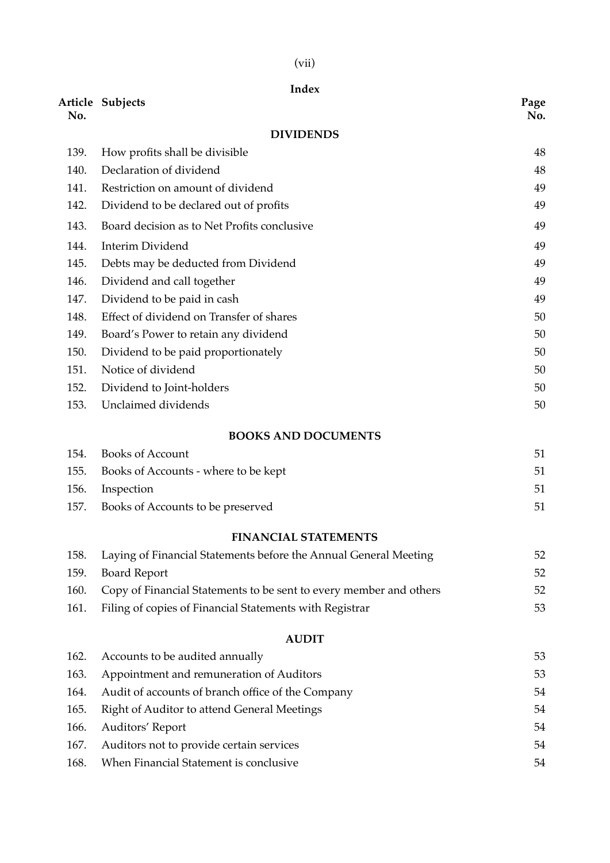# (vii)

|      | <b>Index</b>                                                       |             |
|------|--------------------------------------------------------------------|-------------|
| No.  | Article Subjects                                                   | Page<br>No. |
|      | <b>DIVIDENDS</b>                                                   |             |
| 139. | How profits shall be divisible                                     | 48          |
| 140. | Declaration of dividend                                            | 48          |
| 141. | Restriction on amount of dividend                                  | 49          |
| 142. | Dividend to be declared out of profits                             | 49          |
| 143. | Board decision as to Net Profits conclusive                        | 49          |
| 144. | <b>Interim Dividend</b>                                            | 49          |
| 145. | Debts may be deducted from Dividend                                | 49          |
| 146. | Dividend and call together                                         | 49          |
| 147. | Dividend to be paid in cash                                        | 49          |
| 148. | Effect of dividend on Transfer of shares                           | 50          |
| 149. | Board's Power to retain any dividend                               | 50          |
| 150. | Dividend to be paid proportionately                                | 50          |
| 151. | Notice of dividend                                                 | 50          |
| 152. | Dividend to Joint-holders                                          | 50          |
| 153. | Unclaimed dividends                                                | 50          |
|      | <b>BOOKS AND DOCUMENTS</b>                                         |             |
| 154. | <b>Books of Account</b>                                            | 51          |
| 155. | Books of Accounts - where to be kept                               | 51          |
| 156. | Inspection                                                         | 51          |
| 157. | Books of Accounts to be preserved                                  | 51          |
|      | <b>FINANCIAL STATEMENTS</b>                                        |             |
| 158. | Laying of Financial Statements before the Annual General Meeting   | 52          |
| 159. | <b>Board Report</b>                                                | 52          |
| 160. | Copy of Financial Statements to be sent to every member and others | 52          |
| 161. | Filing of copies of Financial Statements with Registrar            | 53          |
|      | <b>AUDIT</b>                                                       |             |
| 162. | Accounts to be audited annually                                    | 53          |
| 163. | Appointment and remuneration of Auditors                           | 53          |
| 164. | Audit of accounts of branch office of the Company                  | 54          |
| 165. | Right of Auditor to attend General Meetings                        | 54          |
| 166. | Auditors' Report                                                   | 54          |
| 167. | Auditors not to provide certain services                           | 54          |
| 168. | When Financial Statement is conclusive                             | 54          |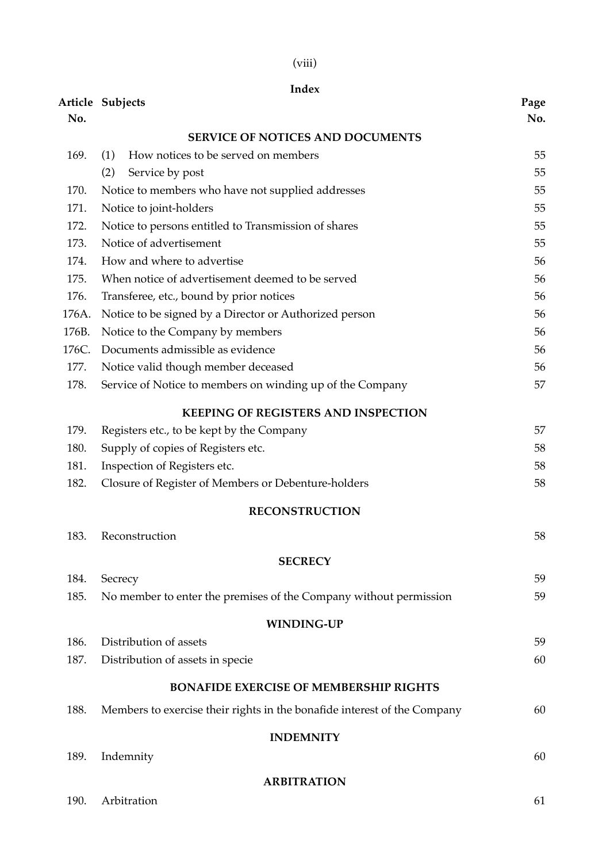|       | Index                                                                    |             |
|-------|--------------------------------------------------------------------------|-------------|
| No.   | Article Subjects                                                         | Page<br>No. |
|       | <b>SERVICE OF NOTICES AND DOCUMENTS</b>                                  |             |
| 169.  | How notices to be served on members<br>(1)                               | 55          |
|       | (2)<br>Service by post                                                   | 55          |
| 170.  | Notice to members who have not supplied addresses                        | 55          |
| 171.  | Notice to joint-holders                                                  | 55          |
| 172.  | Notice to persons entitled to Transmission of shares                     | 55          |
| 173.  | Notice of advertisement                                                  | 55          |
| 174.  | How and where to advertise                                               | 56          |
| 175.  | When notice of advertisement deemed to be served                         | 56          |
| 176.  | Transferee, etc., bound by prior notices                                 | 56          |
| 176A. | Notice to be signed by a Director or Authorized person                   | 56          |
| 176B. | Notice to the Company by members                                         | 56          |
| 176C. | Documents admissible as evidence                                         | 56          |
| 177.  | Notice valid though member deceased                                      | 56          |
| 178.  | Service of Notice to members on winding up of the Company                | 57          |
|       | <b>KEEPING OF REGISTERS AND INSPECTION</b>                               |             |
| 179.  | Registers etc., to be kept by the Company                                | 57          |
| 180.  | Supply of copies of Registers etc.                                       | 58          |
| 181.  | Inspection of Registers etc.                                             | 58          |
| 182.  | Closure of Register of Members or Debenture-holders                      | 58          |
|       | <b>RECONSTRUCTION</b>                                                    |             |
| 183.  | Reconstruction                                                           | 58          |
|       | <b>SECRECY</b>                                                           |             |
| 184.  | Secrecy                                                                  | 59          |
| 185.  | No member to enter the premises of the Company without permission        | 59          |
|       | <b>WINDING-UP</b>                                                        |             |
| 186.  | Distribution of assets                                                   | 59          |
| 187.  | Distribution of assets in specie                                         | 60          |
|       | <b>BONAFIDE EXERCISE OF MEMBERSHIP RIGHTS</b>                            |             |
| 188.  | Members to exercise their rights in the bonafide interest of the Company | 60          |
|       | <b>INDEMNITY</b>                                                         |             |
| 189.  | Indemnity                                                                | 60          |
|       | <b>ARBITRATION</b>                                                       |             |

(viii)

190. Arbitration 61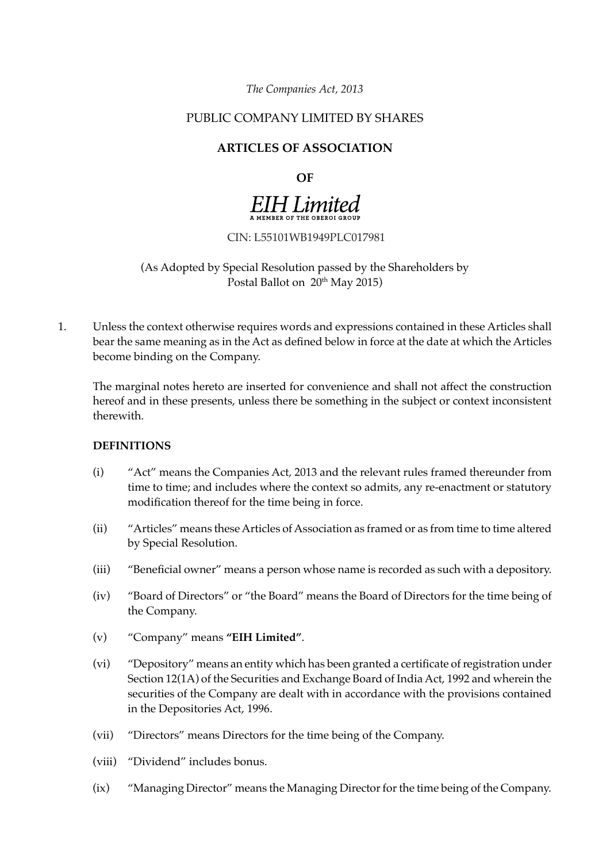*The Companies Act, 2013*

# PUBLIC COMPANY LIMITED BY SHARES

# **ARTICLES OF ASSOCIATION**

**OF** 

# **EIH Limited**

CIN: L55101WB1949PLC017981

# (As Adopted by Special Resolution passed by the Shareholders by Postal Ballot on 20<sup>th</sup> May 2015)

1. Unless the context otherwise requires words and expressions contained in these Articles shall bear the same meaning as in the Act as defined below in force at the date at which the Articles become binding on the Company.

The marginal notes hereto are inserted for convenience and shall not affect the construction hereof and in these presents, unless there be something in the subject or context inconsistent therewith.

#### **DEFINITIONS**

- (i) "Act" means the Companies Act, 2013 and the relevant rules framed thereunder from time to time; and includes where the context so admits, any re-enactment or statutory modification thereof for the time being in force.
- (ii) "Articles" means these Articles of Association as framed or as from time to time altered by Special Resolution.
- (iii) "Beneficial owner" means a person whose name is recorded as such with a depository.
- (iv) "Board of Directors" or "the Board" means the Board of Directors for the time being of the Company.
- (v) "Company" means **"EIH Limited"**.
- (vi) "Depository" means an entity which has been granted a certificate of registration under Section 12(1A) of the Securities and Exchange Board of India Act, 1992 and wherein the securities of the Company are dealt with in accordance with the provisions contained in the Depositories Act, 1996.
- (vii) "Directors" means Directors for the time being of the Company.
- (viii) "Dividend" includes bonus.
- (ix) "Managing Director" means the Managing Director for the time being of the Company.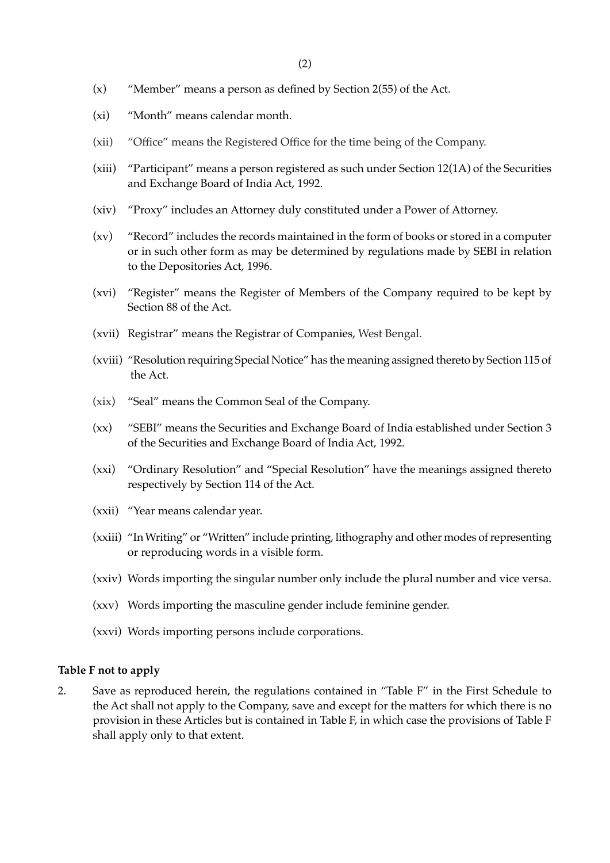- (x) "Member" means a person as defined by Section 2(55) of the Act.
- (xi) "Month" means calendar month.
- (xii) "Office" means the Registered Office for the time being of the Company.
- (xiii) "Participant" means a person registered as such under Section 12(1A) of the Securities and Exchange Board of India Act, 1992.
- (xiv) "Proxy" includes an Attorney duly constituted under a Power of Attorney.
- (xv) "Record" includes the records maintained in the form of books or stored in a computer or in such other form as may be determined by regulations made by SEBI in relation to the Depositories Act, 1996.
- (xvi) "Register" means the Register of Members of the Company required to be kept by Section 88 of the Act.
- (xvii) Registrar" means the Registrar of Companies, West Bengal.
- (xviii) "Resolution requiring Special Notice" has the meaning assigned thereto by Section 115 of the Act.
- (xix) "Seal" means the Common Seal of the Company.
- (xx) "SEBI" means the Securities and Exchange Board of India established under Section 3 of the Securities and Exchange Board of India Act, 1992.
- (xxi) "Ordinary Resolution" and "Special Resolution" have the meanings assigned thereto respectively by Section 114 of the Act.
- (xxii) "Year means calendar year.
- (xxiii) "In Writing" or "Written" include printing, lithography and other modes of representing or reproducing words in a visible form.
- (xxiv) Words importing the singular number only include the plural number and vice versa.
- (xxv) Words importing the masculine gender include feminine gender.
- (xxvi) Words importing persons include corporations.

#### **Table F not to apply**

2. Save as reproduced herein, the regulations contained in "Table F" in the First Schedule to the Act shall not apply to the Company, save and except for the matters for which there is no provision in these Articles but is contained in Table F, in which case the provisions of Table F shall apply only to that extent.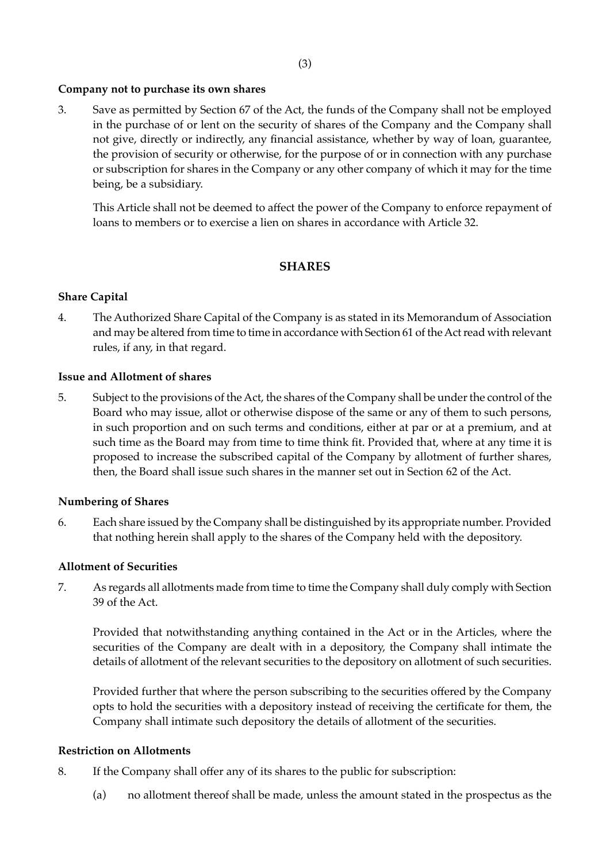#### **Company not to purchase its own shares**

3. Save as permitted by Section 67 of the Act, the funds of the Company shall not be employed in the purchase of or lent on the security of shares of the Company and the Company shall not give, directly or indirectly, any financial assistance, whether by way of loan, guarantee, the provision of security or otherwise, for the purpose of or in connection with any purchase or subscription for shares in the Company or any other company of which it may for the time being, be a subsidiary.

This Article shall not be deemed to affect the power of the Company to enforce repayment of loans to members or to exercise a lien on shares in accordance with Article 32.

## **SHARES**

#### **Share Capital**

4. The Authorized Share Capital of the Company is as stated in its Memorandum of Association and may be altered from time to time in accordance with Section 61 of the Act read with relevant rules, if any, in that regard.

#### **Issue and Allotment of shares**

5. Subject to the provisions of the Act, the shares of the Company shall be under the control of the Board who may issue, allot or otherwise dispose of the same or any of them to such persons, in such proportion and on such terms and conditions, either at par or at a premium, and at such time as the Board may from time to time think fit. Provided that, where at any time it is proposed to increase the subscribed capital of the Company by allotment of further shares, then, the Board shall issue such shares in the manner set out in Section 62 of the Act.

#### **Numbering of Shares**

6. Each share issued by the Company shall be distinguished by its appropriate number. Provided that nothing herein shall apply to the shares of the Company held with the depository.

#### **Allotment of Securities**

7. As regards all allotments made from time to time the Company shall duly comply with Section 39 of the Act.

Provided that notwithstanding anything contained in the Act or in the Articles, where the securities of the Company are dealt with in a depository, the Company shall intimate the details of allotment of the relevant securities to the depository on allotment of such securities.

Provided further that where the person subscribing to the securities offered by the Company opts to hold the securities with a depository instead of receiving the certificate for them, the Company shall intimate such depository the details of allotment of the securities.

#### **Restriction on Allotments**

- 8. If the Company shall offer any of its shares to the public for subscription:
	- (a) no allotment thereof shall be made, unless the amount stated in the prospectus as the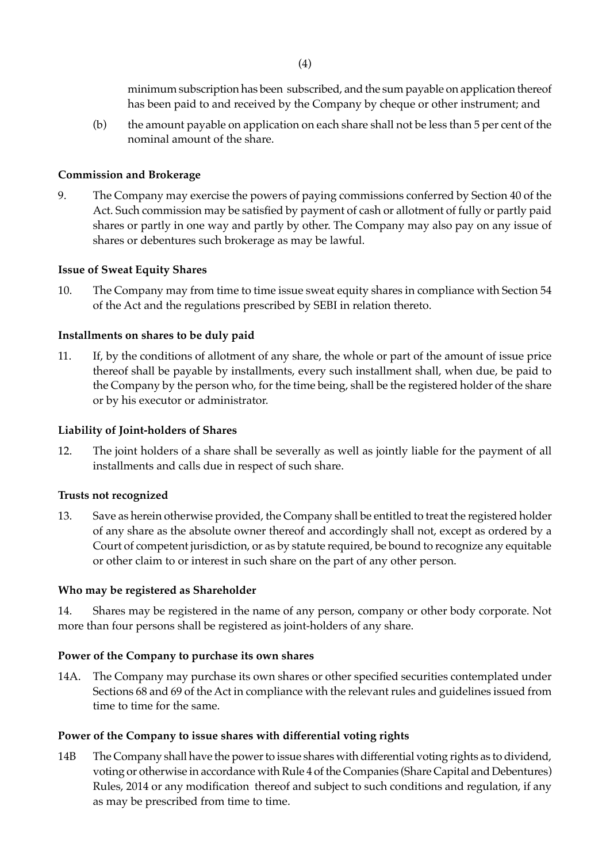minimum subscription has been subscribed, and the sum payable on application thereof has been paid to and received by the Company by cheque or other instrument; and

(b) the amount payable on application on each share shall not be less than 5 per cent of the nominal amount of the share.

#### **Commission and Brokerage**

9. The Company may exercise the powers of paying commissions conferred by Section 40 of the Act. Such commission may be satisfied by payment of cash or allotment of fully or partly paid shares or partly in one way and partly by other. The Company may also pay on any issue of shares or debentures such brokerage as may be lawful.

#### **Issue of Sweat Equity Shares**

10. The Company may from time to time issue sweat equity shares in compliance with Section 54 of the Act and the regulations prescribed by SEBI in relation thereto.

#### **Installments on shares to be duly paid**

11. If, by the conditions of allotment of any share, the whole or part of the amount of issue price thereof shall be payable by installments, every such installment shall, when due, be paid to the Company by the person who, for the time being, shall be the registered holder of the share or by his executor or administrator.

#### **Liability of Joint-holders of Shares**

12. The joint holders of a share shall be severally as well as jointly liable for the payment of all installments and calls due in respect of such share.

#### **Trusts not recognized**

13. Save as herein otherwise provided, the Company shall be entitled to treat the registered holder of any share as the absolute owner thereof and accordingly shall not, except as ordered by a Court of competent jurisdiction, or as by statute required, be bound to recognize any equitable or other claim to or interest in such share on the part of any other person.

#### **Who may be registered as Shareholder**

14. Shares may be registered in the name of any person, company or other body corporate. Not more than four persons shall be registered as joint-holders of any share.

#### **Power of the Company to purchase its own shares**

14A. The Company may purchase its own shares or other specified securities contemplated under Sections 68 and 69 of the Act in compliance with the relevant rules and guidelines issued from time to time for the same.

#### **Power of the Company to issue shares with differential voting rights**

14B The Company shall have the power to issue shares with differential voting rights as to dividend, voting or otherwise in accordance with Rule 4 of the Companies (Share Capital and Debentures) Rules, 2014 or any modification thereof and subject to such conditions and regulation, if any as may be prescribed from time to time.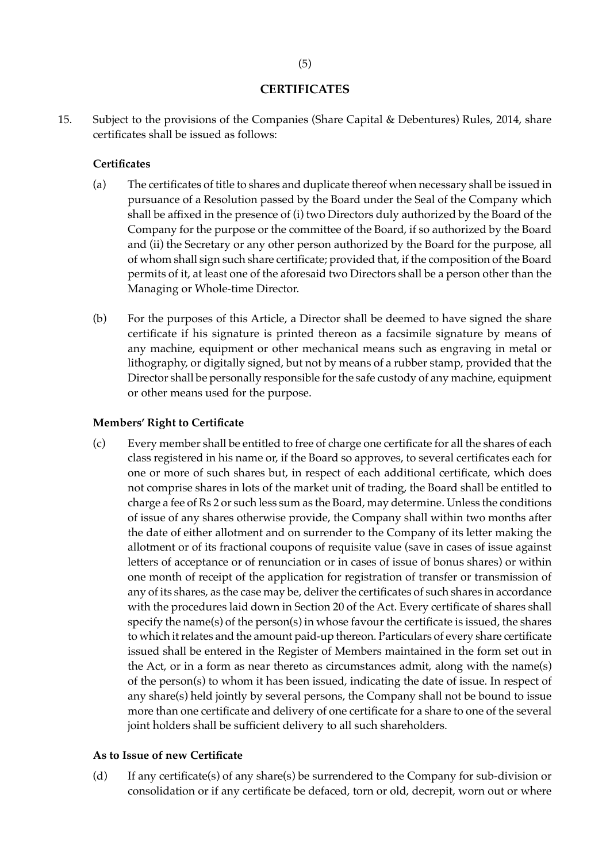#### **CERTIFICATES**

15. Subject to the provisions of the Companies (Share Capital & Debentures) Rules, 2014, share certificates shall be issued as follows:

#### **Certificates**

- (a) The certificates of title to shares and duplicate thereof when necessary shall be issued in pursuance of a Resolution passed by the Board under the Seal of the Company which shall be affixed in the presence of (i) two Directors duly authorized by the Board of the Company for the purpose or the committee of the Board, if so authorized by the Board and (ii) the Secretary or any other person authorized by the Board for the purpose, all of whom shall sign such share certificate; provided that, if the composition of the Board permits of it, at least one of the aforesaid two Directors shall be a person other than the Managing or Whole-time Director.
- (b) For the purposes of this Article, a Director shall be deemed to have signed the share certificate if his signature is printed thereon as a facsimile signature by means of any machine, equipment or other mechanical means such as engraving in metal or lithography, or digitally signed, but not by means of a rubber stamp, provided that the Director shall be personally responsible for the safe custody of any machine, equipment or other means used for the purpose.

#### **Members' Right to Certificate**

(c) Every member shall be entitled to free of charge one certificate for all the shares of each class registered in his name or, if the Board so approves, to several certificates each for one or more of such shares but, in respect of each additional certificate, which does not comprise shares in lots of the market unit of trading, the Board shall be entitled to charge a fee of Rs 2 or such less sum as the Board, may determine. Unless the conditions of issue of any shares otherwise provide, the Company shall within two months after the date of either allotment and on surrender to the Company of its letter making the allotment or of its fractional coupons of requisite value (save in cases of issue against letters of acceptance or of renunciation or in cases of issue of bonus shares) or within one month of receipt of the application for registration of transfer or transmission of any of its shares, as the case may be, deliver the certificates of such shares in accordance with the procedures laid down in Section 20 of the Act. Every certificate of shares shall specify the name(s) of the person(s) in whose favour the certificate is issued, the shares to which it relates and the amount paid-up thereon. Particulars of every share certificate issued shall be entered in the Register of Members maintained in the form set out in the Act, or in a form as near thereto as circumstances admit, along with the name(s) of the person(s) to whom it has been issued, indicating the date of issue. In respect of any share(s) held jointly by several persons, the Company shall not be bound to issue more than one certificate and delivery of one certificate for a share to one of the several joint holders shall be sufficient delivery to all such shareholders.

#### **As to Issue of new Certificate**

(d) If any certificate(s) of any share(s) be surrendered to the Company for sub-division or consolidation or if any certificate be defaced, torn or old, decrepit, worn out or where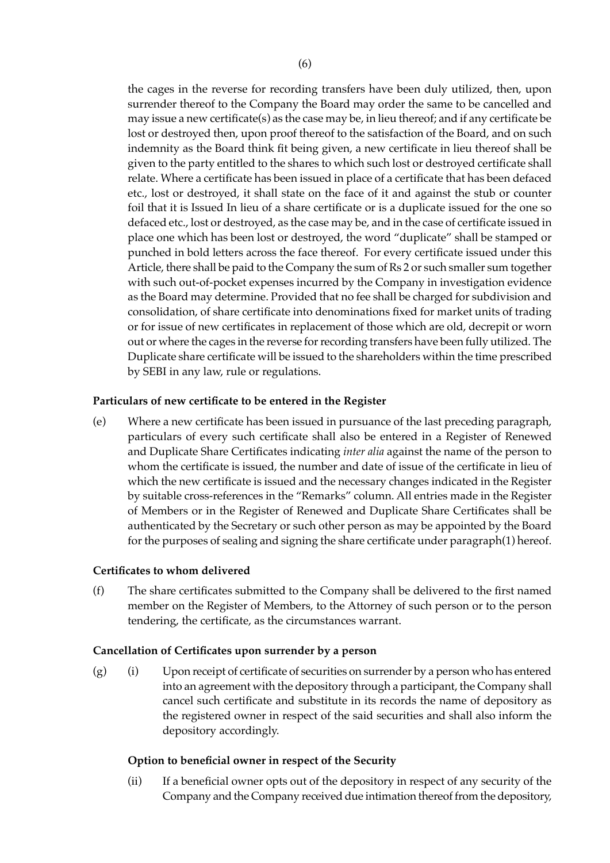the cages in the reverse for recording transfers have been duly utilized, then, upon surrender thereof to the Company the Board may order the same to be cancelled and may issue a new certificate(s) as the case may be, in lieu thereof; and if any certificate be lost or destroyed then, upon proof thereof to the satisfaction of the Board, and on such indemnity as the Board think fit being given, a new certificate in lieu thereof shall be given to the party entitled to the shares to which such lost or destroyed certificate shall relate. Where a certificate has been issued in place of a certificate that has been defaced etc., lost or destroyed, it shall state on the face of it and against the stub or counter foil that it is Issued In lieu of a share certificate or is a duplicate issued for the one so defaced etc., lost or destroyed, as the case may be, and in the case of certificate issued in place one which has been lost or destroyed, the word "duplicate" shall be stamped or punched in bold letters across the face thereof. For every certificate issued under this Article, there shall be paid to the Company the sum of Rs 2 or such smaller sum together with such out-of-pocket expenses incurred by the Company in investigation evidence as the Board may determine. Provided that no fee shall be charged for subdivision and consolidation, of share certificate into denominations fixed for market units of trading or for issue of new certificates in replacement of those which are old, decrepit or worn out or where the cages in the reverse for recording transfers have been fully utilized. The Duplicate share certificate will be issued to the shareholders within the time prescribed by SEBI in any law, rule or regulations.

## **Particulars of new certificate to be entered in the Register**

(e) Where a new certificate has been issued in pursuance of the last preceding paragraph, particulars of every such certificate shall also be entered in a Register of Renewed and Duplicate Share Certificates indicating *inter alia* against the name of the person to whom the certificate is issued, the number and date of issue of the certificate in lieu of which the new certificate is issued and the necessary changes indicated in the Register by suitable cross-references in the "Remarks" column. All entries made in the Register of Members or in the Register of Renewed and Duplicate Share Certificates shall be authenticated by the Secretary or such other person as may be appointed by the Board for the purposes of sealing and signing the share certificate under paragraph(1) hereof.

#### **Certificates to whom delivered**

(f) The share certificates submitted to the Company shall be delivered to the first named member on the Register of Members, to the Attorney of such person or to the person tendering, the certificate, as the circumstances warrant.

#### **Cancellation of Certificates upon surrender by a person**

(g) (i) Upon receipt of certificate of securities on surrender by a person who has entered into an agreement with the depository through a participant, the Company shall cancel such certificate and substitute in its records the name of depository as the registered owner in respect of the said securities and shall also inform the depository accordingly.

#### **Option to beneficial owner in respect of the Security**

(ii) If a beneficial owner opts out of the depository in respect of any security of the Company and the Company received due intimation thereof from the depository,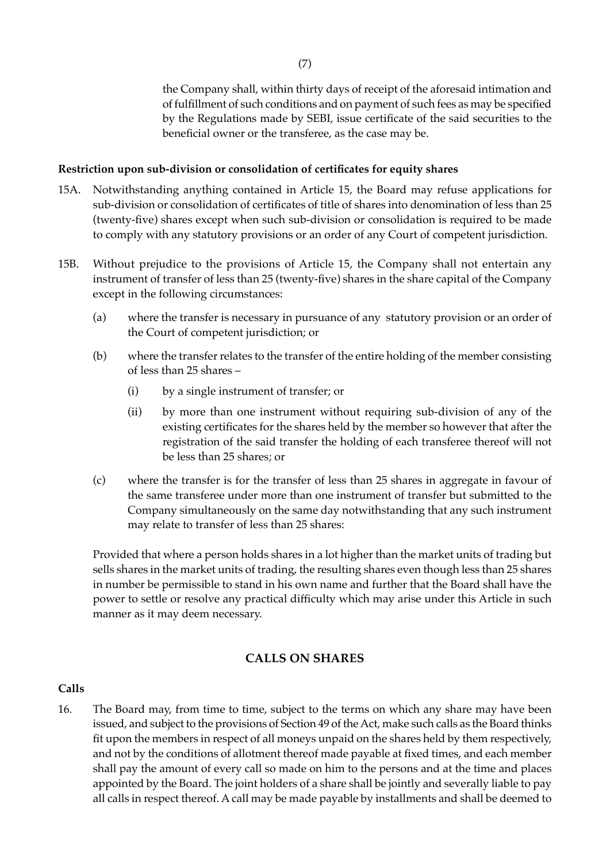the Company shall, within thirty days of receipt of the aforesaid intimation and of fulfillment of such conditions and on payment of such fees as may be specified by the Regulations made by SEBI, issue certificate of the said securities to the beneficial owner or the transferee, as the case may be.

#### **Restriction upon sub-division or consolidation of certificates for equity shares**

- 15A. Notwithstanding anything contained in Article 15, the Board may refuse applications for sub-division or consolidation of certificates of title of shares into denomination of less than 25 (twenty-five) shares except when such sub-division or consolidation is required to be made to comply with any statutory provisions or an order of any Court of competent jurisdiction.
- 15B. Without prejudice to the provisions of Article 15, the Company shall not entertain any instrument of transfer of less than 25 (twenty-five) shares in the share capital of the Company except in the following circumstances:
	- (a) where the transfer is necessary in pursuance of any statutory provision or an order of the Court of competent jurisdiction; or
	- (b) where the transfer relates to the transfer of the entire holding of the member consisting of less than 25 shares –
		- (i) by a single instrument of transfer; or
		- (ii) by more than one instrument without requiring sub-division of any of the existing certificates for the shares held by the member so however that after the registration of the said transfer the holding of each transferee thereof will not be less than 25 shares; or
	- (c) where the transfer is for the transfer of less than 25 shares in aggregate in favour of the same transferee under more than one instrument of transfer but submitted to the Company simultaneously on the same day notwithstanding that any such instrument may relate to transfer of less than 25 shares:

Provided that where a person holds shares in a lot higher than the market units of trading but sells shares in the market units of trading, the resulting shares even though less than 25 shares in number be permissible to stand in his own name and further that the Board shall have the power to settle or resolve any practical difficulty which may arise under this Article in such manner as it may deem necessary.

### **CALLS ON SHARES**

#### **Calls**

16. The Board may, from time to time, subject to the terms on which any share may have been issued, and subject to the provisions of Section 49 of the Act, make such calls as the Board thinks fit upon the members in respect of all moneys unpaid on the shares held by them respectively, and not by the conditions of allotment thereof made payable at fixed times, and each member shall pay the amount of every call so made on him to the persons and at the time and places appointed by the Board. The joint holders of a share shall be jointly and severally liable to pay all calls in respect thereof. A call may be made payable by installments and shall be deemed to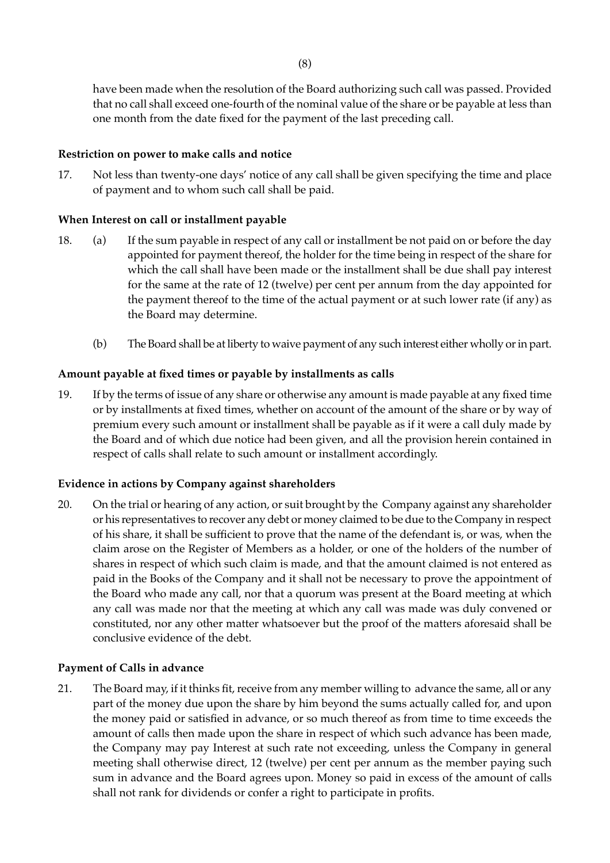have been made when the resolution of the Board authorizing such call was passed. Provided that no call shall exceed one-fourth of the nominal value of the share or be payable at less than one month from the date fixed for the payment of the last preceding call.

## **Restriction on power to make calls and notice**

17. Not less than twenty-one days' notice of any call shall be given specifying the time and place of payment and to whom such call shall be paid.

# **When Interest on call or installment payable**

- 18. (a) If the sum payable in respect of any call or installment be not paid on or before the day appointed for payment thereof, the holder for the time being in respect of the share for which the call shall have been made or the installment shall be due shall pay interest for the same at the rate of 12 (twelve) per cent per annum from the day appointed for the payment thereof to the time of the actual payment or at such lower rate (if any) as the Board may determine.
	- (b) The Board shall be at liberty to waive payment of any such interest either wholly or in part.

## **Amount payable at fixed times or payable by installments as calls**

19. If by the terms of issue of any share or otherwise any amount is made payable at any fixed time or by installments at fixed times, whether on account of the amount of the share or by way of premium every such amount or installment shall be payable as if it were a call duly made by the Board and of which due notice had been given, and all the provision herein contained in respect of calls shall relate to such amount or installment accordingly.

#### **Evidence in actions by Company against shareholders**

20. On the trial or hearing of any action, or suit brought by the Company against any shareholder or his representatives to recover any debt or money claimed to be due to the Company in respect of his share, it shall be sufficient to prove that the name of the defendant is, or was, when the claim arose on the Register of Members as a holder, or one of the holders of the number of shares in respect of which such claim is made, and that the amount claimed is not entered as paid in the Books of the Company and it shall not be necessary to prove the appointment of the Board who made any call, nor that a quorum was present at the Board meeting at which any call was made nor that the meeting at which any call was made was duly convened or constituted, nor any other matter whatsoever but the proof of the matters aforesaid shall be conclusive evidence of the debt.

#### **Payment of Calls in advance**

21. The Board may, if it thinks fit, receive from any member willing to advance the same, all or any part of the money due upon the share by him beyond the sums actually called for, and upon the money paid or satisfied in advance, or so much thereof as from time to time exceeds the amount of calls then made upon the share in respect of which such advance has been made, the Company may pay Interest at such rate not exceeding, unless the Company in general meeting shall otherwise direct, 12 (twelve) per cent per annum as the member paying such sum in advance and the Board agrees upon. Money so paid in excess of the amount of calls shall not rank for dividends or confer a right to participate in profits.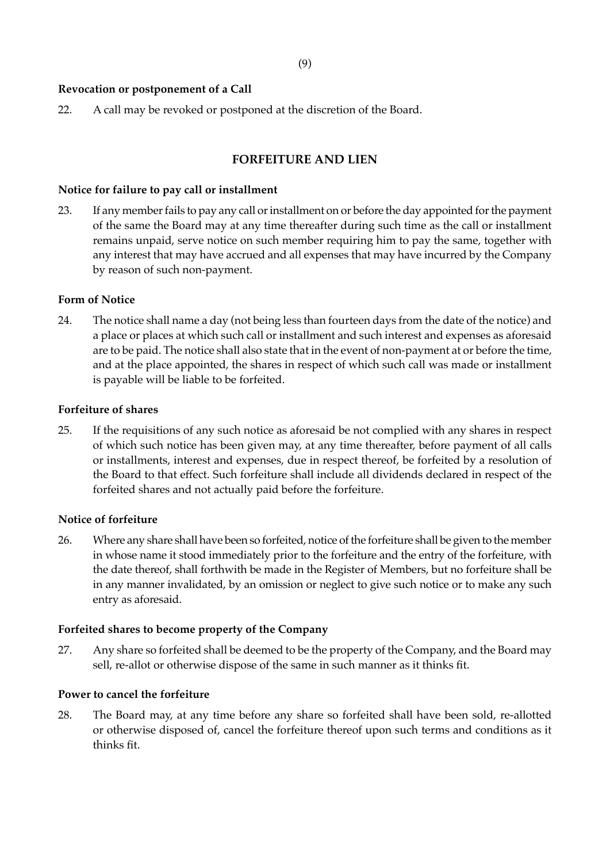#### **Revocation or postponement of a Call**

22. A call may be revoked or postponed at the discretion of the Board.

#### **FORFEITURE AND LIEN**

#### **Notice for failure to pay call or installment**

23. If any member fails to pay any call or installment on or before the day appointed for the payment of the same the Board may at any time thereafter during such time as the call or installment remains unpaid, serve notice on such member requiring him to pay the same, together with any interest that may have accrued and all expenses that may have incurred by the Company by reason of such non-payment.

#### **Form of Notice**

24. The notice shall name a day (not being less than fourteen days from the date of the notice) and a place or places at which such call or installment and such interest and expenses as aforesaid are to be paid. The notice shall also state that in the event of non-payment at or before the time, and at the place appointed, the shares in respect of which such call was made or installment is payable will be liable to be forfeited.

#### **Forfeiture of shares**

25. If the requisitions of any such notice as aforesaid be not complied with any shares in respect of which such notice has been given may, at any time thereafter, before payment of all calls or installments, interest and expenses, due in respect thereof, be forfeited by a resolution of the Board to that effect. Such forfeiture shall include all dividends declared in respect of the forfeited shares and not actually paid before the forfeiture.

#### **Notice of forfeiture**

26. Where any share shall have been so forfeited, notice of the forfeiture shall be given to the member in whose name it stood immediately prior to the forfeiture and the entry of the forfeiture, with the date thereof, shall forthwith be made in the Register of Members, but no forfeiture shall be in any manner invalidated, by an omission or neglect to give such notice or to make any such entry as aforesaid.

#### **Forfeited shares to become property of the Company**

27. Any share so forfeited shall be deemed to be the property of the Company, and the Board may sell, re-allot or otherwise dispose of the same in such manner as it thinks fit.

#### **Power to cancel the forfeiture**

28. The Board may, at any time before any share so forfeited shall have been sold, re-allotted or otherwise disposed of, cancel the forfeiture thereof upon such terms and conditions as it thinks fit.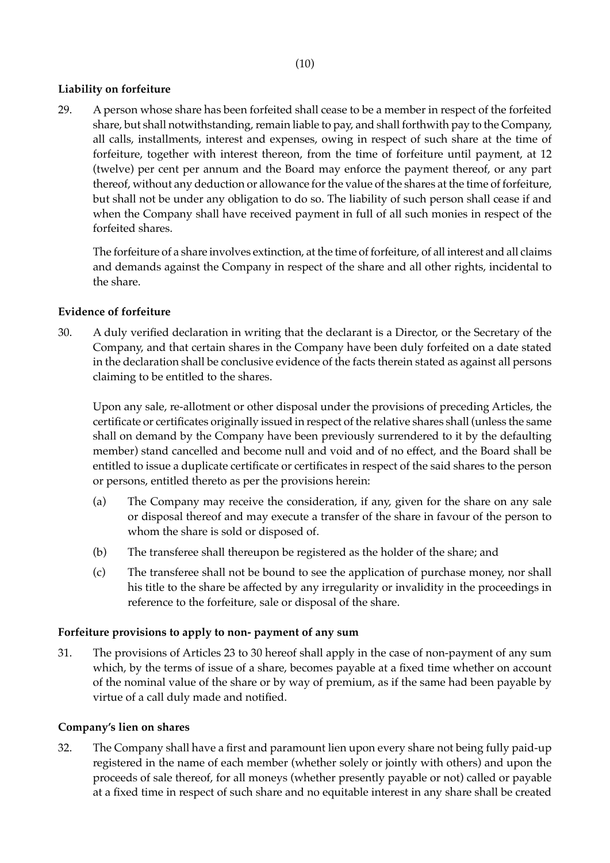# **Liability on forfeiture**

29. A person whose share has been forfeited shall cease to be a member in respect of the forfeited share, but shall notwithstanding, remain liable to pay, and shall forthwith pay to the Company, all calls, installments, interest and expenses, owing in respect of such share at the time of forfeiture, together with interest thereon, from the time of forfeiture until payment, at 12 (twelve) per cent per annum and the Board may enforce the payment thereof, or any part thereof, without any deduction or allowance for the value of the shares at the time of forfeiture, but shall not be under any obligation to do so. The liability of such person shall cease if and when the Company shall have received payment in full of all such monies in respect of the forfeited shares.

The forfeiture of a share involves extinction, at the time of forfeiture, of all interest and all claims and demands against the Company in respect of the share and all other rights, incidental to the share.

# **Evidence of forfeiture**

30. A duly verified declaration in writing that the declarant is a Director, or the Secretary of the Company, and that certain shares in the Company have been duly forfeited on a date stated in the declaration shall be conclusive evidence of the facts therein stated as against all persons claiming to be entitled to the shares.

Upon any sale, re-allotment or other disposal under the provisions of preceding Articles, the certificate or certificates originally issued in respect of the relative shares shall (unless the same shall on demand by the Company have been previously surrendered to it by the defaulting member) stand cancelled and become null and void and of no effect, and the Board shall be entitled to issue a duplicate certificate or certificates in respect of the said shares to the person or persons, entitled thereto as per the provisions herein:

- (a) The Company may receive the consideration, if any, given for the share on any sale or disposal thereof and may execute a transfer of the share in favour of the person to whom the share is sold or disposed of.
- (b) The transferee shall thereupon be registered as the holder of the share; and
- (c) The transferee shall not be bound to see the application of purchase money, nor shall his title to the share be affected by any irregularity or invalidity in the proceedings in reference to the forfeiture, sale or disposal of the share.

# **Forfeiture provisions to apply to non- payment of any sum**

31. The provisions of Articles 23 to 30 hereof shall apply in the case of non-payment of any sum which, by the terms of issue of a share, becomes payable at a fixed time whether on account of the nominal value of the share or by way of premium, as if the same had been payable by virtue of a call duly made and notified.

# **Company's lien on shares**

32. The Company shall have a first and paramount lien upon every share not being fully paid-up registered in the name of each member (whether solely or jointly with others) and upon the proceeds of sale thereof, for all moneys (whether presently payable or not) called or payable at a fixed time in respect of such share and no equitable interest in any share shall be created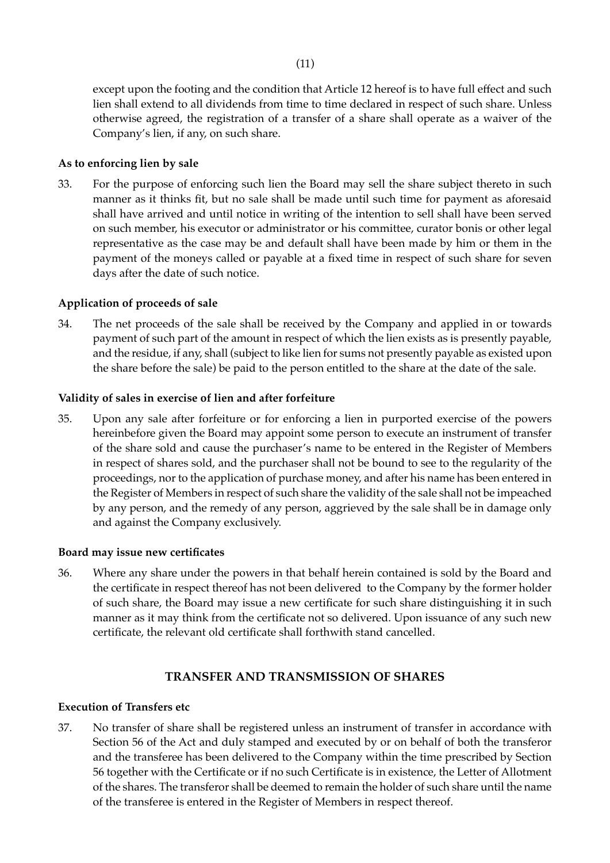except upon the footing and the condition that Article 12 hereof is to have full effect and such lien shall extend to all dividends from time to time declared in respect of such share. Unless otherwise agreed, the registration of a transfer of a share shall operate as a waiver of the Company's lien, if any, on such share.

#### **As to enforcing lien by sale**

33. For the purpose of enforcing such lien the Board may sell the share subject thereto in such manner as it thinks fit, but no sale shall be made until such time for payment as aforesaid shall have arrived and until notice in writing of the intention to sell shall have been served on such member, his executor or administrator or his committee, curator bonis or other legal representative as the case may be and default shall have been made by him or them in the payment of the moneys called or payable at a fixed time in respect of such share for seven days after the date of such notice.

#### **Application of proceeds of sale**

34. The net proceeds of the sale shall be received by the Company and applied in or towards payment of such part of the amount in respect of which the lien exists as is presently payable, and the residue, if any, shall (subject to like lien for sums not presently payable as existed upon the share before the sale) be paid to the person entitled to the share at the date of the sale.

#### **Validity of sales in exercise of lien and after forfeiture**

35. Upon any sale after forfeiture or for enforcing a lien in purported exercise of the powers hereinbefore given the Board may appoint some person to execute an instrument of transfer of the share sold and cause the purchaser's name to be entered in the Register of Members in respect of shares sold, and the purchaser shall not be bound to see to the regularity of the proceedings, nor to the application of purchase money, and after his name has been entered in the Register of Members in respect of such share the validity of the sale shall not be impeached by any person, and the remedy of any person, aggrieved by the sale shall be in damage only and against the Company exclusively.

#### **Board may issue new certificates**

36. Where any share under the powers in that behalf herein contained is sold by the Board and the certificate in respect thereof has not been delivered to the Company by the former holder of such share, the Board may issue a new certificate for such share distinguishing it in such manner as it may think from the certificate not so delivered. Upon issuance of any such new certificate, the relevant old certificate shall forthwith stand cancelled.

#### **TRANSFER AND TRANSMISSION OF SHARES**

#### **Execution of Transfers etc**

37. No transfer of share shall be registered unless an instrument of transfer in accordance with Section 56 of the Act and duly stamped and executed by or on behalf of both the transferor and the transferee has been delivered to the Company within the time prescribed by Section 56 together with the Certificate or if no such Certificate is in existence, the Letter of Allotment of the shares. The transferor shall be deemed to remain the holder of such share until the name of the transferee is entered in the Register of Members in respect thereof.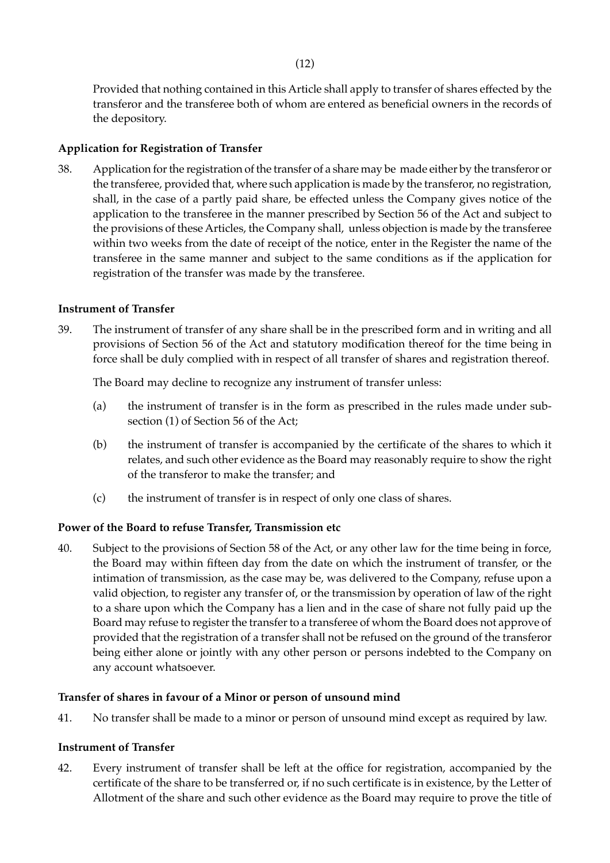Provided that nothing contained in this Article shall apply to transfer of shares effected by the transferor and the transferee both of whom are entered as beneficial owners in the records of the depository.

### **Application for Registration of Transfer**

38. Application for the registration of the transfer of a share may be made either by the transferor or the transferee, provided that, where such application is made by the transferor, no registration, shall, in the case of a partly paid share, be effected unless the Company gives notice of the application to the transferee in the manner prescribed by Section 56 of the Act and subject to the provisions of these Articles, the Company shall, unless objection is made by the transferee within two weeks from the date of receipt of the notice, enter in the Register the name of the transferee in the same manner and subject to the same conditions as if the application for registration of the transfer was made by the transferee.

#### **Instrument of Transfer**

39. The instrument of transfer of any share shall be in the prescribed form and in writing and all provisions of Section 56 of the Act and statutory modification thereof for the time being in force shall be duly complied with in respect of all transfer of shares and registration thereof.

The Board may decline to recognize any instrument of transfer unless:

- (a) the instrument of transfer is in the form as prescribed in the rules made under subsection (1) of Section 56 of the Act;
- (b) the instrument of transfer is accompanied by the certificate of the shares to which it relates, and such other evidence as the Board may reasonably require to show the right of the transferor to make the transfer; and
- (c) the instrument of transfer is in respect of only one class of shares.

# **Power of the Board to refuse Transfer, Transmission etc**

40. Subject to the provisions of Section 58 of the Act, or any other law for the time being in force, the Board may within fifteen day from the date on which the instrument of transfer, or the intimation of transmission, as the case may be, was delivered to the Company, refuse upon a valid objection, to register any transfer of, or the transmission by operation of law of the right to a share upon which the Company has a lien and in the case of share not fully paid up the Board may refuse to register the transfer to a transferee of whom the Board does not approve of provided that the registration of a transfer shall not be refused on the ground of the transferor being either alone or jointly with any other person or persons indebted to the Company on any account whatsoever.

#### **Transfer of shares in favour of a Minor or person of unsound mind**

41. No transfer shall be made to a minor or person of unsound mind except as required by law.

# **Instrument of Transfer**

42. Every instrument of transfer shall be left at the office for registration, accompanied by the certificate of the share to be transferred or, if no such certificate is in existence, by the Letter of Allotment of the share and such other evidence as the Board may require to prove the title of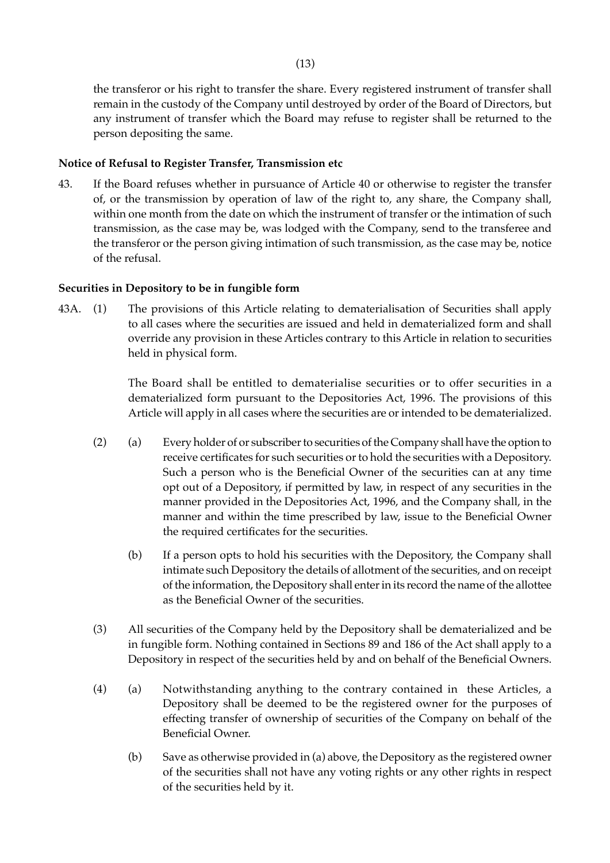the transferor or his right to transfer the share. Every registered instrument of transfer shall remain in the custody of the Company until destroyed by order of the Board of Directors, but any instrument of transfer which the Board may refuse to register shall be returned to the person depositing the same.

#### **Notice of Refusal to Register Transfer, Transmission etc**

43. If the Board refuses whether in pursuance of Article 40 or otherwise to register the transfer of, or the transmission by operation of law of the right to, any share, the Company shall, within one month from the date on which the instrument of transfer or the intimation of such transmission, as the case may be, was lodged with the Company, send to the transferee and the transferor or the person giving intimation of such transmission, as the case may be, notice of the refusal.

#### **Securities in Depository to be in fungible form**

43A. (1) The provisions of this Article relating to dematerialisation of Securities shall apply to all cases where the securities are issued and held in dematerialized form and shall override any provision in these Articles contrary to this Article in relation to securities held in physical form.

> The Board shall be entitled to dematerialise securities or to offer securities in a dematerialized form pursuant to the Depositories Act, 1996. The provisions of this Article will apply in all cases where the securities are or intended to be dematerialized.

- (2) (a) Every holder of or subscriber to securities of the Company shall have the option to receive certificates for such securities or to hold the securities with a Depository. Such a person who is the Beneficial Owner of the securities can at any time opt out of a Depository, if permitted by law, in respect of any securities in the manner provided in the Depositories Act, 1996, and the Company shall, in the manner and within the time prescribed by law, issue to the Beneficial Owner the required certificates for the securities.
	- (b) If a person opts to hold his securities with the Depository, the Company shall intimate such Depository the details of allotment of the securities, and on receipt of the information, the Depository shall enter in its record the name of the allottee as the Beneficial Owner of the securities.
- (3) All securities of the Company held by the Depository shall be dematerialized and be in fungible form. Nothing contained in Sections 89 and 186 of the Act shall apply to a Depository in respect of the securities held by and on behalf of the Beneficial Owners.
- (4) (a) Notwithstanding anything to the contrary contained in these Articles, a Depository shall be deemed to be the registered owner for the purposes of effecting transfer of ownership of securities of the Company on behalf of the Beneficial Owner.
	- (b) Save as otherwise provided in (a) above, the Depository as the registered owner of the securities shall not have any voting rights or any other rights in respect of the securities held by it.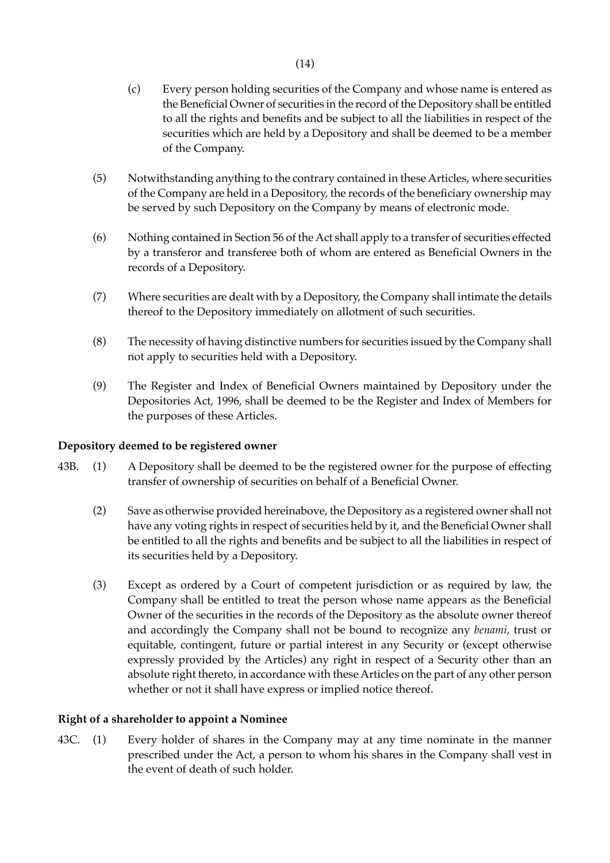- (c) Every person holding securities of the Company and whose name is entered as the Beneficial Owner of securities in the record of the Depository shall be entitled to all the rights and benefits and be subject to all the liabilities in respect of the securities which are held by a Depository and shall be deemed to be a member of the Company.
- (5) Notwithstanding anything to the contrary contained in these Articles, where securities of the Company are held in a Depository, the records of the beneficiary ownership may be served by such Depository on the Company by means of electronic mode.
- (6) Nothing contained in Section 56 of the Act shall apply to a transfer of securities effected by a transferor and transferee both of whom are entered as Beneficial Owners in the records of a Depository.
- (7) Where securities are dealt with by a Depository, the Company shall intimate the details thereof to the Depository immediately on allotment of such securities.
- (8) The necessity of having distinctive numbers for securities issued by the Company shall not apply to securities held with a Depository.
- (9) The Register and Index of Beneficial Owners maintained by Depository under the Depositories Act, 1996, shall be deemed to be the Register and Index of Members for the purposes of these Articles.

#### **Depository deemed to be registered owner**

- 43B. (1) A Depository shall be deemed to be the registered owner for the purpose of effecting transfer of ownership of securities on behalf of a Beneficial Owner.
	- (2) Save as otherwise provided hereinabove, the Depository as a registered owner shall not have any voting rights in respect of securities held by it, and the Beneficial Owner shall be entitled to all the rights and benefits and be subject to all the liabilities in respect of its securities held by a Depository.
	- (3) Except as ordered by a Court of competent jurisdiction or as required by law, the Company shall be entitled to treat the person whose name appears as the Beneficial Owner of the securities in the records of the Depository as the absolute owner thereof and accordingly the Company shall not be bound to recognize any *benami*, trust or equitable, contingent, future or partial interest in any Security or (except otherwise expressly provided by the Articles) any right in respect of a Security other than an absolute right thereto, in accordance with these Articles on the part of any other person whether or not it shall have express or implied notice thereof.

#### **Right of a shareholder to appoint a Nominee**

43C. (1) Every holder of shares in the Company may at any time nominate in the manner prescribed under the Act, a person to whom his shares in the Company shall vest in the event of death of such holder.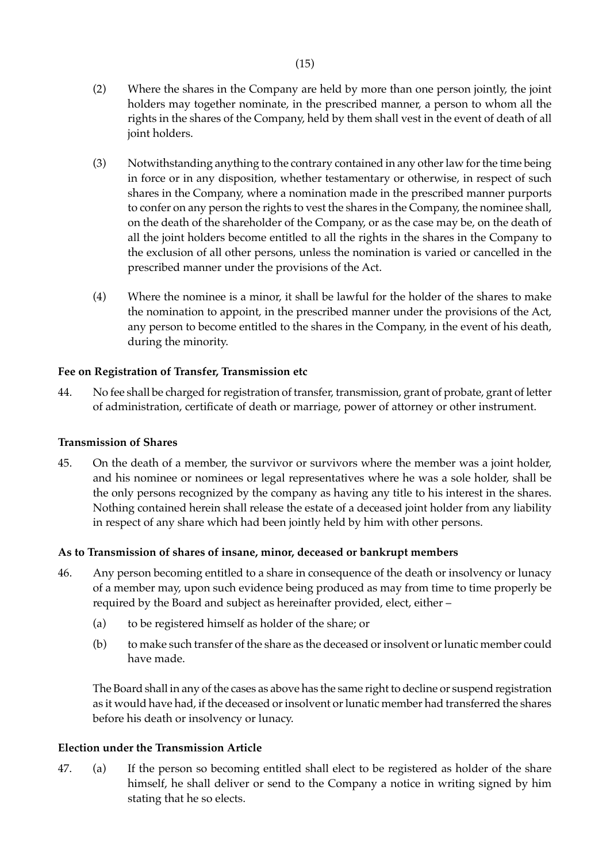- (2) Where the shares in the Company are held by more than one person jointly, the joint holders may together nominate, in the prescribed manner, a person to whom all the rights in the shares of the Company, held by them shall vest in the event of death of all joint holders.
- (3) Notwithstanding anything to the contrary contained in any other law for the time being in force or in any disposition, whether testamentary or otherwise, in respect of such shares in the Company, where a nomination made in the prescribed manner purports to confer on any person the rights to vest the shares in the Company, the nominee shall, on the death of the shareholder of the Company, or as the case may be, on the death of all the joint holders become entitled to all the rights in the shares in the Company to the exclusion of all other persons, unless the nomination is varied or cancelled in the prescribed manner under the provisions of the Act.
- (4) Where the nominee is a minor, it shall be lawful for the holder of the shares to make the nomination to appoint, in the prescribed manner under the provisions of the Act, any person to become entitled to the shares in the Company, in the event of his death, during the minority.

## **Fee on Registration of Transfer, Transmission etc**

44. No fee shall be charged for registration of transfer, transmission, grant of probate, grant of letter of administration, certificate of death or marriage, power of attorney or other instrument.

## **Transmission of Shares**

45. On the death of a member, the survivor or survivors where the member was a joint holder, and his nominee or nominees or legal representatives where he was a sole holder, shall be the only persons recognized by the company as having any title to his interest in the shares. Nothing contained herein shall release the estate of a deceased joint holder from any liability in respect of any share which had been jointly held by him with other persons.

## **As to Transmission of shares of insane, minor, deceased or bankrupt members**

- 46. Any person becoming entitled to a share in consequence of the death or insolvency or lunacy of a member may, upon such evidence being produced as may from time to time properly be required by the Board and subject as hereinafter provided, elect, either –
	- (a) to be registered himself as holder of the share; or
	- (b) to make such transfer of the share as the deceased or insolvent or lunatic member could have made.

The Board shall in any of the cases as above has the same right to decline or suspend registration as it would have had, if the deceased or insolvent or lunatic member had transferred the shares before his death or insolvency or lunacy.

## **Election under the Transmission Article**

47. (a) If the person so becoming entitled shall elect to be registered as holder of the share himself, he shall deliver or send to the Company a notice in writing signed by him stating that he so elects.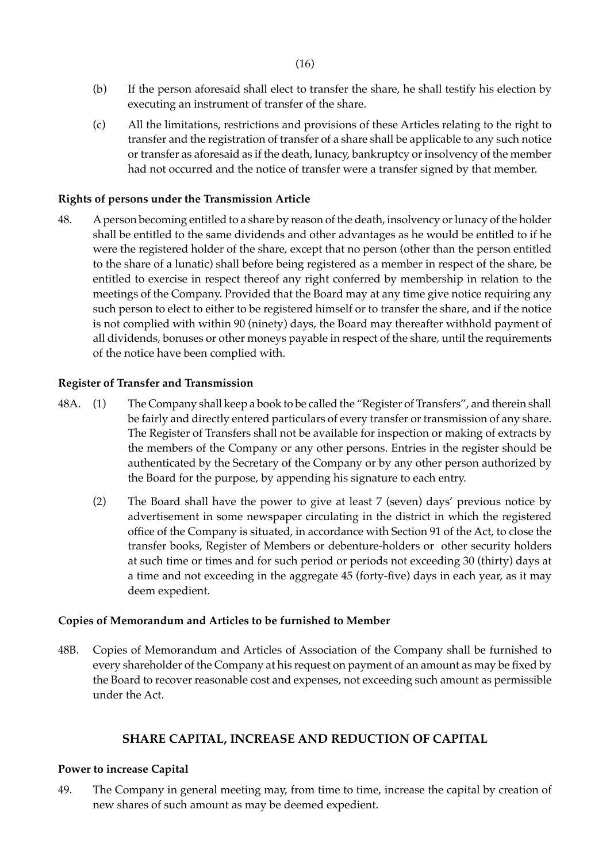- (b) If the person aforesaid shall elect to transfer the share, he shall testify his election by executing an instrument of transfer of the share.
- (c) All the limitations, restrictions and provisions of these Articles relating to the right to transfer and the registration of transfer of a share shall be applicable to any such notice or transfer as aforesaid as if the death, lunacy, bankruptcy or insolvency of the member had not occurred and the notice of transfer were a transfer signed by that member.

#### **Rights of persons under the Transmission Article**

48. A person becoming entitled to a share by reason of the death, insolvency or lunacy of the holder shall be entitled to the same dividends and other advantages as he would be entitled to if he were the registered holder of the share, except that no person (other than the person entitled to the share of a lunatic) shall before being registered as a member in respect of the share, be entitled to exercise in respect thereof any right conferred by membership in relation to the meetings of the Company. Provided that the Board may at any time give notice requiring any such person to elect to either to be registered himself or to transfer the share, and if the notice is not complied with within 90 (ninety) days, the Board may thereafter withhold payment of all dividends, bonuses or other moneys payable in respect of the share, until the requirements of the notice have been complied with.

#### **Register of Transfer and Transmission**

- 48A. (1) The Company shall keep a book to be called the "Register of Transfers", and therein shall be fairly and directly entered particulars of every transfer or transmission of any share. The Register of Transfers shall not be available for inspection or making of extracts by the members of the Company or any other persons. Entries in the register should be authenticated by the Secretary of the Company or by any other person authorized by the Board for the purpose, by appending his signature to each entry.
	- (2) The Board shall have the power to give at least 7 (seven) days' previous notice by advertisement in some newspaper circulating in the district in which the registered office of the Company is situated, in accordance with Section 91 of the Act, to close the transfer books, Register of Members or debenture-holders or other security holders at such time or times and for such period or periods not exceeding 30 (thirty) days at a time and not exceeding in the aggregate 45 (forty-five) days in each year, as it may deem expedient.

#### **Copies of Memorandum and Articles to be furnished to Member**

48B. Copies of Memorandum and Articles of Association of the Company shall be furnished to every shareholder of the Company at his request on payment of an amount as may be fixed by the Board to recover reasonable cost and expenses, not exceeding such amount as permissible under the Act.

#### **SHARE CAPITAL, INCREASE AND REDUCTION OF CAPITAL**

#### **Power to increase Capital**

49. The Company in general meeting may, from time to time, increase the capital by creation of new shares of such amount as may be deemed expedient.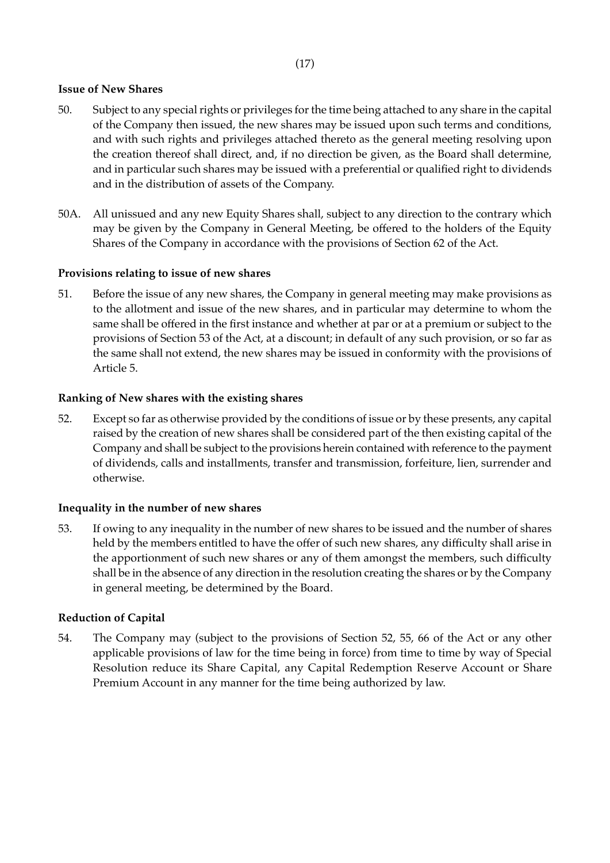## **Issue of New Shares**

- 50. Subject to any special rights or privileges for the time being attached to any share in the capital of the Company then issued, the new shares may be issued upon such terms and conditions, and with such rights and privileges attached thereto as the general meeting resolving upon the creation thereof shall direct, and, if no direction be given, as the Board shall determine, and in particular such shares may be issued with a preferential or qualified right to dividends and in the distribution of assets of the Company.
- 50A. All unissued and any new Equity Shares shall, subject to any direction to the contrary which may be given by the Company in General Meeting, be offered to the holders of the Equity Shares of the Company in accordance with the provisions of Section 62 of the Act.

### **Provisions relating to issue of new shares**

51. Before the issue of any new shares, the Company in general meeting may make provisions as to the allotment and issue of the new shares, and in particular may determine to whom the same shall be offered in the first instance and whether at par or at a premium or subject to the provisions of Section 53 of the Act, at a discount; in default of any such provision, or so far as the same shall not extend, the new shares may be issued in conformity with the provisions of Article 5.

### **Ranking of New shares with the existing shares**

52. Except so far as otherwise provided by the conditions of issue or by these presents, any capital raised by the creation of new shares shall be considered part of the then existing capital of the Company and shall be subject to the provisions herein contained with reference to the payment of dividends, calls and installments, transfer and transmission, forfeiture, lien, surrender and otherwise.

#### **Inequality in the number of new shares**

53. If owing to any inequality in the number of new shares to be issued and the number of shares held by the members entitled to have the offer of such new shares, any difficulty shall arise in the apportionment of such new shares or any of them amongst the members, such difficulty shall be in the absence of any direction in the resolution creating the shares or by the Company in general meeting, be determined by the Board.

#### **Reduction of Capital**

54. The Company may (subject to the provisions of Section 52, 55, 66 of the Act or any other applicable provisions of law for the time being in force) from time to time by way of Special Resolution reduce its Share Capital, any Capital Redemption Reserve Account or Share Premium Account in any manner for the time being authorized by law.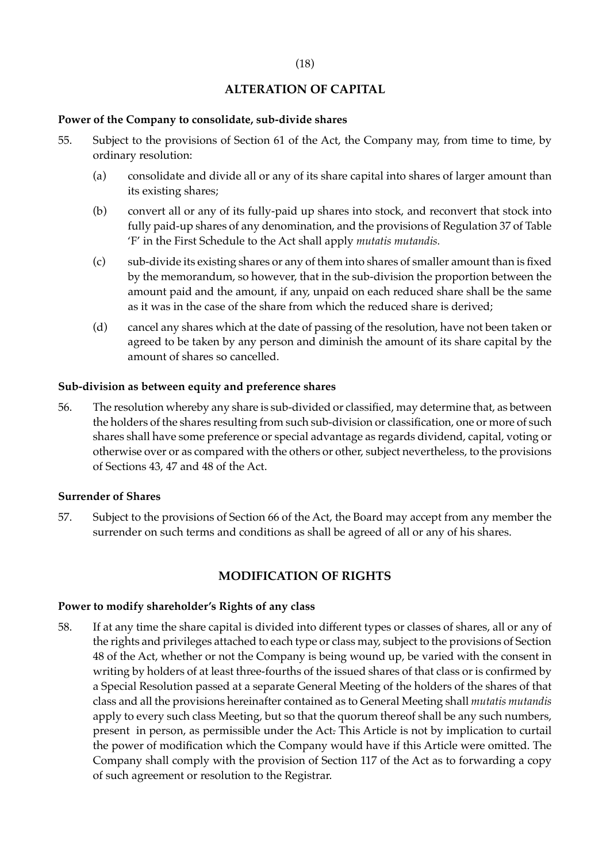# **ALTERATION OF CAPITAL**

## **Power of the Company to consolidate, sub-divide shares**

- 55. Subject to the provisions of Section 61 of the Act, the Company may, from time to time, by ordinary resolution:
	- (a) consolidate and divide all or any of its share capital into shares of larger amount than its existing shares;
	- (b) convert all or any of its fully-paid up shares into stock, and reconvert that stock into fully paid-up shares of any denomination, and the provisions of Regulation 37 of Table 'F' in the First Schedule to the Act shall apply *mutatis mutandis.*
	- (c) sub-divide its existing shares or any of them into shares of smaller amount than is fixed by the memorandum, so however, that in the sub-division the proportion between the amount paid and the amount, if any, unpaid on each reduced share shall be the same as it was in the case of the share from which the reduced share is derived;
	- (d) cancel any shares which at the date of passing of the resolution, have not been taken or agreed to be taken by any person and diminish the amount of its share capital by the amount of shares so cancelled.

## **Sub-division as between equity and preference shares**

56. The resolution whereby any share is sub-divided or classified, may determine that, as between the holders of the shares resulting from such sub-division or classification, one or more of such shares shall have some preference or special advantage as regards dividend, capital, voting or otherwise over or as compared with the others or other, subject nevertheless, to the provisions of Sections 43, 47 and 48 of the Act.

#### **Surrender of Shares**

57. Subject to the provisions of Section 66 of the Act, the Board may accept from any member the surrender on such terms and conditions as shall be agreed of all or any of his shares.

## **MODIFICATION OF RIGHTS**

#### **Power to modify shareholder's Rights of any class**

58. If at any time the share capital is divided into different types or classes of shares, all or any of the rights and privileges attached to each type or class may, subject to the provisions of Section 48 of the Act, whether or not the Company is being wound up, be varied with the consent in writing by holders of at least three-fourths of the issued shares of that class or is confirmed by a Special Resolution passed at a separate General Meeting of the holders of the shares of that class and all the provisions hereinafter contained as to General Meeting shall *mutatis mutandis* apply to every such class Meeting, but so that the quorum thereof shall be any such numbers, present in person, as permissible under the Act. This Article is not by implication to curtail the power of modification which the Company would have if this Article were omitted. The Company shall comply with the provision of Section 117 of the Act as to forwarding a copy of such agreement or resolution to the Registrar.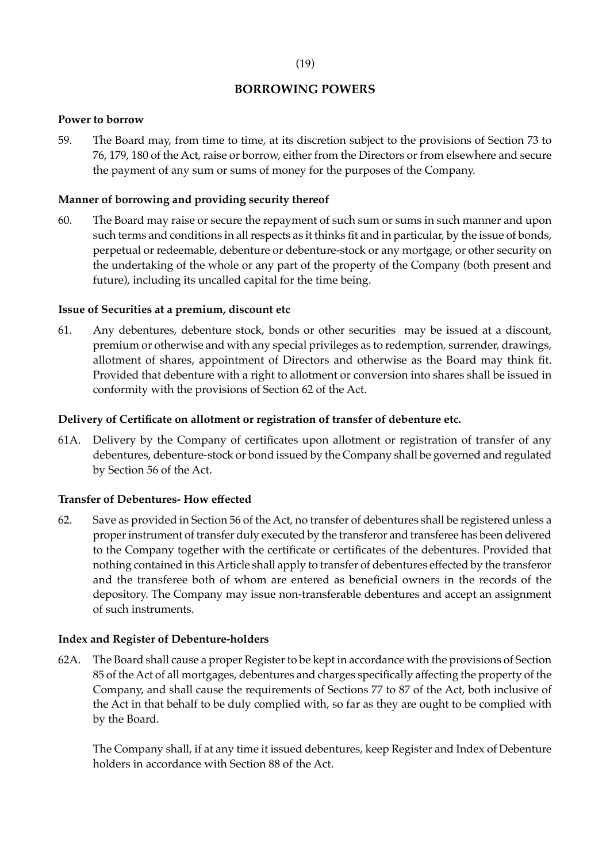# (19)

# **BORROWING POWERS**

# **Power to borrow**

59. The Board may, from time to time, at its discretion subject to the provisions of Section 73 to 76, 179, 180 of the Act, raise or borrow, either from the Directors or from elsewhere and secure the payment of any sum or sums of money for the purposes of the Company.

# **Manner of borrowing and providing security thereof**

60. The Board may raise or secure the repayment of such sum or sums in such manner and upon such terms and conditions in all respects as it thinks fit and in particular, by the issue of bonds, perpetual or redeemable, debenture or debenture-stock or any mortgage, or other security on the undertaking of the whole or any part of the property of the Company (both present and future), including its uncalled capital for the time being.

# **Issue of Securities at a premium, discount etc**

61. Any debentures, debenture stock, bonds or other securities may be issued at a discount, premium or otherwise and with any special privileges as to redemption, surrender, drawings, allotment of shares, appointment of Directors and otherwise as the Board may think fit. Provided that debenture with a right to allotment or conversion into shares shall be issued in conformity with the provisions of Section 62 of the Act.

# **Delivery of Certificate on allotment or registration of transfer of debenture etc.**

61A. Delivery by the Company of certificates upon allotment or registration of transfer of any debentures, debenture-stock or bond issued by the Company shall be governed and regulated by Section 56 of the Act.

# **Transfer of Debentures- How effected**

62. Save as provided in Section 56 of the Act, no transfer of debentures shall be registered unless a proper instrument of transfer duly executed by the transferor and transferee has been delivered to the Company together with the certificate or certificates of the debentures. Provided that nothing contained in this Article shall apply to transfer of debentures effected by the transferor and the transferee both of whom are entered as beneficial owners in the records of the depository. The Company may issue non-transferable debentures and accept an assignment of such instruments.

# **Index and Register of Debenture-holders**

62A. The Board shall cause a proper Register to be kept in accordance with the provisions of Section 85 of the Act of all mortgages, debentures and charges specifically affecting the property of the Company, and shall cause the requirements of Sections 77 to 87 of the Act, both inclusive of the Act in that behalf to be duly complied with, so far as they are ought to be complied with by the Board.

The Company shall, if at any time it issued debentures, keep Register and Index of Debenture holders in accordance with Section 88 of the Act.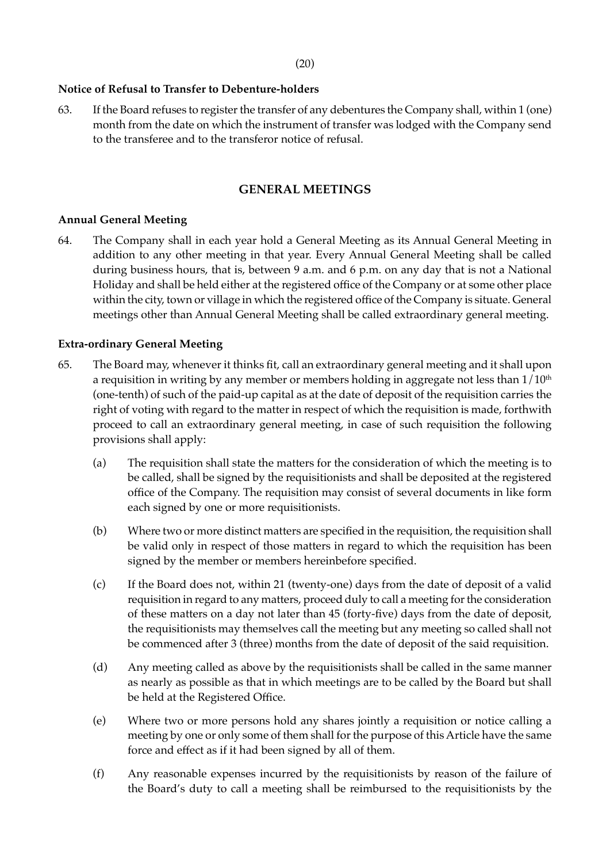### **Notice of Refusal to Transfer to Debenture-holders**

63. If the Board refuses to register the transfer of any debentures the Company shall, within 1 (one) month from the date on which the instrument of transfer was lodged with the Company send to the transferee and to the transferor notice of refusal.

## **GENERAL MEETINGS**

### **Annual General Meeting**

64. The Company shall in each year hold a General Meeting as its Annual General Meeting in addition to any other meeting in that year. Every Annual General Meeting shall be called during business hours, that is, between 9 a.m. and 6 p.m. on any day that is not a National Holiday and shall be held either at the registered office of the Company or at some other place within the city, town or village in which the registered office of the Company is situate. General meetings other than Annual General Meeting shall be called extraordinary general meeting.

### **Extra-ordinary General Meeting**

- 65. The Board may, whenever it thinks fit, call an extraordinary general meeting and it shall upon a requisition in writing by any member or members holding in aggregate not less than  $1/10<sup>th</sup>$ (one-tenth) of such of the paid-up capital as at the date of deposit of the requisition carries the right of voting with regard to the matter in respect of which the requisition is made, forthwith proceed to call an extraordinary general meeting, in case of such requisition the following provisions shall apply:
	- (a) The requisition shall state the matters for the consideration of which the meeting is to be called, shall be signed by the requisitionists and shall be deposited at the registered office of the Company. The requisition may consist of several documents in like form each signed by one or more requisitionists.
	- (b) Where two or more distinct matters are specified in the requisition, the requisition shall be valid only in respect of those matters in regard to which the requisition has been signed by the member or members hereinbefore specified.
	- (c) If the Board does not, within 21 (twenty-one) days from the date of deposit of a valid requisition in regard to any matters, proceed duly to call a meeting for the consideration of these matters on a day not later than 45 (forty-five) days from the date of deposit, the requisitionists may themselves call the meeting but any meeting so called shall not be commenced after 3 (three) months from the date of deposit of the said requisition.
	- (d) Any meeting called as above by the requisitionists shall be called in the same manner as nearly as possible as that in which meetings are to be called by the Board but shall be held at the Registered Office.
	- (e) Where two or more persons hold any shares jointly a requisition or notice calling a meeting by one or only some of them shall for the purpose of this Article have the same force and effect as if it had been signed by all of them.
	- (f) Any reasonable expenses incurred by the requisitionists by reason of the failure of the Board's duty to call a meeting shall be reimbursed to the requisitionists by the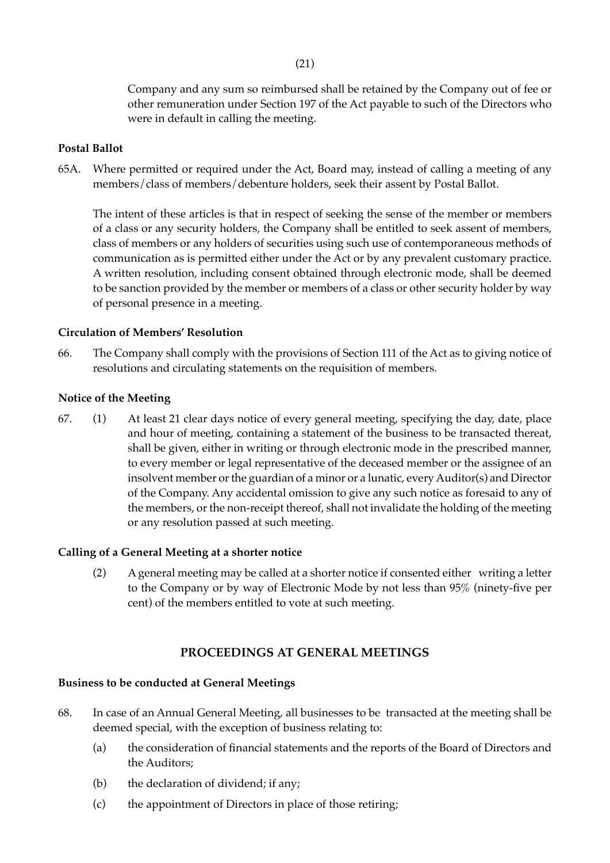Company and any sum so reimbursed shall be retained by the Company out of fee or other remuneration under Section 197 of the Act payable to such of the Directors who were in default in calling the meeting.

#### **Postal Ballot**

65A. Where permitted or required under the Act, Board may, instead of calling a meeting of any members/class of members/debenture holders, seek their assent by Postal Ballot.

The intent of these articles is that in respect of seeking the sense of the member or members of a class or any security holders, the Company shall be entitled to seek assent of members, class of members or any holders of securities using such use of contemporaneous methods of communication as is permitted either under the Act or by any prevalent customary practice. A written resolution, including consent obtained through electronic mode, shall be deemed to be sanction provided by the member or members of a class or other security holder by way of personal presence in a meeting.

## **Circulation of Members' Resolution**

66. The Company shall comply with the provisions of Section 111 of the Act as to giving notice of resolutions and circulating statements on the requisition of members.

## **Notice of the Meeting**

67. (1) At least 21 clear days notice of every general meeting, specifying the day, date, place and hour of meeting, containing a statement of the business to be transacted thereat, shall be given, either in writing or through electronic mode in the prescribed manner, to every member or legal representative of the deceased member or the assignee of an insolvent member or the guardian of a minor or a lunatic, every Auditor(s) and Director of the Company. Any accidental omission to give any such notice as foresaid to any of the members, or the non-receipt thereof, shall not invalidate the holding of the meeting or any resolution passed at such meeting.

#### **Calling of a General Meeting at a shorter notice**

(2) A general meeting may be called at a shorter notice if consented either writing a letter to the Company or by way of Electronic Mode by not less than 95% (ninety-five per cent) of the members entitled to vote at such meeting.

## **PROCEEDINGS AT GENERAL MEETINGS**

# **Business to be conducted at General Meetings**

- 68. In case of an Annual General Meeting, all businesses to be transacted at the meeting shall be deemed special, with the exception of business relating to:
	- (a) the consideration of financial statements and the reports of the Board of Directors and the Auditors;
	- (b) the declaration of dividend; if any;
	- (c) the appointment of Directors in place of those retiring;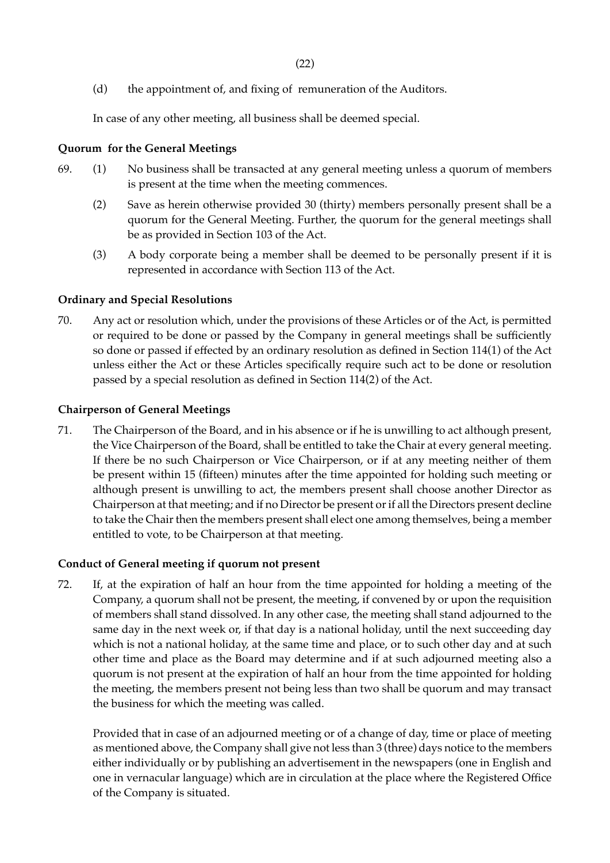(d) the appointment of, and fixing of remuneration of the Auditors.

In case of any other meeting, all business shall be deemed special.

## **Quorum for the General Meetings**

- 69. (1) No business shall be transacted at any general meeting unless a quorum of members is present at the time when the meeting commences.
	- (2) Save as herein otherwise provided 30 (thirty) members personally present shall be a quorum for the General Meeting. Further, the quorum for the general meetings shall be as provided in Section 103 of the Act.
	- (3) A body corporate being a member shall be deemed to be personally present if it is represented in accordance with Section 113 of the Act.

## **Ordinary and Special Resolutions**

70. Any act or resolution which, under the provisions of these Articles or of the Act, is permitted or required to be done or passed by the Company in general meetings shall be sufficiently so done or passed if effected by an ordinary resolution as defined in Section 114(1) of the Act unless either the Act or these Articles specifically require such act to be done or resolution passed by a special resolution as defined in Section 114(2) of the Act.

## **Chairperson of General Meetings**

71. The Chairperson of the Board, and in his absence or if he is unwilling to act although present, the Vice Chairperson of the Board, shall be entitled to take the Chair at every general meeting. If there be no such Chairperson or Vice Chairperson, or if at any meeting neither of them be present within 15 (fifteen) minutes after the time appointed for holding such meeting or although present is unwilling to act, the members present shall choose another Director as Chairperson at that meeting; and if no Director be present or if all the Directors present decline to take the Chair then the members present shall elect one among themselves, being a member entitled to vote, to be Chairperson at that meeting.

## **Conduct of General meeting if quorum not present**

72. If, at the expiration of half an hour from the time appointed for holding a meeting of the Company, a quorum shall not be present, the meeting, if convened by or upon the requisition of members shall stand dissolved. In any other case, the meeting shall stand adjourned to the same day in the next week or, if that day is a national holiday, until the next succeeding day which is not a national holiday, at the same time and place, or to such other day and at such other time and place as the Board may determine and if at such adjourned meeting also a quorum is not present at the expiration of half an hour from the time appointed for holding the meeting, the members present not being less than two shall be quorum and may transact the business for which the meeting was called.

Provided that in case of an adjourned meeting or of a change of day, time or place of meeting as mentioned above, the Company shall give not less than 3 (three) days notice to the members either individually or by publishing an advertisement in the newspapers (one in English and one in vernacular language) which are in circulation at the place where the Registered Office of the Company is situated.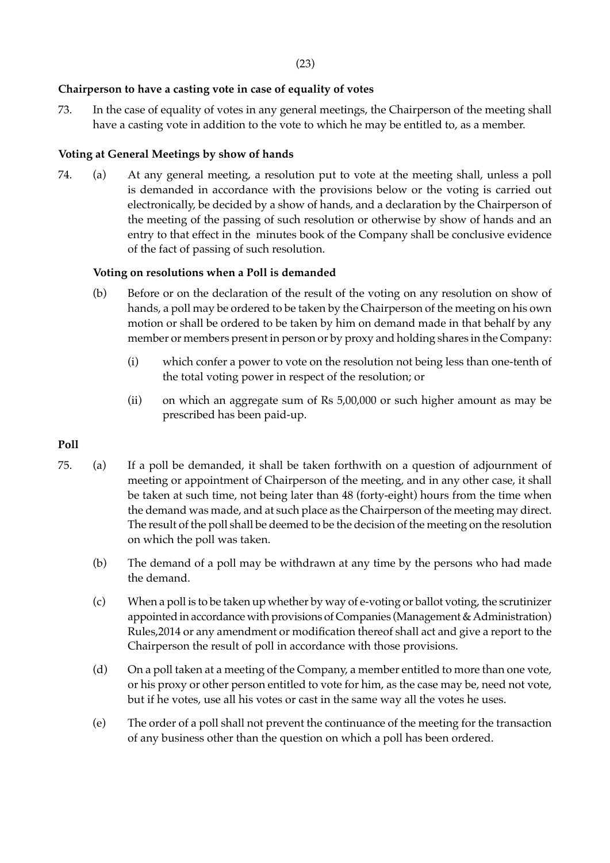## **Chairperson to have a casting vote in case of equality of votes**

73. In the case of equality of votes in any general meetings, the Chairperson of the meeting shall have a casting vote in addition to the vote to which he may be entitled to, as a member.

#### **Voting at General Meetings by show of hands**

74. (a) At any general meeting, a resolution put to vote at the meeting shall, unless a poll is demanded in accordance with the provisions below or the voting is carried out electronically, be decided by a show of hands, and a declaration by the Chairperson of the meeting of the passing of such resolution or otherwise by show of hands and an entry to that effect in the minutes book of the Company shall be conclusive evidence of the fact of passing of such resolution.

#### **Voting on resolutions when a Poll is demanded**

- (b) Before or on the declaration of the result of the voting on any resolution on show of hands, a poll may be ordered to be taken by the Chairperson of the meeting on his own motion or shall be ordered to be taken by him on demand made in that behalf by any member or members present in person or by proxy and holding shares in the Company:
	- (i) which confer a power to vote on the resolution not being less than one-tenth of the total voting power in respect of the resolution; or
	- (ii) on which an aggregate sum of Rs 5,00,000 or such higher amount as may be prescribed has been paid-up.

## **Poll**

 $\ddot{\phantom{a}}$ 

notwithstanding the previous death or insanity of the principal, or revocation of the instruments, or

to require such evidence as he may at his discretion think fit of the due execution of an instrument of

- 75. (a) If a poll be demanded, it shall be taken forthwith on a question of adjournment of meeting or appointment of Chairperson of the meeting, and in any other case, it shall be taken at such time, not being later than 48 (forty-eight) hours from the time when the demand was made, and at such place as the Chairperson of the meeting may direct. The result of the poll shall be deemed to be the decision of the meeting on the resolution on which the poll was taken.
	- (b) The demand of a poll may be withdrawn at any time by the persons who had made the demand.
	- (c) When a poll is to be taken up whether by way of e-voting or ballot voting, the scrutinizer appointed in accordance with provisions of Companies (Management & Administration) Rules,2014 or any amendment or modification thereof shall act and give a report to the Chairperson the result of poll in accordance with those provisions.
	- (d) On a poll taken at a meeting of the Company, a member entitled to more than one vote, or his proxy or other person entitled to vote for him, as the case may be, need not vote, but if he votes, use all his votes or cast in the same way all the votes he uses.
	- (e) The order of a poll shall not prevent the continuance of the meeting for the transaction of any business other than the question on which a poll has been ordered.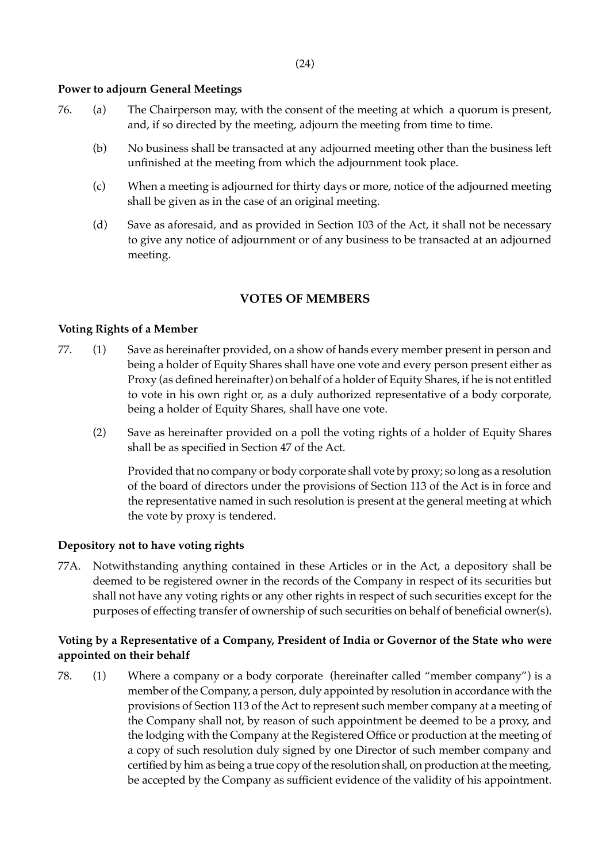# **Power to adjourn General Meetings**

- 76. (a) The Chairperson may, with the consent of the meeting at which a quorum is present, and, if so directed by the meeting, adjourn the meeting from time to time.
	- (b) No business shall be transacted at any adjourned meeting other than the business left unfinished at the meeting from which the adjournment took place.
	- (c) When a meeting is adjourned for thirty days or more, notice of the adjourned meeting shall be given as in the case of an original meeting.
	- (d) Save as aforesaid, and as provided in Section 103 of the Act, it shall not be necessary to give any notice of adjournment or of any business to be transacted at an adjourned meeting.

## **VOTES OF MEMBERS**

## **Voting Rights of a Member**

- 77. (1) Save as hereinafter provided, on a show of hands every member present in person and being a holder of Equity Shares shall have one vote and every person present either as Proxy (as defined hereinafter) on behalf of a holder of Equity Shares, if he is not entitled to vote in his own right or, as a duly authorized representative of a body corporate, being a holder of Equity Shares, shall have one vote.
	- (2) Save as hereinafter provided on a poll the voting rights of a holder of Equity Shares shall be as specified in Section 47 of the Act.

Provided that no company or body corporate shall vote by proxy; so long as a resolution of the board of directors under the provisions of Section 113 of the Act is in force and the representative named in such resolution is present at the general meeting at which the vote by proxy is tendered.

## **Depository not to have voting rights**

77A. Notwithstanding anything contained in these Articles or in the Act, a depository shall be deemed to be registered owner in the records of the Company in respect of its securities but shall not have any voting rights or any other rights in respect of such securities except for the purposes of effecting transfer of ownership of such securities on behalf of beneficial owner(s).

# **Voting by a Representative of a Company, President of India or Governor of the State who were appointed on their behalf**

78. (1) Where a company or a body corporate (hereinafter called "member company") is a member of the Company, a person, duly appointed by resolution in accordance with the provisions of Section 113 of the Act to represent such member company at a meeting of the Company shall not, by reason of such appointment be deemed to be a proxy, and the lodging with the Company at the Registered Office or production at the meeting of a copy of such resolution duly signed by one Director of such member company and certified by him as being a true copy of the resolution shall, on production at the meeting, be accepted by the Company as sufficient evidence of the validity of his appointment.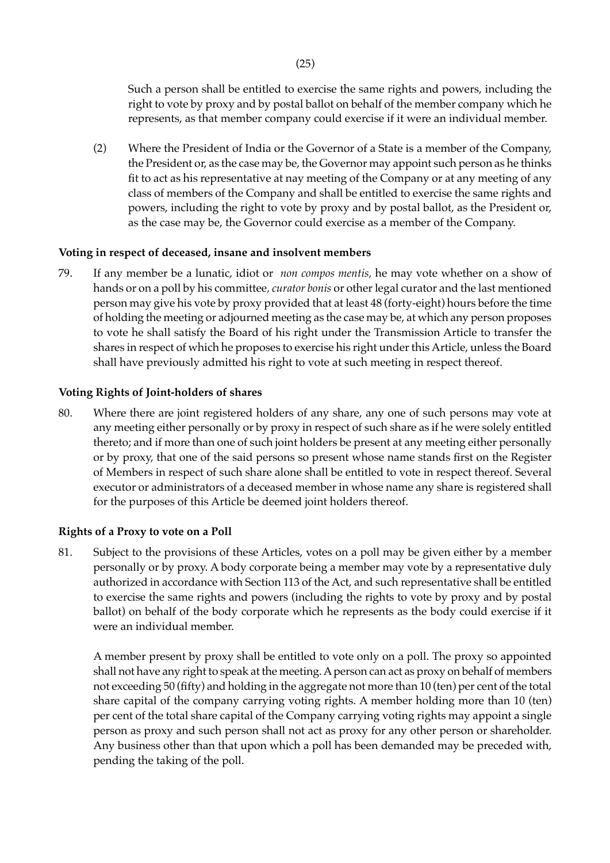Such a person shall be entitled to exercise the same rights and powers, including the right to vote by proxy and by postal ballot on behalf of the member company which he represents, as that member company could exercise if it were an individual member.

(2) Where the President of India or the Governor of a State is a member of the Company, the President or, as the case may be, the Governor may appoint such person as he thinks fit to act as his representative at nay meeting of the Company or at any meeting of any class of members of the Company and shall be entitled to exercise the same rights and powers, including the right to vote by proxy and by postal ballot, as the President or, as the case may be, the Governor could exercise as a member of the Company.

## **Voting in respect of deceased, insane and insolvent members**

79. If any member be a lunatic, idiot or *non compos mentis,* he may vote whether on a show of hands or on a poll by his committee*, curator bonis* or other legal curator and the last mentioned person may give his vote by proxy provided that at least 48 (forty-eight) hours before the time of holding the meeting or adjourned meeting as the case may be, at which any person proposes to vote he shall satisfy the Board of his right under the Transmission Article to transfer the shares in respect of which he proposes to exercise his right under this Article, unless the Board shall have previously admitted his right to vote at such meeting in respect thereof.

#### **Voting Rights of Joint-holders of shares**

80. Where there are joint registered holders of any share, any one of such persons may vote at any meeting either personally or by proxy in respect of such share as if he were solely entitled thereto; and if more than one of such joint holders be present at any meeting either personally or by proxy, that one of the said persons so present whose name stands first on the Register of Members in respect of such share alone shall be entitled to vote in respect thereof. Several executor or administrators of a deceased member in whose name any share is registered shall for the purposes of this Article be deemed joint holders thereof.

#### **Rights of a Proxy to vote on a Poll**

81. Subject to the provisions of these Articles, votes on a poll may be given either by a member personally or by proxy. A body corporate being a member may vote by a representative duly authorized in accordance with Section 113 of the Act, and such representative shall be entitled to exercise the same rights and powers (including the rights to vote by proxy and by postal ballot) on behalf of the body corporate which he represents as the body could exercise if it were an individual member.

A member present by proxy shall be entitled to vote only on a poll. The proxy so appointed shall not have any right to speak at the meeting. A person can act as proxy on behalf of members not exceeding 50 (fifty) and holding in the aggregate not more than 10 (ten) per cent of the total share capital of the company carrying voting rights. A member holding more than 10 (ten) per cent of the total share capital of the Company carrying voting rights may appoint a single person as proxy and such person shall not act as proxy for any other person or shareholder. Any business other than that upon which a poll has been demanded may be preceded with, pending the taking of the poll.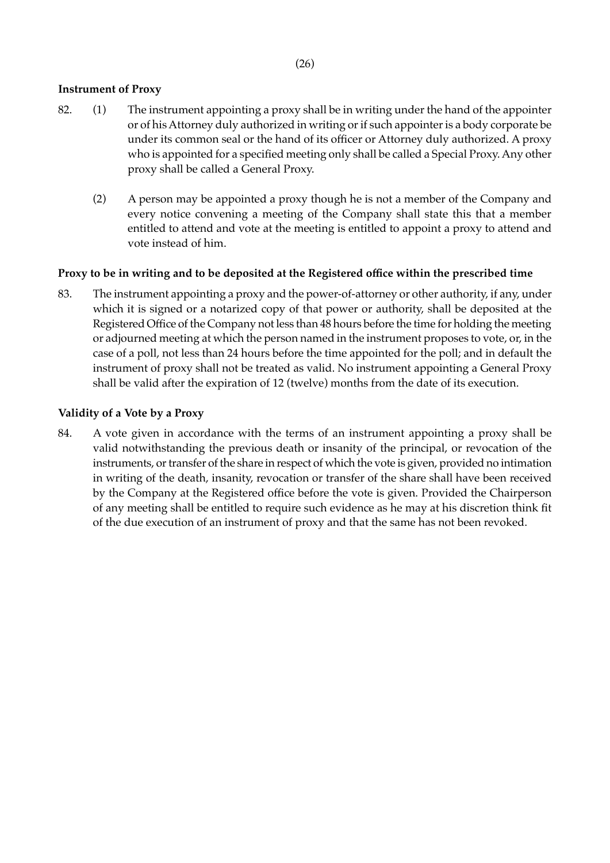## **Instrument of Proxy**

- 82. (1) The instrument appointing a proxy shall be in writing under the hand of the appointer or of his Attorney duly authorized in writing or if such appointer is a body corporate be under its common seal or the hand of its officer or Attorney duly authorized. A proxy who is appointed for a specified meeting only shall be called a Special Proxy. Any other proxy shall be called a General Proxy.
	- (2) A person may be appointed a proxy though he is not a member of the Company and every notice convening a meeting of the Company shall state this that a member entitled to attend and vote at the meeting is entitled to appoint a proxy to attend and vote instead of him.

## **Proxy to be in writing and to be deposited at the Registered office within the prescribed time**

83. The instrument appointing a proxy and the power-of-attorney or other authority, if any, under which it is signed or a notarized copy of that power or authority, shall be deposited at the Registered Office of the Company not less than 48 hours before the time for holding the meeting or adjourned meeting at which the person named in the instrument proposes to vote, or, in the case of a poll, not less than 24 hours before the time appointed for the poll; and in default the instrument of proxy shall not be treated as valid. No instrument appointing a General Proxy shall be valid after the expiration of 12 (twelve) months from the date of its execution.

### **Validity of a Vote by a Proxy**

84. A vote given in accordance with the terms of an instrument appointing a proxy shall be valid notwithstanding the previous death or insanity of the principal, or revocation of the instruments, or transfer of the share in respect of which the vote is given, provided no intimation in writing of the death, insanity, revocation or transfer of the share shall have been received by the Company at the Registered office before the vote is given. Provided the Chairperson of any meeting shall be entitled to require such evidence as he may at his discretion think fit of the due execution of an instrument of proxy and that the same has not been revoked.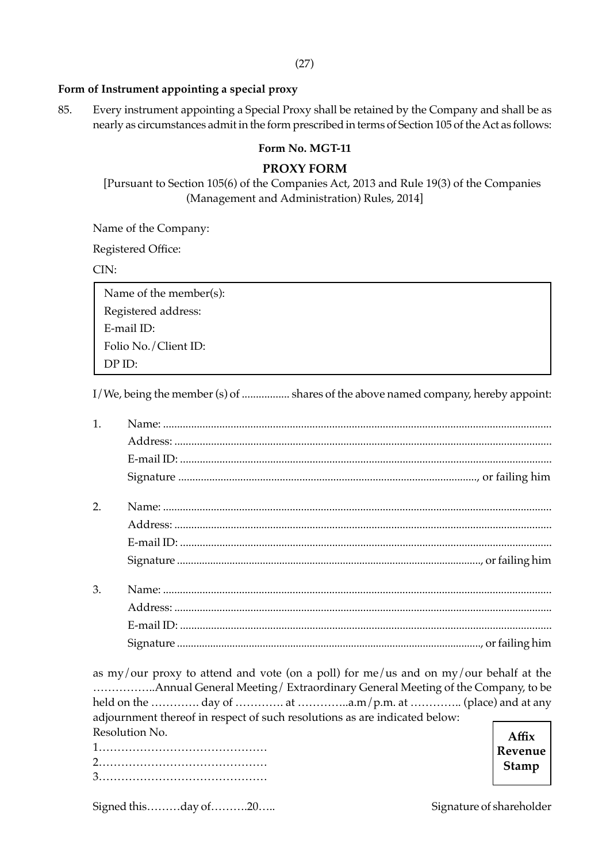(27)

## **Form of Instrument appointing a special proxy**

85. Every instrument appointing a Special Proxy shall be retained by the Company and shall be as nearly as circumstances admit in the form prescribed in terms of Section 105 of the Act as follows:

## **Form No. MGT-11**

# **PROXY FORM**

[Pursuant to Section 105(6) of the Companies Act, 2013 and Rule 19(3) of the Companies (Management and Administration) Rules, 2014]

Name of the Company:

Registered Office:

CIN:

 Name of the member(s): Registered address: E-mail ID: Folio No./Client ID: DP ID:

I/We, being the member (s) of ................. shares of the above named company, hereby appoint:

| 1. |  |
|----|--|
|    |  |
|    |  |
|    |  |
| 2. |  |
|    |  |
|    |  |
|    |  |
| 3. |  |
|    |  |
|    |  |
|    |  |

as my/our proxy to attend and vote (on a poll) for me/us and on my/our behalf at the ……………..Annual General Meeting/ Extraordinary General Meeting of the Company, to be held on the ………….. day of ………….. at …………...a.m/p.m. at …………... (place) and at any adjournment thereof in respect of such resolutions as are indicated below: Resolution No.

1……………………………………… 2……………………………………… 3………………………………………

**Affix Revenue Stamp**

Signed this………day of……….20….. Signature of shareholder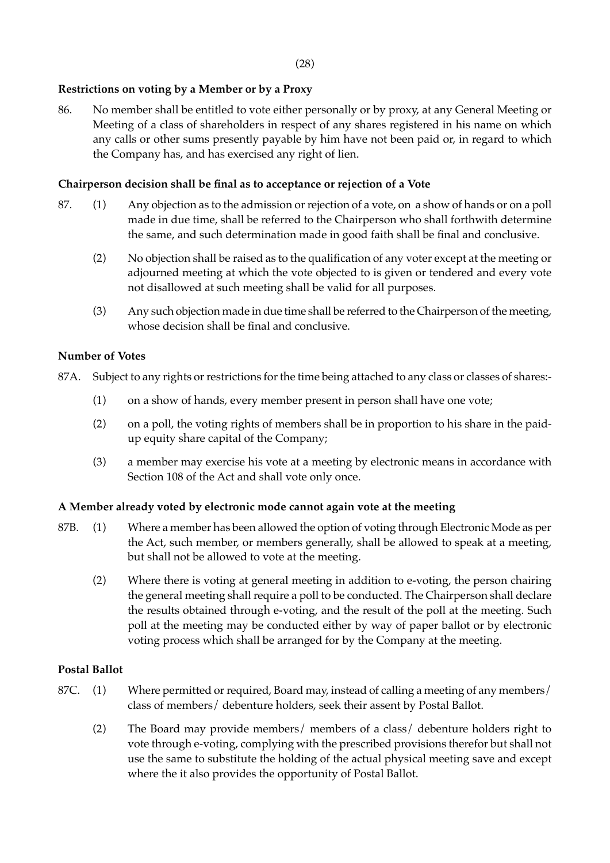## **Restrictions on voting by a Member or by a Proxy**

86. No member shall be entitled to vote either personally or by proxy, at any General Meeting or Meeting of a class of shareholders in respect of any shares registered in his name on which any calls or other sums presently payable by him have not been paid or, in regard to which the Company has, and has exercised any right of lien.

## **Chairperson decision shall be final as to acceptance or rejection of a Vote**

- 87. (1) Any objection as to the admission or rejection of a vote, on a show of hands or on a poll made in due time, shall be referred to the Chairperson who shall forthwith determine the same, and such determination made in good faith shall be final and conclusive.
	- (2) No objection shall be raised as to the qualification of any voter except at the meeting or adjourned meeting at which the vote objected to is given or tendered and every vote not disallowed at such meeting shall be valid for all purposes.
	- (3) Any such objection made in due time shall be referred to the Chairperson of the meeting, whose decision shall be final and conclusive.

## **Number of Votes**

- 87A. Subject to any rights or restrictions for the time being attached to any class or classes of shares:-
	- (1) on a show of hands, every member present in person shall have one vote;
	- (2) on a poll, the voting rights of members shall be in proportion to his share in the paidup equity share capital of the Company;
	- (3) a member may exercise his vote at a meeting by electronic means in accordance with Section 108 of the Act and shall vote only once.

## **A Member already voted by electronic mode cannot again vote at the meeting**

- 87B. (1) Where a member has been allowed the option of voting through Electronic Mode as per the Act, such member, or members generally, shall be allowed to speak at a meeting, but shall not be allowed to vote at the meeting.
	- (2) Where there is voting at general meeting in addition to e-voting, the person chairing the general meeting shall require a poll to be conducted. The Chairperson shall declare the results obtained through e-voting, and the result of the poll at the meeting. Such poll at the meeting may be conducted either by way of paper ballot or by electronic voting process which shall be arranged for by the Company at the meeting.

## **Postal Ballot**

- 87C. (1) Where permitted or required, Board may, instead of calling a meeting of any members/ class of members/ debenture holders, seek their assent by Postal Ballot.
	- (2) The Board may provide members/ members of a class/ debenture holders right to vote through e-voting, complying with the prescribed provisions therefor but shall not use the same to substitute the holding of the actual physical meeting save and except where the it also provides the opportunity of Postal Ballot.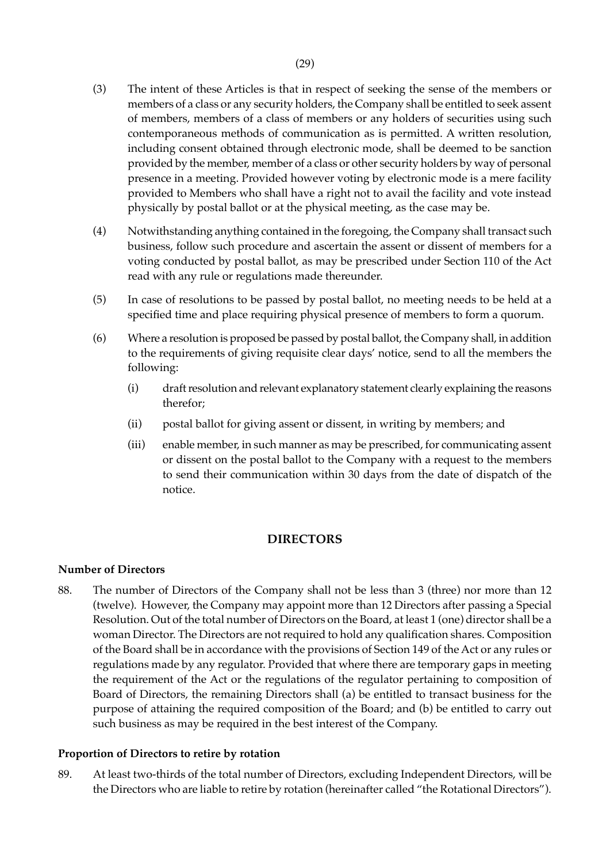- (3) The intent of these Articles is that in respect of seeking the sense of the members or members of a class or any security holders, the Company shall be entitled to seek assent of members, members of a class of members or any holders of securities using such contemporaneous methods of communication as is permitted. A written resolution, including consent obtained through electronic mode, shall be deemed to be sanction provided by the member, member of a class or other security holders by way of personal presence in a meeting. Provided however voting by electronic mode is a mere facility provided to Members who shall have a right not to avail the facility and vote instead physically by postal ballot or at the physical meeting, as the case may be.
- (4) Notwithstanding anything contained in the foregoing, the Company shall transact such business, follow such procedure and ascertain the assent or dissent of members for a voting conducted by postal ballot, as may be prescribed under Section 110 of the Act read with any rule or regulations made thereunder.
- (5) In case of resolutions to be passed by postal ballot, no meeting needs to be held at a specified time and place requiring physical presence of members to form a quorum.
- (6) Where a resolution is proposed be passed by postal ballot, the Company shall, in addition to the requirements of giving requisite clear days' notice, send to all the members the following:
	- (i) draft resolution and relevant explanatory statement clearly explaining the reasons therefor;
	- (ii) postal ballot for giving assent or dissent, in writing by members; and
	- (iii) enable member, in such manner as may be prescribed, for communicating assent or dissent on the postal ballot to the Company with a request to the members to send their communication within 30 days from the date of dispatch of the notice.

# **DIRECTORS**

## **Number of Directors**

88. The number of Directors of the Company shall not be less than 3 (three) nor more than 12 (twelve). However, the Company may appoint more than 12 Directors after passing a Special Resolution. Out of the total number of Directors on the Board, at least 1 (one) director shall be a woman Director. The Directors are not required to hold any qualification shares. Composition of the Board shall be in accordance with the provisions of Section 149 of the Act or any rules or regulations made by any regulator. Provided that where there are temporary gaps in meeting the requirement of the Act or the regulations of the regulator pertaining to composition of Board of Directors, the remaining Directors shall (a) be entitled to transact business for the purpose of attaining the required composition of the Board; and (b) be entitled to carry out such business as may be required in the best interest of the Company.

## **Proportion of Directors to retire by rotation**

89. At least two-thirds of the total number of Directors, excluding Independent Directors, will be the Directors who are liable to retire by rotation (hereinafter called "the Rotational Directors").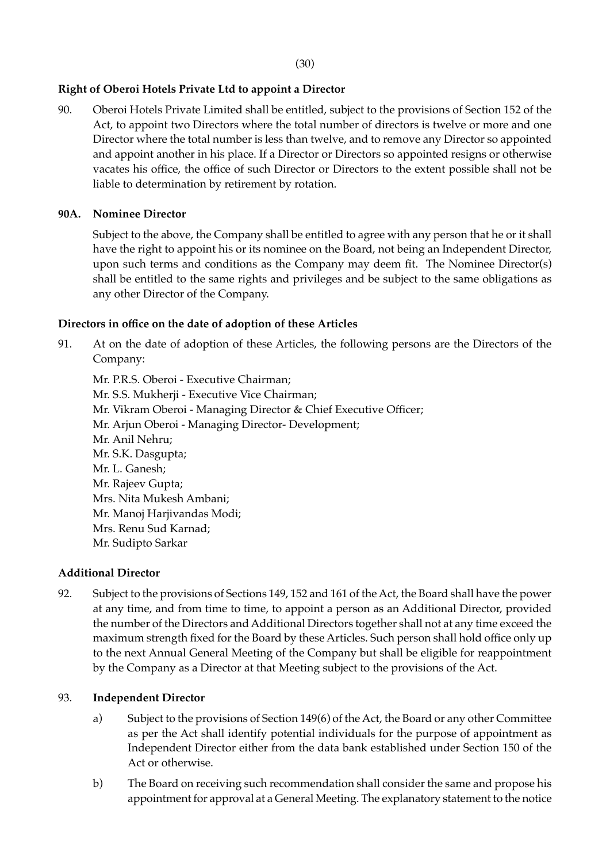(30)

## **Right of Oberoi Hotels Private Ltd to appoint a Director**

90. Oberoi Hotels Private Limited shall be entitled, subject to the provisions of Section 152 of the Act, to appoint two Directors where the total number of directors is twelve or more and one Director where the total number is less than twelve, and to remove any Director so appointed and appoint another in his place. If a Director or Directors so appointed resigns or otherwise vacates his office, the office of such Director or Directors to the extent possible shall not be liable to determination by retirement by rotation.

## **90A. Nominee Director**

Subject to the above, the Company shall be entitled to agree with any person that he or it shall have the right to appoint his or its nominee on the Board, not being an Independent Director, upon such terms and conditions as the Company may deem fit. The Nominee Director(s) shall be entitled to the same rights and privileges and be subject to the same obligations as any other Director of the Company.

## **Directors in office on the date of adoption of these Articles**

91. At on the date of adoption of these Articles, the following persons are the Directors of the Company:

Mr. P.R.S. Oberoi - Executive Chairman; Mr. S.S. Mukherji - Executive Vice Chairman; Mr. Vikram Oberoi - Managing Director & Chief Executive Officer; Mr. Arjun Oberoi - Managing Director- Development; Mr. Anil Nehru; Mr. S.K. Dasgupta; Mr. L. Ganesh; Mr. Rajeev Gupta; Mrs. Nita Mukesh Ambani; Mr. Manoj Harjivandas Modi; Mrs. Renu Sud Karnad; Mr. Sudipto Sarkar

## **Additional Director**

92. Subject to the provisions of Sections 149, 152 and 161 of the Act, the Board shall have the power at any time, and from time to time, to appoint a person as an Additional Director, provided the number of the Directors and Additional Directors together shall not at any time exceed the maximum strength fixed for the Board by these Articles. Such person shall hold office only up to the next Annual General Meeting of the Company but shall be eligible for reappointment by the Company as a Director at that Meeting subject to the provisions of the Act.

## 93. **Independent Director**

- a) Subject to the provisions of Section 149(6) of the Act, the Board or any other Committee as per the Act shall identify potential individuals for the purpose of appointment as Independent Director either from the data bank established under Section 150 of the Act or otherwise.
- b) The Board on receiving such recommendation shall consider the same and propose his appointment for approval at a General Meeting. The explanatory statement to the notice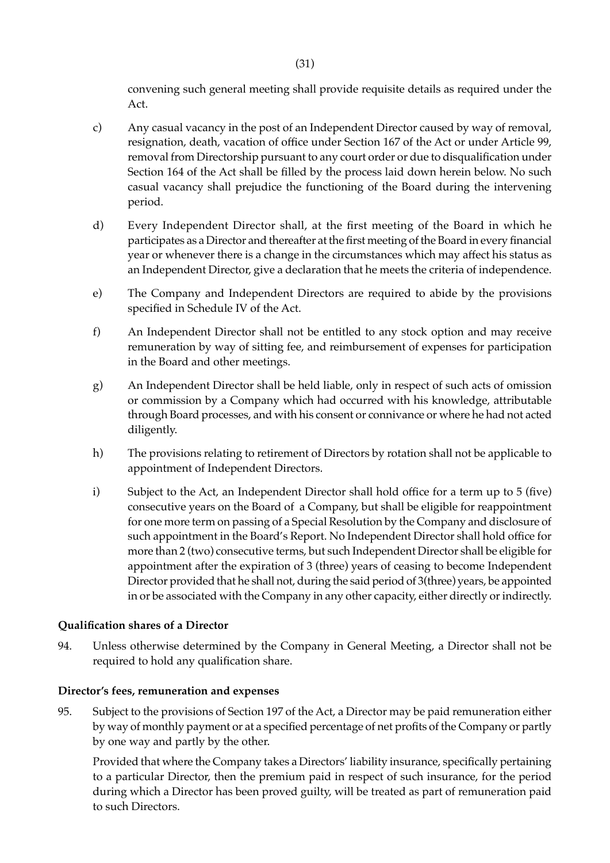convening such general meeting shall provide requisite details as required under the Act.

- c) Any casual vacancy in the post of an Independent Director caused by way of removal, resignation, death, vacation of office under Section 167 of the Act or under Article 99, removal from Directorship pursuant to any court order or due to disqualification under Section 164 of the Act shall be filled by the process laid down herein below. No such casual vacancy shall prejudice the functioning of the Board during the intervening period.
- d) Every Independent Director shall, at the first meeting of the Board in which he participates as a Director and thereafter at the first meeting of the Board in every financial year or whenever there is a change in the circumstances which may affect his status as an Independent Director, give a declaration that he meets the criteria of independence.
- e) The Company and Independent Directors are required to abide by the provisions specified in Schedule IV of the Act.
- f) An Independent Director shall not be entitled to any stock option and may receive remuneration by way of sitting fee, and reimbursement of expenses for participation in the Board and other meetings.
- g) An Independent Director shall be held liable, only in respect of such acts of omission or commission by a Company which had occurred with his knowledge, attributable through Board processes, and with his consent or connivance or where he had not acted diligently.
- h) The provisions relating to retirement of Directors by rotation shall not be applicable to appointment of Independent Directors.
- i) Subject to the Act, an Independent Director shall hold office for a term up to 5 (five) consecutive years on the Board of a Company, but shall be eligible for reappointment for one more term on passing of a Special Resolution by the Company and disclosure of such appointment in the Board's Report. No Independent Director shall hold office for more than 2 (two) consecutive terms, but such Independent Director shall be eligible for appointment after the expiration of 3 (three) years of ceasing to become Independent Director provided that he shall not, during the said period of 3(three) years, be appointed in or be associated with the Company in any other capacity, either directly or indirectly.

## **Qualification shares of a Director**

94. Unless otherwise determined by the Company in General Meeting, a Director shall not be required to hold any qualification share.

#### **Director's fees, remuneration and expenses**

95. Subject to the provisions of Section 197 of the Act, a Director may be paid remuneration either by way of monthly payment or at a specified percentage of net profits of the Company or partly by one way and partly by the other.

Provided that where the Company takes a Directors' liability insurance, specifically pertaining to a particular Director, then the premium paid in respect of such insurance, for the period during which a Director has been proved guilty, will be treated as part of remuneration paid to such Directors.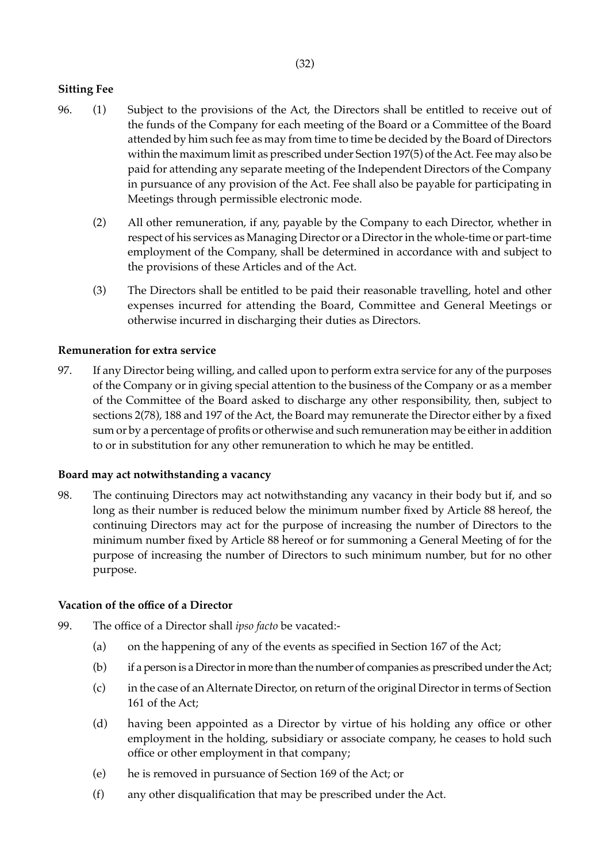# **Sitting Fee**

- 96. (1) Subject to the provisions of the Act, the Directors shall be entitled to receive out of the funds of the Company for each meeting of the Board or a Committee of the Board attended by him such fee as may from time to time be decided by the Board of Directors within the maximum limit as prescribed under Section 197(5) of the Act. Fee may also be paid for attending any separate meeting of the Independent Directors of the Company in pursuance of any provision of the Act. Fee shall also be payable for participating in Meetings through permissible electronic mode.
	- (2) All other remuneration, if any, payable by the Company to each Director, whether in respect of his services as Managing Director or a Director in the whole-time or part-time employment of the Company, shall be determined in accordance with and subject to the provisions of these Articles and of the Act.
	- (3) The Directors shall be entitled to be paid their reasonable travelling, hotel and other expenses incurred for attending the Board, Committee and General Meetings or otherwise incurred in discharging their duties as Directors.

## **Remuneration for extra service**

97. If any Director being willing, and called upon to perform extra service for any of the purposes of the Company or in giving special attention to the business of the Company or as a member of the Committee of the Board asked to discharge any other responsibility, then, subject to sections 2(78), 188 and 197 of the Act, the Board may remunerate the Director either by a fixed sum or by a percentage of profits or otherwise and such remuneration may be either in addition to or in substitution for any other remuneration to which he may be entitled.

## **Board may act notwithstanding a vacancy**

98. The continuing Directors may act notwithstanding any vacancy in their body but if, and so long as their number is reduced below the minimum number fixed by Article 88 hereof, the continuing Directors may act for the purpose of increasing the number of Directors to the minimum number fixed by Article 88 hereof or for summoning a General Meeting of for the purpose of increasing the number of Directors to such minimum number, but for no other purpose.

## **Vacation of the office of a Director**

- 99. The office of a Director shall *ipso facto* be vacated:-
	- (a) on the happening of any of the events as specified in Section 167 of the Act;
	- (b) if a person is a Director in more than the number of companies as prescribed under the Act;
	- (c) in the case of an Alternate Director, on return of the original Director in terms of Section 161 of the Act;
	- (d) having been appointed as a Director by virtue of his holding any office or other employment in the holding, subsidiary or associate company, he ceases to hold such office or other employment in that company;
	- (e) he is removed in pursuance of Section 169 of the Act; or
	- (f) any other disqualification that may be prescribed under the Act.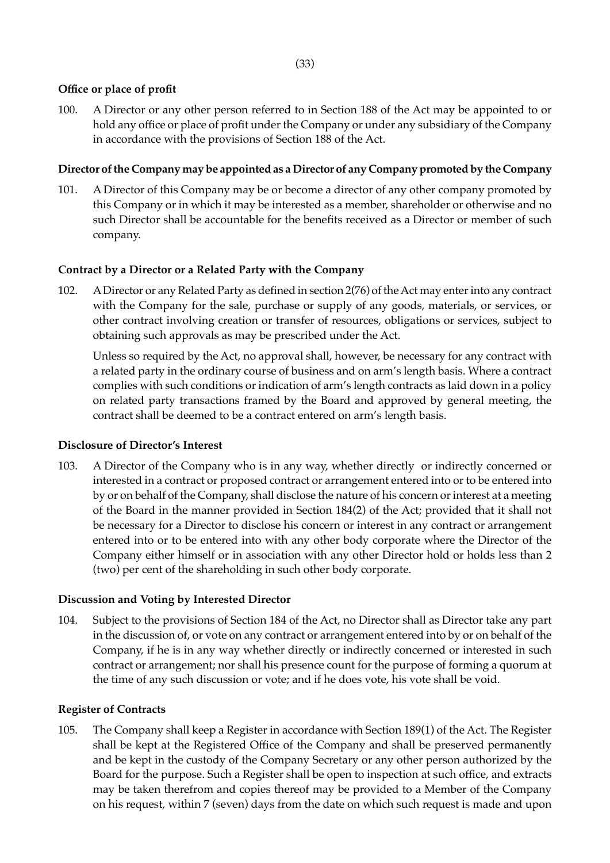## **Office or place of profit**

100. A Director or any other person referred to in Section 188 of the Act may be appointed to or hold any office or place of profit under the Company or under any subsidiary of the Company in accordance with the provisions of Section 188 of the Act.

## **Director of the Company may be appointed as a Director of any Company promoted by the Company**

101. A Director of this Company may be or become a director of any other company promoted by this Company or in which it may be interested as a member, shareholder or otherwise and no such Director shall be accountable for the benefits received as a Director or member of such company.

## **Contract by a Director or a Related Party with the Company**

102. A Director or any Related Party as defined in section 2(76) of the Act may enter into any contract with the Company for the sale, purchase or supply of any goods, materials, or services, or other contract involving creation or transfer of resources, obligations or services, subject to obtaining such approvals as may be prescribed under the Act.

Unless so required by the Act, no approval shall, however, be necessary for any contract with a related party in the ordinary course of business and on arm's length basis. Where a contract complies with such conditions or indication of arm's length contracts as laid down in a policy on related party transactions framed by the Board and approved by general meeting, the contract shall be deemed to be a contract entered on arm's length basis.

## **Disclosure of Director's Interest**

103. A Director of the Company who is in any way, whether directly or indirectly concerned or interested in a contract or proposed contract or arrangement entered into or to be entered into by or on behalf of the Company, shall disclose the nature of his concern or interest at a meeting of the Board in the manner provided in Section 184(2) of the Act; provided that it shall not be necessary for a Director to disclose his concern or interest in any contract or arrangement entered into or to be entered into with any other body corporate where the Director of the Company either himself or in association with any other Director hold or holds less than 2 (two) per cent of the shareholding in such other body corporate.

## **Discussion and Voting by Interested Director**

104. Subject to the provisions of Section 184 of the Act, no Director shall as Director take any part in the discussion of, or vote on any contract or arrangement entered into by or on behalf of the Company, if he is in any way whether directly or indirectly concerned or interested in such contract or arrangement; nor shall his presence count for the purpose of forming a quorum at the time of any such discussion or vote; and if he does vote, his vote shall be void.

# **Register of Contracts**

105. The Company shall keep a Register in accordance with Section 189(1) of the Act. The Register shall be kept at the Registered Office of the Company and shall be preserved permanently and be kept in the custody of the Company Secretary or any other person authorized by the Board for the purpose. Such a Register shall be open to inspection at such office, and extracts may be taken therefrom and copies thereof may be provided to a Member of the Company on his request, within 7 (seven) days from the date on which such request is made and upon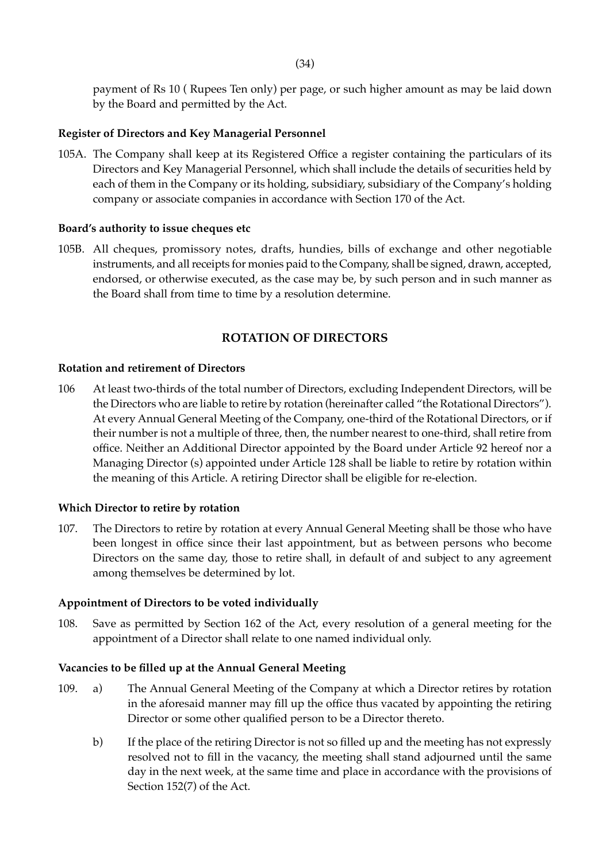payment of Rs 10 ( Rupees Ten only) per page, or such higher amount as may be laid down by the Board and permitted by the Act.

## **Register of Directors and Key Managerial Personnel**

105A. The Company shall keep at its Registered Office a register containing the particulars of its Directors and Key Managerial Personnel, which shall include the details of securities held by each of them in the Company or its holding, subsidiary, subsidiary of the Company's holding company or associate companies in accordance with Section 170 of the Act.

### **Board's authority to issue cheques etc**

105B. All cheques, promissory notes, drafts, hundies, bills of exchange and other negotiable instruments, and all receipts for monies paid to the Company, shall be signed, drawn, accepted, endorsed, or otherwise executed, as the case may be, by such person and in such manner as the Board shall from time to time by a resolution determine.

## **ROTATION OF DIRECTORS**

#### **Rotation and retirement of Directors**

106 At least two-thirds of the total number of Directors, excluding Independent Directors, will be the Directors who are liable to retire by rotation (hereinafter called "the Rotational Directors"). At every Annual General Meeting of the Company, one-third of the Rotational Directors, or if their number is not a multiple of three, then, the number nearest to one-third, shall retire from office. Neither an Additional Director appointed by the Board under Article 92 hereof nor a Managing Director (s) appointed under Article 128 shall be liable to retire by rotation within the meaning of this Article. A retiring Director shall be eligible for re-election.

## **Which Director to retire by rotation**

107. The Directors to retire by rotation at every Annual General Meeting shall be those who have been longest in office since their last appointment, but as between persons who become Directors on the same day, those to retire shall, in default of and subject to any agreement among themselves be determined by lot.

#### **Appointment of Directors to be voted individually**

108. Save as permitted by Section 162 of the Act, every resolution of a general meeting for the appointment of a Director shall relate to one named individual only.

## **Vacancies to be filled up at the Annual General Meeting**

- 109. a) The Annual General Meeting of the Company at which a Director retires by rotation in the aforesaid manner may fill up the office thus vacated by appointing the retiring Director or some other qualified person to be a Director thereto.
	- b) If the place of the retiring Director is not so filled up and the meeting has not expressly resolved not to fill in the vacancy, the meeting shall stand adjourned until the same day in the next week, at the same time and place in accordance with the provisions of Section 152(7) of the Act.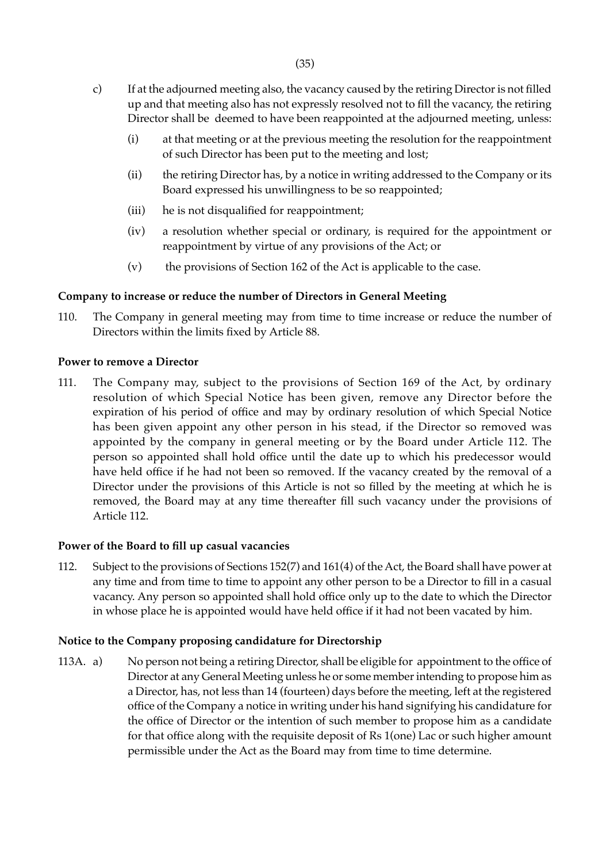- c) If at the adjourned meeting also, the vacancy caused by the retiring Director is not filled up and that meeting also has not expressly resolved not to fill the vacancy, the retiring Director shall be deemed to have been reappointed at the adjourned meeting, unless:
	- (i) at that meeting or at the previous meeting the resolution for the reappointment of such Director has been put to the meeting and lost;
	- (ii) the retiring Director has, by a notice in writing addressed to the Company or its Board expressed his unwillingness to be so reappointed;
	- (iii) he is not disqualified for reappointment;
	- (iv) a resolution whether special or ordinary, is required for the appointment or reappointment by virtue of any provisions of the Act; or
	- (v) the provisions of Section 162 of the Act is applicable to the case.

## **Company to increase or reduce the number of Directors in General Meeting**

110. The Company in general meeting may from time to time increase or reduce the number of Directors within the limits fixed by Article 88.

## **Power to remove a Director**

111. The Company may, subject to the provisions of Section 169 of the Act, by ordinary resolution of which Special Notice has been given, remove any Director before the expiration of his period of office and may by ordinary resolution of which Special Notice has been given appoint any other person in his stead, if the Director so removed was appointed by the company in general meeting or by the Board under Article 112. The person so appointed shall hold office until the date up to which his predecessor would have held office if he had not been so removed. If the vacancy created by the removal of a Director under the provisions of this Article is not so filled by the meeting at which he is removed, the Board may at any time thereafter fill such vacancy under the provisions of Article 112.

## **Power of the Board to fill up casual vacancies**

112. Subject to the provisions of Sections 152(7) and 161(4) of the Act, the Board shall have power at any time and from time to time to appoint any other person to be a Director to fill in a casual vacancy. Any person so appointed shall hold office only up to the date to which the Director in whose place he is appointed would have held office if it had not been vacated by him.

## **Notice to the Company proposing candidature for Directorship**

113A. a) No person not being a retiring Director, shall be eligible for appointment to the office of Director at any General Meeting unless he or some member intending to propose him as a Director, has, not less than 14 (fourteen) days before the meeting, left at the registered office of the Company a notice in writing under his hand signifying his candidature for the office of Director or the intention of such member to propose him as a candidate for that office along with the requisite deposit of Rs 1(one) Lac or such higher amount permissible under the Act as the Board may from time to time determine.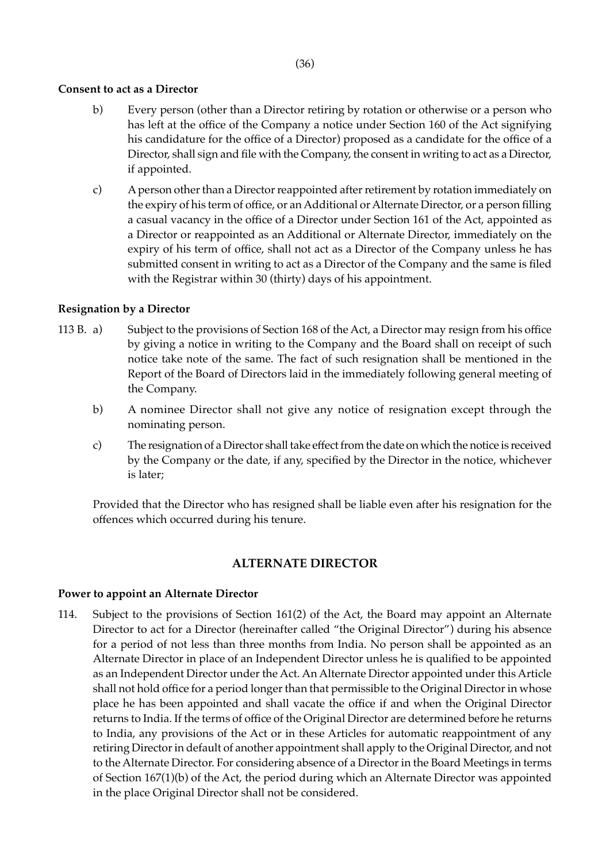### (36)

### **Consent to act as a Director**

- b) Every person (other than a Director retiring by rotation or otherwise or a person who has left at the office of the Company a notice under Section 160 of the Act signifying his candidature for the office of a Director) proposed as a candidate for the office of a Director, shall sign and file with the Company, the consent in writing to act as a Director, if appointed.
- c) A person other than a Director reappointed after retirement by rotation immediately on the expiry of his term of office, or an Additional or Alternate Director, or a person filling a casual vacancy in the office of a Director under Section 161 of the Act, appointed as a Director or reappointed as an Additional or Alternate Director, immediately on the expiry of his term of office, shall not act as a Director of the Company unless he has submitted consent in writing to act as a Director of the Company and the same is filed with the Registrar within 30 (thirty) days of his appointment.

## **Resignation by a Director**

- 113 B. a) Subject to the provisions of Section 168 of the Act, a Director may resign from his office by giving a notice in writing to the Company and the Board shall on receipt of such notice take note of the same. The fact of such resignation shall be mentioned in the Report of the Board of Directors laid in the immediately following general meeting of the Company.
	- b) A nominee Director shall not give any notice of resignation except through the nominating person.
	- c) The resignation of a Director shall take effect from the date on which the notice is received by the Company or the date, if any, specified by the Director in the notice, whichever is later;

Provided that the Director who has resigned shall be liable even after his resignation for the offences which occurred during his tenure.

## **ALTERNATE DIRECTOR**

#### **Power to appoint an Alternate Director**

114. Subject to the provisions of Section 161(2) of the Act, the Board may appoint an Alternate Director to act for a Director (hereinafter called "the Original Director") during his absence for a period of not less than three months from India. No person shall be appointed as an Alternate Director in place of an Independent Director unless he is qualified to be appointed as an Independent Director under the Act. An Alternate Director appointed under this Article shall not hold office for a period longer than that permissible to the Original Director in whose place he has been appointed and shall vacate the office if and when the Original Director returns to India. If the terms of office of the Original Director are determined before he returns to India, any provisions of the Act or in these Articles for automatic reappointment of any retiring Director in default of another appointment shall apply to the Original Director, and not to the Alternate Director. For considering absence of a Director in the Board Meetings in terms of Section 167(1)(b) of the Act, the period during which an Alternate Director was appointed in the place Original Director shall not be considered.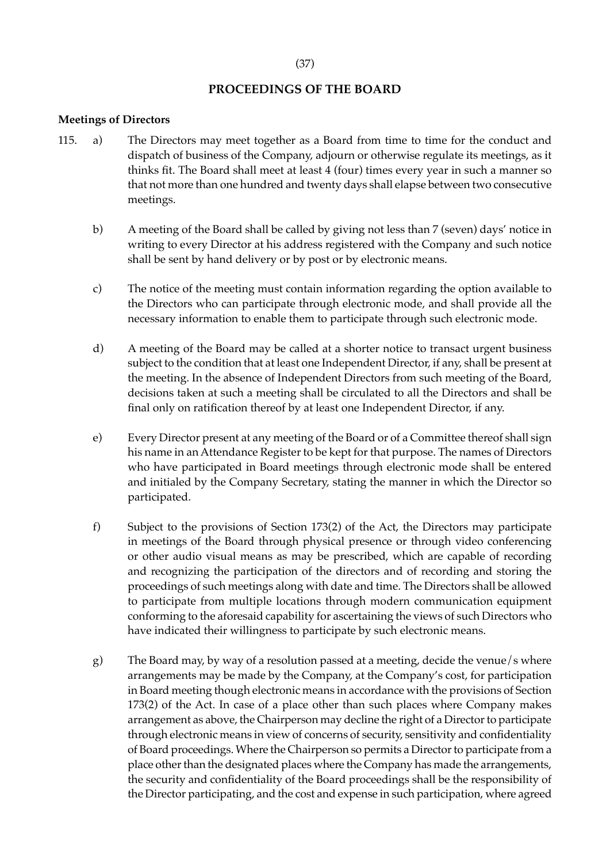## **PROCEEDINGS OF THE BOARD**

#### **Meetings of Directors**

- 115. a) The Directors may meet together as a Board from time to time for the conduct and dispatch of business of the Company, adjourn or otherwise regulate its meetings, as it thinks fit. The Board shall meet at least 4 (four) times every year in such a manner so that not more than one hundred and twenty days shall elapse between two consecutive meetings.
	- b) A meeting of the Board shall be called by giving not less than 7 (seven) days' notice in writing to every Director at his address registered with the Company and such notice shall be sent by hand delivery or by post or by electronic means.
	- c) The notice of the meeting must contain information regarding the option available to the Directors who can participate through electronic mode, and shall provide all the necessary information to enable them to participate through such electronic mode.
	- d) A meeting of the Board may be called at a shorter notice to transact urgent business subject to the condition that at least one Independent Director, if any, shall be present at the meeting. In the absence of Independent Directors from such meeting of the Board, decisions taken at such a meeting shall be circulated to all the Directors and shall be final only on ratification thereof by at least one Independent Director, if any.
	- e) Every Director present at any meeting of the Board or of a Committee thereof shall sign his name in an Attendance Register to be kept for that purpose. The names of Directors who have participated in Board meetings through electronic mode shall be entered and initialed by the Company Secretary, stating the manner in which the Director so participated.
	- f) Subject to the provisions of Section 173(2) of the Act, the Directors may participate in meetings of the Board through physical presence or through video conferencing or other audio visual means as may be prescribed, which are capable of recording and recognizing the participation of the directors and of recording and storing the proceedings of such meetings along with date and time. The Directors shall be allowed to participate from multiple locations through modern communication equipment conforming to the aforesaid capability for ascertaining the views of such Directors who have indicated their willingness to participate by such electronic means.
	- g) The Board may, by way of a resolution passed at a meeting, decide the venue/s where arrangements may be made by the Company, at the Company's cost, for participation in Board meeting though electronic means in accordance with the provisions of Section 173(2) of the Act. In case of a place other than such places where Company makes arrangement as above, the Chairperson may decline the right of a Director to participate through electronic means in view of concerns of security, sensitivity and confidentiality of Board proceedings. Where the Chairperson so permits a Director to participate from a place other than the designated places where the Company has made the arrangements, the security and confidentiality of the Board proceedings shall be the responsibility of the Director participating, and the cost and expense in such participation, where agreed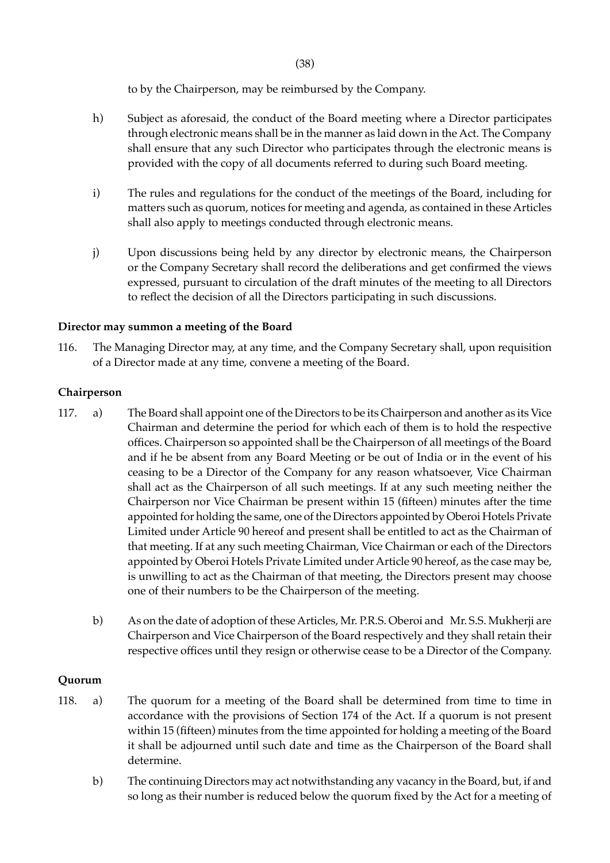to by the Chairperson, may be reimbursed by the Company.

- h) Subject as aforesaid, the conduct of the Board meeting where a Director participates through electronic means shall be in the manner as laid down in the Act. The Company shall ensure that any such Director who participates through the electronic means is provided with the copy of all documents referred to during such Board meeting.
- i) The rules and regulations for the conduct of the meetings of the Board, including for matters such as quorum, notices for meeting and agenda, as contained in these Articles shall also apply to meetings conducted through electronic means.
- j) Upon discussions being held by any director by electronic means, the Chairperson or the Company Secretary shall record the deliberations and get confirmed the views expressed, pursuant to circulation of the draft minutes of the meeting to all Directors to reflect the decision of all the Directors participating in such discussions.

## **Director may summon a meeting of the Board**

116. The Managing Director may, at any time, and the Company Secretary shall, upon requisition of a Director made at any time, convene a meeting of the Board.

### **Chairperson**

- 117. a) The Board shall appoint one of the Directors to be its Chairperson and another as its Vice Chairman and determine the period for which each of them is to hold the respective offices. Chairperson so appointed shall be the Chairperson of all meetings of the Board and if he be absent from any Board Meeting or be out of India or in the event of his ceasing to be a Director of the Company for any reason whatsoever, Vice Chairman shall act as the Chairperson of all such meetings. If at any such meeting neither the Chairperson nor Vice Chairman be present within 15 (fifteen) minutes after the time appointed for holding the same, one of the Directors appointed by Oberoi Hotels Private Limited under Article 90 hereof and present shall be entitled to act as the Chairman of that meeting. If at any such meeting Chairman, Vice Chairman or each of the Directors appointed by Oberoi Hotels Private Limited under Article 90 hereof, as the case may be, is unwilling to act as the Chairman of that meeting, the Directors present may choose one of their numbers to be the Chairperson of the meeting.
	- b) As on the date of adoption of these Articles, Mr. P.R.S. Oberoi and Mr. S.S. Mukherji are Chairperson and Vice Chairperson of the Board respectively and they shall retain their respective offices until they resign or otherwise cease to be a Director of the Company.

## **Quorum**

- 118. a) The quorum for a meeting of the Board shall be determined from time to time in accordance with the provisions of Section 174 of the Act. If a quorum is not present within 15 (fifteen) minutes from the time appointed for holding a meeting of the Board it shall be adjourned until such date and time as the Chairperson of the Board shall determine.
	- b) The continuing Directors may act notwithstanding any vacancy in the Board, but, if and so long as their number is reduced below the quorum fixed by the Act for a meeting of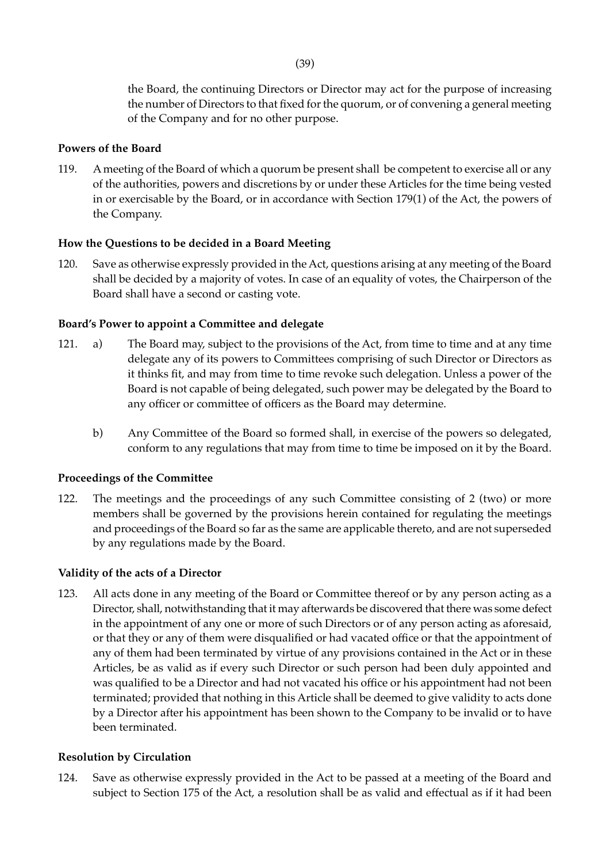the Board, the continuing Directors or Director may act for the purpose of increasing the number of Directors to that fixed for the quorum, or of convening a general meeting of the Company and for no other purpose.

## **Powers of the Board**

119. A meeting of the Board of which a quorum be present shall be competent to exercise all or any of the authorities, powers and discretions by or under these Articles for the time being vested in or exercisable by the Board, or in accordance with Section 179(1) of the Act, the powers of the Company.

## **How the Questions to be decided in a Board Meeting**

120. Save as otherwise expressly provided in the Act, questions arising at any meeting of the Board shall be decided by a majority of votes. In case of an equality of votes, the Chairperson of the Board shall have a second or casting vote.

### **Board's Power to appoint a Committee and delegate**

- 121. a) The Board may, subject to the provisions of the Act, from time to time and at any time delegate any of its powers to Committees comprising of such Director or Directors as it thinks fit, and may from time to time revoke such delegation. Unless a power of the Board is not capable of being delegated, such power may be delegated by the Board to any officer or committee of officers as the Board may determine.
	- b) Any Committee of the Board so formed shall, in exercise of the powers so delegated, conform to any regulations that may from time to time be imposed on it by the Board.

#### **Proceedings of the Committee**

122. The meetings and the proceedings of any such Committee consisting of 2 (two) or more members shall be governed by the provisions herein contained for regulating the meetings and proceedings of the Board so far as the same are applicable thereto, and are not superseded by any regulations made by the Board.

#### **Validity of the acts of a Director**

123. All acts done in any meeting of the Board or Committee thereof or by any person acting as a Director, shall, notwithstanding that it may afterwards be discovered that there was some defect in the appointment of any one or more of such Directors or of any person acting as aforesaid, or that they or any of them were disqualified or had vacated office or that the appointment of any of them had been terminated by virtue of any provisions contained in the Act or in these Articles, be as valid as if every such Director or such person had been duly appointed and was qualified to be a Director and had not vacated his office or his appointment had not been terminated; provided that nothing in this Article shall be deemed to give validity to acts done by a Director after his appointment has been shown to the Company to be invalid or to have been terminated.

#### **Resolution by Circulation**

124. Save as otherwise expressly provided in the Act to be passed at a meeting of the Board and subject to Section 175 of the Act, a resolution shall be as valid and effectual as if it had been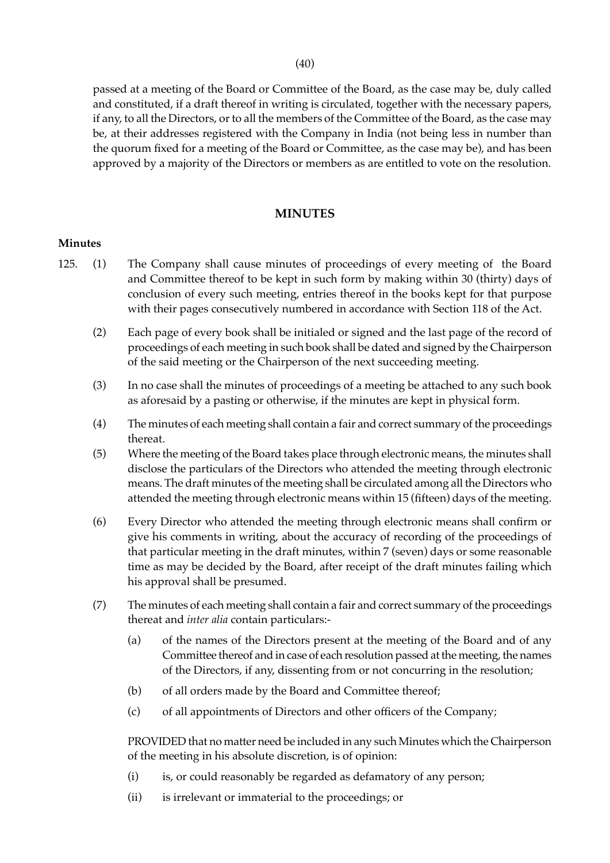(40)

passed at a meeting of the Board or Committee of the Board, as the case may be, duly called and constituted, if a draft thereof in writing is circulated, together with the necessary papers, if any, to all the Directors, or to all the members of the Committee of the Board, as the case may be, at their addresses registered with the Company in India (not being less in number than the quorum fixed for a meeting of the Board or Committee, as the case may be), and has been approved by a majority of the Directors or members as are entitled to vote on the resolution.

## **MINUTES**

## **Minutes**

- 125. (1) The Company shall cause minutes of proceedings of every meeting of the Board and Committee thereof to be kept in such form by making within 30 (thirty) days of conclusion of every such meeting, entries thereof in the books kept for that purpose with their pages consecutively numbered in accordance with Section 118 of the Act.
	- (2) Each page of every book shall be initialed or signed and the last page of the record of proceedings of each meeting in such book shall be dated and signed by the Chairperson of the said meeting or the Chairperson of the next succeeding meeting.
	- (3) In no case shall the minutes of proceedings of a meeting be attached to any such book as aforesaid by a pasting or otherwise, if the minutes are kept in physical form.
	- (4) The minutes of each meeting shall contain a fair and correct summary of the proceedings thereat.
	- (5) Where the meeting of the Board takes place through electronic means, the minutes shall disclose the particulars of the Directors who attended the meeting through electronic means. The draft minutes of the meeting shall be circulated among all the Directors who attended the meeting through electronic means within 15 (fifteen) days of the meeting.
	- (6) Every Director who attended the meeting through electronic means shall confirm or give his comments in writing, about the accuracy of recording of the proceedings of that particular meeting in the draft minutes, within 7 (seven) days or some reasonable time as may be decided by the Board, after receipt of the draft minutes failing which his approval shall be presumed.
	- (7) The minutes of each meeting shall contain a fair and correct summary of the proceedings thereat and *inter alia* contain particulars:-
		- (a) of the names of the Directors present at the meeting of the Board and of any Committee thereof and in case of each resolution passed at the meeting, the names of the Directors, if any, dissenting from or not concurring in the resolution;
		- (b) of all orders made by the Board and Committee thereof;
		- (c) of all appointments of Directors and other officers of the Company;

PROVIDED that no matter need be included in any such Minutes which the Chairperson of the meeting in his absolute discretion, is of opinion:

- (i) is, or could reasonably be regarded as defamatory of any person;
- (ii) is irrelevant or immaterial to the proceedings; or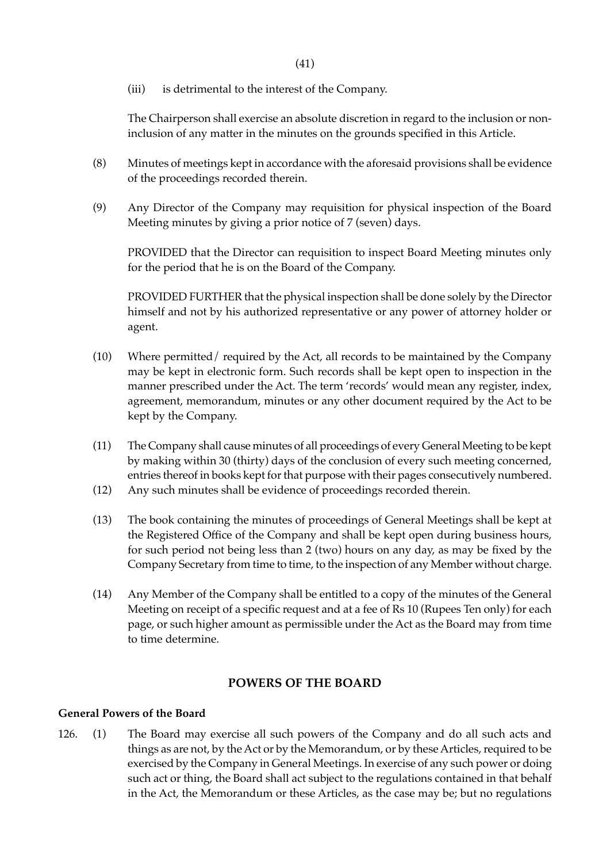(iii) is detrimental to the interest of the Company.

The Chairperson shall exercise an absolute discretion in regard to the inclusion or noninclusion of any matter in the minutes on the grounds specified in this Article.

- (8) Minutes of meetings kept in accordance with the aforesaid provisions shall be evidence of the proceedings recorded therein.
- (9) Any Director of the Company may requisition for physical inspection of the Board Meeting minutes by giving a prior notice of 7 (seven) days.

 PROVIDED that the Director can requisition to inspect Board Meeting minutes only for the period that he is on the Board of the Company.

PROVIDED FURTHER that the physical inspection shall be done solely by the Director himself and not by his authorized representative or any power of attorney holder or agent.

- (10) Where permitted/ required by the Act, all records to be maintained by the Company may be kept in electronic form. Such records shall be kept open to inspection in the manner prescribed under the Act. The term 'records' would mean any register, index, agreement, memorandum, minutes or any other document required by the Act to be kept by the Company.
- (11) The Company shall cause minutes of all proceedings of every General Meeting to be kept by making within 30 (thirty) days of the conclusion of every such meeting concerned, entries thereof in books kept for that purpose with their pages consecutively numbered.
- (12) Any such minutes shall be evidence of proceedings recorded therein.
- (13) The book containing the minutes of proceedings of General Meetings shall be kept at the Registered Office of the Company and shall be kept open during business hours, for such period not being less than 2 (two) hours on any day, as may be fixed by the Company Secretary from time to time, to the inspection of any Member without charge.
- (14) Any Member of the Company shall be entitled to a copy of the minutes of the General Meeting on receipt of a specific request and at a fee of Rs 10 (Rupees Ten only) for each page, or such higher amount as permissible under the Act as the Board may from time to time determine.

## **POWERS OF THE BOARD**

#### **General Powers of the Board**

126. (1) The Board may exercise all such powers of the Company and do all such acts and things as are not, by the Act or by the Memorandum, or by these Articles, required to be exercised by the Company in General Meetings. In exercise of any such power or doing such act or thing, the Board shall act subject to the regulations contained in that behalf in the Act, the Memorandum or these Articles, as the case may be; but no regulations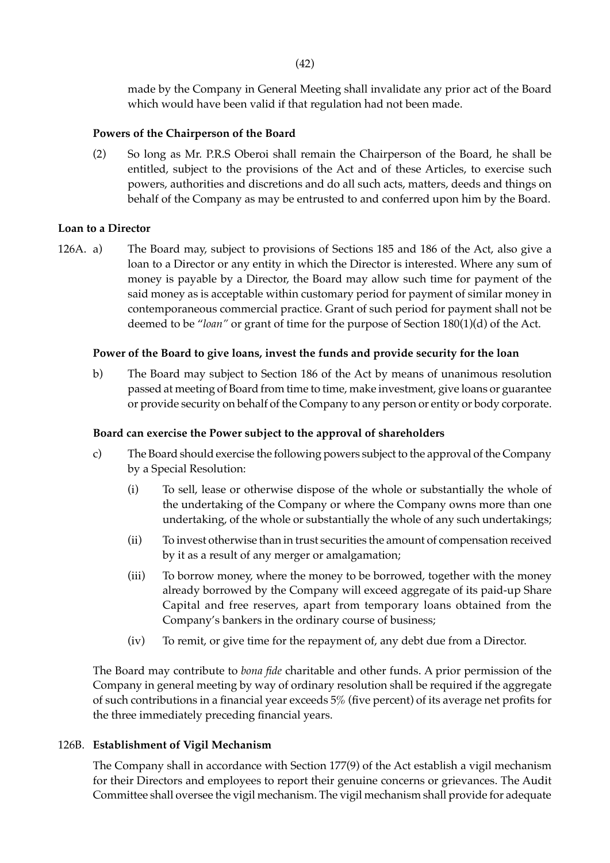made by the Company in General Meeting shall invalidate any prior act of the Board which would have been valid if that regulation had not been made.

## **Powers of the Chairperson of the Board**

(2) So long as Mr. P.R.S Oberoi shall remain the Chairperson of the Board, he shall be entitled, subject to the provisions of the Act and of these Articles, to exercise such powers, authorities and discretions and do all such acts, matters, deeds and things on behalf of the Company as may be entrusted to and conferred upon him by the Board.

### **Loan to a Director**

126A. a) The Board may, subject to provisions of Sections 185 and 186 of the Act, also give a loan to a Director or any entity in which the Director is interested. Where any sum of money is payable by a Director, the Board may allow such time for payment of the said money as is acceptable within customary period for payment of similar money in contemporaneous commercial practice. Grant of such period for payment shall not be deemed to be "*loan"* or grant of time for the purpose of Section 180(1)(d) of the Act.

### **Power of the Board to give loans, invest the funds and provide security for the loan**

b) The Board may subject to Section 186 of the Act by means of unanimous resolution passed at meeting of Board from time to time, make investment, give loans or guarantee or provide security on behalf of the Company to any person or entity or body corporate.

#### **Board can exercise the Power subject to the approval of shareholders**

- c) The Board should exercise the following powers subject to the approval of the Company by a Special Resolution:
	- (i) To sell, lease or otherwise dispose of the whole or substantially the whole of the undertaking of the Company or where the Company owns more than one undertaking, of the whole or substantially the whole of any such undertakings;
	- (ii) To invest otherwise than in trust securities the amount of compensation received by it as a result of any merger or amalgamation;
	- (iii) To borrow money, where the money to be borrowed, together with the money already borrowed by the Company will exceed aggregate of its paid-up Share Capital and free reserves, apart from temporary loans obtained from the Company's bankers in the ordinary course of business;
	- (iv) To remit, or give time for the repayment of, any debt due from a Director.

 The Board may contribute to *bona fide* charitable and other funds. A prior permission of the Company in general meeting by way of ordinary resolution shall be required if the aggregate of such contributions in a financial year exceeds 5% (five percent) of its average net profits for the three immediately preceding financial years.

#### 126B. **Establishment of Vigil Mechanism**

The Company shall in accordance with Section 177(9) of the Act establish a vigil mechanism for their Directors and employees to report their genuine concerns or grievances. The Audit Committee shall oversee the vigil mechanism. The vigil mechanism shall provide for adequate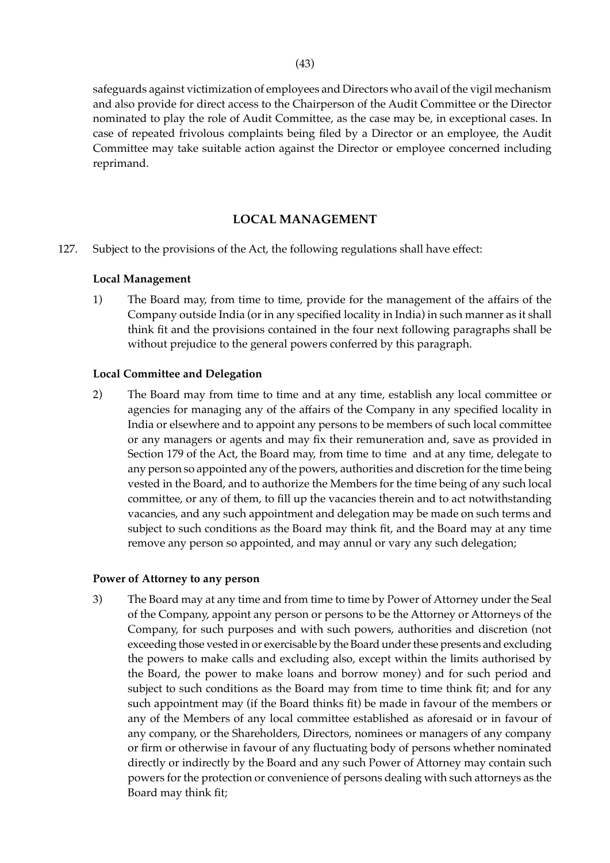safeguards against victimization of employees and Directors who avail of the vigil mechanism and also provide for direct access to the Chairperson of the Audit Committee or the Director nominated to play the role of Audit Committee, as the case may be, in exceptional cases. In case of repeated frivolous complaints being filed by a Director or an employee, the Audit Committee may take suitable action against the Director or employee concerned including reprimand.

## **LOCAL MANAGEMENT**

127. Subject to the provisions of the Act, the following regulations shall have effect:

### **Local Management**

1) The Board may, from time to time, provide for the management of the affairs of the Company outside India (or in any specified locality in India) in such manner as it shall think fit and the provisions contained in the four next following paragraphs shall be without prejudice to the general powers conferred by this paragraph.

### **Local Committee and Delegation**

2) The Board may from time to time and at any time, establish any local committee or agencies for managing any of the affairs of the Company in any specified locality in India or elsewhere and to appoint any persons to be members of such local committee or any managers or agents and may fix their remuneration and, save as provided in Section 179 of the Act, the Board may, from time to time and at any time, delegate to any person so appointed any of the powers, authorities and discretion for the time being vested in the Board, and to authorize the Members for the time being of any such local committee, or any of them, to fill up the vacancies therein and to act notwithstanding vacancies, and any such appointment and delegation may be made on such terms and subject to such conditions as the Board may think fit, and the Board may at any time remove any person so appointed, and may annul or vary any such delegation;

#### **Power of Attorney to any person**

3) The Board may at any time and from time to time by Power of Attorney under the Seal of the Company, appoint any person or persons to be the Attorney or Attorneys of the Company, for such purposes and with such powers, authorities and discretion (not exceeding those vested in or exercisable by the Board under these presents and excluding the powers to make calls and excluding also, except within the limits authorised by the Board, the power to make loans and borrow money) and for such period and subject to such conditions as the Board may from time to time think fit; and for any such appointment may (if the Board thinks fit) be made in favour of the members or any of the Members of any local committee established as aforesaid or in favour of any company, or the Shareholders, Directors, nominees or managers of any company or firm or otherwise in favour of any fluctuating body of persons whether nominated directly or indirectly by the Board and any such Power of Attorney may contain such powers for the protection or convenience of persons dealing with such attorneys as the Board may think fit;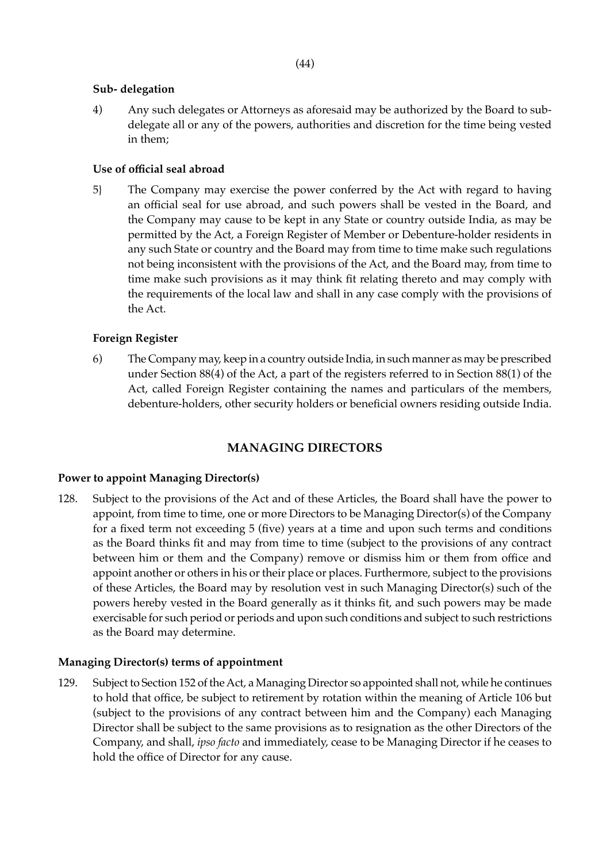## **Sub- delegation**

4) Any such delegates or Attorneys as aforesaid may be authorized by the Board to subdelegate all or any of the powers, authorities and discretion for the time being vested in them;

## **Use of official seal abroad**

5} The Company may exercise the power conferred by the Act with regard to having an official seal for use abroad, and such powers shall be vested in the Board, and the Company may cause to be kept in any State or country outside India, as may be permitted by the Act, a Foreign Register of Member or Debenture-holder residents in any such State or country and the Board may from time to time make such regulations not being inconsistent with the provisions of the Act, and the Board may, from time to time make such provisions as it may think fit relating thereto and may comply with the requirements of the local law and shall in any case comply with the provisions of the Act.

## **Foreign Register**

6) The Company may, keep in a country outside India, in such manner as may be prescribed under Section 88(4) of the Act, a part of the registers referred to in Section 88(1) of the Act, called Foreign Register containing the names and particulars of the members, debenture-holders, other security holders or beneficial owners residing outside India.

# **MANAGING DIRECTORS**

## **Power to appoint Managing Director(s)**

128. Subject to the provisions of the Act and of these Articles, the Board shall have the power to appoint, from time to time, one or more Directors to be Managing Director(s) of the Company for a fixed term not exceeding 5 (five) years at a time and upon such terms and conditions as the Board thinks fit and may from time to time (subject to the provisions of any contract between him or them and the Company) remove or dismiss him or them from office and appoint another or others in his or their place or places. Furthermore, subject to the provisions of these Articles, the Board may by resolution vest in such Managing Director(s) such of the powers hereby vested in the Board generally as it thinks fit, and such powers may be made exercisable for such period or periods and upon such conditions and subject to such restrictions as the Board may determine.

## **Managing Director(s) terms of appointment**

129. Subject to Section 152 of the Act, a Managing Director so appointed shall not, while he continues to hold that office, be subject to retirement by rotation within the meaning of Article 106 but (subject to the provisions of any contract between him and the Company) each Managing Director shall be subject to the same provisions as to resignation as the other Directors of the Company, and shall, *ipso facto* and immediately, cease to be Managing Director if he ceases to hold the office of Director for any cause.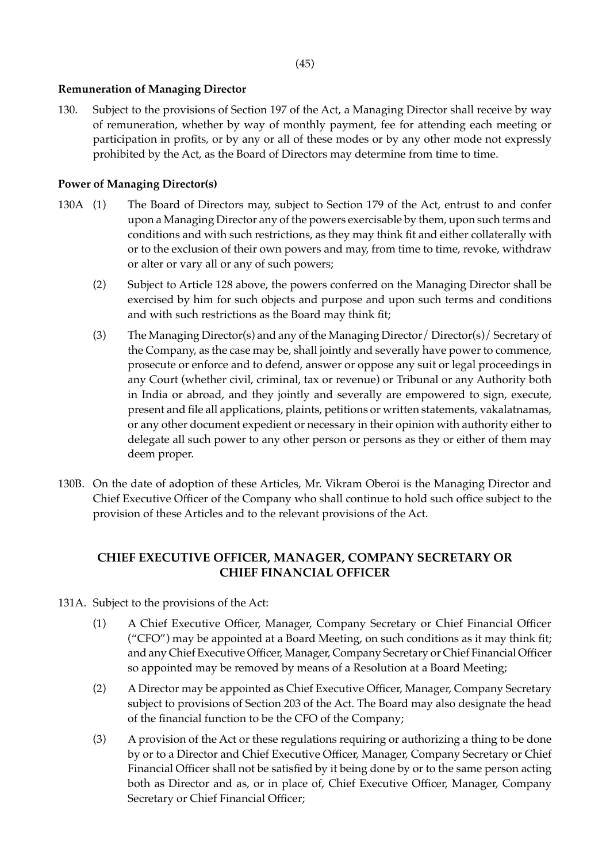## **Remuneration of Managing Director**

130. Subject to the provisions of Section 197 of the Act, a Managing Director shall receive by way of remuneration, whether by way of monthly payment, fee for attending each meeting or participation in profits, or by any or all of these modes or by any other mode not expressly prohibited by the Act, as the Board of Directors may determine from time to time.

## **Power of Managing Director(s)**

- 130A (1) The Board of Directors may, subject to Section 179 of the Act, entrust to and confer upon a Managing Director any of the powers exercisable by them, upon such terms and conditions and with such restrictions, as they may think fit and either collaterally with or to the exclusion of their own powers and may, from time to time, revoke, withdraw or alter or vary all or any of such powers;
	- (2) Subject to Article 128 above, the powers conferred on the Managing Director shall be exercised by him for such objects and purpose and upon such terms and conditions and with such restrictions as the Board may think fit;
	- (3) The Managing Director(s) and any of the Managing Director/ Director(s)/ Secretary of the Company, as the case may be, shall jointly and severally have power to commence, prosecute or enforce and to defend, answer or oppose any suit or legal proceedings in any Court (whether civil, criminal, tax or revenue) or Tribunal or any Authority both in India or abroad, and they jointly and severally are empowered to sign, execute, present and file all applications, plaints, petitions or written statements, vakalatnamas, or any other document expedient or necessary in their opinion with authority either to delegate all such power to any other person or persons as they or either of them may deem proper.
- 130B. On the date of adoption of these Articles, Mr. Vikram Oberoi is the Managing Director and Chief Executive Officer of the Company who shall continue to hold such office subject to the provision of these Articles and to the relevant provisions of the Act.

# **CHIEF EXECUTIVE OFFICER, MANAGER, COMPANY SECRETARY OR CHIEF FINANCIAL OFFICER**

- 131A. Subject to the provisions of the Act:
	- (1) A Chief Executive Officer, Manager, Company Secretary or Chief Financial Officer ("CFO") may be appointed at a Board Meeting, on such conditions as it may think fit; and any Chief Executive Officer, Manager, Company Secretary or Chief Financial Officer so appointed may be removed by means of a Resolution at a Board Meeting;
	- (2) A Director may be appointed as Chief Executive Officer, Manager, Company Secretary subject to provisions of Section 203 of the Act. The Board may also designate the head of the financial function to be the CFO of the Company;
	- (3) A provision of the Act or these regulations requiring or authorizing a thing to be done by or to a Director and Chief Executive Officer, Manager, Company Secretary or Chief Financial Officer shall not be satisfied by it being done by or to the same person acting both as Director and as, or in place of, Chief Executive Officer, Manager, Company Secretary or Chief Financial Officer;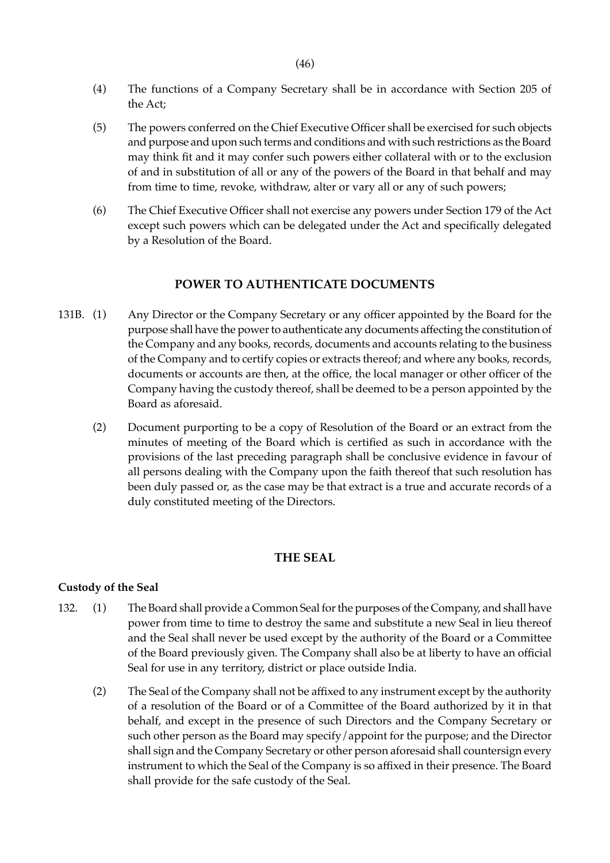- (4) The functions of a Company Secretary shall be in accordance with Section 205 of the Act;
- (5) The powers conferred on the Chief Executive Officer shall be exercised for such objects and purpose and upon such terms and conditions and with such restrictions as the Board may think fit and it may confer such powers either collateral with or to the exclusion of and in substitution of all or any of the powers of the Board in that behalf and may from time to time, revoke, withdraw, alter or vary all or any of such powers;
- (6) The Chief Executive Officer shall not exercise any powers under Section 179 of the Act except such powers which can be delegated under the Act and specifically delegated by a Resolution of the Board.

#### **POWER TO AUTHENTICATE DOCUMENTS**

- 131B. (1) Any Director or the Company Secretary or any officer appointed by the Board for the purpose shall have the power to authenticate any documents affecting the constitution of the Company and any books, records, documents and accounts relating to the business of the Company and to certify copies or extracts thereof; and where any books, records, documents or accounts are then, at the office, the local manager or other officer of the Company having the custody thereof, shall be deemed to be a person appointed by the Board as aforesaid.
	- (2) Document purporting to be a copy of Resolution of the Board or an extract from the minutes of meeting of the Board which is certified as such in accordance with the provisions of the last preceding paragraph shall be conclusive evidence in favour of all persons dealing with the Company upon the faith thereof that such resolution has been duly passed or, as the case may be that extract is a true and accurate records of a duly constituted meeting of the Directors.

#### **THE SEAL**

#### **Custody of the Seal**

- 132. (1) The Board shall provide a Common Seal for the purposes of the Company, and shall have power from time to time to destroy the same and substitute a new Seal in lieu thereof and the Seal shall never be used except by the authority of the Board or a Committee of the Board previously given. The Company shall also be at liberty to have an official Seal for use in any territory, district or place outside India.
	- (2) The Seal of the Company shall not be affixed to any instrument except by the authority of a resolution of the Board or of a Committee of the Board authorized by it in that behalf, and except in the presence of such Directors and the Company Secretary or such other person as the Board may specify/appoint for the purpose; and the Director shall sign and the Company Secretary or other person aforesaid shall countersign every instrument to which the Seal of the Company is so affixed in their presence. The Board shall provide for the safe custody of the Seal.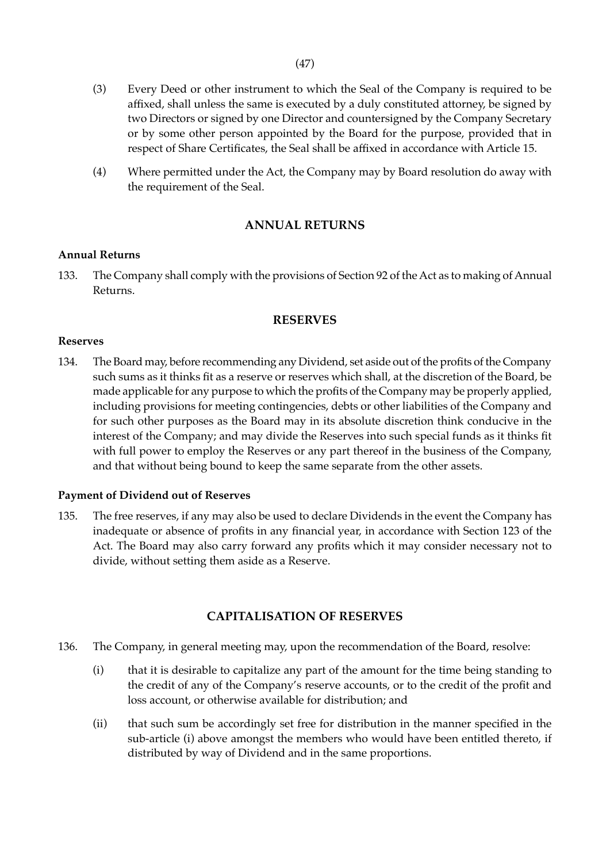- (3) Every Deed or other instrument to which the Seal of the Company is required to be affixed, shall unless the same is executed by a duly constituted attorney, be signed by two Directors or signed by one Director and countersigned by the Company Secretary or by some other person appointed by the Board for the purpose, provided that in respect of Share Certificates, the Seal shall be affixed in accordance with Article 15.
- (4) Where permitted under the Act, the Company may by Board resolution do away with the requirement of the Seal.

## **ANNUAL RETURNS**

### **Annual Returns**

133. The Company shall comply with the provisions of Section 92 of the Act as to making of Annual Returns.

## **RESERVES**

#### **Reserves**

134. The Board may, before recommending any Dividend, set aside out of the profits of the Company such sums as it thinks fit as a reserve or reserves which shall, at the discretion of the Board, be made applicable for any purpose to which the profits of the Company may be properly applied, including provisions for meeting contingencies, debts or other liabilities of the Company and for such other purposes as the Board may in its absolute discretion think conducive in the interest of the Company; and may divide the Reserves into such special funds as it thinks fit with full power to employ the Reserves or any part thereof in the business of the Company, and that without being bound to keep the same separate from the other assets.

#### **Payment of Dividend out of Reserves**

135. The free reserves, if any may also be used to declare Dividends in the event the Company has inadequate or absence of profits in any financial year, in accordance with Section 123 of the Act. The Board may also carry forward any profits which it may consider necessary not to divide, without setting them aside as a Reserve.

## **CAPITALISATION OF RESERVES**

- 136. The Company, in general meeting may, upon the recommendation of the Board, resolve:
	- (i) that it is desirable to capitalize any part of the amount for the time being standing to the credit of any of the Company's reserve accounts, or to the credit of the profit and loss account, or otherwise available for distribution; and
	- (ii) that such sum be accordingly set free for distribution in the manner specified in the sub-article (i) above amongst the members who would have been entitled thereto, if distributed by way of Dividend and in the same proportions.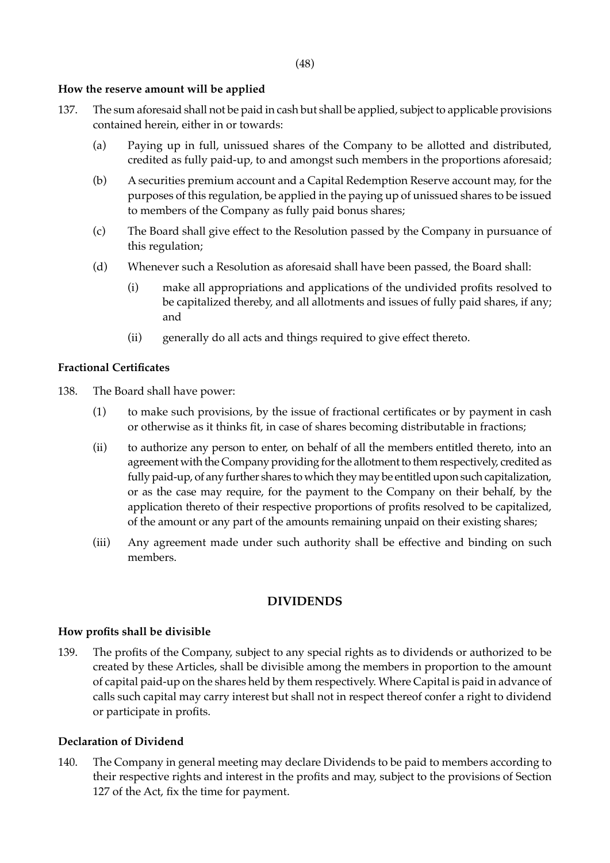## **How the reserve amount will be applied**

- 137. The sum aforesaid shall not be paid in cash but shall be applied, subject to applicable provisions contained herein, either in or towards:
	- (a) Paying up in full, unissued shares of the Company to be allotted and distributed, credited as fully paid-up, to and amongst such members in the proportions aforesaid;
	- (b) A securities premium account and a Capital Redemption Reserve account may, for the purposes of this regulation, be applied in the paying up of unissued shares to be issued to members of the Company as fully paid bonus shares;
	- (c) The Board shall give effect to the Resolution passed by the Company in pursuance of this regulation;
	- (d) Whenever such a Resolution as aforesaid shall have been passed, the Board shall:
		- (i) make all appropriations and applications of the undivided profits resolved to be capitalized thereby, and all allotments and issues of fully paid shares, if any; and
		- (ii) generally do all acts and things required to give effect thereto.

### **Fractional Certificates**

138. The Board shall have power:

- (1) to make such provisions, by the issue of fractional certificates or by payment in cash or otherwise as it thinks fit, in case of shares becoming distributable in fractions;
- (ii) to authorize any person to enter, on behalf of all the members entitled thereto, into an agreement with the Company providing for the allotment to them respectively, credited as fully paid-up, of any further shares to which they may be entitled upon such capitalization, or as the case may require, for the payment to the Company on their behalf, by the application thereto of their respective proportions of profits resolved to be capitalized, of the amount or any part of the amounts remaining unpaid on their existing shares;
- (iii) Any agreement made under such authority shall be effective and binding on such members.

## **DIVIDENDS**

#### **How profits shall be divisible**

139. The profits of the Company, subject to any special rights as to dividends or authorized to be created by these Articles, shall be divisible among the members in proportion to the amount of capital paid-up on the shares held by them respectively. Where Capital is paid in advance of calls such capital may carry interest but shall not in respect thereof confer a right to dividend or participate in profits.

#### **Declaration of Dividend**

140. The Company in general meeting may declare Dividends to be paid to members according to their respective rights and interest in the profits and may, subject to the provisions of Section 127 of the Act, fix the time for payment.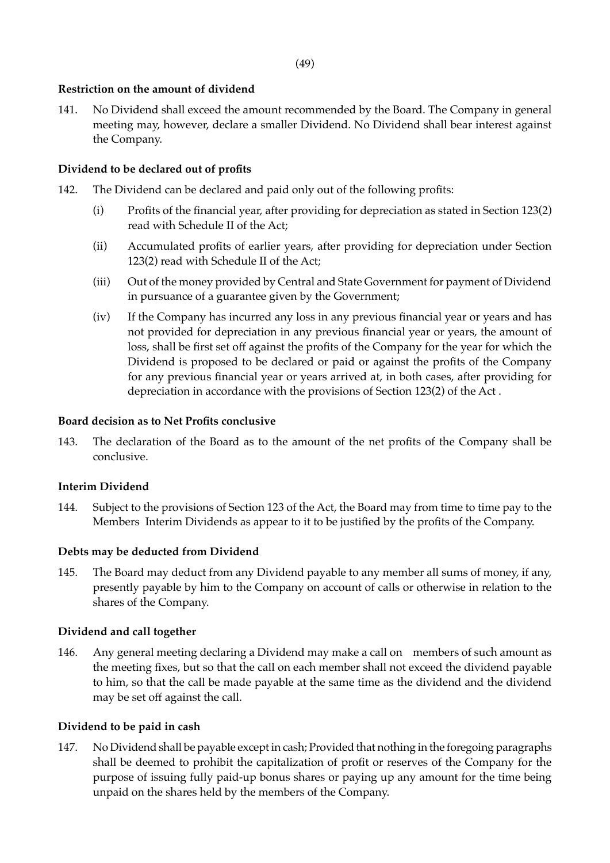## **Restriction on the amount of dividend**

141. No Dividend shall exceed the amount recommended by the Board. The Company in general meeting may, however, declare a smaller Dividend. No Dividend shall bear interest against the Company.

# **Dividend to be declared out of profits**

- 142. The Dividend can be declared and paid only out of the following profits:
	- (i) Profits of the financial year, after providing for depreciation as stated in Section 123(2) read with Schedule II of the Act;
	- (ii) Accumulated profits of earlier years, after providing for depreciation under Section 123(2) read with Schedule II of the Act;
	- (iii) Out of the money provided by Central and State Government for payment of Dividend in pursuance of a guarantee given by the Government;
	- (iv) If the Company has incurred any loss in any previous financial year or years and has not provided for depreciation in any previous financial year or years, the amount of loss, shall be first set off against the profits of the Company for the year for which the Dividend is proposed to be declared or paid or against the profits of the Company for any previous financial year or years arrived at, in both cases, after providing for depreciation in accordance with the provisions of Section 123(2) of the Act .

## **Board decision as to Net Profits conclusive**

143. The declaration of the Board as to the amount of the net profits of the Company shall be conclusive.

## **Interim Dividend**

144. Subject to the provisions of Section 123 of the Act, the Board may from time to time pay to the Members Interim Dividends as appear to it to be justified by the profits of the Company.

## **Debts may be deducted from Dividend**

145. The Board may deduct from any Dividend payable to any member all sums of money, if any, presently payable by him to the Company on account of calls or otherwise in relation to the shares of the Company.

## **Dividend and call together**

146. Any general meeting declaring a Dividend may make a call on members of such amount as the meeting fixes, but so that the call on each member shall not exceed the dividend payable to him, so that the call be made payable at the same time as the dividend and the dividend may be set off against the call.

## **Dividend to be paid in cash**

147. No Dividend shall be payable except in cash; Provided that nothing in the foregoing paragraphs shall be deemed to prohibit the capitalization of profit or reserves of the Company for the purpose of issuing fully paid-up bonus shares or paying up any amount for the time being unpaid on the shares held by the members of the Company.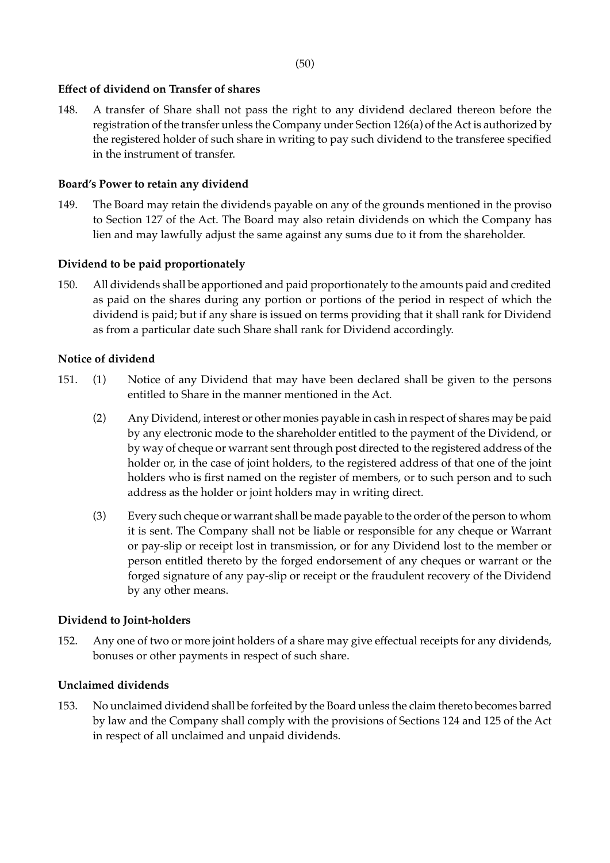## **Effect of dividend on Transfer of shares**

148. A transfer of Share shall not pass the right to any dividend declared thereon before the registration of the transfer unless the Company under Section 126(a) of the Act is authorized by the registered holder of such share in writing to pay such dividend to the transferee specified in the instrument of transfer.

#### **Board's Power to retain any dividend**

149. The Board may retain the dividends payable on any of the grounds mentioned in the proviso to Section 127 of the Act. The Board may also retain dividends on which the Company has lien and may lawfully adjust the same against any sums due to it from the shareholder.

### **Dividend to be paid proportionately**

150. All dividends shall be apportioned and paid proportionately to the amounts paid and credited as paid on the shares during any portion or portions of the period in respect of which the dividend is paid; but if any share is issued on terms providing that it shall rank for Dividend as from a particular date such Share shall rank for Dividend accordingly.

### **Notice of dividend**

- 151. (1) Notice of any Dividend that may have been declared shall be given to the persons entitled to Share in the manner mentioned in the Act.
	- (2) Any Dividend, interest or other monies payable in cash in respect of shares may be paid by any electronic mode to the shareholder entitled to the payment of the Dividend, or by way of cheque or warrant sent through post directed to the registered address of the holder or, in the case of joint holders, to the registered address of that one of the joint holders who is first named on the register of members, or to such person and to such address as the holder or joint holders may in writing direct.
	- (3) Every such cheque or warrant shall be made payable to the order of the person to whom it is sent. The Company shall not be liable or responsible for any cheque or Warrant or pay-slip or receipt lost in transmission, or for any Dividend lost to the member or person entitled thereto by the forged endorsement of any cheques or warrant or the forged signature of any pay-slip or receipt or the fraudulent recovery of the Dividend by any other means.

#### **Dividend to Joint-holders**

152. Any one of two or more joint holders of a share may give effectual receipts for any dividends, bonuses or other payments in respect of such share.

#### **Unclaimed dividends**

153. No unclaimed dividend shall be forfeited by the Board unless the claim thereto becomes barred by law and the Company shall comply with the provisions of Sections 124 and 125 of the Act in respect of all unclaimed and unpaid dividends.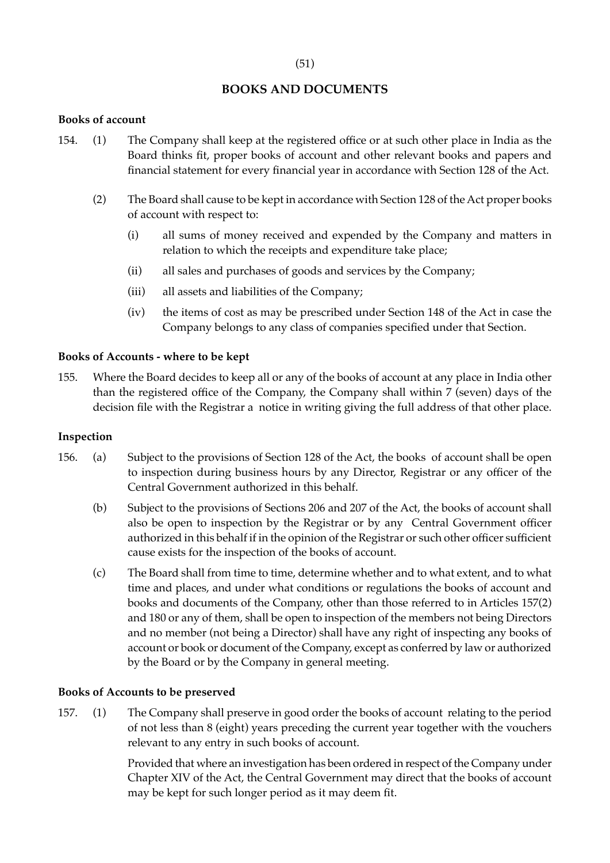# **BOOKS AND DOCUMENTS**

## **Books of account**

- 154. (1) The Company shall keep at the registered office or at such other place in India as the Board thinks fit, proper books of account and other relevant books and papers and financial statement for every financial year in accordance with Section 128 of the Act.
	- (2) The Board shall cause to be kept in accordance with Section 128 of the Act proper books of account with respect to:
		- (i) all sums of money received and expended by the Company and matters in relation to which the receipts and expenditure take place;
		- (ii) all sales and purchases of goods and services by the Company;
		- (iii) all assets and liabilities of the Company;
		- (iv) the items of cost as may be prescribed under Section 148 of the Act in case the Company belongs to any class of companies specified under that Section.

## **Books of Accounts - where to be kept**

155. Where the Board decides to keep all or any of the books of account at any place in India other than the registered office of the Company, the Company shall within 7 (seven) days of the decision file with the Registrar a notice in writing giving the full address of that other place.

### **Inspection**

- 156. (a) Subject to the provisions of Section 128 of the Act, the books of account shall be open to inspection during business hours by any Director, Registrar or any officer of the Central Government authorized in this behalf.
	- (b) Subject to the provisions of Sections 206 and 207 of the Act, the books of account shall also be open to inspection by the Registrar or by any Central Government officer authorized in this behalf if in the opinion of the Registrar or such other officer sufficient cause exists for the inspection of the books of account.
	- (c) The Board shall from time to time, determine whether and to what extent, and to what time and places, and under what conditions or regulations the books of account and books and documents of the Company, other than those referred to in Articles 157(2) and 180 or any of them, shall be open to inspection of the members not being Directors and no member (not being a Director) shall have any right of inspecting any books of account or book or document of the Company, except as conferred by law or authorized by the Board or by the Company in general meeting.

### **Books of Accounts to be preserved**

157. (1) The Company shall preserve in good order the books of account relating to the period of not less than 8 (eight) years preceding the current year together with the vouchers relevant to any entry in such books of account.

> Provided that where an investigation has been ordered in respect of the Company under Chapter XIV of the Act, the Central Government may direct that the books of account may be kept for such longer period as it may deem fit.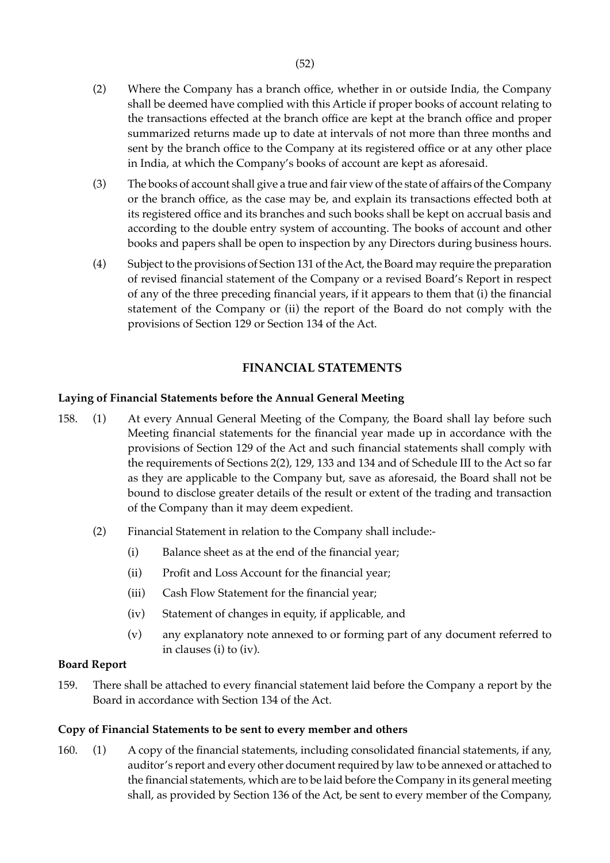- (2) Where the Company has a branch office, whether in or outside India, the Company shall be deemed have complied with this Article if proper books of account relating to the transactions effected at the branch office are kept at the branch office and proper summarized returns made up to date at intervals of not more than three months and sent by the branch office to the Company at its registered office or at any other place in India, at which the Company's books of account are kept as aforesaid.
- (3) The books of account shall give a true and fair view of the state of affairs of the Company or the branch office, as the case may be, and explain its transactions effected both at its registered office and its branches and such books shall be kept on accrual basis and according to the double entry system of accounting. The books of account and other books and papers shall be open to inspection by any Directors during business hours.
- (4) Subject to the provisions of Section 131 of the Act, the Board may require the preparation of revised financial statement of the Company or a revised Board's Report in respect of any of the three preceding financial years, if it appears to them that (i) the financial statement of the Company or (ii) the report of the Board do not comply with the provisions of Section 129 or Section 134 of the Act.

# **FINANCIAL STATEMENTS**

# **Laying of Financial Statements before the Annual General Meeting**

- 158. (1) At every Annual General Meeting of the Company, the Board shall lay before such Meeting financial statements for the financial year made up in accordance with the provisions of Section 129 of the Act and such financial statements shall comply with the requirements of Sections 2(2), 129, 133 and 134 and of Schedule III to the Act so far as they are applicable to the Company but, save as aforesaid, the Board shall not be bound to disclose greater details of the result or extent of the trading and transaction of the Company than it may deem expedient.
	- (2) Financial Statement in relation to the Company shall include:-
		- (i) Balance sheet as at the end of the financial year;
		- (ii) Profit and Loss Account for the financial year;
		- (iii) Cash Flow Statement for the financial year;
		- (iv) Statement of changes in equity, if applicable, and
		- (v) any explanatory note annexed to or forming part of any document referred to in clauses (i) to (iv).

# **Board Report**

159. There shall be attached to every financial statement laid before the Company a report by the Board in accordance with Section 134 of the Act.

# **Copy of Financial Statements to be sent to every member and others**

160. (1) A copy of the financial statements, including consolidated financial statements, if any, auditor's report and every other document required by law to be annexed or attached to the financial statements, which are to be laid before the Company in its general meeting shall, as provided by Section 136 of the Act, be sent to every member of the Company,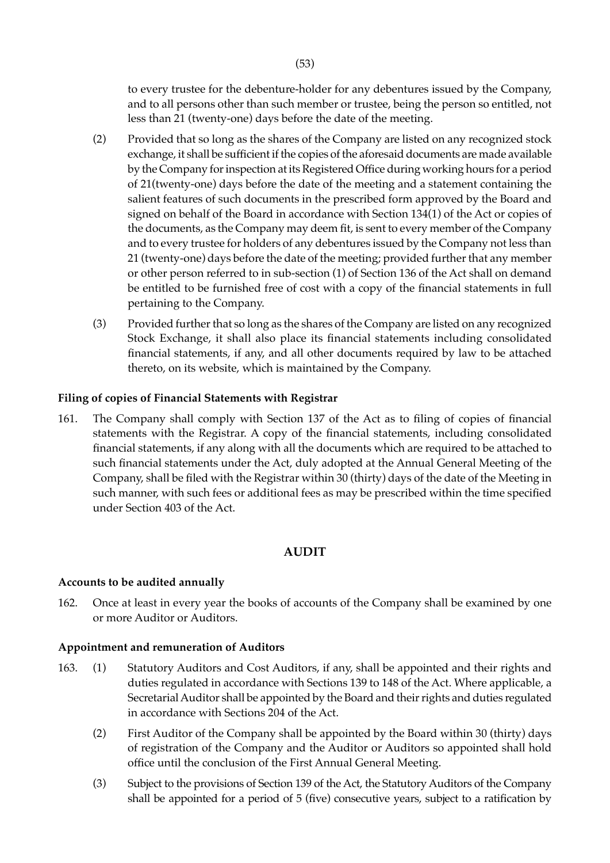to every trustee for the debenture-holder for any debentures issued by the Company, and to all persons other than such member or trustee, being the person so entitled, not less than 21 (twenty-one) days before the date of the meeting.

- (2) Provided that so long as the shares of the Company are listed on any recognized stock exchange, it shall be sufficient if the copies of the aforesaid documents are made available by the Company for inspection at its Registered Office during working hours for a period of 21(twenty-one) days before the date of the meeting and a statement containing the salient features of such documents in the prescribed form approved by the Board and signed on behalf of the Board in accordance with Section 134(1) of the Act or copies of the documents, as the Company may deem fit, is sent to every member of the Company and to every trustee for holders of any debentures issued by the Company not less than 21 (twenty-one) days before the date of the meeting; provided further that any member or other person referred to in sub-section (1) of Section 136 of the Act shall on demand be entitled to be furnished free of cost with a copy of the financial statements in full pertaining to the Company.
- (3) Provided further that so long as the shares of the Company are listed on any recognized Stock Exchange, it shall also place its financial statements including consolidated financial statements, if any, and all other documents required by law to be attached thereto, on its website, which is maintained by the Company.

# **Filing of copies of Financial Statements with Registrar**

161. The Company shall comply with Section 137 of the Act as to filing of copies of financial statements with the Registrar. A copy of the financial statements, including consolidated financial statements, if any along with all the documents which are required to be attached to such financial statements under the Act, duly adopted at the Annual General Meeting of the Company, shall be filed with the Registrar within 30 (thirty) days of the date of the Meeting in such manner, with such fees or additional fees as may be prescribed within the time specified under Section 403 of the Act.

### **AUDIT**

### **Accounts to be audited annually**

162. Once at least in every year the books of accounts of the Company shall be examined by one or more Auditor or Auditors.

#### **Appointment and remuneration of Auditors**

- 163. (1) Statutory Auditors and Cost Auditors, if any, shall be appointed and their rights and duties regulated in accordance with Sections 139 to 148 of the Act. Where applicable, a Secretarial Auditor shall be appointed by the Board and their rights and duties regulated in accordance with Sections 204 of the Act.
	- (2) First Auditor of the Company shall be appointed by the Board within 30 (thirty) days of registration of the Company and the Auditor or Auditors so appointed shall hold office until the conclusion of the First Annual General Meeting.
	- (3) Subject to the provisions of Section 139 of the Act, the Statutory Auditors of the Company shall be appointed for a period of 5 (five) consecutive years, subject to a ratification by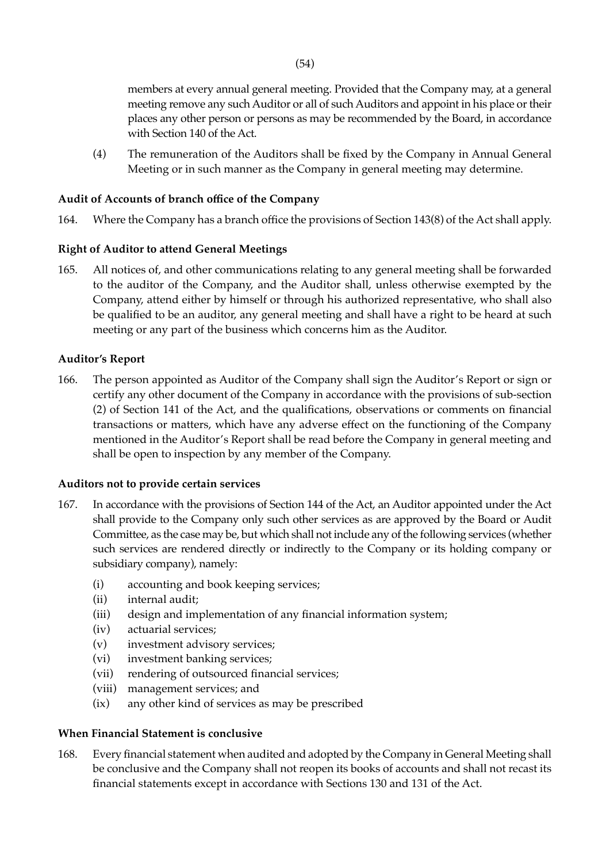members at every annual general meeting. Provided that the Company may, at a general meeting remove any such Auditor or all of such Auditors and appoint in his place or their places any other person or persons as may be recommended by the Board, in accordance with Section 140 of the Act.

(4) The remuneration of the Auditors shall be fixed by the Company in Annual General Meeting or in such manner as the Company in general meeting may determine.

# **Audit of Accounts of branch office of the Company**

164. Where the Company has a branch office the provisions of Section 143(8) of the Act shall apply.

# **Right of Auditor to attend General Meetings**

165. All notices of, and other communications relating to any general meeting shall be forwarded to the auditor of the Company, and the Auditor shall, unless otherwise exempted by the Company, attend either by himself or through his authorized representative, who shall also be qualified to be an auditor, any general meeting and shall have a right to be heard at such meeting or any part of the business which concerns him as the Auditor.

# **Auditor's Report**

166. The person appointed as Auditor of the Company shall sign the Auditor's Report or sign or certify any other document of the Company in accordance with the provisions of sub-section (2) of Section 141 of the Act, and the qualifications, observations or comments on financial transactions or matters, which have any adverse effect on the functioning of the Company mentioned in the Auditor's Report shall be read before the Company in general meeting and shall be open to inspection by any member of the Company.

# **Auditors not to provide certain services**

- 167. In accordance with the provisions of Section 144 of the Act, an Auditor appointed under the Act shall provide to the Company only such other services as are approved by the Board or Audit Committee, as the case may be, but which shall not include any of the following services (whether such services are rendered directly or indirectly to the Company or its holding company or subsidiary company), namely:
	- (i) accounting and book keeping services;
	- (ii) internal audit;
	- (iii) design and implementation of any financial information system;
	- (iv) actuarial services;
	- (v) investment advisory services;
	- (vi) investment banking services;
	- (vii) rendering of outsourced financial services;
	- (viii) management services; and
	- (ix) any other kind of services as may be prescribed

# **When Financial Statement is conclusive**

168. Every financial statement when audited and adopted by the Company in General Meeting shall be conclusive and the Company shall not reopen its books of accounts and shall not recast its financial statements except in accordance with Sections 130 and 131 of the Act.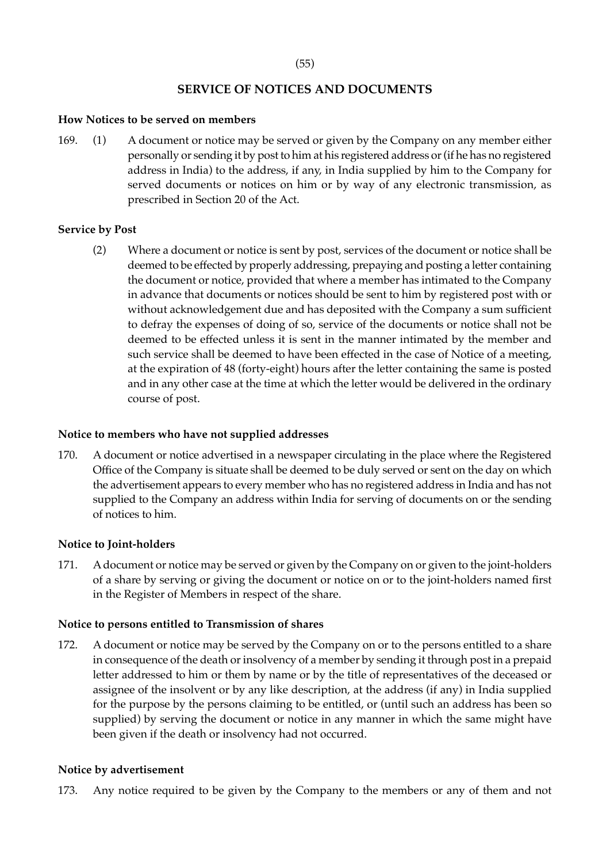# **SERVICE OF NOTICES AND DOCUMENTS**

## **How Notices to be served on members**

169. (1) A document or notice may be served or given by the Company on any member either personally or sending it by post to him at his registered address or (if he has no registered address in India) to the address, if any, in India supplied by him to the Company for served documents or notices on him or by way of any electronic transmission, as prescribed in Section 20 of the Act.

# **Service by Post**

(2) Where a document or notice is sent by post, services of the document or notice shall be deemed to be effected by properly addressing, prepaying and posting a letter containing the document or notice, provided that where a member has intimated to the Company in advance that documents or notices should be sent to him by registered post with or without acknowledgement due and has deposited with the Company a sum sufficient to defray the expenses of doing of so, service of the documents or notice shall not be deemed to be effected unless it is sent in the manner intimated by the member and such service shall be deemed to have been effected in the case of Notice of a meeting, at the expiration of 48 (forty-eight) hours after the letter containing the same is posted and in any other case at the time at which the letter would be delivered in the ordinary course of post.

# **Notice to members who have not supplied addresses**

170. A document or notice advertised in a newspaper circulating in the place where the Registered Office of the Company is situate shall be deemed to be duly served or sent on the day on which the advertisement appears to every member who has no registered address in India and has not supplied to the Company an address within India for serving of documents on or the sending of notices to him.

# **Notice to Joint-holders**

171. A document or notice may be served or given by the Company on or given to the joint-holders of a share by serving or giving the document or notice on or to the joint-holders named first in the Register of Members in respect of the share.

# **Notice to persons entitled to Transmission of shares**

172. A document or notice may be served by the Company on or to the persons entitled to a share in consequence of the death or insolvency of a member by sending it through post in a prepaid letter addressed to him or them by name or by the title of representatives of the deceased or assignee of the insolvent or by any like description, at the address (if any) in India supplied for the purpose by the persons claiming to be entitled, or (until such an address has been so supplied) by serving the document or notice in any manner in which the same might have been given if the death or insolvency had not occurred.

# **Notice by advertisement**

173. Any notice required to be given by the Company to the members or any of them and not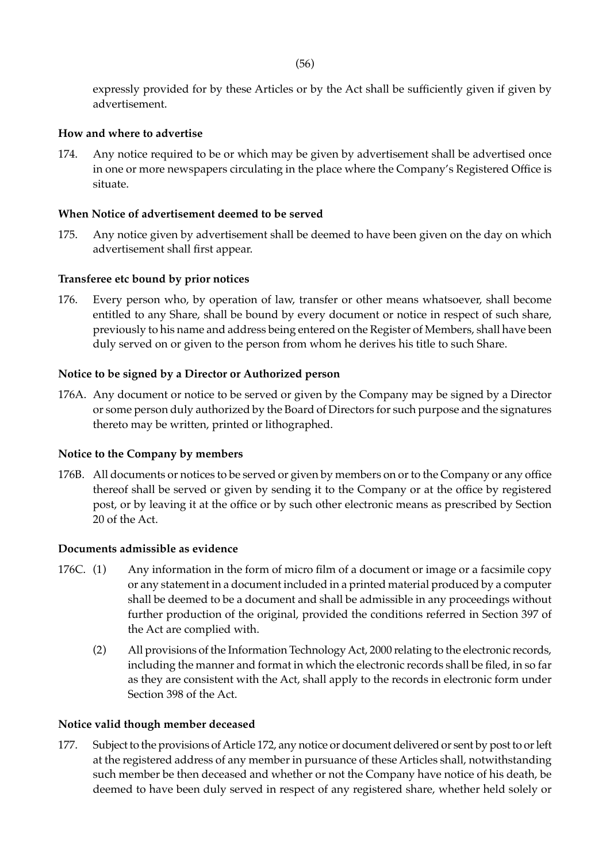(56)

expressly provided for by these Articles or by the Act shall be sufficiently given if given by advertisement.

## **How and where to advertise**

174. Any notice required to be or which may be given by advertisement shall be advertised once in one or more newspapers circulating in the place where the Company's Registered Office is situate.

# **When Notice of advertisement deemed to be served**

175. Any notice given by advertisement shall be deemed to have been given on the day on which advertisement shall first appear.

## **Transferee etc bound by prior notices**

176. Every person who, by operation of law, transfer or other means whatsoever, shall become entitled to any Share, shall be bound by every document or notice in respect of such share, previously to his name and address being entered on the Register of Members, shall have been duly served on or given to the person from whom he derives his title to such Share.

## **Notice to be signed by a Director or Authorized person**

176A. Any document or notice to be served or given by the Company may be signed by a Director or some person duly authorized by the Board of Directors for such purpose and the signatures thereto may be written, printed or lithographed.

### **Notice to the Company by members**

176B. All documents or notices to be served or given by members on or to the Company or any office thereof shall be served or given by sending it to the Company or at the office by registered post, or by leaving it at the office or by such other electronic means as prescribed by Section 20 of the Act.

### **Documents admissible as evidence**

- 176C. (1) Any information in the form of micro film of a document or image or a facsimile copy or any statement in a document included in a printed material produced by a computer shall be deemed to be a document and shall be admissible in any proceedings without further production of the original, provided the conditions referred in Section 397 of the Act are complied with.
	- (2) All provisions of the Information Technology Act, 2000 relating to the electronic records, including the manner and format in which the electronic records shall be filed, in so far as they are consistent with the Act, shall apply to the records in electronic form under Section 398 of the Act.

## **Notice valid though member deceased**

177. Subject to the provisions of Article 172, any notice or document delivered or sent by post to or left at the registered address of any member in pursuance of these Articles shall, notwithstanding such member be then deceased and whether or not the Company have notice of his death, be deemed to have been duly served in respect of any registered share, whether held solely or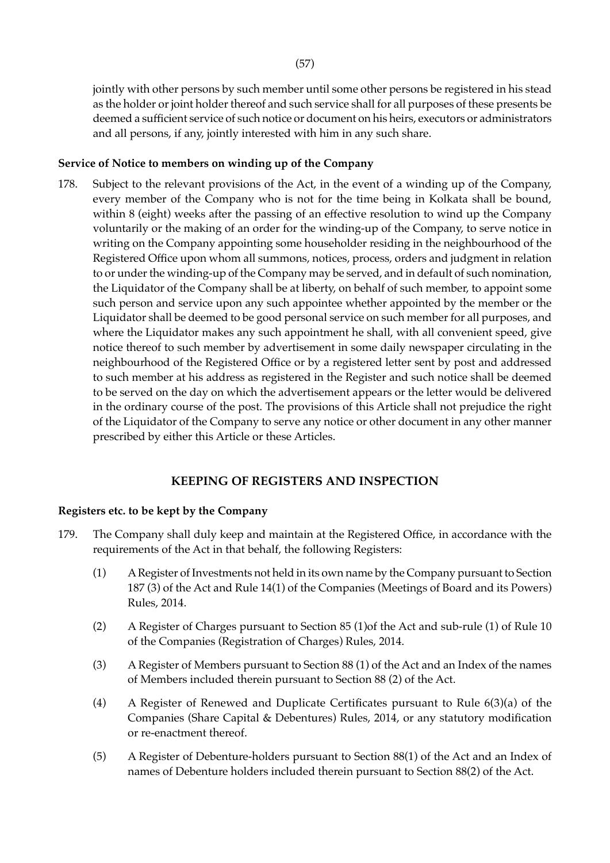jointly with other persons by such member until some other persons be registered in his stead as the holder or joint holder thereof and such service shall for all purposes of these presents be deemed a sufficient service of such notice or document on his heirs, executors or administrators and all persons, if any, jointly interested with him in any such share.

### **Service of Notice to members on winding up of the Company**

178. Subject to the relevant provisions of the Act, in the event of a winding up of the Company, every member of the Company who is not for the time being in Kolkata shall be bound, within 8 (eight) weeks after the passing of an effective resolution to wind up the Company voluntarily or the making of an order for the winding-up of the Company, to serve notice in writing on the Company appointing some householder residing in the neighbourhood of the Registered Office upon whom all summons, notices, process, orders and judgment in relation to or under the winding-up of the Company may be served, and in default of such nomination, the Liquidator of the Company shall be at liberty, on behalf of such member, to appoint some such person and service upon any such appointee whether appointed by the member or the Liquidator shall be deemed to be good personal service on such member for all purposes, and where the Liquidator makes any such appointment he shall, with all convenient speed, give notice thereof to such member by advertisement in some daily newspaper circulating in the neighbourhood of the Registered Office or by a registered letter sent by post and addressed to such member at his address as registered in the Register and such notice shall be deemed to be served on the day on which the advertisement appears or the letter would be delivered in the ordinary course of the post. The provisions of this Article shall not prejudice the right of the Liquidator of the Company to serve any notice or other document in any other manner prescribed by either this Article or these Articles.

# **KEEPING OF REGISTERS AND INSPECTION**

## **Registers etc. to be kept by the Company**

- 179. The Company shall duly keep and maintain at the Registered Office, in accordance with the requirements of the Act in that behalf, the following Registers:
	- (1) A Register of Investments not held in its own name by the Company pursuant to Section 187 (3) of the Act and Rule 14(1) of the Companies (Meetings of Board and its Powers) Rules, 2014.
	- (2) A Register of Charges pursuant to Section 85 (1)of the Act and sub-rule (1) of Rule 10 of the Companies (Registration of Charges) Rules, 2014.
	- (3) A Register of Members pursuant to Section 88 (1) of the Act and an Index of the names of Members included therein pursuant to Section 88 (2) of the Act.
	- (4) A Register of Renewed and Duplicate Certificates pursuant to Rule 6(3)(a) of the Companies (Share Capital & Debentures) Rules, 2014, or any statutory modification or re-enactment thereof.
	- (5) A Register of Debenture-holders pursuant to Section 88(1) of the Act and an Index of names of Debenture holders included therein pursuant to Section 88(2) of the Act.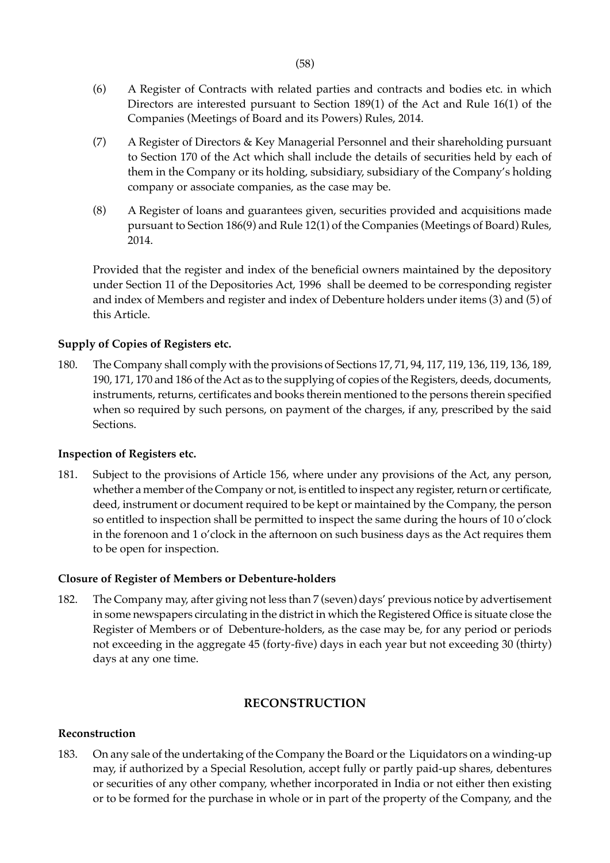- (6) A Register of Contracts with related parties and contracts and bodies etc. in which Directors are interested pursuant to Section 189(1) of the Act and Rule 16(1) of the Companies (Meetings of Board and its Powers) Rules, 2014.
- (7) A Register of Directors & Key Managerial Personnel and their shareholding pursuant to Section 170 of the Act which shall include the details of securities held by each of them in the Company or its holding, subsidiary, subsidiary of the Company's holding company or associate companies, as the case may be.
- (8) A Register of loans and guarantees given, securities provided and acquisitions made pursuant to Section 186(9) and Rule 12(1) of the Companies (Meetings of Board) Rules, 2014.

Provided that the register and index of the beneficial owners maintained by the depository under Section 11 of the Depositories Act, 1996 shall be deemed to be corresponding register and index of Members and register and index of Debenture holders under items (3) and (5) of this Article.

# **Supply of Copies of Registers etc.**

180. The Company shall comply with the provisions of Sections 17, 71, 94, 117, 119, 136, 119, 136, 189, 190, 171, 170 and 186 of the Act as to the supplying of copies of the Registers, deeds, documents, instruments, returns, certificates and books therein mentioned to the persons therein specified when so required by such persons, on payment of the charges, if any, prescribed by the said Sections.

# **Inspection of Registers etc.**

181. Subject to the provisions of Article 156, where under any provisions of the Act, any person, whether a member of the Company or not, is entitled to inspect any register, return or certificate, deed, instrument or document required to be kept or maintained by the Company, the person so entitled to inspection shall be permitted to inspect the same during the hours of 10 o'clock in the forenoon and 1 o'clock in the afternoon on such business days as the Act requires them to be open for inspection.

# **Closure of Register of Members or Debenture-holders**

182. The Company may, after giving not less than 7 (seven) days' previous notice by advertisement in some newspapers circulating in the district in which the Registered Office is situate close the Register of Members or of Debenture-holders, as the case may be, for any period or periods not exceeding in the aggregate 45 (forty-five) days in each year but not exceeding 30 (thirty) days at any one time.

# **RECONSTRUCTION**

### **Reconstruction**

183. On any sale of the undertaking of the Company the Board or the Liquidators on a winding-up may, if authorized by a Special Resolution, accept fully or partly paid-up shares, debentures or securities of any other company, whether incorporated in India or not either then existing or to be formed for the purchase in whole or in part of the property of the Company, and the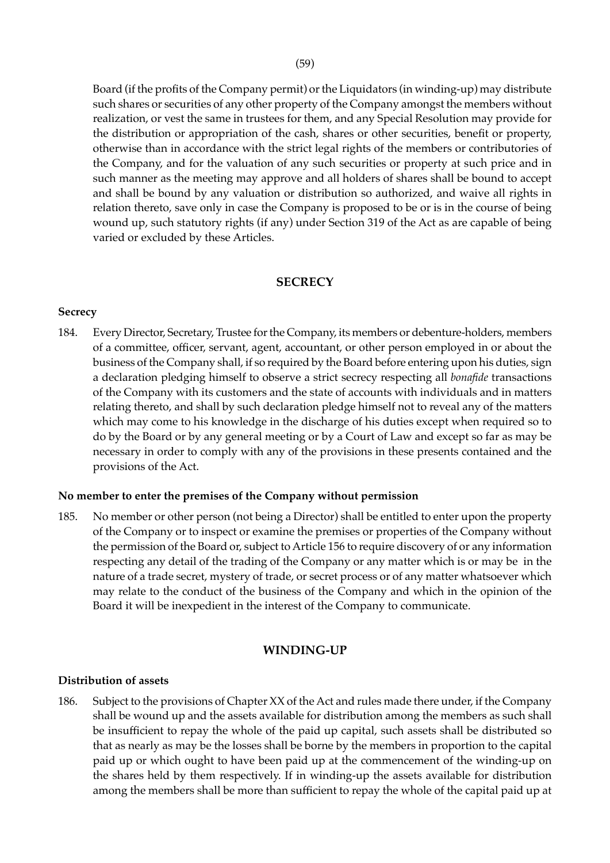Board (if the profits of the Company permit) or the Liquidators (in winding-up) may distribute such shares or securities of any other property of the Company amongst the members without realization, or vest the same in trustees for them, and any Special Resolution may provide for the distribution or appropriation of the cash, shares or other securities, benefit or property, otherwise than in accordance with the strict legal rights of the members or contributories of the Company, and for the valuation of any such securities or property at such price and in such manner as the meeting may approve and all holders of shares shall be bound to accept and shall be bound by any valuation or distribution so authorized, and waive all rights in relation thereto, save only in case the Company is proposed to be or is in the course of being wound up, such statutory rights (if any) under Section 319 of the Act as are capable of being varied or excluded by these Articles.

## **SECRECY**

### **Secrecy**

184. Every Director, Secretary, Trustee for the Company, its members or debenture-holders, members of a committee, officer, servant, agent, accountant, or other person employed in or about the business of the Company shall, if so required by the Board before entering upon his duties, sign a declaration pledging himself to observe a strict secrecy respecting all *bonafide* transactions of the Company with its customers and the state of accounts with individuals and in matters relating thereto, and shall by such declaration pledge himself not to reveal any of the matters which may come to his knowledge in the discharge of his duties except when required so to do by the Board or by any general meeting or by a Court of Law and except so far as may be necessary in order to comply with any of the provisions in these presents contained and the provisions of the Act.

### **No member to enter the premises of the Company without permission**

185. No member or other person (not being a Director) shall be entitled to enter upon the property of the Company or to inspect or examine the premises or properties of the Company without the permission of the Board or, subject to Article 156 to require discovery of or any information respecting any detail of the trading of the Company or any matter which is or may be in the nature of a trade secret, mystery of trade, or secret process or of any matter whatsoever which may relate to the conduct of the business of the Company and which in the opinion of the Board it will be inexpedient in the interest of the Company to communicate.

### **WINDING-UP**

### **Distribution of assets**

186. Subject to the provisions of Chapter XX of the Act and rules made there under, if the Company shall be wound up and the assets available for distribution among the members as such shall be insufficient to repay the whole of the paid up capital, such assets shall be distributed so that as nearly as may be the losses shall be borne by the members in proportion to the capital paid up or which ought to have been paid up at the commencement of the winding-up on the shares held by them respectively. If in winding-up the assets available for distribution among the members shall be more than sufficient to repay the whole of the capital paid up at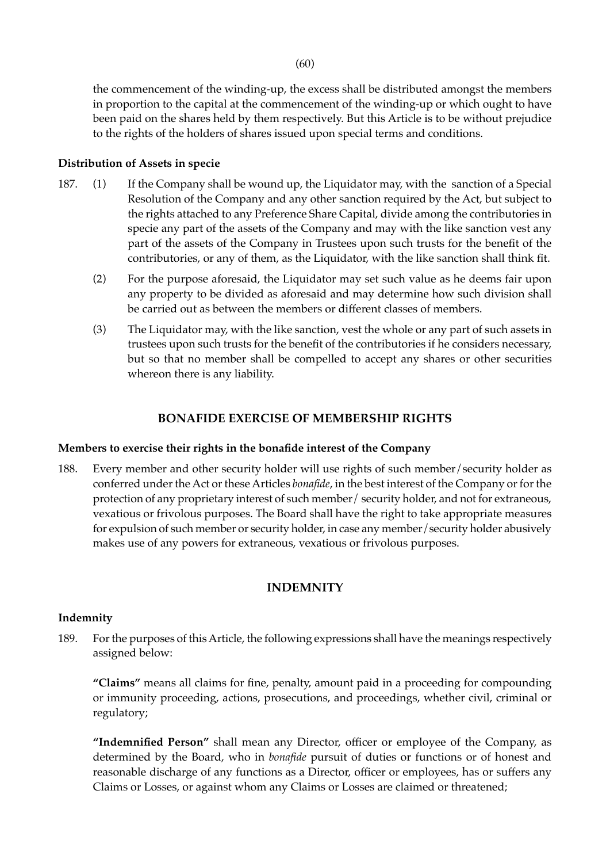the commencement of the winding-up, the excess shall be distributed amongst the members in proportion to the capital at the commencement of the winding-up or which ought to have been paid on the shares held by them respectively. But this Article is to be without prejudice to the rights of the holders of shares issued upon special terms and conditions.

## **Distribution of Assets in specie**

- 187. (1) If the Company shall be wound up, the Liquidator may, with the sanction of a Special Resolution of the Company and any other sanction required by the Act, but subject to the rights attached to any Preference Share Capital, divide among the contributories in specie any part of the assets of the Company and may with the like sanction vest any part of the assets of the Company in Trustees upon such trusts for the benefit of the contributories, or any of them, as the Liquidator, with the like sanction shall think fit.
	- (2) For the purpose aforesaid, the Liquidator may set such value as he deems fair upon any property to be divided as aforesaid and may determine how such division shall be carried out as between the members or different classes of members.
	- (3) The Liquidator may, with the like sanction, vest the whole or any part of such assets in trustees upon such trusts for the benefit of the contributories if he considers necessary, but so that no member shall be compelled to accept any shares or other securities whereon there is any liability.

# **BONAFIDE EXERCISE OF MEMBERSHIP RIGHTS**

### **Members to exercise their rights in the bonafide interest of the Company**

188. Every member and other security holder will use rights of such member/security holder as conferred under the Act or these Articles *bonafide*, in the best interest of the Company or for the protection of any proprietary interest of such member/ security holder, and not for extraneous, vexatious or frivolous purposes. The Board shall have the right to take appropriate measures for expulsion of such member or security holder, in case any member/security holder abusively makes use of any powers for extraneous, vexatious or frivolous purposes.

# **INDEMNITY**

### **Indemnity**

189. For the purposes of this Article, the following expressions shall have the meanings respectively assigned below:

 **"Claims"** means all claims for fine, penalty, amount paid in a proceeding for compounding or immunity proceeding, actions, prosecutions, and proceedings, whether civil, criminal or regulatory;

**"Indemnified Person"** shall mean any Director, officer or employee of the Company, as determined by the Board, who in *bonafide* pursuit of duties or functions or of honest and reasonable discharge of any functions as a Director, officer or employees, has or suffers any Claims or Losses, or against whom any Claims or Losses are claimed or threatened;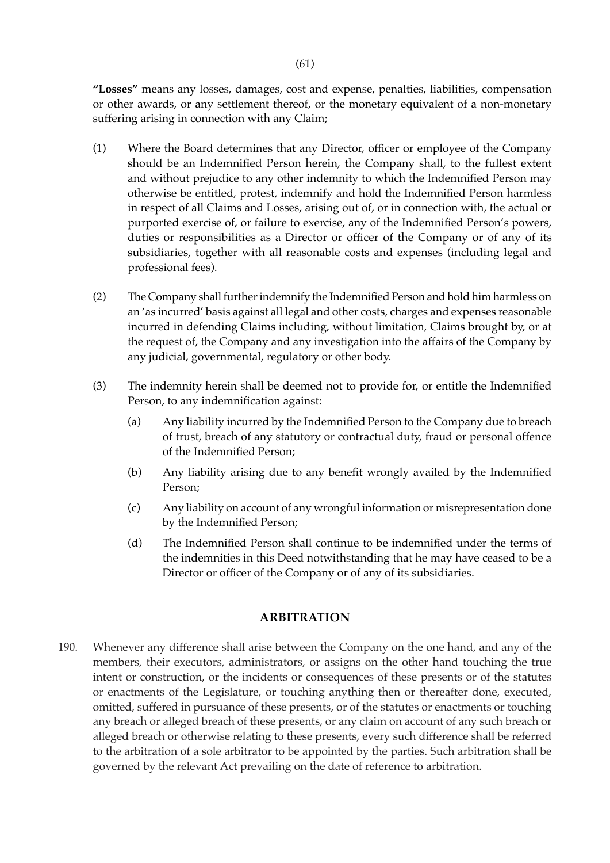**"Losses"** means any losses, damages, cost and expense, penalties, liabilities, compensation or other awards, or any settlement thereof, or the monetary equivalent of a non-monetary suffering arising in connection with any Claim;

- (1) Where the Board determines that any Director, officer or employee of the Company should be an Indemnified Person herein, the Company shall, to the fullest extent and without prejudice to any other indemnity to which the Indemnified Person may otherwise be entitled, protest, indemnify and hold the Indemnified Person harmless in respect of all Claims and Losses, arising out of, or in connection with, the actual or purported exercise of, or failure to exercise, any of the Indemnified Person's powers, duties or responsibilities as a Director or officer of the Company or of any of its subsidiaries, together with all reasonable costs and expenses (including legal and professional fees).
- (2) The Company shall further indemnify the Indemnified Person and hold him harmless on an 'as incurred' basis against all legal and other costs, charges and expenses reasonable incurred in defending Claims including, without limitation, Claims brought by, or at the request of, the Company and any investigation into the affairs of the Company by any judicial, governmental, regulatory or other body.
- (3) The indemnity herein shall be deemed not to provide for, or entitle the Indemnified Person, to any indemnification against:
	- (a) Any liability incurred by the Indemnified Person to the Company due to breach of trust, breach of any statutory or contractual duty, fraud or personal offence of the Indemnified Person;
	- (b) Any liability arising due to any benefit wrongly availed by the Indemnified Person;
	- (c) Any liability on account of any wrongful information or misrepresentation done by the Indemnified Person;
	- (d) The Indemnified Person shall continue to be indemnified under the terms of the indemnities in this Deed notwithstanding that he may have ceased to be a Director or officer of the Company or of any of its subsidiaries.

### **ARBITRATION**

190. Whenever any difference shall arise between the Company on the one hand, and any of the members, their executors, administrators, or assigns on the other hand touching the true intent or construction, or the incidents or consequences of these presents or of the statutes or enactments of the Legislature, or touching anything then or thereafter done, executed, omitted, suffered in pursuance of these presents, or of the statutes or enactments or touching any breach or alleged breach of these presents, or any claim on account of any such breach or alleged breach or otherwise relating to these presents, every such difference shall be referred to the arbitration of a sole arbitrator to be appointed by the parties. Such arbitration shall be governed by the relevant Act prevailing on the date of reference to arbitration.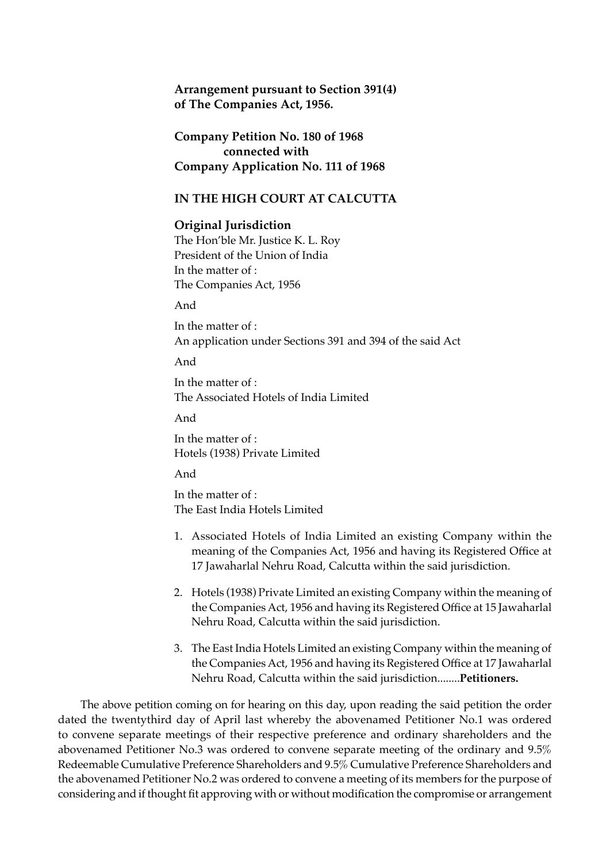**Arrangement pursuant to Section 391(4) of The Companies Act, 1956.**

**Company Petition No. 180 of 1968 connected with Company Application No. 111 of 1968**

## **IN THE HIGH COURT AT CALCUTTA**

### **Original Jurisdiction**

The Hon'ble Mr. Justice K. L. Roy President of the Union of India In the matter of : The Companies Act, 1956

And

In the matter of : An application under Sections 391 and 394 of the said Act

And

In the matter of : The Associated Hotels of India Limited

And

In the matter of : Hotels (1938) Private Limited

And

In the matter of : The East India Hotels Limited

- 1. Associated Hotels of India Limited an existing Company within the meaning of the Companies Act, 1956 and having its Registered Office at 17 Jawaharlal Nehru Road, Calcutta within the said jurisdiction.
- 2. Hotels (1938) Private Limited an existing Company within the meaning of the Companies Act, 1956 and having its Registered Office at 15 Jawaharlal Nehru Road, Calcutta within the said jurisdiction.
- 3. The East India Hotels Limited an existing Company within the meaning of the Companies Act, 1956 and having its Registered Office at 17 Jawaharlal Nehru Road, Calcutta within the said jurisdiction........**Petitioners.**

 The above petition coming on for hearing on this day, upon reading the said petition the order dated the twentythird day of April last whereby the abovenamed Petitioner No.1 was ordered to convene separate meetings of their respective preference and ordinary shareholders and the abovenamed Petitioner No.3 was ordered to convene separate meeting of the ordinary and 9.5% Redeemable Cumulative Preference Shareholders and 9.5% Cumulative Preference Shareholders and the abovenamed Petitioner No.2 was ordered to convene a meeting of its members for the purpose of considering and if thought fit approving with or without modification the compromise or arrangement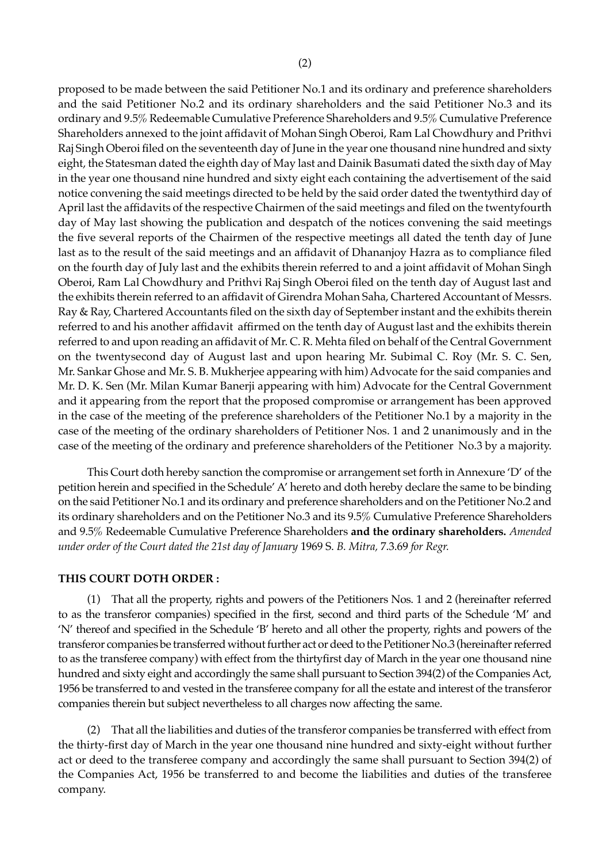proposed to be made between the said Petitioner No.1 and its ordinary and preference shareholders and the said Petitioner No.2 and its ordinary shareholders and the said Petitioner No.3 and its ordinary and 9.5% Redeemable Cumulative Preference Shareholders and 9.5% Cumulative Preference Shareholders annexed to the joint affidavit of Mohan Singh Oberoi, Ram Lal Chowdhury and Prithvi Raj Singh Oberoi filed on the seventeenth day of June in the year one thousand nine hundred and sixty eight, the Statesman dated the eighth day of May last and Dainik Basumati dated the sixth day of May in the year one thousand nine hundred and sixty eight each containing the advertisement of the said notice convening the said meetings directed to be held by the said order dated the twentythird day of April last the affidavits of the respective Chairmen of the said meetings and filed on the twentyfourth day of May last showing the publication and despatch of the notices convening the said meetings the five several reports of the Chairmen of the respective meetings all dated the tenth day of June last as to the result of the said meetings and an affidavit of Dhananjoy Hazra as to compliance filed on the fourth day of July last and the exhibits therein referred to and a joint affidavit of Mohan Singh Oberoi, Ram Lal Chowdhury and Prithvi Raj Singh Oberoi filed on the tenth day of August last and the exhibits therein referred to an affidavit of Girendra Mohan Saha, Chartered Accountant of Messrs. Ray & Ray, Chartered Accountants filed on the sixth day of September instant and the exhibits therein referred to and his another affidavit affirmed on the tenth day of August last and the exhibits therein referred to and upon reading an affidavit of Mr. C. R. Mehta filed on behalf of the Central Government on the twentysecond day of August last and upon hearing Mr. Subimal C. Roy (Mr. S. C. Sen, Mr. Sankar Ghose and Mr. S. B. Mukherjee appearing with him) Advocate for the said companies and Mr. D. K. Sen (Mr. Milan Kumar Banerji appearing with him) Advocate for the Central Government and it appearing from the report that the proposed compromise or arrangement has been approved in the case of the meeting of the preference shareholders of the Petitioner No.1 by a majority in the case of the meeting of the ordinary shareholders of Petitioner Nos. 1 and 2 unanimously and in the case of the meeting of the ordinary and preference shareholders of the Petitioner No.3 by a majority.

This Court doth hereby sanction the compromise or arrangement set forth in Annexure 'D' of the petition herein and specified in the Schedule' A' hereto and doth hereby declare the same to be binding on the said Petitioner No.1 and its ordinary and preference shareholders and on the Petitioner No.2 and its ordinary shareholders and on the Petitioner No.3 and its 9.5% Cumulative Preference Shareholders and 9.5% Redeemable Cumulative Preference Shareholders **and the ordinary shareholders.** *Amended under order of the Court dated the 21st day of January* 1969 S. *B. Mitra,* 7.3.69 *for Regr.*

### **THIS COURT DOTH ORDER :**

(1) That all the property, rights and powers of the Petitioners Nos. 1 and 2 (hereinafter referred to as the transferor companies) specified in the first, second and third parts of the Schedule 'M' and 'N' thereof and specified in the Schedule 'B' hereto and all other the property, rights and powers of the transferor companies be transferred without further act or deed to the Petitioner No.3 (hereinafter referred to as the transferee company) with effect from the thirtyfirst day of March in the year one thousand nine hundred and sixty eight and accordingly the same shall pursuant to Section 394(2) of the Companies Act, 1956 be transferred to and vested in the transferee company for all the estate and interest of the transferor companies therein but subject nevertheless to all charges now affecting the same.

(2) That all the liabilities and duties of the transferor companies be transferred with effect from the thirty-first day of March in the year one thousand nine hundred and sixty-eight without further act or deed to the transferee company and accordingly the same shall pursuant to Section 394(2) of the Companies Act, 1956 be transferred to and become the liabilities and duties of the transferee company.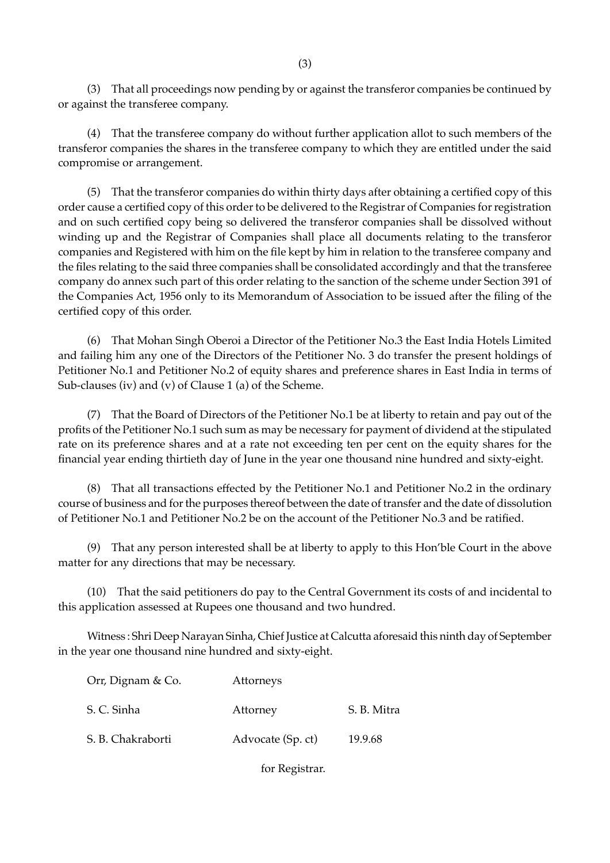(3) That all proceedings now pending by or against the transferor companies be continued by or against the transferee company.

(4) That the transferee company do without further application allot to such members of the transferor companies the shares in the transferee company to which they are entitled under the said compromise or arrangement.

(5) That the transferor companies do within thirty days after obtaining a certified copy of this order cause a certified copy of this order to be delivered to the Registrar of Companies for registration and on such certified copy being so delivered the transferor companies shall be dissolved without winding up and the Registrar of Companies shall place all documents relating to the transferor companies and Registered with him on the file kept by him in relation to the transferee company and the files relating to the said three companies shall be consolidated accordingly and that the transferee company do annex such part of this order relating to the sanction of the scheme under Section 391 of the Companies Act, 1956 only to its Memorandum of Association to be issued after the filing of the certified copy of this order.

(6) That Mohan Singh Oberoi a Director of the Petitioner No.3 the East India Hotels Limited and failing him any one of the Directors of the Petitioner No. 3 do transfer the present holdings of Petitioner No.1 and Petitioner No.2 of equity shares and preference shares in East India in terms of Sub-clauses (iv) and (v) of Clause 1 (a) of the Scheme.

(7) That the Board of Directors of the Petitioner No.1 be at liberty to retain and pay out of the profits of the Petitioner No.1 such sum as may be necessary for payment of dividend at the stipulated rate on its preference shares and at a rate not exceeding ten per cent on the equity shares for the financial year ending thirtieth day of June in the year one thousand nine hundred and sixty-eight.

(8) That all transactions effected by the Petitioner No.1 and Petitioner No.2 in the ordinary course of business and for the purposes thereof between the date of transfer and the date of dissolution of Petitioner No.1 and Petitioner No.2 be on the account of the Petitioner No.3 and be ratified.

(9) That any person interested shall be at liberty to apply to this Hon'ble Court in the above matter for any directions that may be necessary.

(10) That the said petitioners do pay to the Central Government its costs of and incidental to this application assessed at Rupees one thousand and two hundred.

Witness : Shri Deep Narayan Sinha, Chief Justice at Calcutta aforesaid this ninth day of September in the year one thousand nine hundred and sixty-eight.

| Orr, Dignam & Co. | Attorneys         |             |
|-------------------|-------------------|-------------|
| S. C. Sinha       | Attorney          | S. B. Mitra |
| S. B. Chakraborti | Advocate (Sp. ct) | 19.9.68     |
|                   |                   |             |

for Registrar.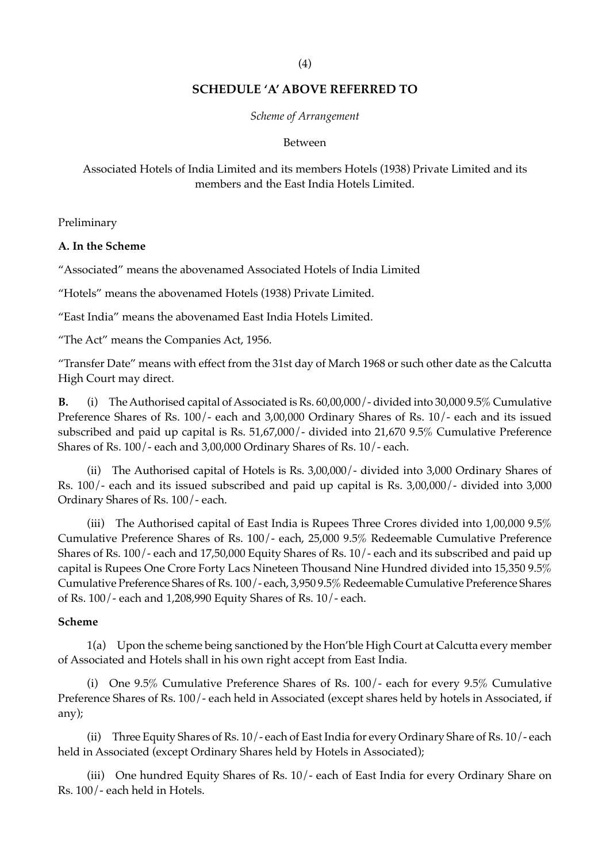# **SCHEDULE 'A' ABOVE REFERRED TO**

### *Scheme of Arrangement*

#### Between

# Associated Hotels of India Limited and its members Hotels (1938) Private Limited and its members and the East India Hotels Limited.

Preliminary

### **A. In the Scheme**

"Associated" means the abovenamed Associated Hotels of India Limited

"Hotels" means the abovenamed Hotels (1938) Private Limited.

"East India" means the abovenamed East India Hotels Limited.

"The Act" means the Companies Act, 1956.

"Transfer Date" means with effect from the 31st day of March 1968 or such other date as the Calcutta High Court may direct.

**B.** (i) The Authorised capital of Associated is Rs. 60,00,000/- divided into 30,000 9.5% Cumulative Preference Shares of Rs. 100/- each and 3,00,000 Ordinary Shares of Rs. 10/- each and its issued subscribed and paid up capital is Rs. 51,67,000/- divided into 21,670 9.5% Cumulative Preference Shares of Rs. 100/- each and 3,00,000 Ordinary Shares of Rs. 10/- each.

(ii) The Authorised capital of Hotels is Rs. 3,00,000/- divided into 3,000 Ordinary Shares of Rs. 100/- each and its issued subscribed and paid up capital is Rs. 3,00,000/*-* divided into 3,000 Ordinary Shares of Rs. 100/- each.

(iii) The Authorised capital of East India is Rupees Three Crores divided into 1,00,000 9.5% Cumulative Preference Shares of Rs. 100/- each, 25,000 9.5% Redeemable Cumulative Preference Shares of Rs. 100/- each and 17,50,000 Equity Shares of Rs. 10/- each and its subscribed and paid up capital is Rupees One Crore Forty Lacs Nineteen Thousand Nine Hundred divided into 15,350 9.5% Cumulative Preference Shares of Rs. 100/- each, 3,950 9.5% Redeemable Cumulative Preference Shares of Rs. 100/- each and 1,208,990 Equity Shares of Rs. 10/- each.

## **Scheme**

1(a) Upon the scheme being sanctioned by the Hon'ble High Court at Calcutta every member of Associated and Hotels shall in his own right accept from East India.

(i) One 9.5% Cumulative Preference Shares of Rs. 100/- each for every 9.5% Cumulative Preference Shares of Rs. 100/- each held in Associated (except shares held by hotels in Associated, if any);

(ii) Three Equity Shares of Rs. 10/- each of East India for every Ordinary Share of Rs. 10/- each held in Associated (except Ordinary Shares held by Hotels in Associated);

(iii) One hundred Equity Shares of Rs. 10/- each of East India for every Ordinary Share on Rs. 100/- each held in Hotels.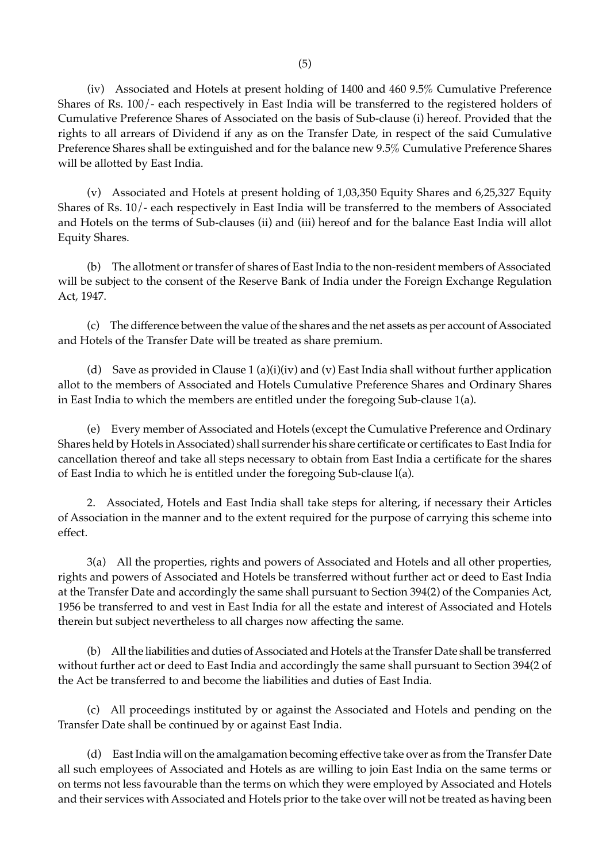(iv) Associated and Hotels at present holding of 1400 and 460 9.5% Cumulative Preference Shares of Rs. 100/- each respectively in East India will be transferred to the registered holders of Cumulative Preference Shares of Associated on the basis of Sub-clause (i) hereof. Provided that the rights to all arrears of Dividend if any as on the Transfer Date, in respect of the said Cumulative Preference Shares shall be extinguished and for the balance new 9.5% Cumulative Preference Shares will be allotted by East India.

(v) Associated and Hotels at present holding of 1,03,350 Equity Shares and 6,25,327 Equity Shares of Rs. 10/- each respectively in East India will be transferred to the members of Associated and Hotels on the terms of Sub-clauses (ii) and (iii) hereof and for the balance East India will allot Equity Shares.

(b) The allotment or transfer of shares of East India to the non-resident members of Associated will be subject to the consent of the Reserve Bank of India under the Foreign Exchange Regulation Act, 1947.

(c) The difference between the value of the shares and the net assets as per account of Associated and Hotels of the Transfer Date will be treated as share premium.

(d) Save as provided in Clause 1 (a)(i)(iv) and (v) East India shall without further application allot to the members of Associated and Hotels Cumulative Preference Shares and Ordinary Shares in East India to which the members are entitled under the foregoing Sub-clause 1(a).

(e) Every member of Associated and Hotels (except the Cumulative Preference and Ordinary Shares held by Hotels in Associated) shall surrender his share certificate or certificates to East India for cancellation thereof and take all steps necessary to obtain from East India a certificate for the shares of East India to which he is entitled under the foregoing Sub-clause l(a).

2. Associated, Hotels and East India shall take steps for altering, if necessary their Articles of Association in the manner and to the extent required for the purpose of carrying this scheme into effect.

3(a) All the properties, rights and powers of Associated and Hotels and all other properties, rights and powers of Associated and Hotels be transferred without further act or deed to East India at the Transfer Date and accordingly the same shall pursuant to Section 394(2) of the Companies Act, 1956 be transferred to and vest in East India for all the estate and interest of Associated and Hotels therein but subject nevertheless to all charges now affecting the same.

(b) All the liabilities and duties of Associated and Hotels at the Transfer Date shall be transferred without further act or deed to East India and accordingly the same shall pursuant to Section 394(2 of the Act be transferred to and become the liabilities and duties of East India.

(c) All proceedings instituted by or against the Associated and Hotels and pending on the Transfer Date shall be continued by or against East India.

(d) East India will on the amalgamation becoming effective take over as from the Transfer Date all such employees of Associated and Hotels as are willing to join East India on the same terms or on terms not less favourable than the terms on which they were employed by Associated and Hotels and their services with Associated and Hotels prior to the take over will not be treated as having been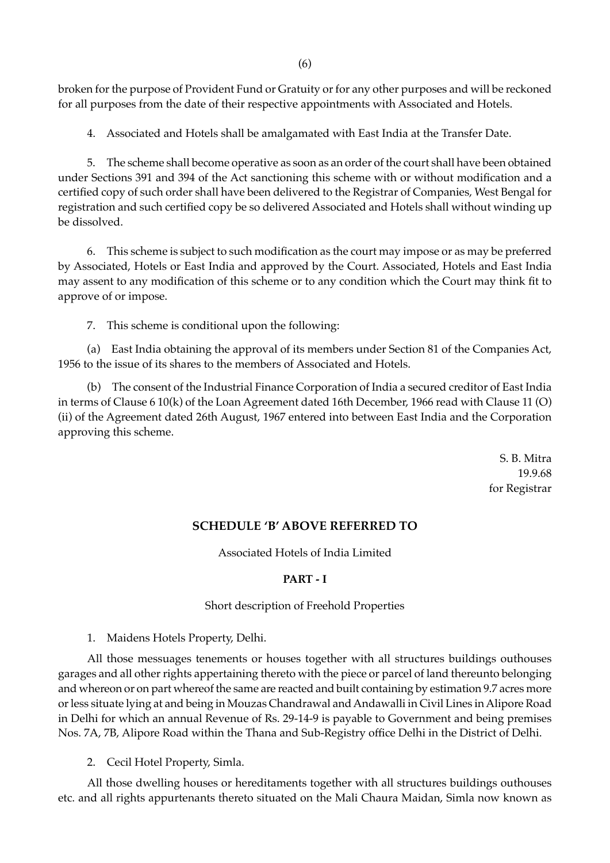broken for the purpose of Provident Fund or Gratuity or for any other purposes and will be reckoned for all purposes from the date of their respective appointments with Associated and Hotels.

4. Associated and Hotels shall be amalgamated with East India at the Transfer Date.

5. The scheme shall become operative as soon as an order of the court shall have been obtained under Sections 391 and 394 of the Act sanctioning this scheme with or without modification and a certified copy of such order shall have been delivered to the Registrar of Companies, West Bengal for registration and such certified copy be so delivered Associated and Hotels shall without winding up be dissolved.

6. This scheme is subject to such modification as the court may impose or as may be preferred by Associated, Hotels or East India and approved by the Court. Associated, Hotels and East India may assent to any modification of this scheme or to any condition which the Court may think fit to approve of or impose.

7. This scheme is conditional upon the following:

(a) East India obtaining the approval of its members under Section 81 of the Companies Act, 1956 to the issue of its shares to the members of Associated and Hotels.

(b) The consent of the Industrial Finance Corporation of India a secured creditor of East India in terms of Clause 6 10(k) of the Loan Agreement dated 16th December, 1966 read with Clause 11 (O) (ii) of the Agreement dated 26th August, 1967 entered into between East India and the Corporation approving this scheme.

> S. B. Mitra 19.9.68 for Registrar

# **SCHEDULE 'B' ABOVE REFERRED TO**

Associated Hotels of India Limited

### **PART - I**

### Short description of Freehold Properties

1. Maidens Hotels Property, Delhi.

All those messuages tenements or houses together with all structures buildings outhouses garages and all other rights appertaining thereto with the piece or parcel of land thereunto belonging and whereon or on part whereof the same are reacted and built containing by estimation 9.7 acres more or less situate lying at and being in Mouzas Chandrawal and Andawalli in Civil Lines in Alipore Road in Delhi for which an annual Revenue of Rs. 29-14-9 is payable to Government and being premises Nos. 7A, 7B, Alipore Road within the Thana and Sub-Registry office Delhi in the District of Delhi.

2. Cecil Hotel Property, Simla.

All those dwelling houses or hereditaments together with all structures buildings outhouses etc. and all rights appurtenants thereto situated on the Mali Chaura Maidan, Simla now known as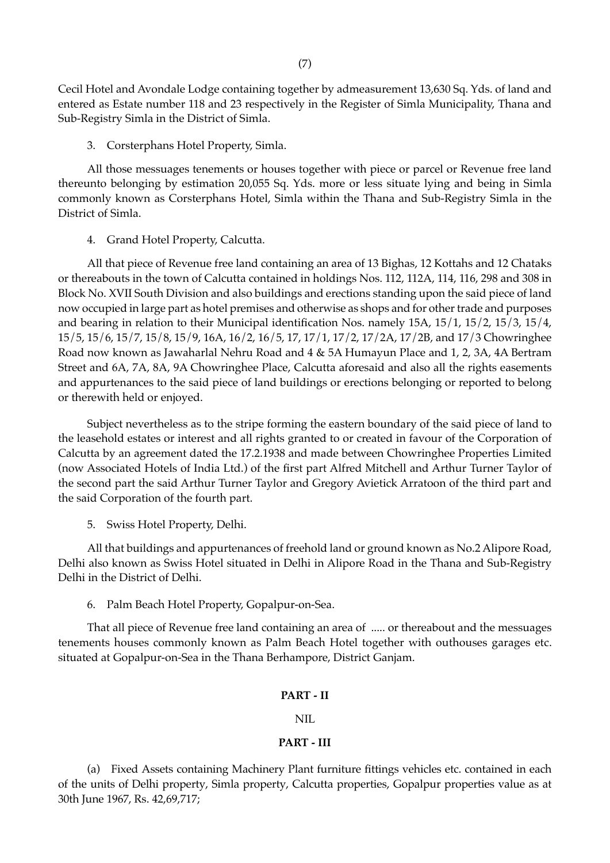Cecil Hotel and Avondale Lodge containing together by admeasurement 13,630 Sq. Yds. of land and entered as Estate number 118 and 23 respectively in the Register of Simla Municipality, Thana and Sub-Registry Simla in the District of Simla.

3. Corsterphans Hotel Property, Simla.

All those messuages tenements or houses together with piece or parcel or Revenue free land thereunto belonging by estimation 20,055 Sq. Yds. more or less situate lying and being in Simla commonly known as Corsterphans Hotel, Simla within the Thana and Sub-Registry Simla in the District of Simla.

4. Grand Hotel Property, Calcutta.

All that piece of Revenue free land containing an area of 13 Bighas, 12 Kottahs and 12 Chataks or thereabouts in the town of Calcutta contained in holdings Nos. 112, 112A, 114, 116, 298 and 308 in Block No. XVII South Division and also buildings and erections standing upon the said piece of land now occupied in large part as hotel premises and otherwise as shops and for other trade and purposes and bearing in relation to their Municipal identification Nos. namely 15A, 15/1, 15/2, 15/3, 15/4, 15/5, 15/6, 15/7, 15/8, 15/9, 16A, 16/2, 16/5, 17, 17/1, 17/2, 17/2A, 17/2B, and 17/3 Chowringhee Road now known as Jawaharlal Nehru Road and 4 & 5A Humayun Place and 1, 2, 3A, 4A Bertram Street and 6A, 7A, 8A, 9A Chowringhee Place, Calcutta aforesaid and also all the rights easements and appurtenances to the said piece of land buildings or erections belonging or reported to belong or therewith held or enjoyed.

Subject nevertheless as to the stripe forming the eastern boundary of the said piece of land to the leasehold estates or interest and all rights granted to or created in favour of the Corporation of Calcutta by an agreement dated the 17.2.1938 and made between Chowringhee Properties Limited (now Associated Hotels of India Ltd.) of the first part Alfred Mitchell and Arthur Turner Taylor of the second part the said Arthur Turner Taylor and Gregory Avietick Arratoon of the third part and the said Corporation of the fourth part.

5. Swiss Hotel Property, Delhi.

All that buildings and appurtenances of freehold land or ground known as No.2 Alipore Road, Delhi also known as Swiss Hotel situated in Delhi in Alipore Road in the Thana and Sub-Registry Delhi in the District of Delhi.

6. Palm Beach Hotel Property, Gopalpur-on-Sea.

That all piece of Revenue free land containing an area of ..... or thereabout and the messuages tenements houses commonly known as Palm Beach Hotel together with outhouses garages etc. situated at Gopalpur-on-Sea in the Thana Berhampore, District Ganjam.

### **PART - II**

NIL

### **PART - III**

(a) Fixed Assets containing Machinery Plant furniture fittings vehicles etc. contained in each of the units of Delhi property, Simla property, Calcutta properties, Gopalpur properties value as at 30th June 1967, Rs. 42,69,717;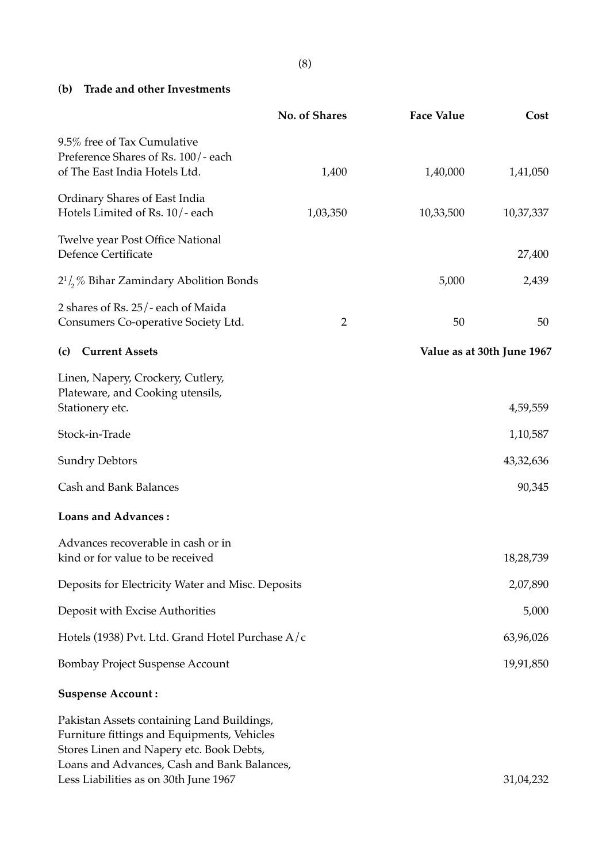(**b) Trade and other Investments**

|                                                                                                                                                                                                                               | No. of Shares  | <b>Face Value</b> | Cost                       |
|-------------------------------------------------------------------------------------------------------------------------------------------------------------------------------------------------------------------------------|----------------|-------------------|----------------------------|
| 9.5% free of Tax Cumulative<br>Preference Shares of Rs. 100/- each<br>of The East India Hotels Ltd.                                                                                                                           | 1,400          | 1,40,000          | 1,41,050                   |
| Ordinary Shares of East India<br>Hotels Limited of Rs. 10/-each                                                                                                                                                               | 1,03,350       | 10,33,500         | 10,37,337                  |
| Twelve year Post Office National<br><b>Defence Certificate</b>                                                                                                                                                                |                |                   | 27,400                     |
| $2^{1}/\sqrt{2}$ Bihar Zamindary Abolition Bonds                                                                                                                                                                              |                | 5,000             | 2,439                      |
| 2 shares of Rs. 25/- each of Maida<br>Consumers Co-operative Society Ltd.                                                                                                                                                     | $\overline{2}$ | 50                | 50                         |
| <b>Current Assets</b><br>(c)                                                                                                                                                                                                  |                |                   | Value as at 30th June 1967 |
| Linen, Napery, Crockery, Cutlery,<br>Plateware, and Cooking utensils,<br>Stationery etc.                                                                                                                                      |                |                   | 4,59,559                   |
| Stock-in-Trade                                                                                                                                                                                                                |                |                   | 1,10,587                   |
| <b>Sundry Debtors</b>                                                                                                                                                                                                         |                |                   | 43,32,636                  |
| Cash and Bank Balances                                                                                                                                                                                                        |                |                   | 90,345                     |
| <b>Loans and Advances:</b>                                                                                                                                                                                                    |                |                   |                            |
| Advances recoverable in cash or in<br>kind or for value to be received                                                                                                                                                        |                |                   | 18,28,739                  |
| Deposits for Electricity Water and Misc. Deposits                                                                                                                                                                             |                |                   | 2,07,890                   |
| Deposit with Excise Authorities                                                                                                                                                                                               |                |                   | 5,000                      |
| Hotels (1938) Pvt. Ltd. Grand Hotel Purchase A/c                                                                                                                                                                              |                |                   | 63,96,026                  |
| <b>Bombay Project Suspense Account</b>                                                                                                                                                                                        |                |                   | 19,91,850                  |
| <b>Suspense Account:</b>                                                                                                                                                                                                      |                |                   |                            |
| Pakistan Assets containing Land Buildings,<br>Furniture fittings and Equipments, Vehicles<br>Stores Linen and Napery etc. Book Debts,<br>Loans and Advances, Cash and Bank Balances,<br>Less Liabilities as on 30th June 1967 |                |                   | 31,04,232                  |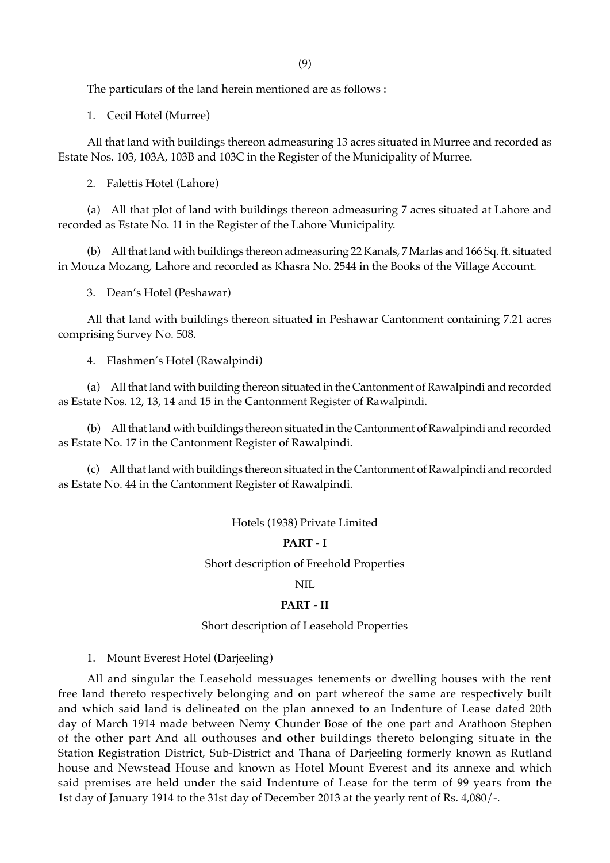The particulars of the land herein mentioned are as follows :

1. Cecil Hotel (Murree)

All that land with buildings thereon admeasuring 13 acres situated in Murree and recorded as Estate Nos. 103, 103A, 103B and 103C in the Register of the Municipality of Murree.

2. Falettis Hotel (Lahore)

(a) All that plot of land with buildings thereon admeasuring 7 acres situated at Lahore and recorded as Estate No. 11 in the Register of the Lahore Municipality.

(b) All that land with buildings thereon admeasuring 22 Kanals, 7 Marlas and 166 Sq. ft. situated in Mouza Mozang, Lahore and recorded as Khasra No. 2544 in the Books of the Village Account.

3. Dean's Hotel (Peshawar)

All that land with buildings thereon situated in Peshawar Cantonment containing 7.21 acres comprising Survey No. 508.

4. Flashmen's Hotel (Rawalpindi)

(a) All that land with building thereon situated in the Cantonment of Rawalpindi and recorded as Estate Nos. 12, 13, 14 and 15 in the Cantonment Register of Rawalpindi.

(b) All that land with buildings thereon situated in the Cantonment of Rawalpindi and recorded as Estate No. 17 in the Cantonment Register of Rawalpindi.

(c) All that land with buildings thereon situated in the Cantonment of Rawalpindi and recorded as Estate No. 44 in the Cantonment Register of Rawalpindi.

Hotels (1938) Private Limited

### **PART - I**

Short description of Freehold Properties

NIL

#### **PART - II**

Short description of Leasehold Properties

1. Mount Everest Hotel (Darjeeling)

All and singular the Leasehold messuages tenements or dwelling houses with the rent free land thereto respectively belonging and on part whereof the same are respectively built and which said land is delineated on the plan annexed to an Indenture of Lease dated 20th day of March 1914 made between Nemy Chunder Bose of the one part and Arathoon Stephen of the other part And all outhouses and other buildings thereto belonging situate in the Station Registration District, Sub-District and Thana of Darjeeling formerly known as Rutland house and Newstead House and known as Hotel Mount Everest and its annexe and which said premises are held under the said Indenture of Lease for the term of 99 years from the 1st day of January 1914 to the 31st day of December 2013 at the yearly rent of Rs. 4,080/-.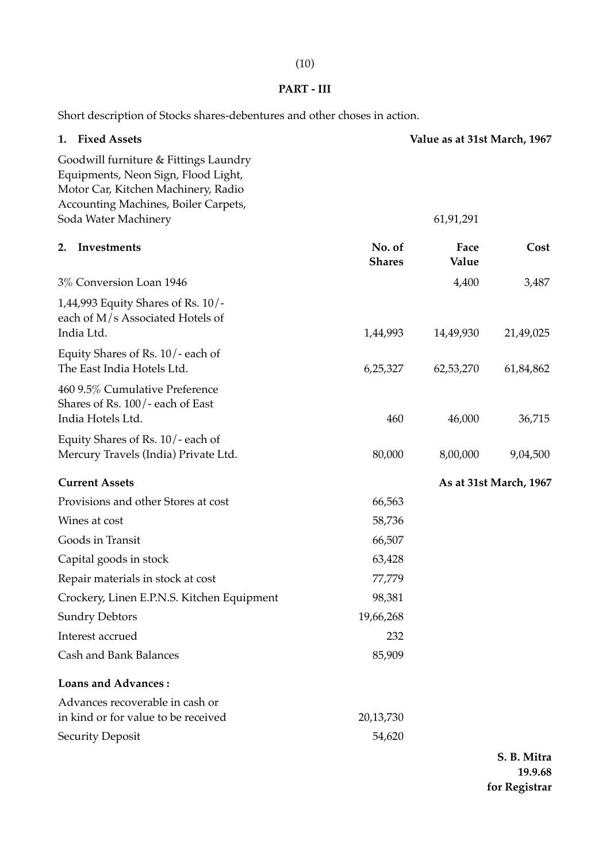# **PART - III**

Short description of Stocks shares-debentures and other choses in action.

|    | 1. Fixed Assets                                                                                                                                             |                         | Value as at 31st March, 1967 |                        |
|----|-------------------------------------------------------------------------------------------------------------------------------------------------------------|-------------------------|------------------------------|------------------------|
|    | Goodwill furniture & Fittings Laundry<br>Equipments, Neon Sign, Flood Light,<br>Motor Car, Kitchen Machinery, Radio<br>Accounting Machines, Boiler Carpets, |                         |                              |                        |
|    | Soda Water Machinery                                                                                                                                        |                         | 61,91,291                    |                        |
| 2. | Investments                                                                                                                                                 | No. of<br><b>Shares</b> | Face<br>Value                | Cost                   |
|    | 3% Conversion Loan 1946                                                                                                                                     |                         | 4,400                        | 3,487                  |
|    | 1,44,993 Equity Shares of Rs. 10/-<br>each of M/s Associated Hotels of<br>India Ltd.                                                                        | 1,44,993                |                              | 21,49,025              |
|    |                                                                                                                                                             |                         | 14,49,930                    |                        |
|    | Equity Shares of Rs. $10/-$ each of<br>The East India Hotels Ltd.                                                                                           | 6,25,327                | 62,53,270                    | 61,84,862              |
|    | 460 9.5% Cumulative Preference<br>Shares of Rs. 100/- each of East<br>India Hotels Ltd.                                                                     | 460                     | 46,000                       | 36,715                 |
|    | Equity Shares of Rs. 10/- each of<br>Mercury Travels (India) Private Ltd.                                                                                   | 80,000                  | 8,00,000                     | 9,04,500               |
|    | <b>Current Assets</b>                                                                                                                                       |                         |                              | As at 31st March, 1967 |
|    | Provisions and other Stores at cost                                                                                                                         | 66,563                  |                              |                        |
|    | Wines at cost                                                                                                                                               | 58,736                  |                              |                        |
|    | Goods in Transit                                                                                                                                            | 66,507                  |                              |                        |
|    | Capital goods in stock                                                                                                                                      | 63,428                  |                              |                        |
|    | Repair materials in stock at cost                                                                                                                           | 77,779                  |                              |                        |
|    | Crockery, Linen E.P.N.S. Kitchen Equipment                                                                                                                  | 98,381                  |                              |                        |
|    | <b>Sundry Debtors</b>                                                                                                                                       | 19,66,268               |                              |                        |
|    | Interest accrued                                                                                                                                            | 232                     |                              |                        |
|    | Cash and Bank Balances                                                                                                                                      | 85,909                  |                              |                        |
|    | <b>Loans and Advances:</b>                                                                                                                                  |                         |                              |                        |
|    | Advances recoverable in cash or                                                                                                                             |                         |                              |                        |
|    | in kind or for value to be received                                                                                                                         | 20,13,730               |                              |                        |
|    | <b>Security Deposit</b>                                                                                                                                     | 54,620                  |                              |                        |

# (10)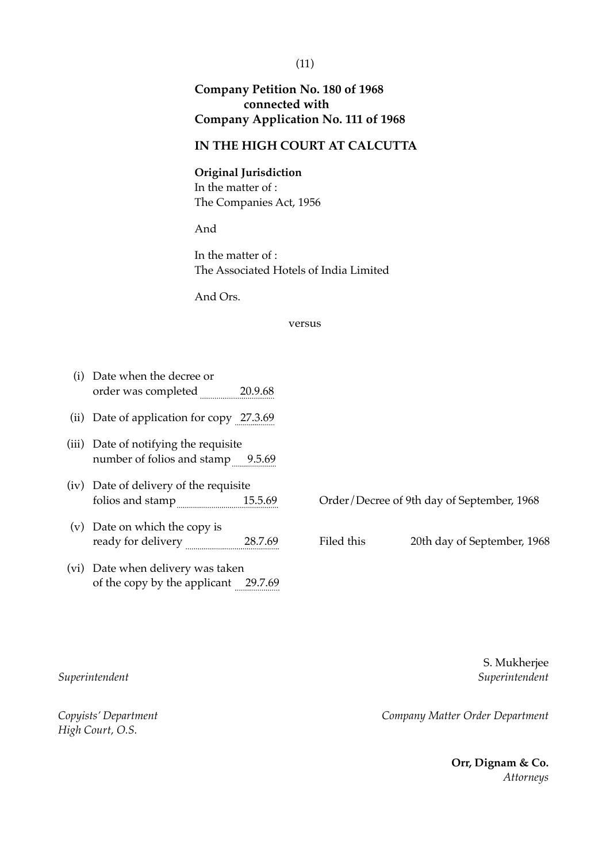# **Company Petition No. 180 of 1968 connected with Company Application No. 111 of 1968**

# **IN THE HIGH COURT AT CALCUTTA**

**Original Jurisdiction** In the matter of : The Companies Act, 1956

And

In the matter of : The Associated Hotels of India Limited

And Ors.

### versus

| (i)   | Date when the decree or<br>order was completed 20.9.68                    |            |                                            |
|-------|---------------------------------------------------------------------------|------------|--------------------------------------------|
| (11)  | Date of application for copy 27.3.69                                      |            |                                            |
| (iii) | Date of notifying the requisite<br>number of folios and stamp 9.5.69      |            |                                            |
|       | (iv) Date of delivery of the requisite<br>folios and stamp 15.5.69        |            | Order/Decree of 9th day of September, 1968 |
| (v)   | Date on which the copy is<br>ready for delivery 28.7.69                   | Filed this | 20th day of September, 1968                |
|       | (vi) Date when delivery was taken<br>of the copy by the applicant 29.7.69 |            |                                            |

*High Court, O.S.*

S. Mukherjee *Superintendent Superintendent*

(11)

*Copyists' Department Company Matter Order Department*

**Orr, Dignam & Co.** *Attorneys*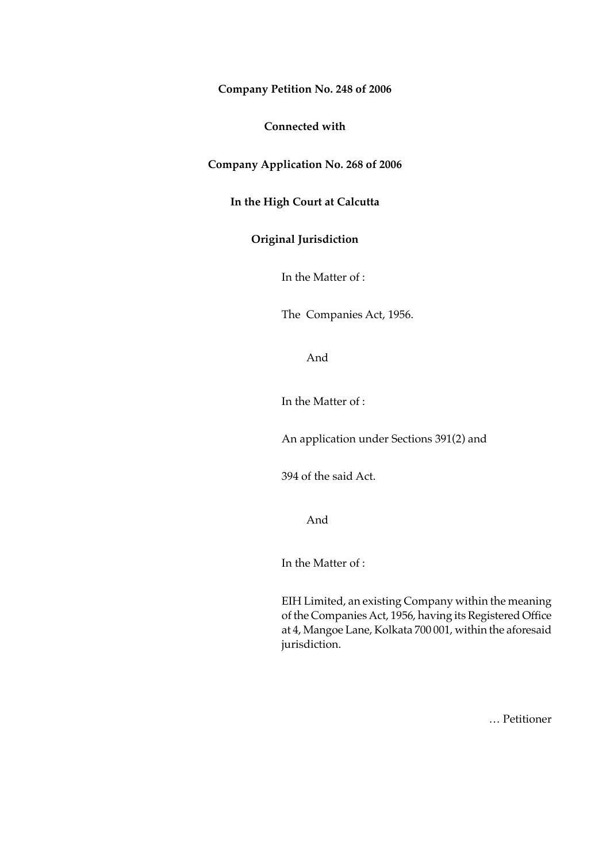**Company Petition No. 248 of 2006**

**Connected with**

**Company Application No. 268 of 2006**

**In the High Court at Calcutta**

## **Original Jurisdiction**

In the Matter of :

The Companies Act, 1956.

And

In the Matter of :

An application under Sections 391(2) and

394 of the said Act.

And

In the Matter of :

EIH Limited, an existing Company within the meaning of the Companies Act, 1956, having its Registered Office at 4, Mangoe Lane, Kolkata 700 001, within the aforesaid jurisdiction.

… Petitioner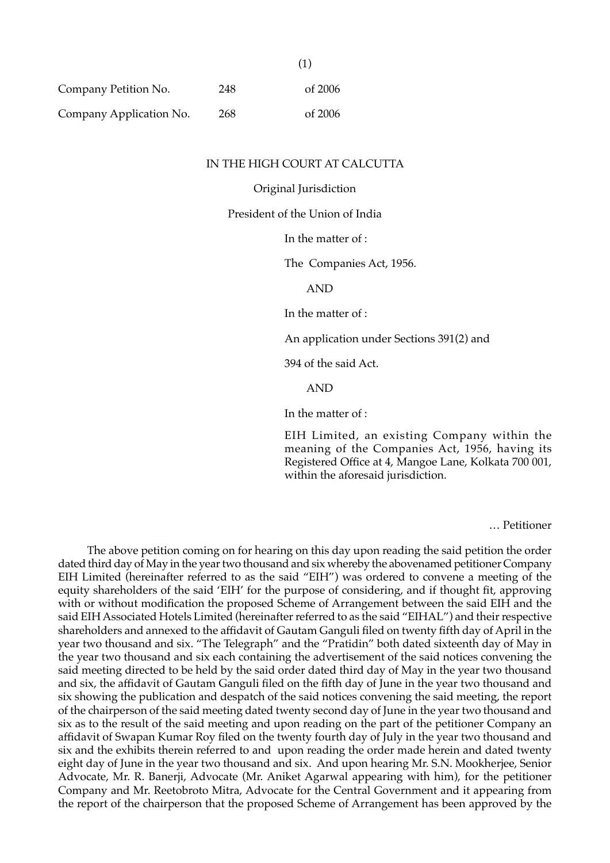| Company Petition No.    | 248 | of 2006 |
|-------------------------|-----|---------|
| Company Application No. | 268 | of 2006 |

#### IN THE HIGH COURT AT CALCUTTA

(1)

Original Jurisdiction

President of the Union of India

In the matter of :

The Companies Act, 1956.

AND

In the matter of :

An application under Sections 391(2) and

394 of the said Act.

AND

In the matter of :

EIH Limited, an existing Company within the meaning of the Companies Act, 1956, having its Registered Office at 4, Mangoe Lane, Kolkata 700 001, within the aforesaid jurisdiction.

… Petitioner

The above petition coming on for hearing on this day upon reading the said petition the order dated third day of May in the year two thousand and six whereby the abovenamed petitioner Company EIH Limited (hereinafter referred to as the said "EIH") was ordered to convene a meeting of the equity shareholders of the said 'EIH' for the purpose of considering, and if thought fit, approving with or without modification the proposed Scheme of Arrangement between the said EIH and the said EIH Associated Hotels Limited (hereinafter referred to as the said "EIHAL") and their respective shareholders and annexed to the affidavit of Gautam Ganguli filed on twenty fifth day of April in the year two thousand and six. "The Telegraph" and the "Pratidin" both dated sixteenth day of May in the year two thousand and six each containing the advertisement of the said notices convening the said meeting directed to be held by the said order dated third day of May in the year two thousand and six, the affidavit of Gautam Ganguli filed on the fifth day of June in the year two thousand and six showing the publication and despatch of the said notices convening the said meeting, the report of the chairperson of the said meeting dated twenty second day of June in the year two thousand and six as to the result of the said meeting and upon reading on the part of the petitioner Company an affidavit of Swapan Kumar Roy filed on the twenty fourth day of July in the year two thousand and six and the exhibits therein referred to and upon reading the order made herein and dated twenty eight day of June in the year two thousand and six. And upon hearing Mr. S.N. Mookherjee, Senior Advocate, Mr. R. Banerji, Advocate (Mr. Aniket Agarwal appearing with him), for the petitioner Company and Mr. Reetobroto Mitra, Advocate for the Central Government and it appearing from the report of the chairperson that the proposed Scheme of Arrangement has been approved by the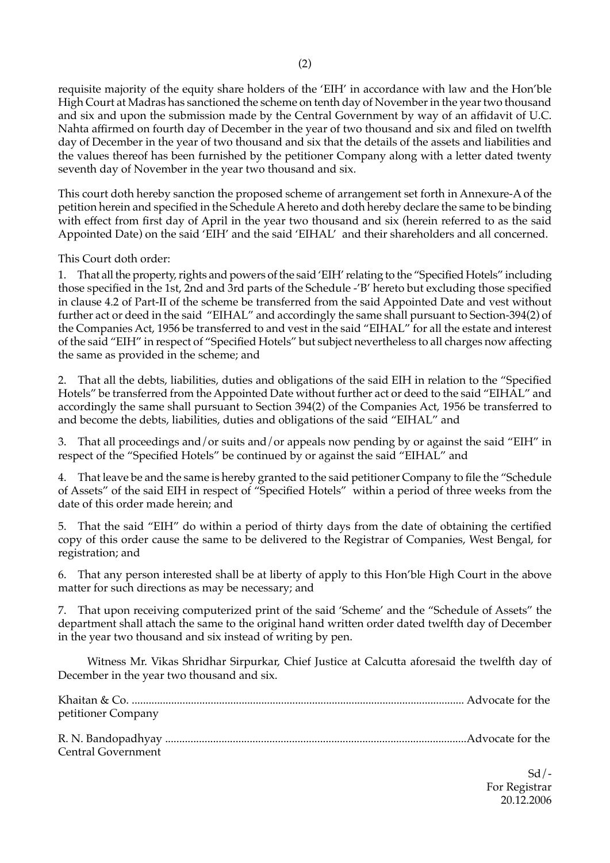requisite majority of the equity share holders of the 'EIH' in accordance with law and the Hon'ble High Court at Madras has sanctioned the scheme on tenth day of November in the year two thousand and six and upon the submission made by the Central Government by way of an affidavit of U.C. Nahta affirmed on fourth day of December in the year of two thousand and six and filed on twelfth day of December in the year of two thousand and six that the details of the assets and liabilities and the values thereof has been furnished by the petitioner Company along with a letter dated twenty seventh day of November in the year two thousand and six.

This court doth hereby sanction the proposed scheme of arrangement set forth in Annexure-A of the petition herein and specified in the Schedule A hereto and doth hereby declare the same to be binding with effect from first day of April in the year two thousand and six (herein referred to as the said Appointed Date) on the said 'EIH' and the said 'EIHAL' and their shareholders and all concerned.

This Court doth order:

1. That all the property, rights and powers of the said 'EIH' relating to the "Specified Hotels" including those specified in the 1st, 2nd and 3rd parts of the Schedule -'B' hereto but excluding those specified in clause 4.2 of Part-II of the scheme be transferred from the said Appointed Date and vest without further act or deed in the said "EIHAL" and accordingly the same shall pursuant to Section-394(2) of the Companies Act, 1956 be transferred to and vest in the said "EIHAL" for all the estate and interest of the said "EIH" in respect of "Specified Hotels" but subject nevertheless to all charges now affecting the same as provided in the scheme; and

2. That all the debts, liabilities, duties and obligations of the said EIH in relation to the "Specified Hotels" be transferred from the Appointed Date without further act or deed to the said "EIHAL" and accordingly the same shall pursuant to Section 394(2) of the Companies Act, 1956 be transferred to and become the debts, liabilities, duties and obligations of the said "EIHAL" and

3. That all proceedings and/or suits and/or appeals now pending by or against the said "EIH" in respect of the "Specified Hotels" be continued by or against the said "EIHAL" and

4. That leave be and the same is hereby granted to the said petitioner Company to file the "Schedule of Assets" of the said EIH in respect of "Specified Hotels" within a period of three weeks from the date of this order made herein; and

5. That the said "EIH" do within a period of thirty days from the date of obtaining the certified copy of this order cause the same to be delivered to the Registrar of Companies, West Bengal, for registration; and

6. That any person interested shall be at liberty of apply to this Hon'ble High Court in the above matter for such directions as may be necessary; and

7. That upon receiving computerized print of the said 'Scheme' and the "Schedule of Assets" the department shall attach the same to the original hand written order dated twelfth day of December in the year two thousand and six instead of writing by pen.

Witness Mr. Vikas Shridhar Sirpurkar, Chief Justice at Calcutta aforesaid the twelfth day of December in the year two thousand and six.

| petitioner Company |  |
|--------------------|--|
|                    |  |
| Central Government |  |

 $Sd$  /-For Registrar 20.12.2006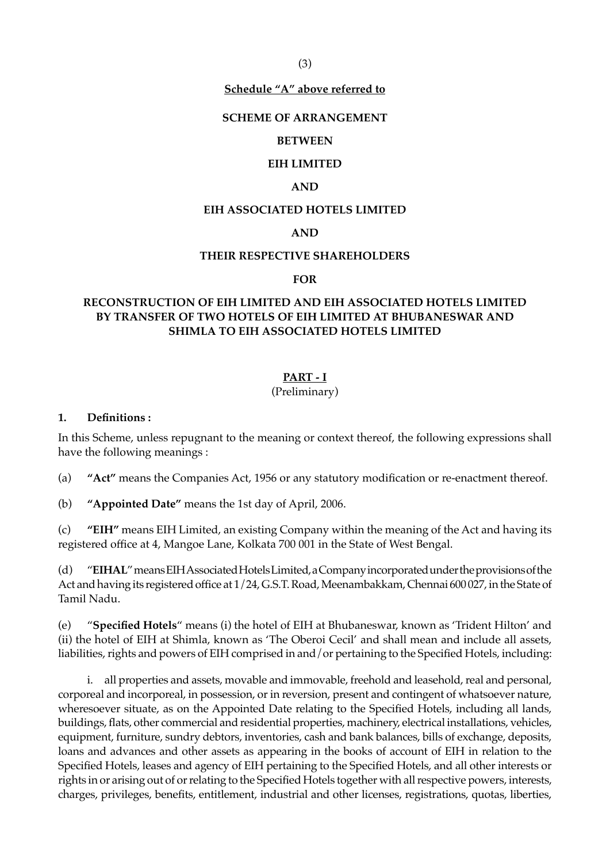(3)

#### **Schedule "A" above referred to**

#### **SCHEME OF ARRANGEMENT**

#### **BETWEEN**

#### **EIH LIMITED**

#### **AND**

#### **EIH ASSOCIATED HOTELS LIMITED**

#### **AND**

#### **THEIR RESPECTIVE SHAREHOLDERS**

#### **FOR**

# **RECONSTRUCTION OF EIH LIMITED AND EIH ASSOCIATED HOTELS LIMITED BY TRANSFER OF TWO HOTELS OF EIH LIMITED AT BHUBANESWAR AND SHIMLA TO EIH ASSOCIATED HOTELS LIMITED**

### **PART - I**

## (Preliminary)

#### **1. Definitions :**

In this Scheme, unless repugnant to the meaning or context thereof, the following expressions shall have the following meanings :

(a) **"Act"** means the Companies Act, 1956 or any statutory modification or re-enactment thereof.

(b) **"Appointed Date"** means the 1st day of April, 2006.

(c) **"EIH"** means EIH Limited, an existing Company within the meaning of the Act and having its registered office at 4, Mangoe Lane, Kolkata 700 001 in the State of West Bengal.

(d) "**EIHAL**" means EIH Associated Hotels Limited, a Company incorporated under the provisions of the Act and having its registered office at 1/24, G.S.T. Road, Meenambakkam, Chennai 600 027, in the State of Tamil Nadu.

(e) "**Specified Hotels**" means (i) the hotel of EIH at Bhubaneswar, known as 'Trident Hilton' and (ii) the hotel of EIH at Shimla, known as 'The Oberoi Cecil' and shall mean and include all assets, liabilities, rights and powers of EIH comprised in and/or pertaining to the Specified Hotels, including:

i. all properties and assets, movable and immovable, freehold and leasehold, real and personal, corporeal and incorporeal, in possession, or in reversion, present and contingent of whatsoever nature, wheresoever situate, as on the Appointed Date relating to the Specified Hotels, including all lands, buildings, flats, other commercial and residential properties, machinery, electrical installations, vehicles, equipment, furniture, sundry debtors, inventories, cash and bank balances, bills of exchange, deposits, loans and advances and other assets as appearing in the books of account of EIH in relation to the Specified Hotels, leases and agency of EIH pertaining to the Specified Hotels, and all other interests or rights in or arising out of or relating to the Specified Hotels together with all respective powers, interests, charges, privileges, benefits, entitlement, industrial and other licenses, registrations, quotas, liberties,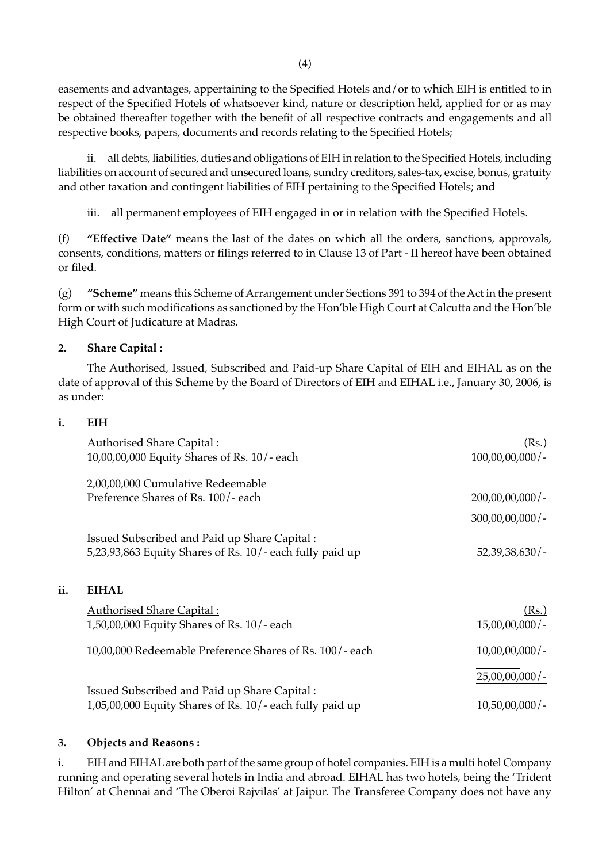(4)

easements and advantages, appertaining to the Specified Hotels and/or to which EIH is entitled to in respect of the Specified Hotels of whatsoever kind, nature or description held, applied for or as may be obtained thereafter together with the benefit of all respective contracts and engagements and all respective books, papers, documents and records relating to the Specified Hotels;

ii. all debts, liabilities, duties and obligations of EIH in relation to the Specified Hotels, including liabilities on account of secured and unsecured loans, sundry creditors, sales-tax, excise, bonus, gratuity and other taxation and contingent liabilities of EIH pertaining to the Specified Hotels; and

iii. all permanent employees of EIH engaged in or in relation with the Specified Hotels.

(f) **"Effective Date"** means the last of the dates on which all the orders, sanctions, approvals, consents, conditions, matters or filings referred to in Clause 13 of Part - II hereof have been obtained or filed.

(g) **"Scheme"** means this Scheme of Arrangement under Sections 391 to 394 of the Act in the present form or with such modifications as sanctioned by the Hon'ble High Court at Calcutta and the Hon'ble High Court of Judicature at Madras.

# **2. Share Capital :**

The Authorised, Issued, Subscribed and Paid-up Share Capital of EIH and EIHAL as on the date of approval of this Scheme by the Board of Directors of EIH and EIHAL i.e., January 30, 2006, is as under:

# **i. EIH**

 $\mathbf{ii}$ 

| <b>Authorised Share Capital:</b>                             | (Rs.)              |
|--------------------------------------------------------------|--------------------|
| 10,00,00,000 Equity Shares of Rs. 10/-each                   | $100,00,00,000/$ - |
| 2,00,00,000 Cumulative Redeemable                            |                    |
| Preference Shares of Rs. 100/- each                          | $200,00,00,000/$ - |
|                                                              | $300,00,00,000/$ - |
| <b>Issued Subscribed and Paid up Share Capital:</b>          |                    |
| 5,23,93,863 Equity Shares of Rs. 10/- each fully paid up     | 52,39,38,630/      |
| <b>EIHAL</b>                                                 |                    |
|                                                              |                    |
| <b>Authorised Share Capital:</b>                             | (Rs.)              |
| $1,50,00,000$ Equity Shares of Rs. $10/-$ each               | $15,00,00,000/$ -  |
| 10,00,000 Redeemable Preference Shares of Rs. 100/- each     | $10,00,00,000/$ -  |
|                                                              | $25,00,00,000/$ -  |
| <b>Issued Subscribed and Paid up Share Capital:</b>          |                    |
| $1,05,00,000$ Equity Shares of Rs. $10/-$ each fully paid up | $10,50,00,000/$ -  |

# **3. Objects and Reasons :**

i. EIH and EIHAL are both part of the same group of hotel companies. EIH is a multi hotel Company running and operating several hotels in India and abroad. EIHAL has two hotels, being the 'Trident Hilton' at Chennai and 'The Oberoi Rajvilas' at Jaipur. The Transferee Company does not have any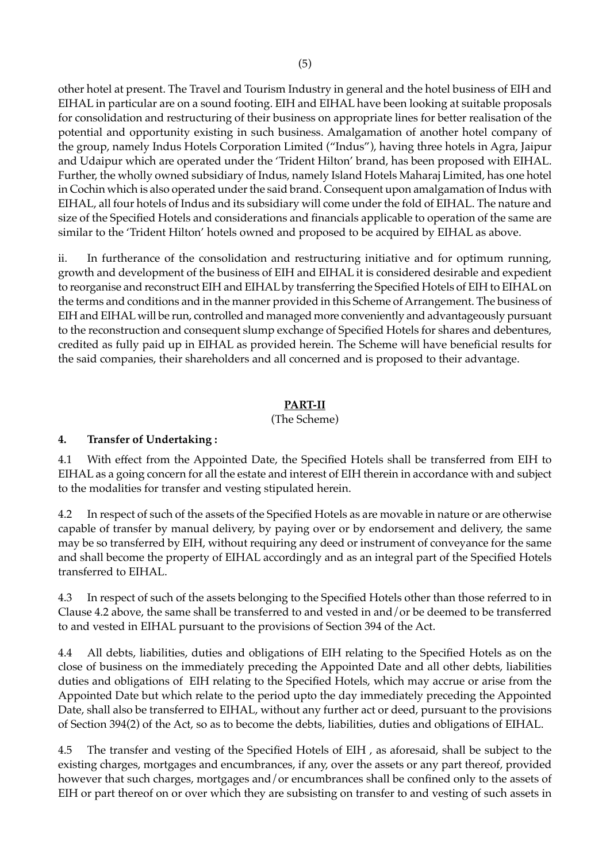other hotel at present. The Travel and Tourism Industry in general and the hotel business of EIH and EIHAL in particular are on a sound footing. EIH and EIHAL have been looking at suitable proposals for consolidation and restructuring of their business on appropriate lines for better realisation of the potential and opportunity existing in such business. Amalgamation of another hotel company of the group, namely Indus Hotels Corporation Limited ("Indus"), having three hotels in Agra, Jaipur and Udaipur which are operated under the 'Trident Hilton' brand, has been proposed with EIHAL. Further, the wholly owned subsidiary of Indus, namely Island Hotels Maharaj Limited, has one hotel in Cochin which is also operated under the said brand. Consequent upon amalgamation of Indus with EIHAL, all four hotels of Indus and its subsidiary will come under the fold of EIHAL. The nature and size of the Specified Hotels and considerations and financials applicable to operation of the same are similar to the 'Trident Hilton' hotels owned and proposed to be acquired by EIHAL as above.

ii. In furtherance of the consolidation and restructuring initiative and for optimum running, growth and development of the business of EIH and EIHAL it is considered desirable and expedient to reorganise and reconstruct EIH and EIHAL by transferring the Specified Hotels of EIH to EIHAL on the terms and conditions and in the manner provided in this Scheme of Arrangement. The business of EIH and EIHAL will be run, controlled and managed more conveniently and advantageously pursuant to the reconstruction and consequent slump exchange of Specified Hotels for shares and debentures, credited as fully paid up in EIHAL as provided herein. The Scheme will have beneficial results for the said companies, their shareholders and all concerned and is proposed to their advantage.

# **PART-II**

(The Scheme)

# **4. Transfer of Undertaking :**

4.1 With effect from the Appointed Date, the Specified Hotels shall be transferred from EIH to EIHAL as a going concern for all the estate and interest of EIH therein in accordance with and subject to the modalities for transfer and vesting stipulated herein.

4.2 In respect of such of the assets of the Specified Hotels as are movable in nature or are otherwise capable of transfer by manual delivery, by paying over or by endorsement and delivery, the same may be so transferred by EIH, without requiring any deed or instrument of conveyance for the same and shall become the property of EIHAL accordingly and as an integral part of the Specified Hotels transferred to EIHAL.

4.3 In respect of such of the assets belonging to the Specified Hotels other than those referred to in Clause 4.2 above, the same shall be transferred to and vested in and/or be deemed to be transferred to and vested in EIHAL pursuant to the provisions of Section 394 of the Act.

4.4 All debts, liabilities, duties and obligations of EIH relating to the Specified Hotels as on the close of business on the immediately preceding the Appointed Date and all other debts, liabilities duties and obligations of EIH relating to the Specified Hotels, which may accrue or arise from the Appointed Date but which relate to the period upto the day immediately preceding the Appointed Date, shall also be transferred to EIHAL, without any further act or deed, pursuant to the provisions of Section 394(2) of the Act, so as to become the debts, liabilities, duties and obligations of EIHAL.

4.5 The transfer and vesting of the Specified Hotels of EIH , as aforesaid, shall be subject to the existing charges, mortgages and encumbrances, if any, over the assets or any part thereof, provided however that such charges, mortgages and/or encumbrances shall be confined only to the assets of EIH or part thereof on or over which they are subsisting on transfer to and vesting of such assets in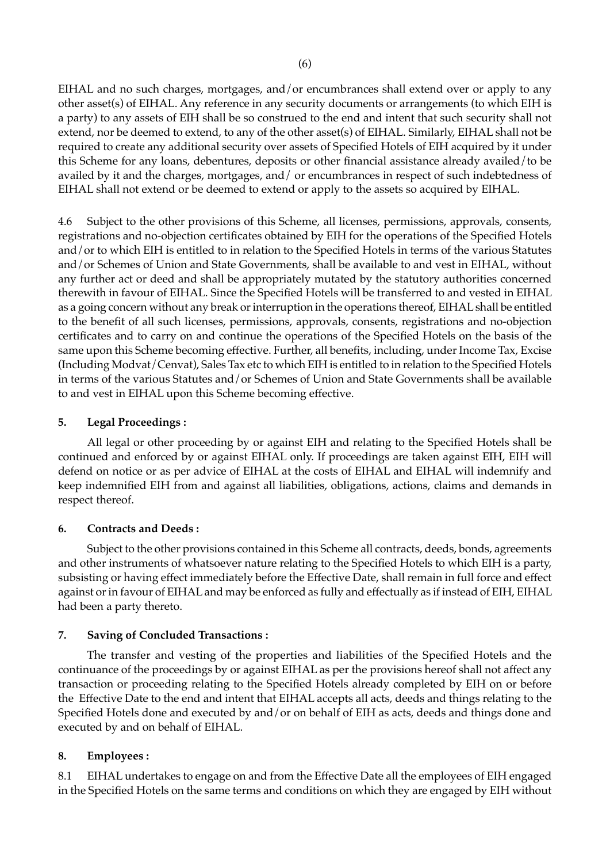EIHAL and no such charges, mortgages, and/or encumbrances shall extend over or apply to any other asset(s) of EIHAL. Any reference in any security documents or arrangements (to which EIH is a party) to any assets of EIH shall be so construed to the end and intent that such security shall not extend, nor be deemed to extend, to any of the other asset(s) of EIHAL. Similarly, EIHAL shall not be required to create any additional security over assets of Specified Hotels of EIH acquired by it under this Scheme for any loans, debentures, deposits or other financial assistance already availed/to be availed by it and the charges, mortgages, and/ or encumbrances in respect of such indebtedness of EIHAL shall not extend or be deemed to extend or apply to the assets so acquired by EIHAL.

4.6 Subject to the other provisions of this Scheme, all licenses, permissions, approvals, consents, registrations and no-objection certificates obtained by EIH for the operations of the Specified Hotels and/or to which EIH is entitled to in relation to the Specified Hotels in terms of the various Statutes and/or Schemes of Union and State Governments, shall be available to and vest in EIHAL, without any further act or deed and shall be appropriately mutated by the statutory authorities concerned therewith in favour of EIHAL. Since the Specified Hotels will be transferred to and vested in EIHAL as a going concern without any break or interruption in the operations thereof, EIHAL shall be entitled to the benefit of all such licenses, permissions, approvals, consents, registrations and no-objection certificates and to carry on and continue the operations of the Specified Hotels on the basis of the same upon this Scheme becoming effective. Further, all benefits, including, under Income Tax, Excise (Including Modvat/Cenvat), Sales Tax etc to which EIH is entitled to in relation to the Specified Hotels in terms of the various Statutes and/or Schemes of Union and State Governments shall be available to and vest in EIHAL upon this Scheme becoming effective.

# **5. Legal Proceedings :**

All legal or other proceeding by or against EIH and relating to the Specified Hotels shall be continued and enforced by or against EIHAL only. If proceedings are taken against EIH, EIH will defend on notice or as per advice of EIHAL at the costs of EIHAL and EIHAL will indemnify and keep indemnified EIH from and against all liabilities, obligations, actions, claims and demands in respect thereof.

# **6. Contracts and Deeds :**

Subject to the other provisions contained in this Scheme all contracts, deeds, bonds, agreements and other instruments of whatsoever nature relating to the Specified Hotels to which EIH is a party, subsisting or having effect immediately before the Effective Date, shall remain in full force and effect against or in favour of EIHAL and may be enforced as fully and effectually as if instead of EIH, EIHAL had been a party thereto.

# **7. Saving of Concluded Transactions :**

The transfer and vesting of the properties and liabilities of the Specified Hotels and the continuance of the proceedings by or against EIHAL as per the provisions hereof shall not affect any transaction or proceeding relating to the Specified Hotels already completed by EIH on or before the Effective Date to the end and intent that EIHAL accepts all acts, deeds and things relating to the Specified Hotels done and executed by and/or on behalf of EIH as acts, deeds and things done and executed by and on behalf of EIHAL.

# **8. Employees :**

8.1 EIHAL undertakes to engage on and from the Effective Date all the employees of EIH engaged in the Specified Hotels on the same terms and conditions on which they are engaged by EIH without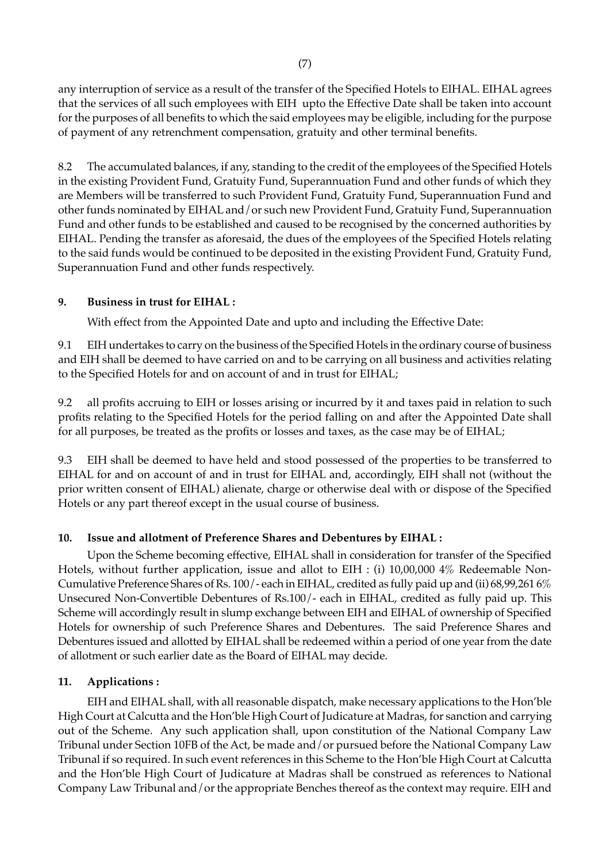any interruption of service as a result of the transfer of the Specified Hotels to EIHAL. EIHAL agrees that the services of all such employees with EIH upto the Effective Date shall be taken into account for the purposes of all benefits to which the said employees may be eligible, including for the purpose of payment of any retrenchment compensation, gratuity and other terminal benefits.

8.2 The accumulated balances, if any, standing to the credit of the employees of the Specified Hotels in the existing Provident Fund, Gratuity Fund, Superannuation Fund and other funds of which they are Members will be transferred to such Provident Fund, Gratuity Fund, Superannuation Fund and other funds nominated by EIHAL and/or such new Provident Fund, Gratuity Fund, Superannuation Fund and other funds to be established and caused to be recognised by the concerned authorities by EIHAL. Pending the transfer as aforesaid, the dues of the employees of the Specified Hotels relating to the said funds would be continued to be deposited in the existing Provident Fund, Gratuity Fund, Superannuation Fund and other funds respectively.

# **9. Business in trust for EIHAL :**

With effect from the Appointed Date and upto and including the Effective Date:

9.1 EIH undertakes to carry on the business of the Specified Hotels in the ordinary course of business and EIH shall be deemed to have carried on and to be carrying on all business and activities relating to the Specified Hotels for and on account of and in trust for EIHAL;

9.2 all profits accruing to EIH or losses arising or incurred by it and taxes paid in relation to such profits relating to the Specified Hotels for the period falling on and after the Appointed Date shall for all purposes, be treated as the profits or losses and taxes, as the case may be of EIHAL;

9.3 EIH shall be deemed to have held and stood possessed of the properties to be transferred to EIHAL for and on account of and in trust for EIHAL and, accordingly, EIH shall not (without the prior written consent of EIHAL) alienate, charge or otherwise deal with or dispose of the Specified Hotels or any part thereof except in the usual course of business.

### **10. Issue and allotment of Preference Shares and Debentures by EIHAL :**

Upon the Scheme becoming effective, EIHAL shall in consideration for transfer of the Specified Hotels, without further application, issue and allot to EIH : (i) 10,00,000 4% Redeemable Non-Cumulative Preference Shares of Rs. 100/- each in EIHAL, credited as fully paid up and (ii) 68,99,261 6% Unsecured Non-Convertible Debentures of Rs.100/- each in EIHAL, credited as fully paid up. This Scheme will accordingly result in slump exchange between EIH and EIHAL of ownership of Specified Hotels for ownership of such Preference Shares and Debentures. The said Preference Shares and Debentures issued and allotted by EIHAL shall be redeemed within a period of one year from the date of allotment or such earlier date as the Board of EIHAL may decide.

### **11. Applications :**

EIH and EIHAL shall, with all reasonable dispatch, make necessary applications to the Hon'ble High Court at Calcutta and the Hon'ble High Court of Judicature at Madras, for sanction and carrying out of the Scheme. Any such application shall, upon constitution of the National Company Law Tribunal under Section 10FB of the Act, be made and/or pursued before the National Company Law Tribunal if so required. In such event references in this Scheme to the Hon'ble High Court at Calcutta and the Hon'ble High Court of Judicature at Madras shall be construed as references to National Company Law Tribunal and/or the appropriate Benches thereof as the context may require. EIH and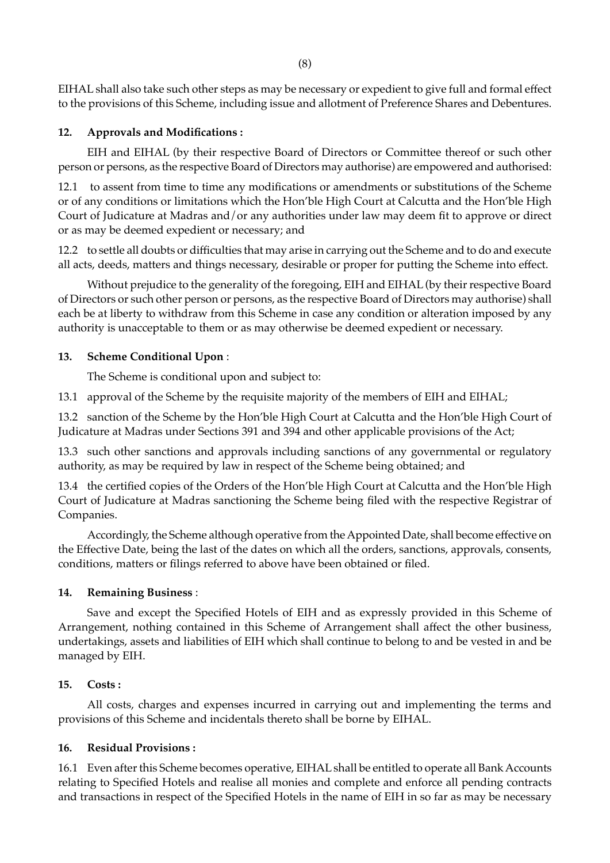EIHAL shall also take such other steps as may be necessary or expedient to give full and formal effect to the provisions of this Scheme, including issue and allotment of Preference Shares and Debentures.

## **12. Approvals and Modifications :**

EIH and EIHAL (by their respective Board of Directors or Committee thereof or such other person or persons, as the respective Board of Directors may authorise) are empowered and authorised:

12.1 to assent from time to time any modifications or amendments or substitutions of the Scheme or of any conditions or limitations which the Hon'ble High Court at Calcutta and the Hon'ble High Court of Judicature at Madras and/or any authorities under law may deem fit to approve or direct or as may be deemed expedient or necessary; and

12.2 to settle all doubts or difficulties that may arise in carrying out the Scheme and to do and execute all acts, deeds, matters and things necessary, desirable or proper for putting the Scheme into effect.

Without prejudice to the generality of the foregoing, EIH and EIHAL (by their respective Board of Directors or such other person or persons, as the respective Board of Directors may authorise) shall each be at liberty to withdraw from this Scheme in case any condition or alteration imposed by any authority is unacceptable to them or as may otherwise be deemed expedient or necessary.

## **13. Scheme Conditional Upon** :

The Scheme is conditional upon and subject to:

13.1 approval of the Scheme by the requisite majority of the members of EIH and EIHAL;

13.2 sanction of the Scheme by the Hon'ble High Court at Calcutta and the Hon'ble High Court of Judicature at Madras under Sections 391 and 394 and other applicable provisions of the Act;

13.3 such other sanctions and approvals including sanctions of any governmental or regulatory authority, as may be required by law in respect of the Scheme being obtained; and

13.4 the certified copies of the Orders of the Hon'ble High Court at Calcutta and the Hon'ble High Court of Judicature at Madras sanctioning the Scheme being filed with the respective Registrar of Companies.

Accordingly, the Scheme although operative from the Appointed Date, shall become effective on the Effective Date, being the last of the dates on which all the orders, sanctions, approvals, consents, conditions, matters or filings referred to above have been obtained or filed.

# **14. Remaining Business** :

Save and except the Specified Hotels of EIH and as expressly provided in this Scheme of Arrangement, nothing contained in this Scheme of Arrangement shall affect the other business, undertakings, assets and liabilities of EIH which shall continue to belong to and be vested in and be managed by EIH.

### **15. Costs :**

All costs, charges and expenses incurred in carrying out and implementing the terms and provisions of this Scheme and incidentals thereto shall be borne by EIHAL.

### **16. Residual Provisions :**

16.1 Even after this Scheme becomes operative, EIHAL shall be entitled to operate all Bank Accounts relating to Specified Hotels and realise all monies and complete and enforce all pending contracts and transactions in respect of the Specified Hotels in the name of EIH in so far as may be necessary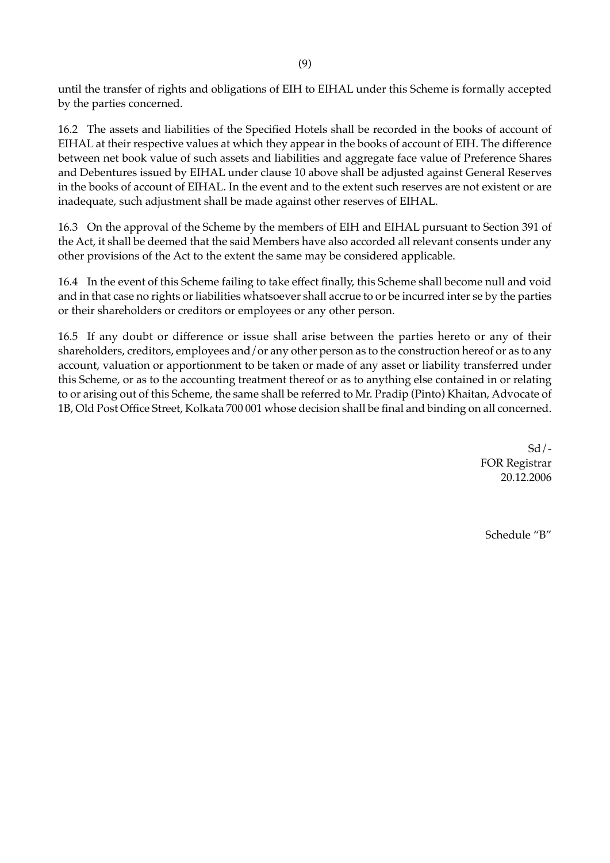until the transfer of rights and obligations of EIH to EIHAL under this Scheme is formally accepted by the parties concerned.

16.2 The assets and liabilities of the Specified Hotels shall be recorded in the books of account of EIHAL at their respective values at which they appear in the books of account of EIH. The difference between net book value of such assets and liabilities and aggregate face value of Preference Shares and Debentures issued by EIHAL under clause 10 above shall be adjusted against General Reserves in the books of account of EIHAL. In the event and to the extent such reserves are not existent or are inadequate, such adjustment shall be made against other reserves of EIHAL.

16.3 On the approval of the Scheme by the members of EIH and EIHAL pursuant to Section 391 of the Act, it shall be deemed that the said Members have also accorded all relevant consents under any other provisions of the Act to the extent the same may be considered applicable.

16.4 In the event of this Scheme failing to take effect finally, this Scheme shall become null and void and in that case no rights or liabilities whatsoever shall accrue to or be incurred inter se by the parties or their shareholders or creditors or employees or any other person.

16.5 If any doubt or difference or issue shall arise between the parties hereto or any of their shareholders, creditors, employees and/or any other person as to the construction hereof or as to any account, valuation or apportionment to be taken or made of any asset or liability transferred under this Scheme, or as to the accounting treatment thereof or as to anything else contained in or relating to or arising out of this Scheme, the same shall be referred to Mr. Pradip (Pinto) Khaitan, Advocate of 1B, Old Post Office Street, Kolkata 700 001 whose decision shall be final and binding on all concerned.

> $Sd$  /-FOR Registrar 20.12.2006

Schedule "B"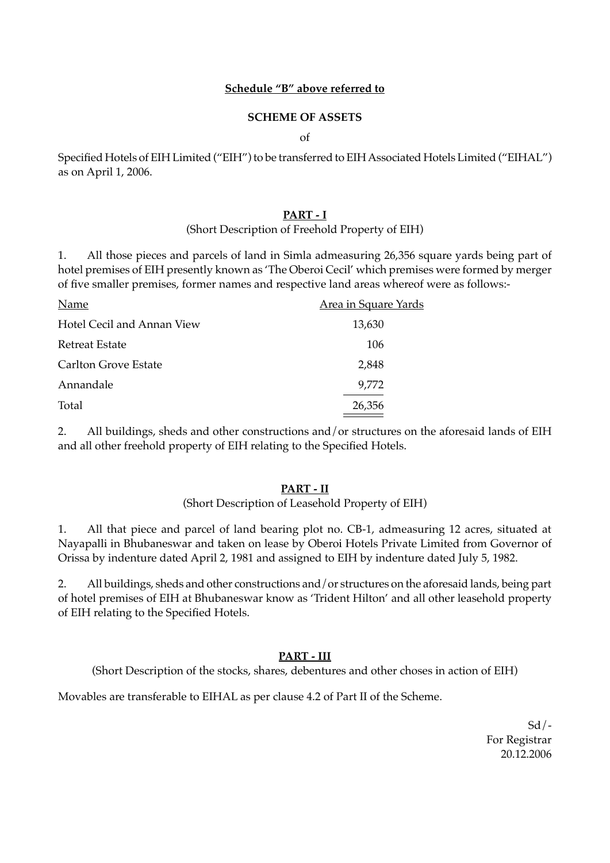# **Schedule "B" above referred to**

## **SCHEME OF ASSETS**

of

Specified Hotels of EIH Limited ("EIH") to be transferred to EIH Associated Hotels Limited ("EIHAL") as on April 1, 2006.

## **PART - I**

## (Short Description of Freehold Property of EIH)

1. All those pieces and parcels of land in Simla admeasuring 26,356 square yards being part of hotel premises of EIH presently known as 'The Oberoi Cecil' which premises were formed by merger of five smaller premises, former names and respective land areas whereof were as follows:-

| Name                        | <u>Area in Square Yards</u> |
|-----------------------------|-----------------------------|
| Hotel Cecil and Annan View  | 13,630                      |
| <b>Retreat Estate</b>       | 106                         |
| <b>Carlton Grove Estate</b> | 2,848                       |
| Annandale                   | 9,772                       |
| Total                       | 26,356                      |

2. All buildings, sheds and other constructions and/or structures on the aforesaid lands of EIH and all other freehold property of EIH relating to the Specified Hotels.

# **PART - II**

### (Short Description of Leasehold Property of EIH)

1. All that piece and parcel of land bearing plot no. CB-1, admeasuring 12 acres, situated at Nayapalli in Bhubaneswar and taken on lease by Oberoi Hotels Private Limited from Governor of Orissa by indenture dated April 2, 1981 and assigned to EIH by indenture dated July 5, 1982.

2. All buildings, sheds and other constructions and/or structures on the aforesaid lands, being part of hotel premises of EIH at Bhubaneswar know as 'Trident Hilton' and all other leasehold property of EIH relating to the Specified Hotels.

# **PART - III**

(Short Description of the stocks, shares, debentures and other choses in action of EIH)

Movables are transferable to EIHAL as per clause 4.2 of Part II of the Scheme.

 $Sd$  /-For Registrar 20.12.2006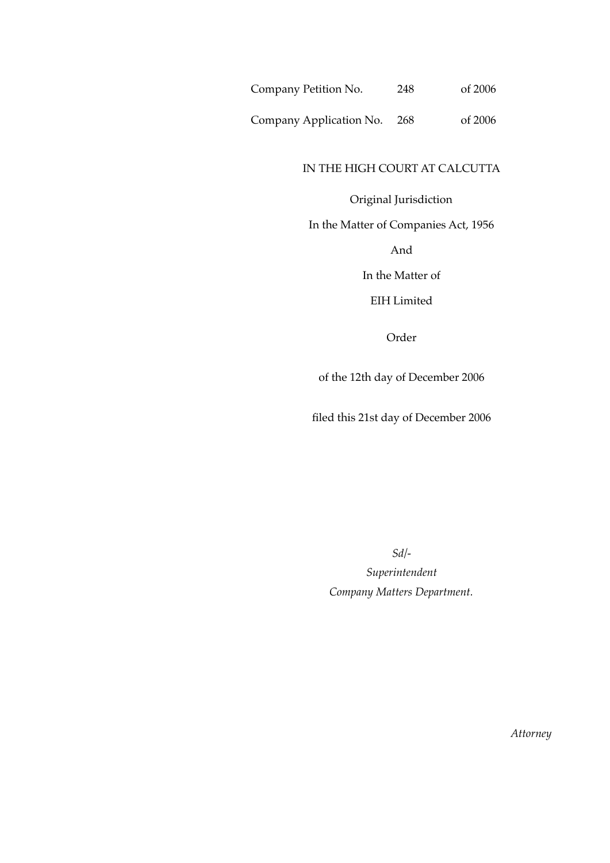Company Petition No. 248 of 2006

Company Application No. 268 of 2006

# IN THE HIGH COURT AT CALCUTTA

# Original Jurisdiction

In the Matter of Companies Act, 1956

And

In the Matter of

EIH Limited

Order

of the 12th day of December 2006

filed this 21st day of December 2006

*Sd/-*

*Superintendent Company Matters Department.*

*Attorney*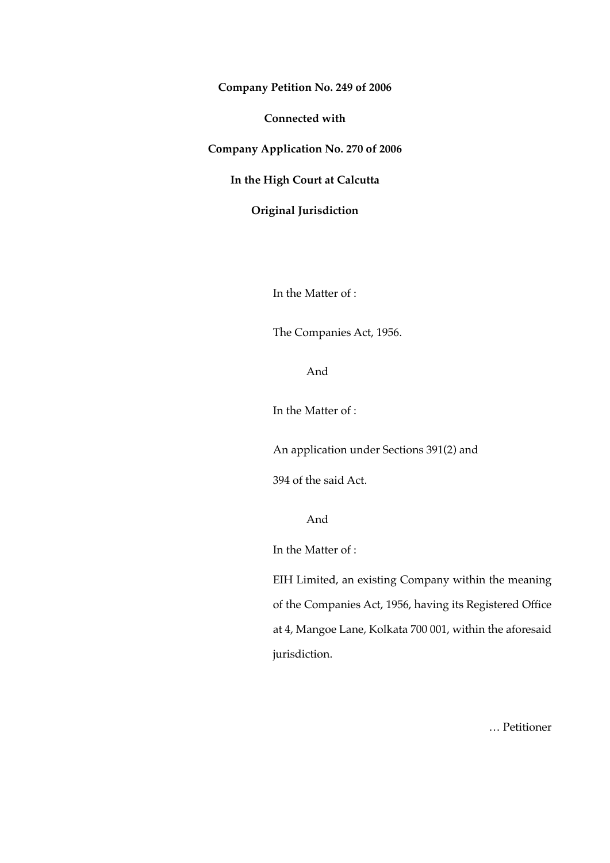**Company Petition No. 249 of 2006**

**Connected with**

**Company Application No. 270 of 2006**

**In the High Court at Calcutta**

**Original Jurisdiction**

In the Matter of :

The Companies Act, 1956.

And

In the Matter of :

An application under Sections 391(2) and

394 of the said Act.

And

In the Matter of :

EIH Limited, an existing Company within the meaning of the Companies Act, 1956, having its Registered Office at 4, Mangoe Lane, Kolkata 700 001, within the aforesaid jurisdiction.

… Petitioner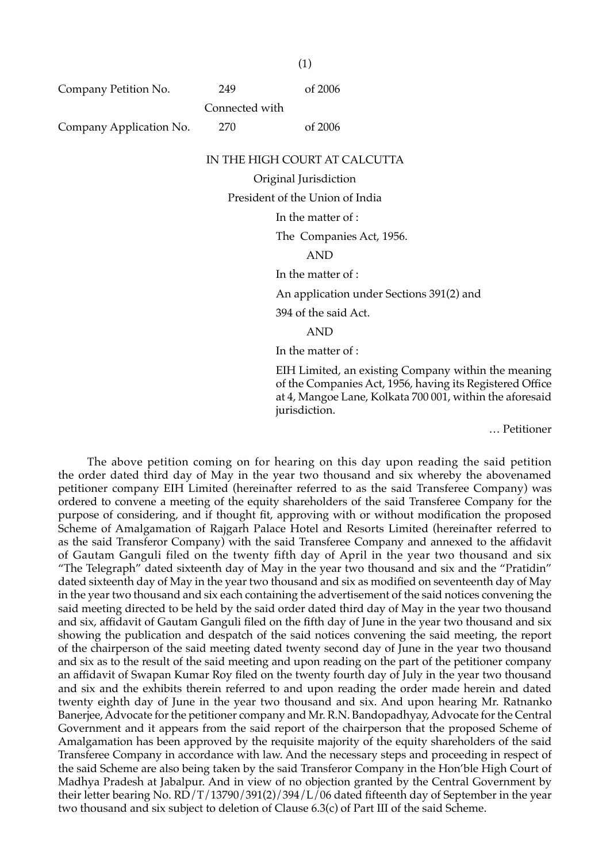Company Petition No. 249 of 2006

Connected with

Company Application No. 270 of 2006

(1)

#### IN THE HIGH COURT AT CALCUTTA

Original Jurisdiction

President of the Union of India

In the matter of :

The Companies Act, 1956.

AND

In the matter of :

An application under Sections 391(2) and

394 of the said Act.

AND

In the matter of :

EIH Limited, an existing Company within the meaning of the Companies Act, 1956, having its Registered Office at 4, Mangoe Lane, Kolkata 700 001, within the aforesaid jurisdiction.

… Petitioner

The above petition coming on for hearing on this day upon reading the said petition the order dated third day of May in the year two thousand and six whereby the abovenamed petitioner company EIH Limited (hereinafter referred to as the said Transferee Company) was ordered to convene a meeting of the equity shareholders of the said Transferee Company for the purpose of considering, and if thought fit, approving with or without modification the proposed Scheme of Amalgamation of Rajgarh Palace Hotel and Resorts Limited (hereinafter referred to as the said Transferor Company) with the said Transferee Company and annexed to the affidavit of Gautam Ganguli filed on the twenty fifth day of April in the year two thousand and six "The Telegraph" dated sixteenth day of May in the year two thousand and six and the "Pratidin" dated sixteenth day of May in the year two thousand and six as modified on seventeenth day of May in the year two thousand and six each containing the advertisement of the said notices convening the said meeting directed to be held by the said order dated third day of May in the year two thousand and six, affidavit of Gautam Ganguli filed on the fifth day of June in the year two thousand and six showing the publication and despatch of the said notices convening the said meeting, the report of the chairperson of the said meeting dated twenty second day of June in the year two thousand and six as to the result of the said meeting and upon reading on the part of the petitioner company an affidavit of Swapan Kumar Roy filed on the twenty fourth day of July in the year two thousand and six and the exhibits therein referred to and upon reading the order made herein and dated twenty eighth day of June in the year two thousand and six. And upon hearing Mr. Ratnanko Banerjee, Advocate for the petitioner company and Mr. R.N. Bandopadhyay, Advocate for the Central Government and it appears from the said report of the chairperson that the proposed Scheme of Amalgamation has been approved by the requisite majority of the equity shareholders of the said Transferee Company in accordance with law. And the necessary steps and proceeding in respect of the said Scheme are also being taken by the said Transferor Company in the Hon'ble High Court of Madhya Pradesh at Jabalpur. And in view of no objection granted by the Central Government by their letter bearing No. RD/T/13790/391(2)/394/L/06 dated fifteenth day of September in the year two thousand and six subject to deletion of Clause 6.3(c) of Part III of the said Scheme.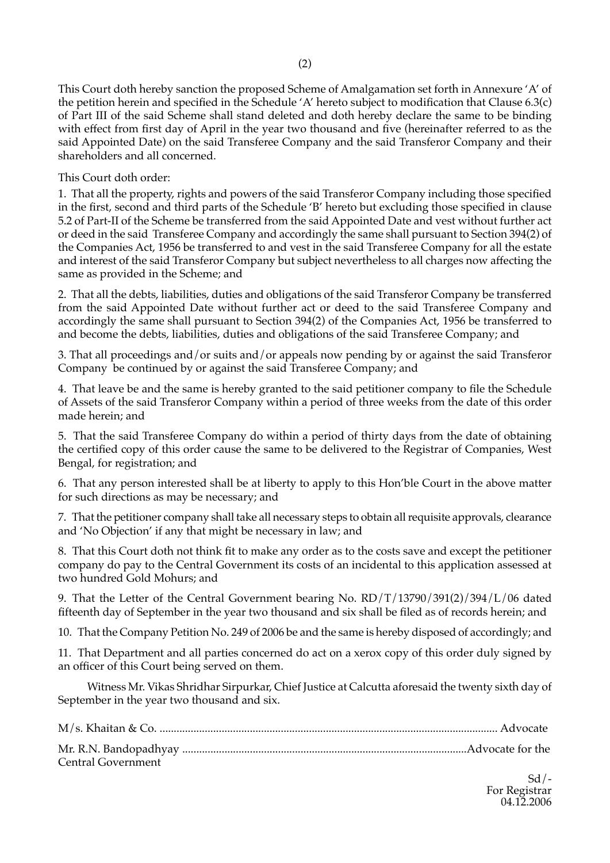This Court doth hereby sanction the proposed Scheme of Amalgamation set forth in Annexure 'A' of the petition herein and specified in the Schedule 'A' hereto subject to modification that Clause 6.3(c) of Part III of the said Scheme shall stand deleted and doth hereby declare the same to be binding with effect from first day of April in the year two thousand and five (hereinafter referred to as the said Appointed Date) on the said Transferee Company and the said Transferor Company and their shareholders and all concerned.

This Court doth order:

1. That all the property, rights and powers of the said Transferor Company including those specified in the first, second and third parts of the Schedule 'B' hereto but excluding those specified in clause 5.2 of Part-II of the Scheme be transferred from the said Appointed Date and vest without further act or deed in the said Transferee Company and accordingly the same shall pursuant to Section 394(2) of the Companies Act, 1956 be transferred to and vest in the said Transferee Company for all the estate and interest of the said Transferor Company but subject nevertheless to all charges now affecting the same as provided in the Scheme; and

2. That all the debts, liabilities, duties and obligations of the said Transferor Company be transferred from the said Appointed Date without further act or deed to the said Transferee Company and accordingly the same shall pursuant to Section 394(2) of the Companies Act, 1956 be transferred to and become the debts, liabilities, duties and obligations of the said Transferee Company; and

3. That all proceedings and/or suits and/or appeals now pending by or against the said Transferor Company be continued by or against the said Transferee Company; and

4. That leave be and the same is hereby granted to the said petitioner company to file the Schedule of Assets of the said Transferor Company within a period of three weeks from the date of this order made herein; and

5. That the said Transferee Company do within a period of thirty days from the date of obtaining the certified copy of this order cause the same to be delivered to the Registrar of Companies, West Bengal, for registration; and

6. That any person interested shall be at liberty to apply to this Hon'ble Court in the above matter for such directions as may be necessary; and

7. That the petitioner company shall take all necessary steps to obtain all requisite approvals, clearance and 'No Objection' if any that might be necessary in law; and

8. That this Court doth not think fit to make any order as to the costs save and except the petitioner company do pay to the Central Government its costs of an incidental to this application assessed at two hundred Gold Mohurs; and

9. That the Letter of the Central Government bearing No. RD/T/13790/391(2)/394/L/06 dated fifteenth day of September in the year two thousand and six shall be filed as of records herein; and

10. That the Company Petition No. 249 of 2006 be and the same is hereby disposed of accordingly; and

11. That Department and all parties concerned do act on a xerox copy of this order duly signed by an officer of this Court being served on them.

Witness Mr. Vikas Shridhar Sirpurkar, Chief Justice at Calcutta aforesaid the twenty sixth day of September in the year two thousand and six.

| Central Government |  |
|--------------------|--|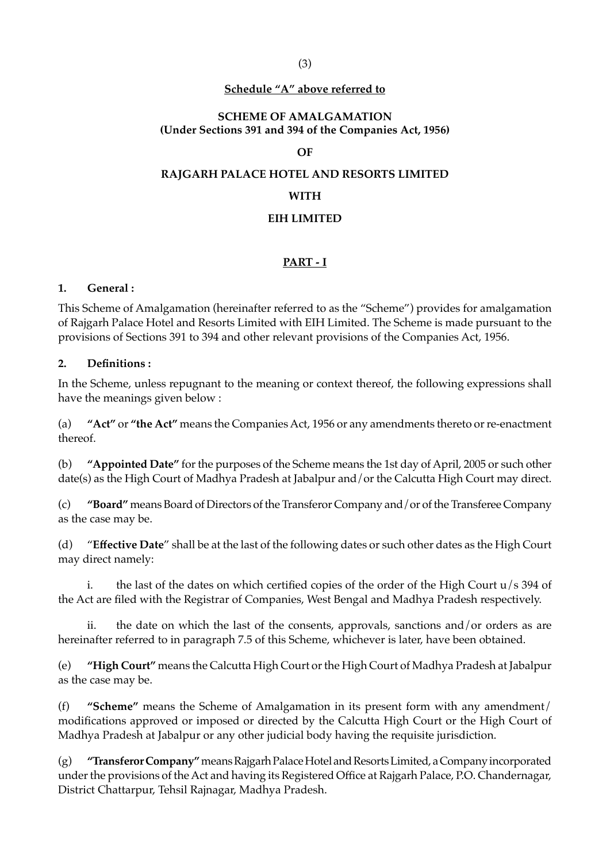# **Schedule "A" above referred to**

# **SCHEME OF AMALGAMATION (Under Sections 391 and 394 of the Companies Act, 1956)**

# **OF**

### **RAJGARH PALACE HOTEL AND RESORTS LIMITED**

### **WITH**

### **EIH LIMITED**

# **PART - I**

### **1. General :**

This Scheme of Amalgamation (hereinafter referred to as the "Scheme") provides for amalgamation of Rajgarh Palace Hotel and Resorts Limited with EIH Limited. The Scheme is made pursuant to the provisions of Sections 391 to 394 and other relevant provisions of the Companies Act, 1956.

### **2. Definitions :**

In the Scheme, unless repugnant to the meaning or context thereof, the following expressions shall have the meanings given below :

(a) **"Act"** or **"the Act"** means the Companies Act, 1956 or any amendments thereto or re-enactment thereof.

(b) **"Appointed Date"** for the purposes of the Scheme means the 1st day of April, 2005 or such other date(s) as the High Court of Madhya Pradesh at Jabalpur and/or the Calcutta High Court may direct.

(c) **"Board"** means Board of Directors of the Transferor Company and/or of the Transferee Company as the case may be.

(d) "**Effective Date**" shall be at the last of the following dates or such other dates as the High Court may direct namely:

i. the last of the dates on which certified copies of the order of the High Court  $u/s$  394 of the Act are filed with the Registrar of Companies, West Bengal and Madhya Pradesh respectively.

ii. the date on which the last of the consents, approvals, sanctions and/or orders as are hereinafter referred to in paragraph 7.5 of this Scheme, whichever is later, have been obtained.

(e) **"High Court"** means the Calcutta High Court or the High Court of Madhya Pradesh at Jabalpur as the case may be.

(f) **"Scheme"** means the Scheme of Amalgamation in its present form with any amendment/ modifications approved or imposed or directed by the Calcutta High Court or the High Court of Madhya Pradesh at Jabalpur or any other judicial body having the requisite jurisdiction.

(g) **"Transferor Company"** means Rajgarh Palace Hotel and Resorts Limited, a Company incorporated under the provisions of the Act and having its Registered Office at Rajgarh Palace, P.O. Chandernagar, District Chattarpur, Tehsil Rajnagar, Madhya Pradesh.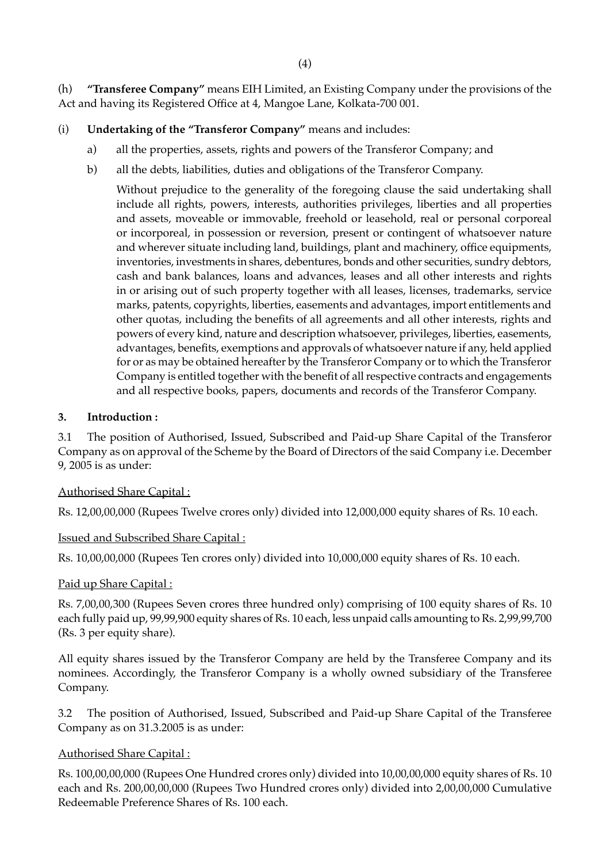(h) **"Transferee Company"** means EIH Limited, an Existing Company under the provisions of the Act and having its Registered Office at 4, Mangoe Lane, Kolkata-700 001.

# (i) **Undertaking of the "Transferor Company"** means and includes:

- a) all the properties, assets, rights and powers of the Transferor Company; and
- b) all the debts, liabilities, duties and obligations of the Transferor Company.

Without prejudice to the generality of the foregoing clause the said undertaking shall include all rights, powers, interests, authorities privileges, liberties and all properties and assets, moveable or immovable, freehold or leasehold, real or personal corporeal or incorporeal, in possession or reversion, present or contingent of whatsoever nature and wherever situate including land, buildings, plant and machinery, office equipments, inventories, investments in shares, debentures, bonds and other securities, sundry debtors, cash and bank balances, loans and advances, leases and all other interests and rights in or arising out of such property together with all leases, licenses, trademarks, service marks, patents, copyrights, liberties, easements and advantages, import entitlements and other quotas, including the benefits of all agreements and all other interests, rights and powers of every kind, nature and description whatsoever, privileges, liberties, easements, advantages, benefits, exemptions and approvals of whatsoever nature if any, held applied for or as may be obtained hereafter by the Transferor Company or to which the Transferor Company is entitled together with the benefit of all respective contracts and engagements and all respective books, papers, documents and records of the Transferor Company.

# **3. Introduction :**

3.1 The position of Authorised, Issued, Subscribed and Paid-up Share Capital of the Transferor Company as on approval of the Scheme by the Board of Directors of the said Company i.e. December 9, 2005 is as under:

# Authorised Share Capital :

Rs. 12,00,00,000 (Rupees Twelve crores only) divided into 12,000,000 equity shares of Rs. 10 each.

#### Issued and Subscribed Share Capital :

Rs. 10,00,00,000 (Rupees Ten crores only) divided into 10,000,000 equity shares of Rs. 10 each.

#### Paid up Share Capital :

Rs. 7,00,00,300 (Rupees Seven crores three hundred only) comprising of 100 equity shares of Rs. 10 each fully paid up, 99,99,900 equity shares of Rs. 10 each, less unpaid calls amounting to Rs. 2,99,99,700 (Rs. 3 per equity share).

All equity shares issued by the Transferor Company are held by the Transferee Company and its nominees. Accordingly, the Transferor Company is a wholly owned subsidiary of the Transferee Company.

3.2 The position of Authorised, Issued, Subscribed and Paid-up Share Capital of the Transferee Company as on 31.3.2005 is as under:

# Authorised Share Capital :

Rs. 100,00,00,000 (Rupees One Hundred crores only) divided into 10,00,00,000 equity shares of Rs. 10 each and Rs. 200,00,00,000 (Rupees Two Hundred crores only) divided into 2,00,00,000 Cumulative Redeemable Preference Shares of Rs. 100 each.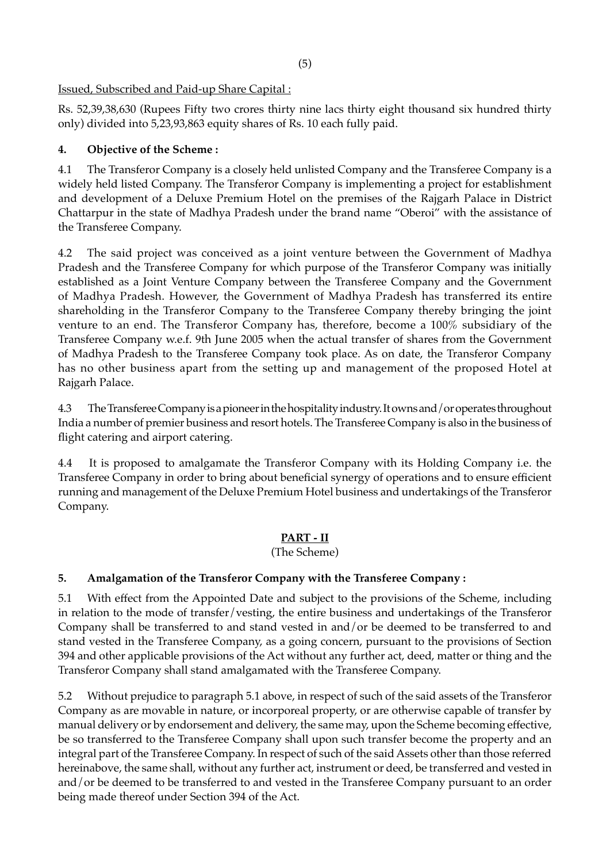# Issued, Subscribed and Paid-up Share Capital :

Rs. 52,39,38,630 (Rupees Fifty two crores thirty nine lacs thirty eight thousand six hundred thirty only) divided into 5,23,93,863 equity shares of Rs. 10 each fully paid.

# **4. Objective of the Scheme :**

4.1 The Transferor Company is a closely held unlisted Company and the Transferee Company is a widely held listed Company. The Transferor Company is implementing a project for establishment and development of a Deluxe Premium Hotel on the premises of the Rajgarh Palace in District Chattarpur in the state of Madhya Pradesh under the brand name "Oberoi" with the assistance of the Transferee Company.

4.2 The said project was conceived as a joint venture between the Government of Madhya Pradesh and the Transferee Company for which purpose of the Transferor Company was initially established as a Joint Venture Company between the Transferee Company and the Government of Madhya Pradesh. However, the Government of Madhya Pradesh has transferred its entire shareholding in the Transferor Company to the Transferee Company thereby bringing the joint venture to an end. The Transferor Company has, therefore, become a 100% subsidiary of the Transferee Company w.e.f. 9th June 2005 when the actual transfer of shares from the Government of Madhya Pradesh to the Transferee Company took place. As on date, the Transferor Company has no other business apart from the setting up and management of the proposed Hotel at Rajgarh Palace.

4.3 The Transferee Company is a pioneer in the hospitality industry. It owns and/or operates throughout India a number of premier business and resort hotels. The Transferee Company is also in the business of flight catering and airport catering.

4.4 It is proposed to amalgamate the Transferor Company with its Holding Company i.e. the Transferee Company in order to bring about beneficial synergy of operations and to ensure efficient running and management of the Deluxe Premium Hotel business and undertakings of the Transferor Company.

# **PART - II**

(The Scheme)

# **5. Amalgamation of the Transferor Company with the Transferee Company :**

5.1 With effect from the Appointed Date and subject to the provisions of the Scheme, including in relation to the mode of transfer/vesting, the entire business and undertakings of the Transferor Company shall be transferred to and stand vested in and/or be deemed to be transferred to and stand vested in the Transferee Company, as a going concern, pursuant to the provisions of Section 394 and other applicable provisions of the Act without any further act, deed, matter or thing and the Transferor Company shall stand amalgamated with the Transferee Company.

5.2 Without prejudice to paragraph 5.1 above, in respect of such of the said assets of the Transferor Company as are movable in nature, or incorporeal property, or are otherwise capable of transfer by manual delivery or by endorsement and delivery, the same may, upon the Scheme becoming effective, be so transferred to the Transferee Company shall upon such transfer become the property and an integral part of the Transferee Company. In respect of such of the said Assets other than those referred hereinabove, the same shall, without any further act, instrument or deed, be transferred and vested in and/or be deemed to be transferred to and vested in the Transferee Company pursuant to an order being made thereof under Section 394 of the Act.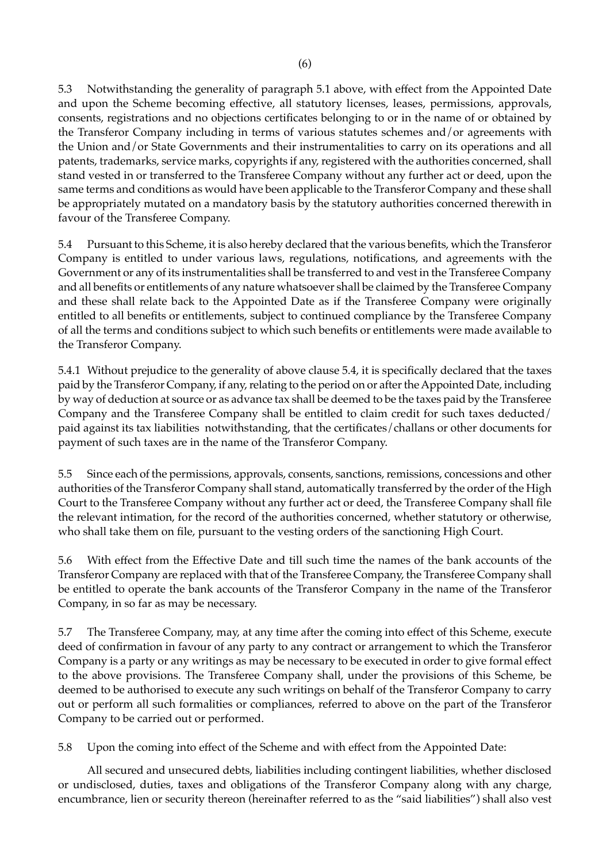5.3 Notwithstanding the generality of paragraph 5.1 above, with effect from the Appointed Date and upon the Scheme becoming effective, all statutory licenses, leases, permissions, approvals, consents, registrations and no objections certificates belonging to or in the name of or obtained by the Transferor Company including in terms of various statutes schemes and/or agreements with the Union and/or State Governments and their instrumentalities to carry on its operations and all patents, trademarks, service marks, copyrights if any, registered with the authorities concerned, shall stand vested in or transferred to the Transferee Company without any further act or deed, upon the same terms and conditions as would have been applicable to the Transferor Company and these shall be appropriately mutated on a mandatory basis by the statutory authorities concerned therewith in favour of the Transferee Company.

5.4 Pursuant to this Scheme, it is also hereby declared that the various benefits, which the Transferor Company is entitled to under various laws, regulations, notifications, and agreements with the Government or any of its instrumentalities shall be transferred to and vest in the Transferee Company and all benefits or entitlements of any nature whatsoever shall be claimed by the Transferee Company and these shall relate back to the Appointed Date as if the Transferee Company were originally entitled to all benefits or entitlements, subject to continued compliance by the Transferee Company of all the terms and conditions subject to which such benefits or entitlements were made available to the Transferor Company.

5.4.1 Without prejudice to the generality of above clause 5.4, it is specifically declared that the taxes paid by the Transferor Company, if any, relating to the period on or after the Appointed Date, including by way of deduction at source or as advance tax shall be deemed to be the taxes paid by the Transferee Company and the Transferee Company shall be entitled to claim credit for such taxes deducted/ paid against its tax liabilities notwithstanding, that the certificates/challans or other documents for payment of such taxes are in the name of the Transferor Company.

5.5 Since each of the permissions, approvals, consents, sanctions, remissions, concessions and other authorities of the Transferor Company shall stand, automatically transferred by the order of the High Court to the Transferee Company without any further act or deed, the Transferee Company shall file the relevant intimation, for the record of the authorities concerned, whether statutory or otherwise, who shall take them on file, pursuant to the vesting orders of the sanctioning High Court.

5.6 With effect from the Effective Date and till such time the names of the bank accounts of the Transferor Company are replaced with that of the Transferee Company, the Transferee Company shall be entitled to operate the bank accounts of the Transferor Company in the name of the Transferor Company, in so far as may be necessary.

5.7 The Transferee Company, may, at any time after the coming into effect of this Scheme, execute deed of confirmation in favour of any party to any contract or arrangement to which the Transferor Company is a party or any writings as may be necessary to be executed in order to give formal effect to the above provisions. The Transferee Company shall, under the provisions of this Scheme, be deemed to be authorised to execute any such writings on behalf of the Transferor Company to carry out or perform all such formalities or compliances, referred to above on the part of the Transferor Company to be carried out or performed.

5.8 Upon the coming into effect of the Scheme and with effect from the Appointed Date:

All secured and unsecured debts, liabilities including contingent liabilities, whether disclosed or undisclosed, duties, taxes and obligations of the Transferor Company along with any charge, encumbrance, lien or security thereon (hereinafter referred to as the "said liabilities") shall also vest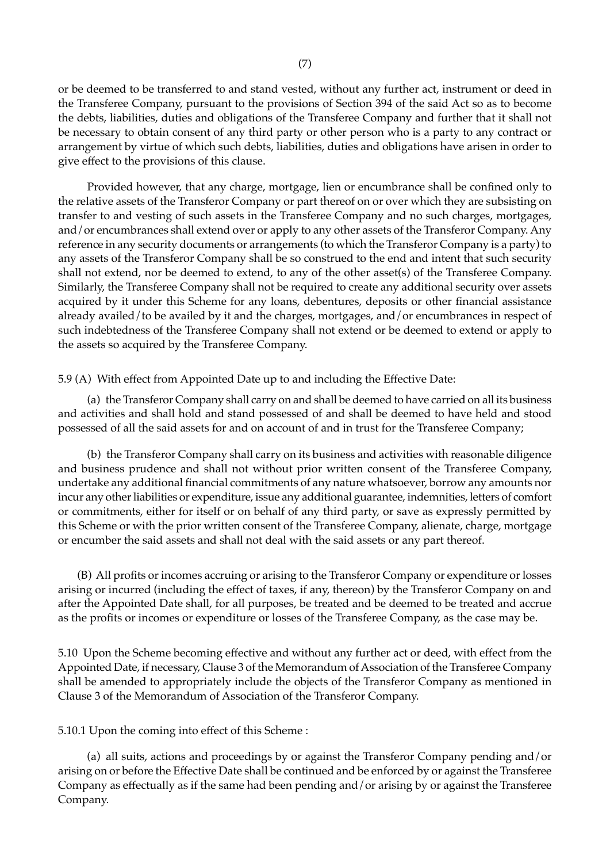or be deemed to be transferred to and stand vested, without any further act, instrument or deed in the Transferee Company, pursuant to the provisions of Section 394 of the said Act so as to become the debts, liabilities, duties and obligations of the Transferee Company and further that it shall not be necessary to obtain consent of any third party or other person who is a party to any contract or arrangement by virtue of which such debts, liabilities, duties and obligations have arisen in order to give effect to the provisions of this clause.

Provided however, that any charge, mortgage, lien or encumbrance shall be confined only to the relative assets of the Transferor Company or part thereof on or over which they are subsisting on transfer to and vesting of such assets in the Transferee Company and no such charges, mortgages, and/or encumbrances shall extend over or apply to any other assets of the Transferor Company. Any reference in any security documents or arrangements (to which the Transferor Company is a party) to any assets of the Transferor Company shall be so construed to the end and intent that such security shall not extend, nor be deemed to extend, to any of the other asset(s) of the Transferee Company. Similarly, the Transferee Company shall not be required to create any additional security over assets acquired by it under this Scheme for any loans, debentures, deposits or other financial assistance already availed/to be availed by it and the charges, mortgages, and/or encumbrances in respect of such indebtedness of the Transferee Company shall not extend or be deemed to extend or apply to the assets so acquired by the Transferee Company.

#### 5.9 (A) With effect from Appointed Date up to and including the Effective Date:

(a) the Transferor Company shall carry on and shall be deemed to have carried on all its business and activities and shall hold and stand possessed of and shall be deemed to have held and stood possessed of all the said assets for and on account of and in trust for the Transferee Company;

(b) the Transferor Company shall carry on its business and activities with reasonable diligence and business prudence and shall not without prior written consent of the Transferee Company, undertake any additional financial commitments of any nature whatsoever, borrow any amounts nor incur any other liabilities or expenditure, issue any additional guarantee, indemnities, letters of comfort or commitments, either for itself or on behalf of any third party, or save as expressly permitted by this Scheme or with the prior written consent of the Transferee Company, alienate, charge, mortgage or encumber the said assets and shall not deal with the said assets or any part thereof.

 (B) All profits or incomes accruing or arising to the Transferor Company or expenditure or losses arising or incurred (including the effect of taxes, if any, thereon) by the Transferor Company on and after the Appointed Date shall, for all purposes, be treated and be deemed to be treated and accrue as the profits or incomes or expenditure or losses of the Transferee Company, as the case may be.

5.10 Upon the Scheme becoming effective and without any further act or deed, with effect from the Appointed Date, if necessary, Clause 3 of the Memorandum of Association of the Transferee Company shall be amended to appropriately include the objects of the Transferor Company as mentioned in Clause 3 of the Memorandum of Association of the Transferor Company.

#### 5.10.1 Upon the coming into effect of this Scheme :

(a) all suits, actions and proceedings by or against the Transferor Company pending and/or arising on or before the Effective Date shall be continued and be enforced by or against the Transferee Company as effectually as if the same had been pending and/or arising by or against the Transferee Company.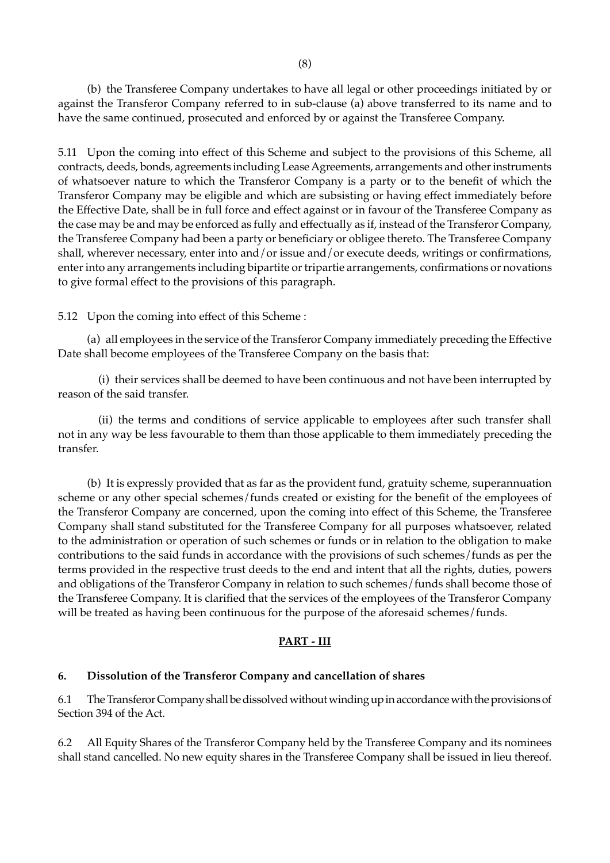(b) the Transferee Company undertakes to have all legal or other proceedings initiated by or against the Transferor Company referred to in sub-clause (a) above transferred to its name and to have the same continued, prosecuted and enforced by or against the Transferee Company.

5.11 Upon the coming into effect of this Scheme and subject to the provisions of this Scheme, all contracts, deeds, bonds, agreements including Lease Agreements, arrangements and other instruments of whatsoever nature to which the Transferor Company is a party or to the benefit of which the Transferor Company may be eligible and which are subsisting or having effect immediately before the Effective Date, shall be in full force and effect against or in favour of the Transferee Company as the case may be and may be enforced as fully and effectually as if, instead of the Transferor Company, the Transferee Company had been a party or beneficiary or obligee thereto. The Transferee Company shall, wherever necessary, enter into and/or issue and/or execute deeds, writings or confirmations, enter into any arrangements including bipartite or tripartie arrangements, confirmations or novations to give formal effect to the provisions of this paragraph.

5.12 Upon the coming into effect of this Scheme :

(a) all employees in the service of the Transferor Company immediately preceding the Effective Date shall become employees of the Transferee Company on the basis that:

 (i) their services shall be deemed to have been continuous and not have been interrupted by reason of the said transfer.

 (ii) the terms and conditions of service applicable to employees after such transfer shall not in any way be less favourable to them than those applicable to them immediately preceding the transfer.

(b) It is expressly provided that as far as the provident fund, gratuity scheme, superannuation scheme or any other special schemes/funds created or existing for the benefit of the employees of the Transferor Company are concerned, upon the coming into effect of this Scheme, the Transferee Company shall stand substituted for the Transferee Company for all purposes whatsoever, related to the administration or operation of such schemes or funds or in relation to the obligation to make contributions to the said funds in accordance with the provisions of such schemes/funds as per the terms provided in the respective trust deeds to the end and intent that all the rights, duties, powers and obligations of the Transferor Company in relation to such schemes/funds shall become those of the Transferee Company. It is clarified that the services of the employees of the Transferor Company will be treated as having been continuous for the purpose of the aforesaid schemes/funds.

# **PART - III**

# **6. Dissolution of the Transferor Company and cancellation of shares**

6.1 The Transferor Company shall be dissolved without winding up in accordance with the provisions of Section 394 of the Act.

6.2 All Equity Shares of the Transferor Company held by the Transferee Company and its nominees shall stand cancelled. No new equity shares in the Transferee Company shall be issued in lieu thereof.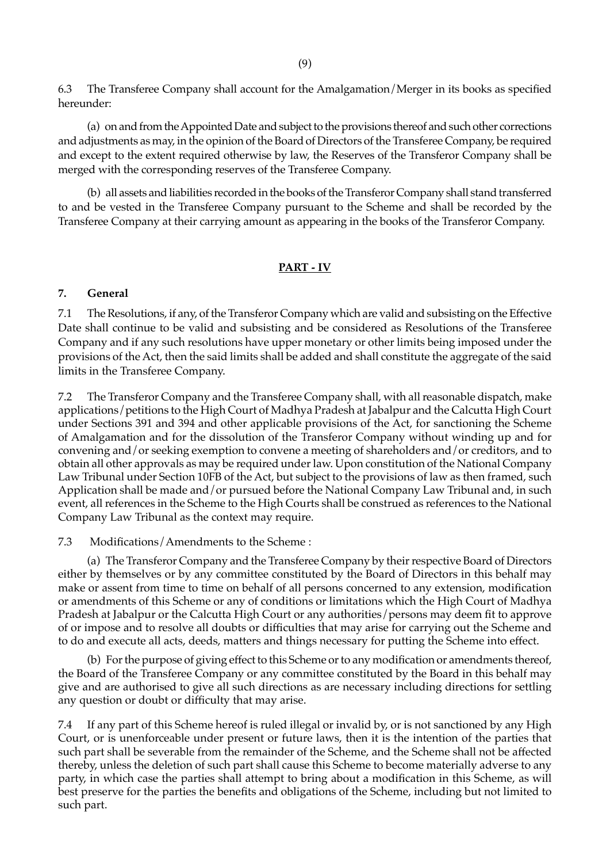6.3 The Transferee Company shall account for the Amalgamation/Merger in its books as specified hereunder:

(a) on and from the Appointed Date and subject to the provisions thereof and such other corrections and adjustments as may, in the opinion of the Board of Directors of the Transferee Company, be required and except to the extent required otherwise by law, the Reserves of the Transferor Company shall be merged with the corresponding reserves of the Transferee Company.

(b) all assets and liabilities recorded in the books of the Transferor Company shall stand transferred to and be vested in the Transferee Company pursuant to the Scheme and shall be recorded by the Transferee Company at their carrying amount as appearing in the books of the Transferor Company.

#### **PART - IV**

#### **7. General**

7.1 The Resolutions, if any, of the Transferor Company which are valid and subsisting on the Effective Date shall continue to be valid and subsisting and be considered as Resolutions of the Transferee Company and if any such resolutions have upper monetary or other limits being imposed under the provisions of the Act, then the said limits shall be added and shall constitute the aggregate of the said limits in the Transferee Company.

7.2 The Transferor Company and the Transferee Company shall, with all reasonable dispatch, make applications/petitions to the High Court of Madhya Pradesh at Jabalpur and the Calcutta High Court under Sections 391 and 394 and other applicable provisions of the Act, for sanctioning the Scheme of Amalgamation and for the dissolution of the Transferor Company without winding up and for convening and/or seeking exemption to convene a meeting of shareholders and/or creditors, and to obtain all other approvals as may be required under law. Upon constitution of the National Company Law Tribunal under Section 10FB of the Act, but subject to the provisions of law as then framed, such Application shall be made and/or pursued before the National Company Law Tribunal and, in such event, all references in the Scheme to the High Courts shall be construed as references to the National Company Law Tribunal as the context may require.

#### 7.3 Modifications/Amendments to the Scheme :

(a) The Transferor Company and the Transferee Company by their respective Board of Directors either by themselves or by any committee constituted by the Board of Directors in this behalf may make or assent from time to time on behalf of all persons concerned to any extension, modification or amendments of this Scheme or any of conditions or limitations which the High Court of Madhya Pradesh at Jabalpur or the Calcutta High Court or any authorities/persons may deem fit to approve of or impose and to resolve all doubts or difficulties that may arise for carrying out the Scheme and to do and execute all acts, deeds, matters and things necessary for putting the Scheme into effect.

(b) For the purpose of giving effect to this Scheme or to any modification or amendments thereof, the Board of the Transferee Company or any committee constituted by the Board in this behalf may give and are authorised to give all such directions as are necessary including directions for settling any question or doubt or difficulty that may arise.

7.4 If any part of this Scheme hereof is ruled illegal or invalid by, or is not sanctioned by any High Court, or is unenforceable under present or future laws, then it is the intention of the parties that such part shall be severable from the remainder of the Scheme, and the Scheme shall not be affected thereby, unless the deletion of such part shall cause this Scheme to become materially adverse to any party, in which case the parties shall attempt to bring about a modification in this Scheme, as will best preserve for the parties the benefits and obligations of the Scheme, including but not limited to such part.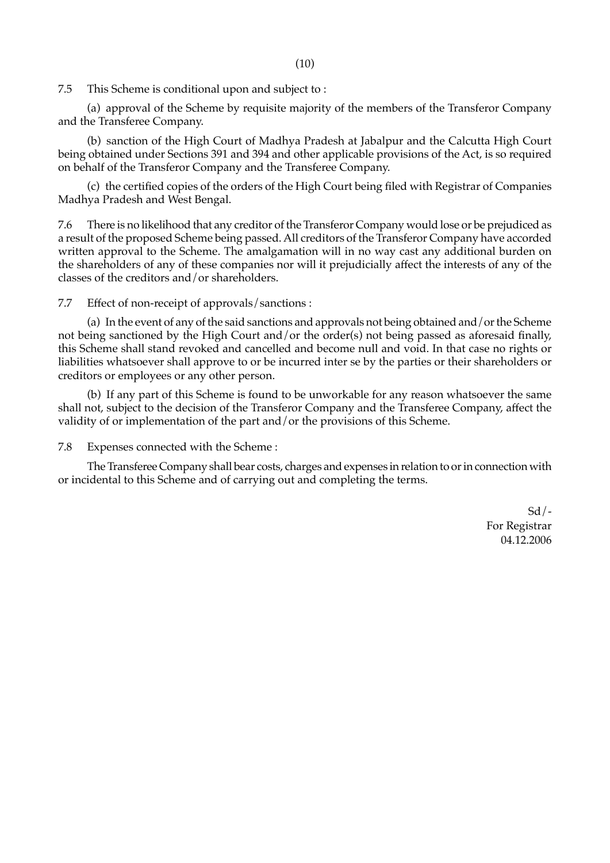7.5 This Scheme is conditional upon and subject to :

(a) approval of the Scheme by requisite majority of the members of the Transferor Company and the Transferee Company.

(b) sanction of the High Court of Madhya Pradesh at Jabalpur and the Calcutta High Court being obtained under Sections 391 and 394 and other applicable provisions of the Act, is so required on behalf of the Transferor Company and the Transferee Company.

(c) the certified copies of the orders of the High Court being filed with Registrar of Companies Madhya Pradesh and West Bengal.

7.6 There is no likelihood that any creditor of the Transferor Company would lose or be prejudiced as a result of the proposed Scheme being passed. All creditors of the Transferor Company have accorded written approval to the Scheme. The amalgamation will in no way cast any additional burden on the shareholders of any of these companies nor will it prejudicially affect the interests of any of the classes of the creditors and/or shareholders.

7.7 Effect of non-receipt of approvals/sanctions :

(a) In the event of any of the said sanctions and approvals not being obtained and/or the Scheme not being sanctioned by the High Court and/or the order(s) not being passed as aforesaid finally, this Scheme shall stand revoked and cancelled and become null and void. In that case no rights or liabilities whatsoever shall approve to or be incurred inter se by the parties or their shareholders or creditors or employees or any other person.

(b) If any part of this Scheme is found to be unworkable for any reason whatsoever the same shall not, subject to the decision of the Transferor Company and the Transferee Company, affect the validity of or implementation of the part and/or the provisions of this Scheme.

7.8 Expenses connected with the Scheme :

The Transferee Company shall bear costs, charges and expenses in relation to or in connection with or incidental to this Scheme and of carrying out and completing the terms.

> $Sd/$ -For Registrar 04.12.2006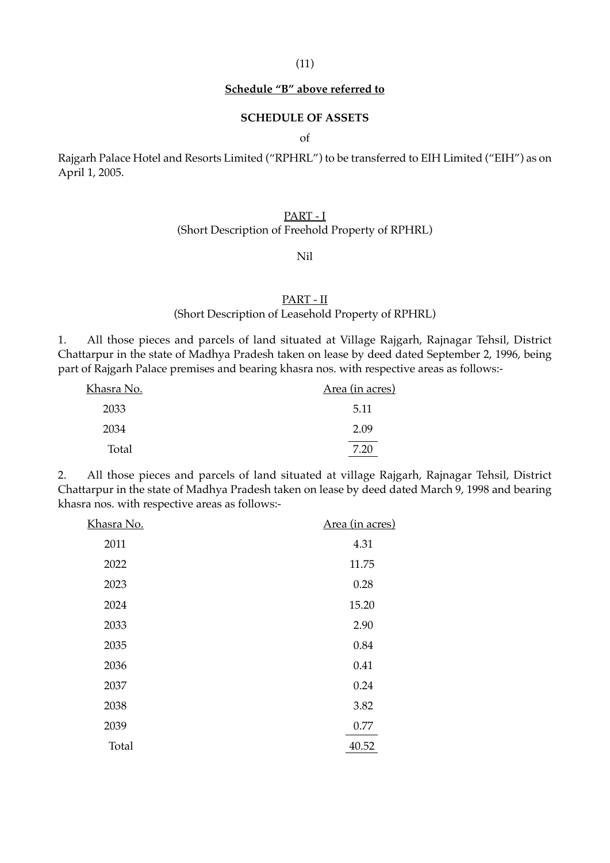### **Schedule "B" above referred to**

#### **SCHEDULE OF ASSETS**

of

Rajgarh Palace Hotel and Resorts Limited ("RPHRL") to be transferred to EIH Limited ("EIH") as on April 1, 2005.

# PART - I

### (Short Description of Freehold Property of RPHRL)

#### Nil

### PART - II

# (Short Description of Leasehold Property of RPHRL)

1. All those pieces and parcels of land situated at Village Rajgarh, Rajnagar Tehsil, District Chattarpur in the state of Madhya Pradesh taken on lease by deed dated September 2, 1996, being part of Rajgarh Palace premises and bearing khasra nos. with respective areas as follows:-

| Khasra No. | Area (in acres) |
|------------|-----------------|
| 2033       | 5.11            |
| 2034       | 2.09            |
| Total      | 7.20            |

2. All those pieces and parcels of land situated at village Rajgarh, Rajnagar Tehsil, District Chattarpur in the state of Madhya Pradesh taken on lease by deed dated March 9, 1998 and bearing khasra nos. with respective areas as follows:-

| Khasra No. | Area (in acres) |
|------------|-----------------|
| 2011       | 4.31            |
| 2022       | 11.75           |
| 2023       | 0.28            |
| 2024       | 15.20           |
| 2033       | 2.90            |
| 2035       | 0.84            |
| 2036       | 0.41            |
| 2037       | 0.24            |
| 2038       | 3.82            |
| 2039       | 0.77            |
| Total      | 40.52           |
|            |                 |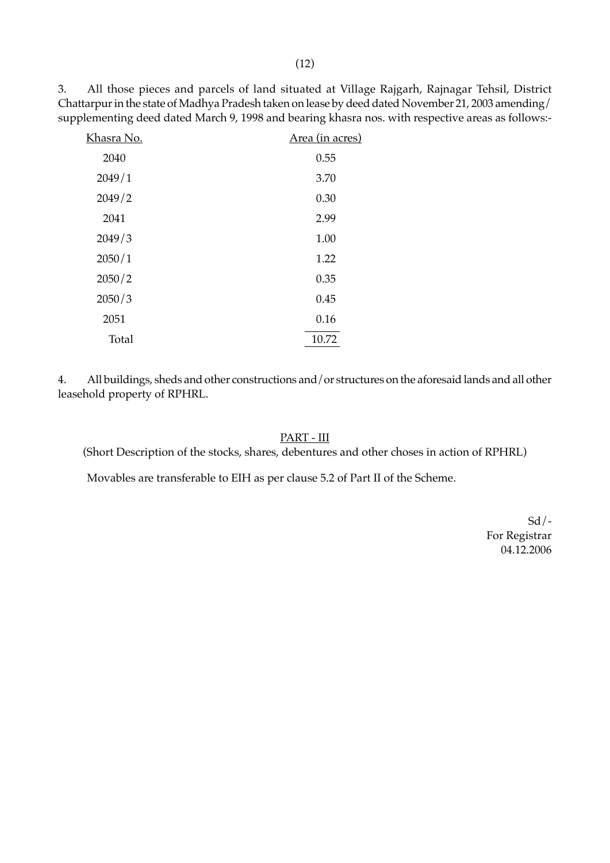3. All those pieces and parcels of land situated at Village Rajgarh, Rajnagar Tehsil, District Chattarpur in the state of Madhya Pradesh taken on lease by deed dated November 21, 2003 amending/ supplementing deed dated March 9, 1998 and bearing khasra nos. with respective areas as follows:-

| <u>Khasra No.</u> | Area (in acres) |
|-------------------|-----------------|
| 2040              | 0.55            |
| 2049/1            | 3.70            |
| 2049/2            | 0.30            |
| 2041              | 2.99            |
| 2049/3            | 1.00            |
| 2050/1            | 1.22            |
| 2050/2            | 0.35            |
| 2050/3            | 0.45            |
| 2051              | 0.16            |
| Total             | 10.72           |

4. All buildings, sheds and other constructions and/or structures on the aforesaid lands and all other leasehold property of RPHRL.

# PART - III

(Short Description of the stocks, shares, debentures and other choses in action of RPHRL)

Movables are transferable to EIH as per clause 5.2 of Part II of the Scheme.

 $Sd$  /-For Registrar 04.12.2006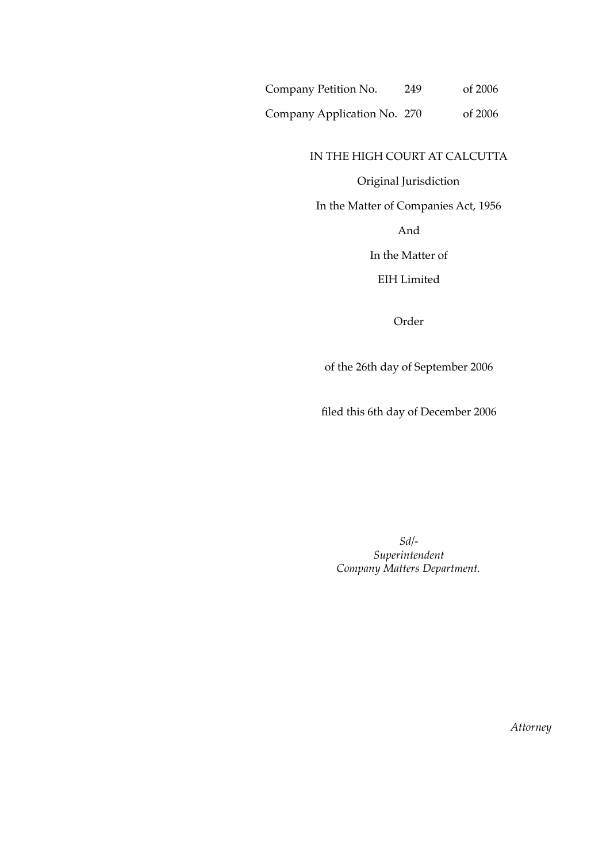Company Petition No. 249 of 2006

Company Application No. 270 of 2006

### IN THE HIGH COURT AT CALCUTTA

### Original Jurisdiction

In the Matter of Companies Act, 1956

And

In the Matter of

EIH Limited

Order

of the 26th day of September 2006

filed this 6th day of December 2006

*Sd/- Superintendent Company Matters Department.*

*Attorney*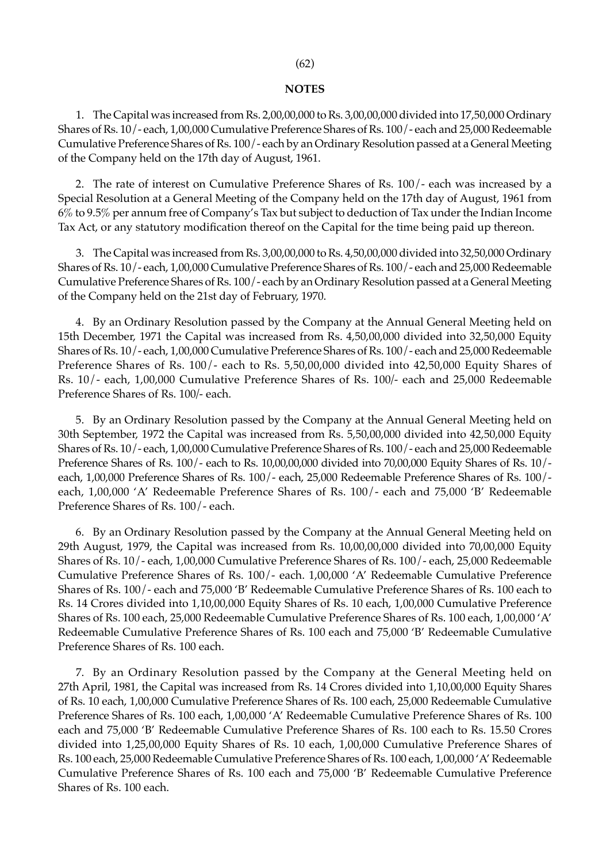#### **NOTES**

1. The Capital was increased from Rs. 2,00,00,000 to Rs. 3,00,00,000 divided into 17,50,000 Ordinary Shares of Rs. 10/- each, 1,00,000 Cumulative Preference Shares of Rs. 100/- each and 25,000 Redeemable Cumulative Preference Shares of Rs. 100/- each by an Ordinary Resolution passed at a General Meeting of the Company held on the 17th day of August, 1961.

2. The rate of interest on Cumulative Preference Shares of Rs. 100/- each was increased by a Special Resolution at a General Meeting of the Company held on the 17th day of August, 1961 from 6% to 9.5% per annum free of Company's Tax but subject to deduction of Tax under the Indian Income Tax Act, or any statutory modification thereof on the Capital for the time being paid up thereon.

3. The Capital was increased from Rs. 3,00,00,000 to Rs. 4,50,00,000 divided into 32,50,000 Ordinary Shares of Rs. 10/- each, 1,00,000 Cumulative Preference Shares of Rs. 100/- each and 25,000 Redeemable Cumulative Preference Shares of Rs. 100/- each by an Ordinary Resolution passed at a General Meeting of the Company held on the 21st day of February, 1970.

4. By an Ordinary Resolution passed by the Company at the Annual General Meeting held on 15th December, 1971 the Capital was increased from Rs. 4,50,00,000 divided into 32,50,000 Equity Shares of Rs. 10/- each, 1,00,000 Cumulative Preference Shares of Rs. 100/- each and 25,000 Redeemable Preference Shares of Rs. 100/- each to Rs. 5,50,00,000 divided into 42,50,000 Equity Shares of Rs. 10/- each, 1,00,000 Cumulative Preference Shares of Rs. 100*/-* each and 25,000 Redeemable Preference Shares of Rs. 100*/-* each.

5. By an Ordinary Resolution passed by the Company at the Annual General Meeting held on 30th September, 1972 the Capital was increased from Rs. 5,50,00,000 divided into 42,50,000 Equity Shares of Rs. 10/- each, 1,00,000 Cumulative Preference Shares of Rs. 100/- each and 25,000 Redeemable Preference Shares of Rs. 100/- each to Rs. 10,00,00,000 divided into 70,00,000 Equity Shares of Rs. 10/ each, 1,00,000 Preference Shares of Rs. 100/- each, 25,000 Redeemable Preference Shares of Rs. 100/ each, 1,00,000 'A' Redeemable Preference Shares of Rs. 100/- each and 75,000 'B' Redeemable Preference Shares of Rs. 100/- each.

6. By an Ordinary Resolution passed by the Company at the Annual General Meeting held on 29th August, 1979, the Capital was increased from Rs. 10,00,00,000 divided into 70,00,000 Equity Shares of Rs. 10/- each, 1,00,000 Cumulative Preference Shares of Rs. 100/- each, 25,000 Redeemable Cumulative Preference Shares of Rs. 100/- each. 1,00,000 'A' Redeemable Cumulative Preference Shares of Rs. 100/- each and 75,000 'B' Redeemable Cumulative Preference Shares of Rs. 100 each to Rs. 14 Crores divided into 1,10,00,000 Equity Shares of Rs. 10 each, 1,00,000 Cumulative Preference Shares of Rs. 100 each, 25,000 Redeemable Cumulative Preference Shares of Rs. 100 each, 1,00,000 'A' Redeemable Cumulative Preference Shares of Rs. 100 each and 75,000 'B' Redeemable Cumulative Preference Shares of Rs. 100 each.

7. By an Ordinary Resolution passed by the Company at the General Meeting held on 27th April, 1981, the Capital was increased from Rs. 14 Crores divided into 1,10,00,000 Equity Shares of Rs. 10 each, 1,00,000 Cumulative Preference Shares of Rs. 100 each, 25,000 Redeemable Cumulative Preference Shares of Rs. 100 each, 1,00,000 'A' Redeemable Cumulative Preference Shares of Rs. 100 each and 75,000 'B' Redeemable Cumulative Preference Shares of Rs. 100 each to Rs. 15.50 Crores divided into 1,25,00,000 Equity Shares of Rs. 10 each, 1,00,000 Cumulative Preference Shares of Rs. 100 each, 25,000 Redeemable Cumulative Preference Shares of Rs. 100 each, 1,00,000 'A' Redeemable Cumulative Preference Shares of Rs. 100 each and 75,000 'B' Redeemable Cumulative Preference Shares of Rs. 100 each.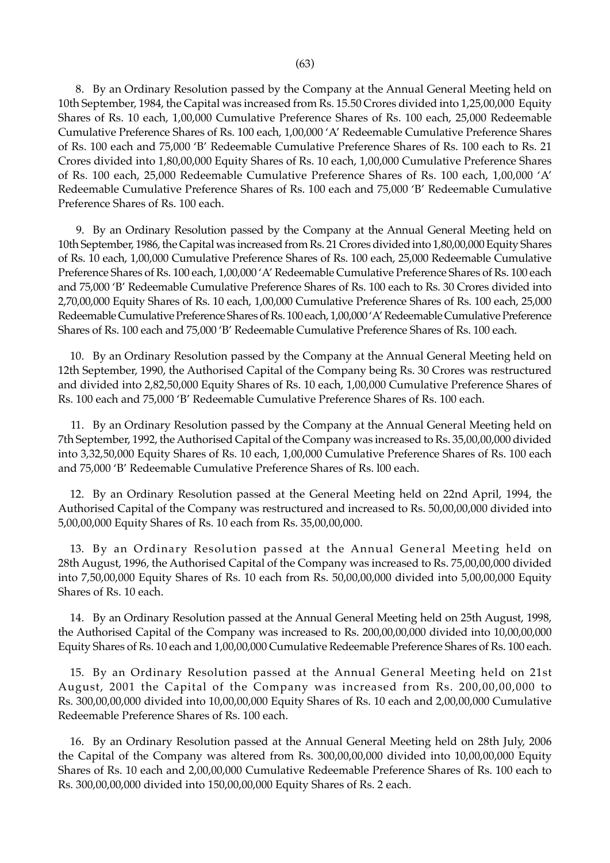8. By an Ordinary Resolution passed by the Company at the Annual General Meeting held on 10th September, 1984, the Capital was increased from Rs. 15.50 Crores divided into 1,25,00,000 Equity Shares of Rs. 10 each, 1,00,000 Cumulative Preference Shares of Rs. 100 each, 25,000 Redeemable Cumulative Preference Shares of Rs. 100 each, 1,00,000 'A' Redeemable Cumulative Preference Shares of Rs. 100 each and 75,000 'B' Redeemable Cumulative Preference Shares of Rs. 100 each to Rs. 21 Crores divided into 1,80,00,000 Equity Shares of Rs. 10 each, 1,00,000 Cumulative Preference Shares of Rs. 100 each, 25,000 Redeemable Cumulative Preference Shares of Rs. 100 each, 1,00,000 'A' Redeemable Cumulative Preference Shares of Rs. 100 each and 75,000 'B' Redeemable Cumulative Preference Shares of Rs. 100 each.

9. By an Ordinary Resolution passed by the Company at the Annual General Meeting held on 10th September, 1986, the Capital was increased from Rs. 21 Crores divided into 1,80,00,000 Equity Shares of Rs. 10 each, 1,00,000 Cumulative Preference Shares of Rs. 100 each, 25,000 Redeemable Cumulative Preference Shares of Rs. 100 each, 1,00,000 'A' Redeemable Cumulative Preference Shares of Rs. 100 each and 75,000 'B' Redeemable Cumulative Preference Shares of Rs. 100 each to Rs. 30 Crores divided into 2,70,00,000 Equity Shares of Rs. 10 each, 1,00,000 Cumulative Preference Shares of Rs. 100 each, 25,000 Redeemable Cumulative Preference Shares of Rs. 100 each, 1,00,000 'A' Redeemable Cumulative Preference Shares of Rs. 100 each and 75,000 'B' Redeemable Cumulative Preference Shares of Rs. 100 each.

10. By an Ordinary Resolution passed by the Company at the Annual General Meeting held on 12th September, 1990, the Authorised Capital of the Company being Rs. 30 Crores was restructured and divided into 2,82,50,000 Equity Shares of Rs. 10 each, 1,00,000 Cumulative Preference Shares of Rs. 100 each and 75,000 'B' Redeemable Cumulative Preference Shares of Rs. 100 each.

11. By an Ordinary Resolution passed by the Company at the Annual General Meeting held on 7th September, 1992, the Authorised Capital of the Company was increased to Rs. 35,00,00,000 divided into 3,32,50,000 Equity Shares of Rs. 10 each, 1,00,000 Cumulative Preference Shares of Rs. 100 each and 75,000 'B' Redeemable Cumulative Preference Shares of Rs. l00 each.

12. By an Ordinary Resolution passed at the General Meeting held on 22nd April, 1994, the Authorised Capital of the Company was restructured and increased to Rs. 50,00,00,000 divided into 5,00,00,000 Equity Shares of Rs. 10 each from Rs. 35,00,00,000.

13. By an Ordinary Resolution passed at the Annual General Meeting held on 28th August, 1996, the Authorised Capital of the Company was increased to Rs. 75,00,00,000 divided into 7,50,00,000 Equity Shares of Rs. 10 each from Rs. 50,00,00,000 divided into 5,00,00,000 Equity Shares of Rs. 10 each.

14. By an Ordinary Resolution passed at the Annual General Meeting held on 25th August, 1998, the Authorised Capital of the Company was increased to Rs. 200,00,00,000 divided into 10,00,00,000 Equity Shares of Rs. 10 each and 1,00,00,000 Cumulative Redeemable Preference Shares of Rs. 100 each.

15. By an Ordinary Resolution passed at the Annual General Meeting held on 21st August, 2001 the Capital of the Company was increased from Rs. 200,00,00,000 to Rs. 300,00,00,000 divided into 10,00,00,000 Equity Shares of Rs. 10 each and 2,00,00,000 Cumulative Redeemable Preference Shares of Rs. 100 each.

16. By an Ordinary Resolution passed at the Annual General Meeting held on 28th July, 2006 the Capital of the Company was altered from Rs. 300,00,00,000 divided into 10,00,00,000 Equity Shares of Rs. 10 each and 2,00,00,000 Cumulative Redeemable Preference Shares of Rs. 100 each to Rs. 300,00,00,000 divided into 150,00,00,000 Equity Shares of Rs. 2 each.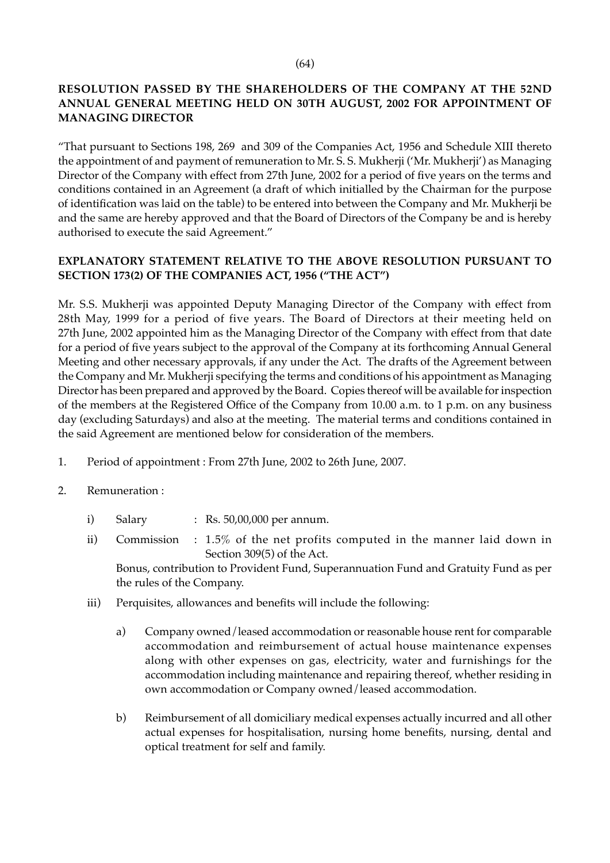# **RESOLUTION PASSED BY THE SHAREHOLDERS OF THE COMPANY AT THE 52ND ANNUAL GENERAL MEETING HELD ON 30TH AUGUST, 2002 FOR APPOINTMENT OF MANAGING DIRECTOR**

"That pursuant to Sections 198, 269 and 309 of the Companies Act, 1956 and Schedule XIII thereto the appointment of and payment of remuneration to Mr. S. S. Mukherji ('Mr. Mukherji') as Managing Director of the Company with effect from 27th June, 2002 for a period of five years on the terms and conditions contained in an Agreement (a draft of which initialled by the Chairman for the purpose of identification was laid on the table) to be entered into between the Company and Mr. Mukherji be and the same are hereby approved and that the Board of Directors of the Company be and is hereby authorised to execute the said Agreement."

# **EXPLANATORY STATEMENT RELATIVE TO THE ABOVE RESOLUTION PURSUANT TO SECTION 173(2) OF THE COMPANIES ACT, 1956 ("THE ACT")**

Mr. S.S. Mukherji was appointed Deputy Managing Director of the Company with effect from 28th May, 1999 for a period of five years. The Board of Directors at their meeting held on 27th June, 2002 appointed him as the Managing Director of the Company with effect from that date for a period of five years subject to the approval of the Company at its forthcoming Annual General Meeting and other necessary approvals, if any under the Act. The drafts of the Agreement between the Company and Mr. Mukherji specifying the terms and conditions of his appointment as Managing Director has been prepared and approved by the Board. Copies thereof will be available for inspection of the members at the Registered Office of the Company from 10.00 a.m. to 1 p.m. on any business day (excluding Saturdays) and also at the meeting. The material terms and conditions contained in the said Agreement are mentioned below for consideration of the members.

- 1. Period of appointment : From 27th June, 2002 to 26th June, 2007.
- 2. Remuneration :
	- i) Salary : Rs. 50,00,000 per annum.
	- ii) Commission : 1.5% of the net profits computed in the manner laid down in Section 309(5) of the Act.

Bonus, contribution to Provident Fund, Superannuation Fund and Gratuity Fund as per the rules of the Company.

- iii) Perquisites, allowances and benefits will include the following:
	- a) Company owned/leased accommodation or reasonable house rent for comparable accommodation and reimbursement of actual house maintenance expenses along with other expenses on gas, electricity, water and furnishings for the accommodation including maintenance and repairing thereof, whether residing in own accommodation or Company owned/leased accommodation.
	- b) Reimbursement of all domiciliary medical expenses actually incurred and all other actual expenses for hospitalisation, nursing home benefits, nursing, dental and optical treatment for self and family.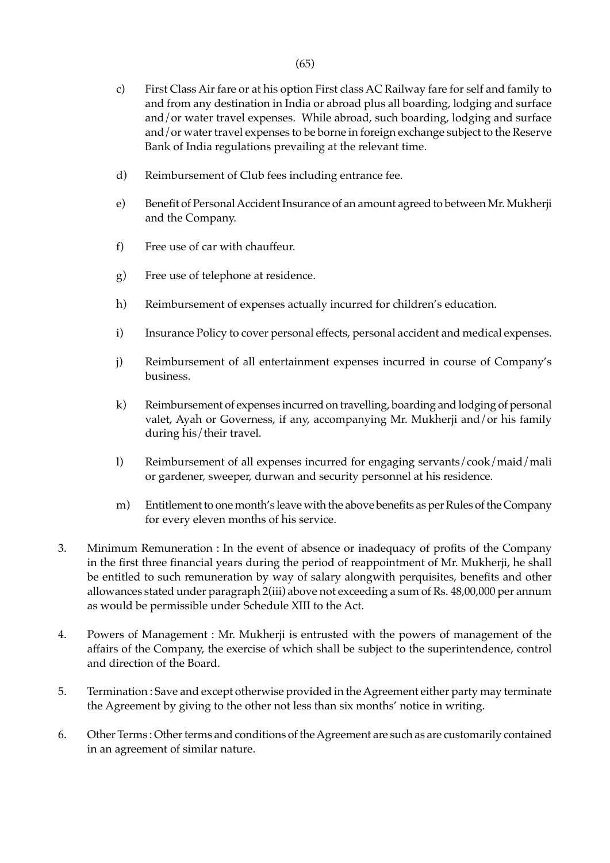- c) First Class Air fare or at his option First class AC Railway fare for self and family to and from any destination in India or abroad plus all boarding, lodging and surface and/or water travel expenses. While abroad, such boarding, lodging and surface and/or water travel expenses to be borne in foreign exchange subject to the Reserve Bank of India regulations prevailing at the relevant time.
- d) Reimbursement of Club fees including entrance fee.
- e) Benefit of Personal Accident Insurance of an amount agreed to between Mr. Mukherji and the Company.
- f) Free use of car with chauffeur.
- g) Free use of telephone at residence.
- h) Reimbursement of expenses actually incurred for children's education.
- i) Insurance Policy to cover personal effects, personal accident and medical expenses.
- j) Reimbursement of all entertainment expenses incurred in course of Company's business.
- k) Reimbursement of expenses incurred on travelling, boarding and lodging of personal valet, Ayah or Governess, if any, accompanying Mr. Mukherji and/or his family during his/their travel.
- l) Reimbursement of all expenses incurred for engaging servants/cook/maid/mali or gardener, sweeper, durwan and security personnel at his residence.
- m) Entitlement to one month's leave with the above benefits as per Rules of the Company for every eleven months of his service.
- 3. Minimum Remuneration : In the event of absence or inadequacy of profits of the Company in the first three financial years during the period of reappointment of Mr. Mukherji, he shall be entitled to such remuneration by way of salary alongwith perquisites, benefits and other allowances stated under paragraph 2(iii) above not exceeding a sum of Rs. 48,00,000 per annum as would be permissible under Schedule XIII to the Act.
- 4. Powers of Management : Mr. Mukherji is entrusted with the powers of management of the affairs of the Company, the exercise of which shall be subject to the superintendence, control and direction of the Board.
- 5. Termination : Save and except otherwise provided in the Agreement either party may terminate the Agreement by giving to the other not less than six months' notice in writing.
- 6. Other Terms : Other terms and conditions of the Agreement are such as are customarily contained in an agreement of similar nature.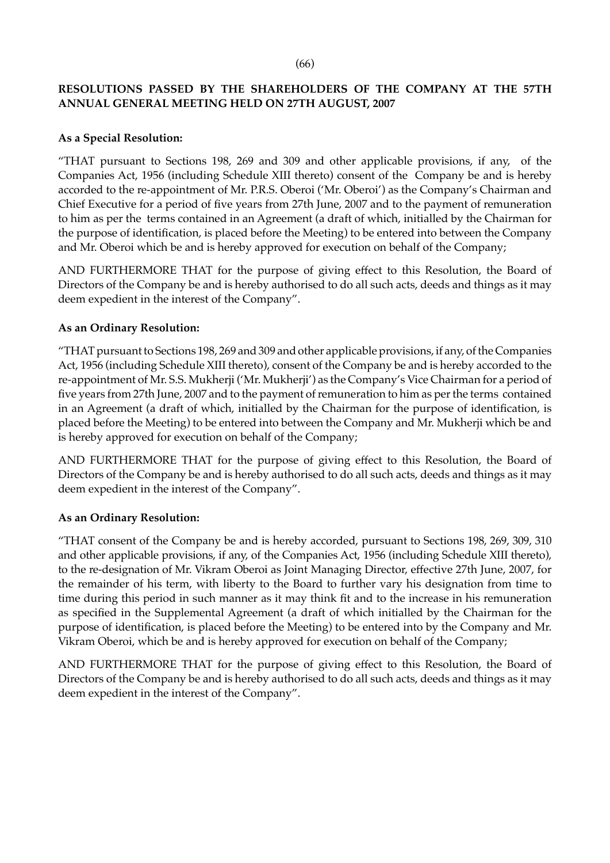#### (66)

# **RESOLUTIONS PASSED BY THE SHAREHOLDERS OF THE COMPANY AT THE 57TH ANNUAL GENERAL MEETING HELD ON 27TH AUGUST, 2007**

### **As a Special Resolution:**

"THAT pursuant to Sections 198, 269 and 309 and other applicable provisions, if any, of the Companies Act, 1956 (including Schedule XIII thereto) consent of the Company be and is hereby accorded to the re-appointment of Mr. P.R.S. Oberoi ('Mr. Oberoi') as the Company's Chairman and Chief Executive for a period of five years from 27th June, 2007 and to the payment of remuneration to him as per the terms contained in an Agreement (a draft of which, initialled by the Chairman for the purpose of identification, is placed before the Meeting) to be entered into between the Company and Mr. Oberoi which be and is hereby approved for execution on behalf of the Company;

AND FURTHERMORE THAT for the purpose of giving effect to this Resolution, the Board of Directors of the Company be and is hereby authorised to do all such acts, deeds and things as it may deem expedient in the interest of the Company".

### **As an Ordinary Resolution:**

"THAT pursuant to Sections 198, 269 and 309 and other applicable provisions, if any, of the Companies Act, 1956 (including Schedule XIII thereto), consent of the Company be and is hereby accorded to the re-appointment of Mr. S.S. Mukherji ('Mr. Mukherji') as the Company's Vice Chairman for a period of five years from 27th June, 2007 and to the payment of remuneration to him as per the terms contained in an Agreement (a draft of which, initialled by the Chairman for the purpose of identification, is placed before the Meeting) to be entered into between the Company and Mr. Mukherji which be and is hereby approved for execution on behalf of the Company;

AND FURTHERMORE THAT for the purpose of giving effect to this Resolution, the Board of Directors of the Company be and is hereby authorised to do all such acts, deeds and things as it may deem expedient in the interest of the Company".

# **As an Ordinary Resolution:**

"THAT consent of the Company be and is hereby accorded, pursuant to Sections 198, 269, 309, 310 and other applicable provisions, if any, of the Companies Act, 1956 (including Schedule XIII thereto), to the re-designation of Mr. Vikram Oberoi as Joint Managing Director, effective 27th June, 2007, for the remainder of his term, with liberty to the Board to further vary his designation from time to time during this period in such manner as it may think fit and to the increase in his remuneration as specified in the Supplemental Agreement (a draft of which initialled by the Chairman for the purpose of identification, is placed before the Meeting) to be entered into by the Company and Mr. Vikram Oberoi, which be and is hereby approved for execution on behalf of the Company;

AND FURTHERMORE THAT for the purpose of giving effect to this Resolution, the Board of Directors of the Company be and is hereby authorised to do all such acts, deeds and things as it may deem expedient in the interest of the Company".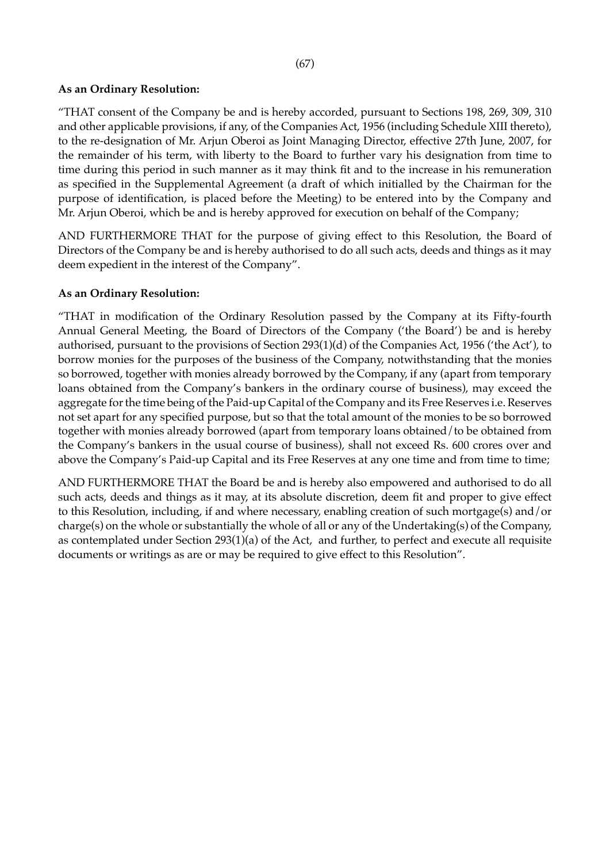### (67)

# **As an Ordinary Resolution:**

"THAT consent of the Company be and is hereby accorded, pursuant to Sections 198, 269, 309, 310 and other applicable provisions, if any, of the Companies Act, 1956 (including Schedule XIII thereto), to the re-designation of Mr. Arjun Oberoi as Joint Managing Director, effective 27th June, 2007, for the remainder of his term, with liberty to the Board to further vary his designation from time to time during this period in such manner as it may think fit and to the increase in his remuneration as specified in the Supplemental Agreement (a draft of which initialled by the Chairman for the purpose of identification, is placed before the Meeting) to be entered into by the Company and Mr. Arjun Oberoi, which be and is hereby approved for execution on behalf of the Company;

AND FURTHERMORE THAT for the purpose of giving effect to this Resolution, the Board of Directors of the Company be and is hereby authorised to do all such acts, deeds and things as it may deem expedient in the interest of the Company".

### **As an Ordinary Resolution:**

"THAT in modification of the Ordinary Resolution passed by the Company at its Fifty-fourth Annual General Meeting, the Board of Directors of the Company ('the Board') be and is hereby authorised, pursuant to the provisions of Section 293(1)(d) of the Companies Act, 1956 ('the Act'), to borrow monies for the purposes of the business of the Company, notwithstanding that the monies so borrowed, together with monies already borrowed by the Company, if any (apart from temporary loans obtained from the Company's bankers in the ordinary course of business), may exceed the aggregate for the time being of the Paid-up Capital of the Company and its Free Reserves i.e. Reserves not set apart for any specified purpose, but so that the total amount of the monies to be so borrowed together with monies already borrowed (apart from temporary loans obtained/to be obtained from the Company's bankers in the usual course of business), shall not exceed Rs. 600 crores over and above the Company's Paid-up Capital and its Free Reserves at any one time and from time to time;

AND FURTHERMORE THAT the Board be and is hereby also empowered and authorised to do all such acts, deeds and things as it may, at its absolute discretion, deem fit and proper to give effect to this Resolution, including, if and where necessary, enabling creation of such mortgage(s) and/or charge(s) on the whole or substantially the whole of all or any of the Undertaking(s) of the Company, as contemplated under Section 293(1)(a) of the Act, and further, to perfect and execute all requisite documents or writings as are or may be required to give effect to this Resolution".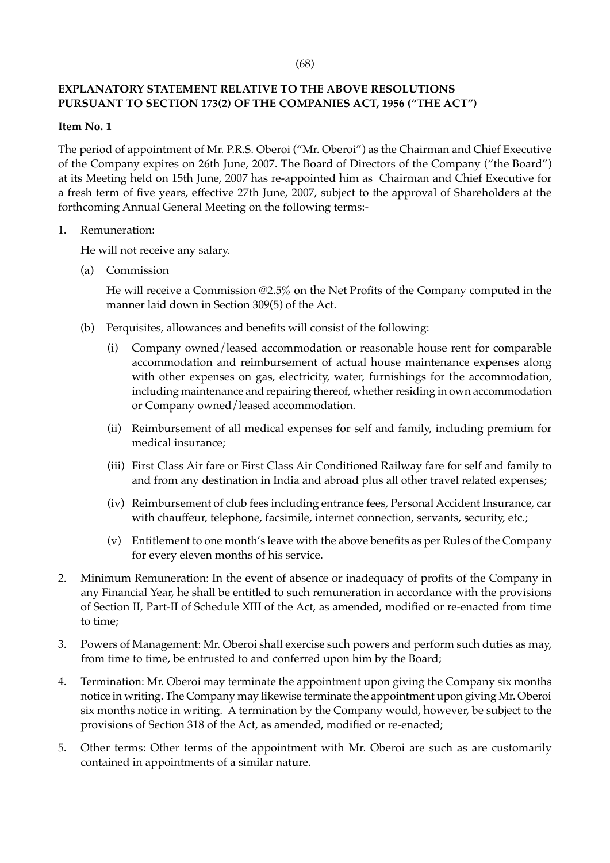# **EXPLANATORY STATEMENT RELATIVE TO THE ABOVE RESOLUTIONS PURSUANT TO SECTION 173(2) OF THE COMPANIES ACT, 1956 ("THE ACT")**

#### **Item No. 1**

The period of appointment of Mr. P.R.S. Oberoi ("Mr. Oberoi") as the Chairman and Chief Executive of the Company expires on 26th June, 2007. The Board of Directors of the Company ("the Board") at its Meeting held on 15th June, 2007 has re-appointed him as Chairman and Chief Executive for a fresh term of five years, effective 27th June, 2007, subject to the approval of Shareholders at the forthcoming Annual General Meeting on the following terms:-

### 1. Remuneration:

He will not receive any salary.

(a) Commission

He will receive a Commission @2.5% on the Net Profits of the Company computed in the manner laid down in Section 309(5) of the Act.

- (b) Perquisites, allowances and benefits will consist of the following:
	- (i) Company owned/leased accommodation or reasonable house rent for comparable accommodation and reimbursement of actual house maintenance expenses along with other expenses on gas, electricity, water, furnishings for the accommodation, including maintenance and repairing thereof, whether residing in own accommodation or Company owned/leased accommodation.
	- (ii) Reimbursement of all medical expenses for self and family, including premium for medical insurance;
	- (iii) First Class Air fare or First Class Air Conditioned Railway fare for self and family to and from any destination in India and abroad plus all other travel related expenses;
	- (iv) Reimbursement of club fees including entrance fees, Personal Accident Insurance, car with chauffeur, telephone, facsimile, internet connection, servants, security, etc.;
	- (v) Entitlement to one month's leave with the above benefits as per Rules of the Company for every eleven months of his service.
- 2. Minimum Remuneration: In the event of absence or inadequacy of profits of the Company in any Financial Year, he shall be entitled to such remuneration in accordance with the provisions of Section II, Part-II of Schedule XIII of the Act, as amended, modified or re-enacted from time to time;
- 3. Powers of Management: Mr. Oberoi shall exercise such powers and perform such duties as may, from time to time, be entrusted to and conferred upon him by the Board;
- 4. Termination: Mr. Oberoi may terminate the appointment upon giving the Company six months notice in writing. The Company may likewise terminate the appointment upon giving Mr. Oberoi six months notice in writing. A termination by the Company would, however, be subject to the provisions of Section 318 of the Act, as amended, modified or re-enacted;
- 5. Other terms: Other terms of the appointment with Mr. Oberoi are such as are customarily contained in appointments of a similar nature.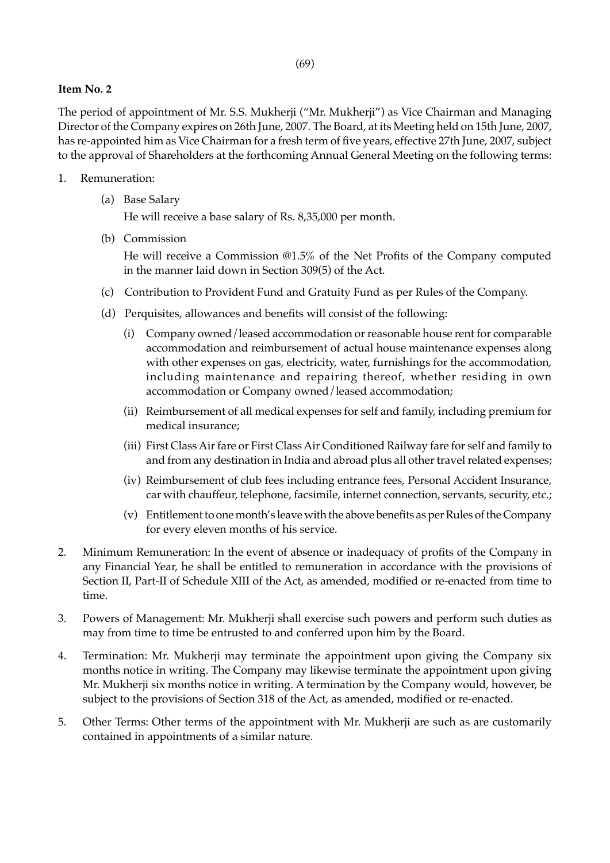# **Item No. 2**

The period of appointment of Mr. S.S. Mukherji ("Mr. Mukherji") as Vice Chairman and Managing Director of the Company expires on 26th June, 2007. The Board, at its Meeting held on 15th June, 2007, has re-appointed him as Vice Chairman for a fresh term of five years, effective 27th June, 2007, subject to the approval of Shareholders at the forthcoming Annual General Meeting on the following terms:

- 1. Remuneration:
	- (a) Base Salary

He will receive a base salary of Rs. 8,35,000 per month.

(b) Commission

He will receive a Commission @1.5% of the Net Profits of the Company computed in the manner laid down in Section 309(5) of the Act.

- (c) Contribution to Provident Fund and Gratuity Fund as per Rules of the Company.
- (d) Perquisites, allowances and benefits will consist of the following:
	- (i) Company owned/leased accommodation or reasonable house rent for comparable accommodation and reimbursement of actual house maintenance expenses along with other expenses on gas, electricity, water, furnishings for the accommodation, including maintenance and repairing thereof, whether residing in own accommodation or Company owned/leased accommodation;
	- (ii) Reimbursement of all medical expenses for self and family, including premium for medical insurance;
	- (iii) First Class Air fare or First Class Air Conditioned Railway fare for self and family to and from any destination in India and abroad plus all other travel related expenses;
	- (iv) Reimbursement of club fees including entrance fees, Personal Accident Insurance, car with chauffeur, telephone, facsimile, internet connection, servants, security, etc.;
	- (v) Entitlement to one month's leave with the above benefits as per Rules of the Company for every eleven months of his service.
- 2. Minimum Remuneration: In the event of absence or inadequacy of profits of the Company in any Financial Year, he shall be entitled to remuneration in accordance with the provisions of Section II, Part-II of Schedule XIII of the Act, as amended, modified or re-enacted from time to time.
- 3. Powers of Management: Mr. Mukherji shall exercise such powers and perform such duties as may from time to time be entrusted to and conferred upon him by the Board.
- 4. Termination: Mr. Mukherji may terminate the appointment upon giving the Company six months notice in writing. The Company may likewise terminate the appointment upon giving Mr. Mukherji six months notice in writing. A termination by the Company would, however, be subject to the provisions of Section 318 of the Act, as amended, modified or re-enacted.
- 5. Other Terms: Other terms of the appointment with Mr. Mukherji are such as are customarily contained in appointments of a similar nature.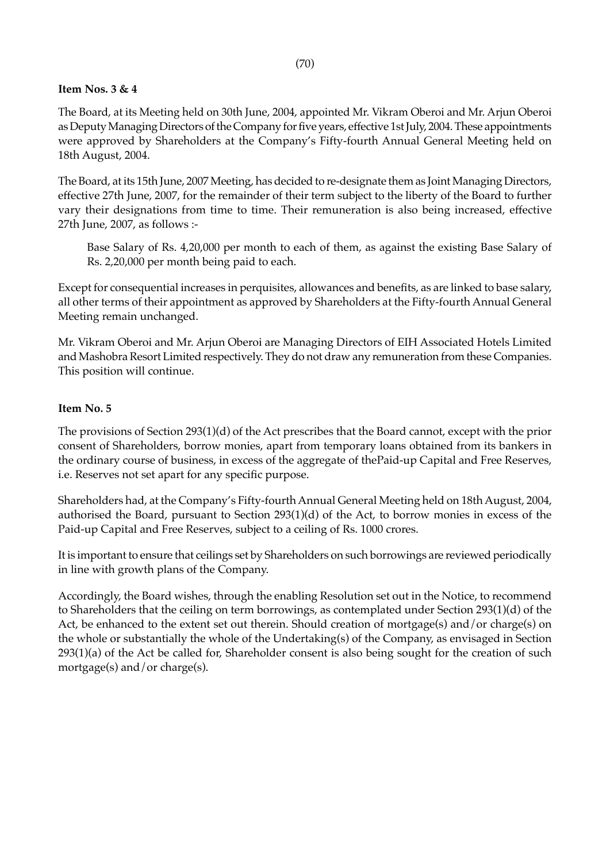### **Item Nos. 3 & 4**

The Board, at its Meeting held on 30th June, 2004, appointed Mr. Vikram Oberoi and Mr. Arjun Oberoi as Deputy Managing Directors of the Company for five years, effective 1st July, 2004. These appointments were approved by Shareholders at the Company's Fifty-fourth Annual General Meeting held on 18th August, 2004.

The Board, at its 15th June, 2007 Meeting, has decided to re-designate them as Joint Managing Directors, effective 27th June, 2007, for the remainder of their term subject to the liberty of the Board to further vary their designations from time to time. Their remuneration is also being increased, effective 27th June, 2007, as follows :-

Base Salary of Rs. 4,20,000 per month to each of them, as against the existing Base Salary of Rs. 2,20,000 per month being paid to each.

Except for consequential increases in perquisites, allowances and benefits, as are linked to base salary, all other terms of their appointment as approved by Shareholders at the Fifty-fourth Annual General Meeting remain unchanged.

Mr. Vikram Oberoi and Mr. Arjun Oberoi are Managing Directors of EIH Associated Hotels Limited and Mashobra Resort Limited respectively. They do not draw any remuneration from these Companies. This position will continue.

#### **Item No. 5**

The provisions of Section 293(1)(d) of the Act prescribes that the Board cannot, except with the prior consent of Shareholders, borrow monies, apart from temporary loans obtained from its bankers in the ordinary course of business, in excess of the aggregate of thePaid-up Capital and Free Reserves, i.e. Reserves not set apart for any specific purpose.

Shareholders had, at the Company's Fifty-fourth Annual General Meeting held on 18th August, 2004, authorised the Board, pursuant to Section 293(1)(d) of the Act, to borrow monies in excess of the Paid-up Capital and Free Reserves, subject to a ceiling of Rs. 1000 crores.

It is important to ensure that ceilings set by Shareholders on such borrowings are reviewed periodically in line with growth plans of the Company.

Accordingly, the Board wishes, through the enabling Resolution set out in the Notice, to recommend to Shareholders that the ceiling on term borrowings, as contemplated under Section 293(1)(d) of the Act, be enhanced to the extent set out therein. Should creation of mortgage(s) and/or charge(s) on the whole or substantially the whole of the Undertaking(s) of the Company, as envisaged in Section 293(1)(a) of the Act be called for, Shareholder consent is also being sought for the creation of such mortgage(s) and/or charge(s).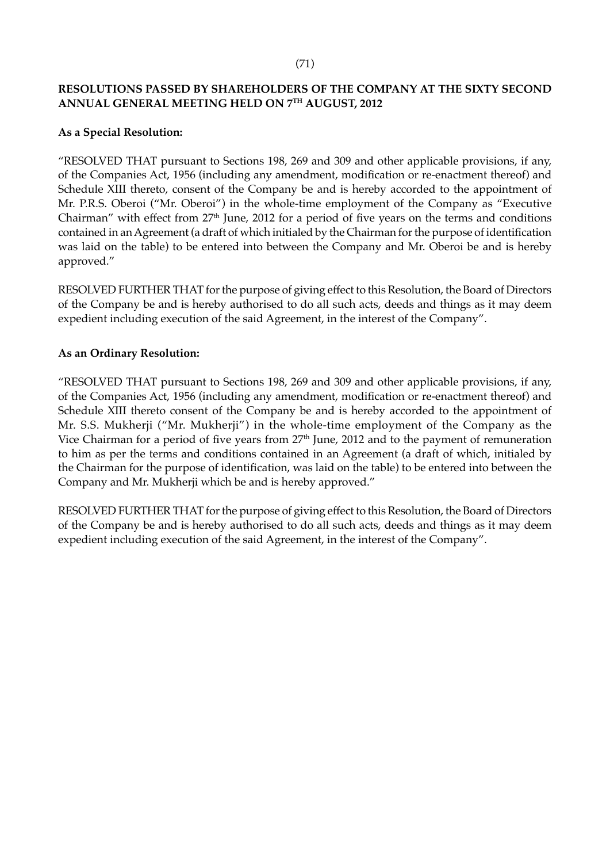# **RESOLUTIONS PASSED BY SHAREHOLDERS OF THE COMPANY AT THE SIXTY SECOND ANNUAL GENERAL MEETING HELD ON 7TH AUGUST, 2012**

# **As a Special Resolution:**

"RESOLVED THAT pursuant to Sections 198, 269 and 309 and other applicable provisions, if any, of the Companies Act, 1956 (including any amendment, modification or re-enactment thereof) and Schedule XIII thereto, consent of the Company be and is hereby accorded to the appointment of Mr. P.R.S. Oberoi ("Mr. Oberoi") in the whole-time employment of the Company as "Executive Chairman" with effect from 27<sup>th</sup> June, 2012 for a period of five years on the terms and conditions contained in an Agreement (a draft of which initialed by the Chairman for the purpose of identification was laid on the table) to be entered into between the Company and Mr. Oberoi be and is hereby approved."

RESOLVED FURTHER THAT for the purpose of giving effect to this Resolution, the Board of Directors of the Company be and is hereby authorised to do all such acts, deeds and things as it may deem expedient including execution of the said Agreement, in the interest of the Company".

# **As an Ordinary Resolution:**

"RESOLVED THAT pursuant to Sections 198, 269 and 309 and other applicable provisions, if any, of the Companies Act, 1956 (including any amendment, modification or re-enactment thereof) and Schedule XIII thereto consent of the Company be and is hereby accorded to the appointment of Mr. S.S. Mukherji ("Mr. Mukherji") in the whole-time employment of the Company as the Vice Chairman for a period of five years from  $27<sup>th</sup>$  June, 2012 and to the payment of remuneration to him as per the terms and conditions contained in an Agreement (a draft of which, initialed by the Chairman for the purpose of identification, was laid on the table) to be entered into between the Company and Mr. Mukherji which be and is hereby approved."

RESOLVED FURTHER THAT for the purpose of giving effect to this Resolution, the Board of Directors of the Company be and is hereby authorised to do all such acts, deeds and things as it may deem expedient including execution of the said Agreement, in the interest of the Company".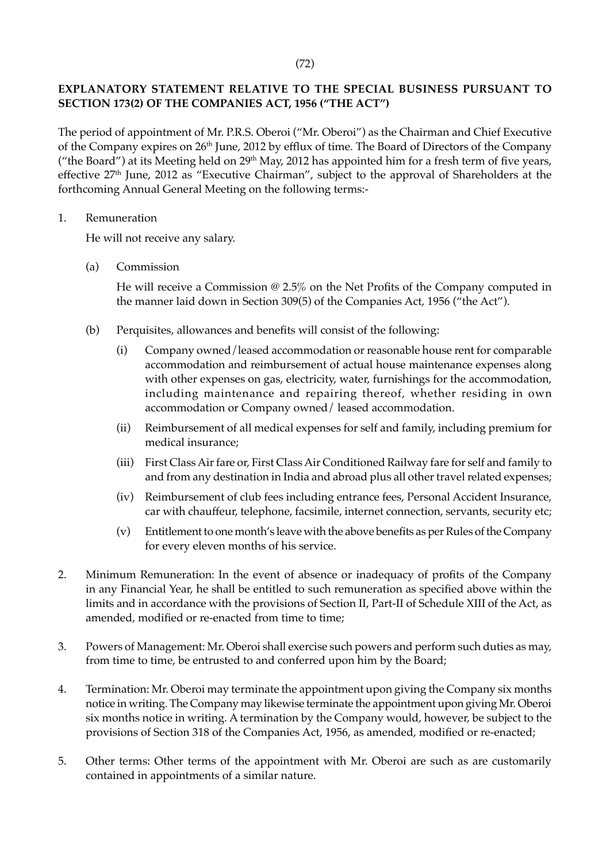# **EXPLANATORY STATEMENT RELATIVE TO THE SPECIAL BUSINESS PURSUANT TO SECTION 173(2) OF THE COMPANIES ACT, 1956 ("THE ACT")**

The period of appointment of Mr. P.R.S. Oberoi ("Mr. Oberoi") as the Chairman and Chief Executive of the Company expires on 26<sup>th</sup> June, 2012 by efflux of time. The Board of Directors of the Company ("the Board") at its Meeting held on 29<sup>th</sup> May, 2012 has appointed him for a fresh term of five years, effective 27<sup>th</sup> June, 2012 as "Executive Chairman", subject to the approval of Shareholders at the forthcoming Annual General Meeting on the following terms:-

1. Remuneration

He will not receive any salary.

(a) Commission

He will receive a Commission @ 2.5% on the Net Profits of the Company computed in the manner laid down in Section 309(5) of the Companies Act, 1956 ("the Act").

- (b) Perquisites, allowances and benefits will consist of the following:
	- (i) Company owned/leased accommodation or reasonable house rent for comparable accommodation and reimbursement of actual house maintenance expenses along with other expenses on gas, electricity, water, furnishings for the accommodation, including maintenance and repairing thereof, whether residing in own accommodation or Company owned/ leased accommodation.
	- (ii) Reimbursement of all medical expenses for self and family, including premium for medical insurance;
	- (iii) First Class Air fare or, First Class Air Conditioned Railway fare for self and family to and from any destination in India and abroad plus all other travel related expenses;
	- (iv) Reimbursement of club fees including entrance fees, Personal Accident Insurance, car with chauffeur, telephone, facsimile, internet connection, servants, security etc;
	- (v) Entitlement to one month's leave with the above benefits as per Rules of the Company for every eleven months of his service.
- 2. Minimum Remuneration: In the event of absence or inadequacy of profits of the Company in any Financial Year, he shall be entitled to such remuneration as specified above within the limits and in accordance with the provisions of Section II, Part-II of Schedule XIII of the Act, as amended, modified or re-enacted from time to time;
- 3. Powers of Management: Mr. Oberoi shall exercise such powers and perform such duties as may, from time to time, be entrusted to and conferred upon him by the Board;
- 4. Termination: Mr. Oberoi may terminate the appointment upon giving the Company six months notice in writing. The Company may likewise terminate the appointment upon giving Mr. Oberoi six months notice in writing. A termination by the Company would, however, be subject to the provisions of Section 318 of the Companies Act, 1956, as amended, modified or re-enacted;
- 5. Other terms: Other terms of the appointment with Mr. Oberoi are such as are customarily contained in appointments of a similar nature.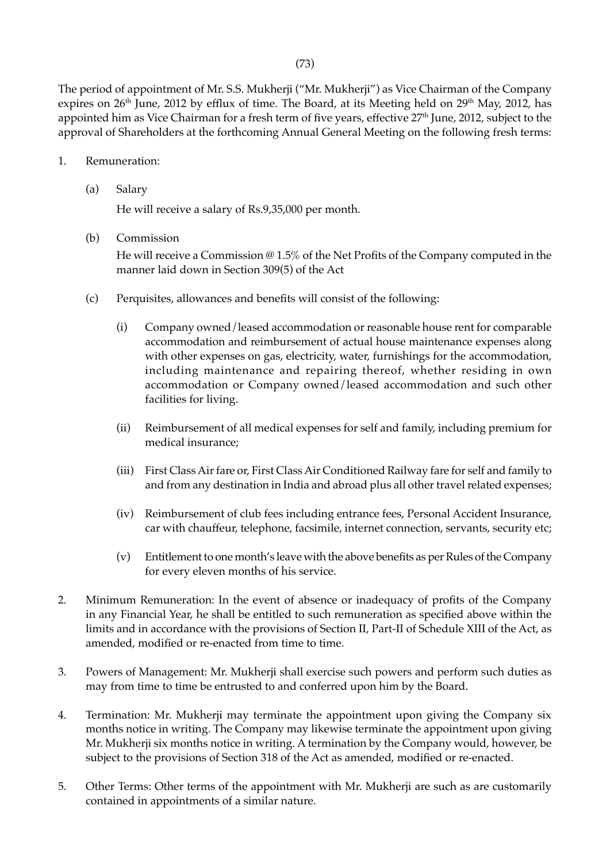The period of appointment of Mr. S.S. Mukherji ("Mr. Mukherji") as Vice Chairman of the Company expires on 26<sup>th</sup> June, 2012 by efflux of time. The Board, at its Meeting held on 29<sup>th</sup> May, 2012, has appointed him as Vice Chairman for a fresh term of five years, effective 27<sup>th</sup> June, 2012, subject to the approval of Shareholders at the forthcoming Annual General Meeting on the following fresh terms:

- 1. Remuneration:
	- (a) Salary

He will receive a salary of Rs.9,35,000 per month.

(b) Commission

He will receive a Commission @ 1.5% of the Net Profits of the Company computed in the manner laid down in Section 309(5) of the Act

- (c) Perquisites, allowances and benefits will consist of the following:
	- (i) Company owned/leased accommodation or reasonable house rent for comparable accommodation and reimbursement of actual house maintenance expenses along with other expenses on gas, electricity, water, furnishings for the accommodation, including maintenance and repairing thereof, whether residing in own accommodation or Company owned/leased accommodation and such other facilities for living.
	- (ii) Reimbursement of all medical expenses for self and family, including premium for medical insurance;
	- (iii) First Class Air fare or, First Class Air Conditioned Railway fare for self and family to and from any destination in India and abroad plus all other travel related expenses;
	- (iv) Reimbursement of club fees including entrance fees, Personal Accident Insurance, car with chauffeur, telephone, facsimile, internet connection, servants, security etc;
	- (v) Entitlement to one month's leave with the above benefits as per Rules of the Company for every eleven months of his service.
- 2. Minimum Remuneration: In the event of absence or inadequacy of profits of the Company in any Financial Year, he shall be entitled to such remuneration as specified above within the limits and in accordance with the provisions of Section II, Part-II of Schedule XIII of the Act, as amended, modified or re-enacted from time to time.
- 3. Powers of Management: Mr. Mukherji shall exercise such powers and perform such duties as may from time to time be entrusted to and conferred upon him by the Board.
- 4. Termination: Mr. Mukherji may terminate the appointment upon giving the Company six months notice in writing. The Company may likewise terminate the appointment upon giving Mr. Mukherji six months notice in writing. A termination by the Company would, however, be subject to the provisions of Section 318 of the Act as amended, modified or re-enacted.
- 5. Other Terms: Other terms of the appointment with Mr. Mukherji are such as are customarily contained in appointments of a similar nature.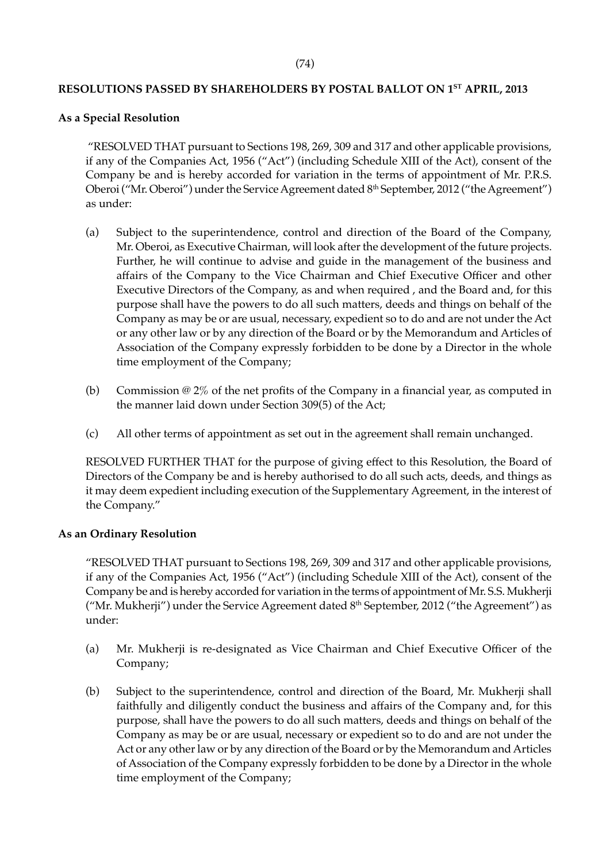# **RESOLUTIONS PASSED BY SHAREHOLDERS BY POSTAL BALLOT ON 1ST APRIL, 2013**

### **As a Special Resolution**

 "RESOLVED THAT pursuant to Sections 198, 269, 309 and 317 and other applicable provisions, if any of the Companies Act, 1956 ("Act") (including Schedule XIII of the Act), consent of the Company be and is hereby accorded for variation in the terms of appointment of Mr. P.R.S. Oberoi ("Mr. Oberoi") under the Service Agreement dated 8<sup>th</sup> September, 2012 ("the Agreement") as under:

- (a) Subject to the superintendence, control and direction of the Board of the Company, Mr. Oberoi, as Executive Chairman, will look after the development of the future projects. Further, he will continue to advise and guide in the management of the business and affairs of the Company to the Vice Chairman and Chief Executive Officer and other Executive Directors of the Company, as and when required , and the Board and, for this purpose shall have the powers to do all such matters, deeds and things on behalf of the Company as may be or are usual, necessary, expedient so to do and are not under the Act or any other law or by any direction of the Board or by the Memorandum and Articles of Association of the Company expressly forbidden to be done by a Director in the whole time employment of the Company;
- (b) Commission @ 2% of the net profits of the Company in a financial year, as computed in the manner laid down under Section 309(5) of the Act;
- (c) All other terms of appointment as set out in the agreement shall remain unchanged.

RESOLVED FURTHER THAT for the purpose of giving effect to this Resolution, the Board of Directors of the Company be and is hereby authorised to do all such acts, deeds, and things as it may deem expedient including execution of the Supplementary Agreement, in the interest of the Company."

# **As an Ordinary Resolution**

"RESOLVED THAT pursuant to Sections 198, 269, 309 and 317 and other applicable provisions, if any of the Companies Act, 1956 ("Act") (including Schedule XIII of the Act), consent of the Company be and is hereby accorded for variation in the terms of appointment of Mr. S.S. Mukherji ("Mr. Mukherji") under the Service Agreement dated 8<sup>th</sup> September, 2012 ("the Agreement") as under:

- (a) Mr. Mukherji is re-designated as Vice Chairman and Chief Executive Officer of the Company;
- (b) Subject to the superintendence, control and direction of the Board, Mr. Mukherji shall faithfully and diligently conduct the business and affairs of the Company and, for this purpose, shall have the powers to do all such matters, deeds and things on behalf of the Company as may be or are usual, necessary or expedient so to do and are not under the Act or any other law or by any direction of the Board or by the Memorandum and Articles of Association of the Company expressly forbidden to be done by a Director in the whole time employment of the Company;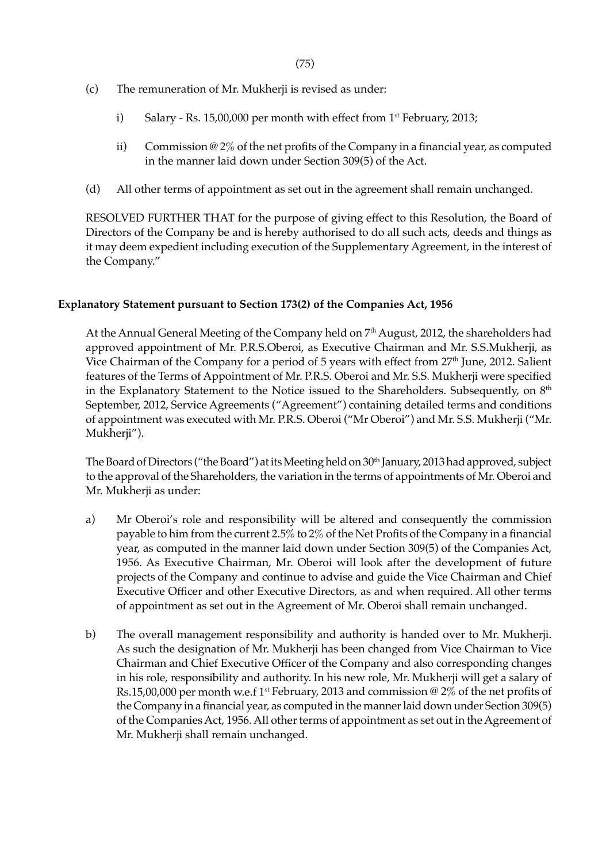- (c) The remuneration of Mr. Mukherji is revised as under:
	- i) Salary Rs. 15,00,000 per month with effect from  $1<sup>st</sup>$  February, 2013;
	- ii) Commission  $\omega$  2% of the net profits of the Company in a financial year, as computed in the manner laid down under Section 309(5) of the Act.
- (d) All other terms of appointment as set out in the agreement shall remain unchanged.

RESOLVED FURTHER THAT for the purpose of giving effect to this Resolution, the Board of Directors of the Company be and is hereby authorised to do all such acts, deeds and things as it may deem expedient including execution of the Supplementary Agreement, in the interest of the Company."

### **Explanatory Statement pursuant to Section 173(2) of the Companies Act, 1956**

At the Annual General Meeting of the Company held on 7<sup>th</sup> August, 2012, the shareholders had approved appointment of Mr. P.R.S.Oberoi, as Executive Chairman and Mr. S.S.Mukherji, as Vice Chairman of the Company for a period of 5 years with effect from 27<sup>th</sup> June, 2012. Salient features of the Terms of Appointment of Mr. P.R.S. Oberoi and Mr. S.S. Mukherji were specified in the Explanatory Statement to the Notice issued to the Shareholders. Subsequently, on 8<sup>th</sup> September, 2012, Service Agreements ("Agreement") containing detailed terms and conditions of appointment was executed with Mr. P.R.S. Oberoi ("Mr Oberoi") and Mr. S.S. Mukherji ("Mr. Mukherji").

The Board of Directors ("the Board") at its Meeting held on 30<sup>th</sup> January, 2013 had approved, subject to the approval of the Shareholders, the variation in the terms of appointments of Mr. Oberoi and Mr. Mukherji as under:

- a) Mr Oberoi's role and responsibility will be altered and consequently the commission payable to him from the current 2.5% to 2% of the Net Profits of the Company in a financial year, as computed in the manner laid down under Section 309(5) of the Companies Act, 1956. As Executive Chairman, Mr. Oberoi will look after the development of future projects of the Company and continue to advise and guide the Vice Chairman and Chief Executive Officer and other Executive Directors, as and when required. All other terms of appointment as set out in the Agreement of Mr. Oberoi shall remain unchanged.
- b) The overall management responsibility and authority is handed over to Mr. Mukherji. As such the designation of Mr. Mukherji has been changed from Vice Chairman to Vice Chairman and Chief Executive Officer of the Company and also corresponding changes in his role, responsibility and authority. In his new role, Mr. Mukherji will get a salary of Rs.15,00,000 per month w.e.f 1<sup>st</sup> February, 2013 and commission @ 2% of the net profits of the Company in a financial year, as computed in the manner laid down under Section 309(5) of the Companies Act, 1956. All other terms of appointment as set out in the Agreement of Mr. Mukherji shall remain unchanged.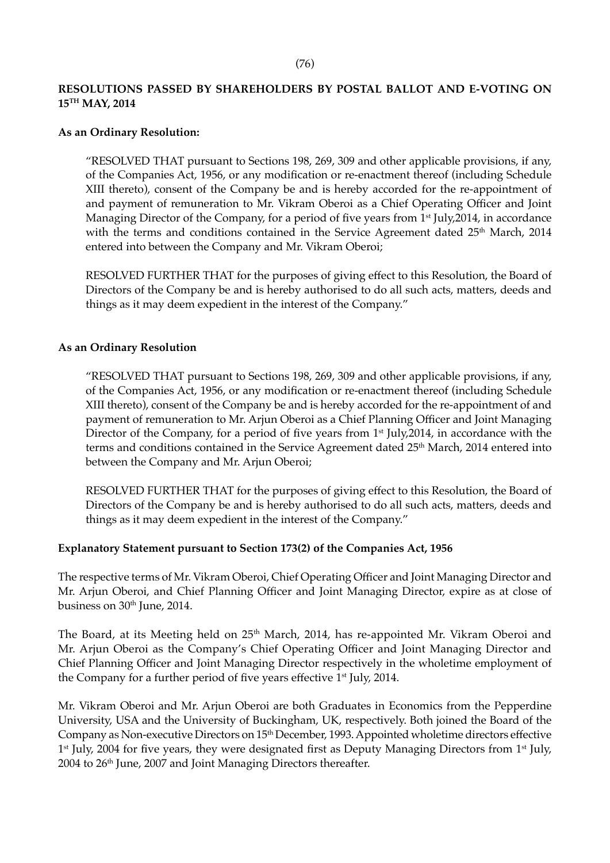# **RESOLUTIONS PASSED BY SHAREHOLDERS BY POSTAL BALLOT AND E-VOTING ON 15TH MAY, 2014**

### **As an Ordinary Resolution:**

"RESOLVED THAT pursuant to Sections 198, 269, 309 and other applicable provisions, if any, of the Companies Act, 1956, or any modification or re-enactment thereof (including Schedule XIII thereto), consent of the Company be and is hereby accorded for the re-appointment of and payment of remuneration to Mr. Vikram Oberoi as a Chief Operating Officer and Joint Managing Director of the Company, for a period of five years from  $1<sup>st</sup>$  July, 2014, in accordance with the terms and conditions contained in the Service Agreement dated 25<sup>th</sup> March, 2014 entered into between the Company and Mr. Vikram Oberoi;

RESOLVED FURTHER THAT for the purposes of giving effect to this Resolution, the Board of Directors of the Company be and is hereby authorised to do all such acts, matters, deeds and things as it may deem expedient in the interest of the Company."

### **As an Ordinary Resolution**

"RESOLVED THAT pursuant to Sections 198, 269, 309 and other applicable provisions, if any, of the Companies Act, 1956, or any modification or re-enactment thereof (including Schedule XIII thereto), consent of the Company be and is hereby accorded for the re-appointment of and payment of remuneration to Mr. Arjun Oberoi as a Chief Planning Officer and Joint Managing Director of the Company, for a period of five years from  $1<sup>st</sup>$  July, 2014, in accordance with the terms and conditions contained in the Service Agreement dated 25<sup>th</sup> March, 2014 entered into between the Company and Mr. Arjun Oberoi;

RESOLVED FURTHER THAT for the purposes of giving effect to this Resolution, the Board of Directors of the Company be and is hereby authorised to do all such acts, matters, deeds and things as it may deem expedient in the interest of the Company."

# **Explanatory Statement pursuant to Section 173(2) of the Companies Act, 1956**

The respective terms of Mr. Vikram Oberoi, Chief Operating Officer and Joint Managing Director and Mr. Arjun Oberoi, and Chief Planning Officer and Joint Managing Director, expire as at close of business on 30<sup>th</sup> June, 2014.

The Board, at its Meeting held on 25<sup>th</sup> March, 2014, has re-appointed Mr. Vikram Oberoi and Mr. Arjun Oberoi as the Company's Chief Operating Officer and Joint Managing Director and Chief Planning Officer and Joint Managing Director respectively in the wholetime employment of the Company for a further period of five years effective 1<sup>st</sup> July, 2014.

Mr. Vikram Oberoi and Mr. Arjun Oberoi are both Graduates in Economics from the Pepperdine University, USA and the University of Buckingham, UK, respectively. Both joined the Board of the Company as Non-executive Directors on 15th December, 1993. Appointed wholetime directors effective  $1<sup>st</sup>$  July, 2004 for five years, they were designated first as Deputy Managing Directors from  $1<sup>st</sup>$  July, 2004 to 26<sup>th</sup> June, 2007 and Joint Managing Directors thereafter.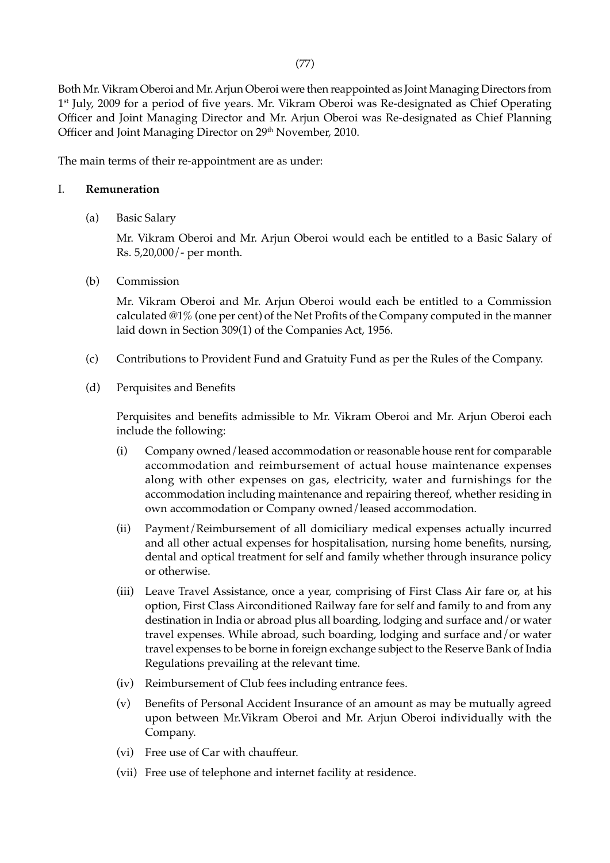Both Mr. Vikram Oberoi and Mr. Arjun Oberoi were then reappointed as Joint Managing Directors from 1<sup>st</sup> July, 2009 for a period of five years. Mr. Vikram Oberoi was Re-designated as Chief Operating Officer and Joint Managing Director and Mr. Arjun Oberoi was Re-designated as Chief Planning Officer and Joint Managing Director on 29<sup>th</sup> November, 2010.

The main terms of their re-appointment are as under:

### I. **Remuneration**

(a) Basic Salary

Mr. Vikram Oberoi and Mr. Arjun Oberoi would each be entitled to a Basic Salary of Rs. 5,20,000/- per month.

(b) Commission

Mr. Vikram Oberoi and Mr. Arjun Oberoi would each be entitled to a Commission calculated @1% (one per cent) of the Net Profits of the Company computed in the manner laid down in Section 309(1) of the Companies Act, 1956.

- (c) Contributions to Provident Fund and Gratuity Fund as per the Rules of the Company.
- (d) Perquisites and Benefits

Perquisites and benefits admissible to Mr. Vikram Oberoi and Mr. Arjun Oberoi each include the following:

- (i) Company owned/leased accommodation or reasonable house rent for comparable accommodation and reimbursement of actual house maintenance expenses along with other expenses on gas, electricity, water and furnishings for the accommodation including maintenance and repairing thereof, whether residing in own accommodation or Company owned/leased accommodation.
- (ii) Payment/Reimbursement of all domiciliary medical expenses actually incurred and all other actual expenses for hospitalisation, nursing home benefits, nursing, dental and optical treatment for self and family whether through insurance policy or otherwise.
- (iii) Leave Travel Assistance, once a year, comprising of First Class Air fare or, at his option, First Class Airconditioned Railway fare for self and family to and from any destination in India or abroad plus all boarding, lodging and surface and/or water travel expenses. While abroad, such boarding, lodging and surface and/or water travel expenses to be borne in foreign exchange subject to the Reserve Bank of India Regulations prevailing at the relevant time.
- (iv) Reimbursement of Club fees including entrance fees.
- (v) Benefits of Personal Accident Insurance of an amount as may be mutually agreed upon between Mr.Vikram Oberoi and Mr. Arjun Oberoi individually with the Company.
- (vi) Free use of Car with chauffeur.
- (vii) Free use of telephone and internet facility at residence.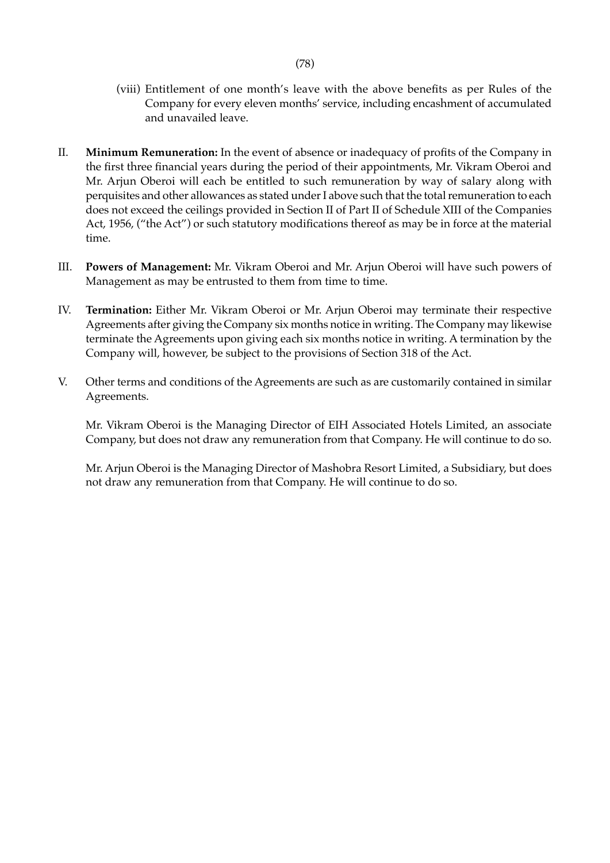- (viii) Entitlement of one month's leave with the above benefits as per Rules of the Company for every eleven months' service, including encashment of accumulated and unavailed leave.
- II. **Minimum Remuneration:** In the event of absence or inadequacy of profits of the Company in the first three financial years during the period of their appointments, Mr. Vikram Oberoi and Mr. Arjun Oberoi will each be entitled to such remuneration by way of salary along with perquisites and other allowances as stated under I above such that the total remuneration to each does not exceed the ceilings provided in Section II of Part II of Schedule XIII of the Companies Act, 1956, ("the Act") or such statutory modifications thereof as may be in force at the material time.
- III. **Powers of Management:** Mr. Vikram Oberoi and Mr. Arjun Oberoi will have such powers of Management as may be entrusted to them from time to time.
- IV. **Termination:** Either Mr. Vikram Oberoi or Mr. Arjun Oberoi may terminate their respective Agreements after giving the Company six months notice in writing. The Company may likewise terminate the Agreements upon giving each six months notice in writing. A termination by the Company will, however, be subject to the provisions of Section 318 of the Act.
- V. Other terms and conditions of the Agreements are such as are customarily contained in similar Agreements.

Mr. Vikram Oberoi is the Managing Director of EIH Associated Hotels Limited, an associate Company, but does not draw any remuneration from that Company. He will continue to do so.

Mr. Arjun Oberoi is the Managing Director of Mashobra Resort Limited, a Subsidiary, but does not draw any remuneration from that Company. He will continue to do so.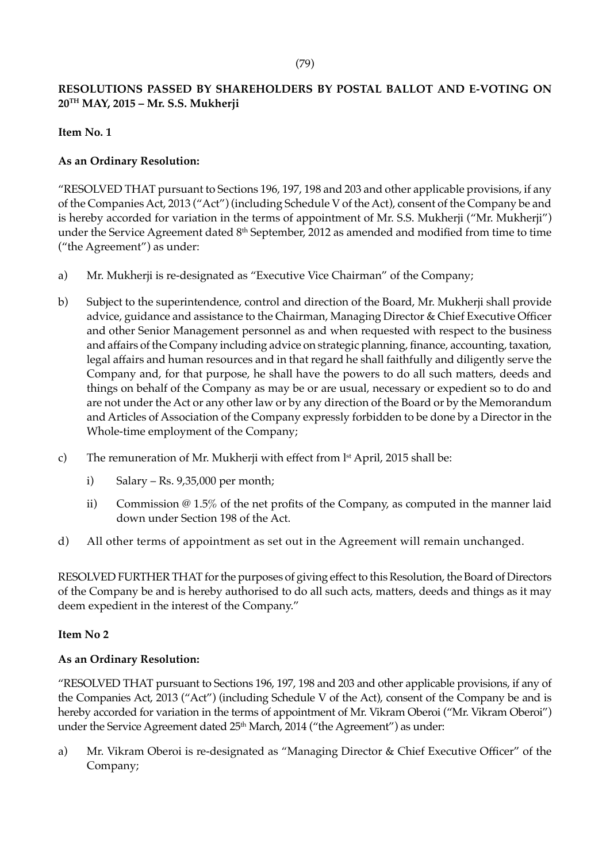# **RESOLUTIONS PASSED BY SHAREHOLDERS BY POSTAL BALLOT AND E-VOTING ON 20TH MAY, 2015 – Mr. S.S. Mukherji**

# **Item No. 1**

# **As an Ordinary Resolution:**

"RESOLVED THAT pursuant to Sections 196, 197, 198 and 203 and other applicable provisions, if any of the Companies Act, 2013 ("Act") (including Schedule V of the Act), consent of the Company be and is hereby accorded for variation in the terms of appointment of Mr. S.S. Mukherji ("Mr. Mukherji") under the Service Agreement dated 8<sup>th</sup> September, 2012 as amended and modified from time to time ("the Agreement") as under:

- a) Mr. Mukherji is re-designated as "Executive Vice Chairman" of the Company;
- b) Subject to the superintendence, control and direction of the Board, Mr. Mukherji shall provide advice, guidance and assistance to the Chairman, Managing Director & Chief Executive Officer and other Senior Management personnel as and when requested with respect to the business and affairs of the Company including advice on strategic planning, finance, accounting, taxation, legal affairs and human resources and in that regard he shall faithfully and diligently serve the Company and, for that purpose, he shall have the powers to do all such matters, deeds and things on behalf of the Company as may be or are usual, necessary or expedient so to do and are not under the Act or any other law or by any direction of the Board or by the Memorandum and Articles of Association of the Company expressly forbidden to be done by a Director in the Whole-time employment of the Company;
- c) The remuneration of Mr. Mukherji with effect from  $l<sup>st</sup>$  April, 2015 shall be:
	- i) Salary Rs.  $9,35,000$  per month;
	- ii) Commission @ 1.5% of the net profits of the Company, as computed in the manner laid down under Section 198 of the Act.
- d) All other terms of appointment as set out in the Agreement will remain unchanged.

RESOLVED FURTHER THAT for the purposes of giving effect to this Resolution, the Board of Directors of the Company be and is hereby authorised to do all such acts, matters, deeds and things as it may deem expedient in the interest of the Company."

# **Item No 2**

# **As an Ordinary Resolution:**

"RESOLVED THAT pursuant to Sections 196, 197, 198 and 203 and other applicable provisions, if any of the Companies Act, 2013 ("Act") (including Schedule V of the Act), consent of the Company be and is hereby accorded for variation in the terms of appointment of Mr. Vikram Oberoi ("Mr. Vikram Oberoi") under the Service Agreement dated 25<sup>th</sup> March, 2014 ("the Agreement") as under:

a) Mr. Vikram Oberoi is re-designated as "Managing Director & Chief Executive Officer" of the Company;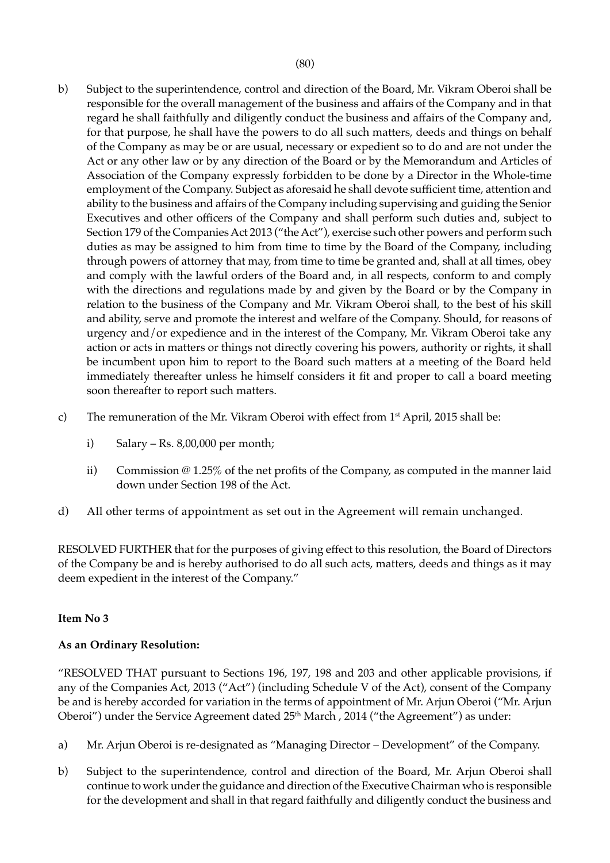- b) Subject to the superintendence, control and direction of the Board, Mr. Vikram Oberoi shall be responsible for the overall management of the business and affairs of the Company and in that regard he shall faithfully and diligently conduct the business and affairs of the Company and, for that purpose, he shall have the powers to do all such matters, deeds and things on behalf of the Company as may be or are usual, necessary or expedient so to do and are not under the Act or any other law or by any direction of the Board or by the Memorandum and Articles of Association of the Company expressly forbidden to be done by a Director in the Whole-time employment of the Company. Subject as aforesaid he shall devote sufficient time, attention and ability to the business and affairs of the Company including supervising and guiding the Senior Executives and other officers of the Company and shall perform such duties and, subject to Section 179 of the Companies Act 2013 ("the Act"), exercise such other powers and perform such duties as may be assigned to him from time to time by the Board of the Company, including through powers of attorney that may, from time to time be granted and, shall at all times, obey and comply with the lawful orders of the Board and, in all respects, conform to and comply with the directions and regulations made by and given by the Board or by the Company in relation to the business of the Company and Mr. Vikram Oberoi shall, to the best of his skill and ability, serve and promote the interest and welfare of the Company. Should, for reasons of urgency and/or expedience and in the interest of the Company, Mr. Vikram Oberoi take any action or acts in matters or things not directly covering his powers, authority or rights, it shall be incumbent upon him to report to the Board such matters at a meeting of the Board held immediately thereafter unless he himself considers it fit and proper to call a board meeting soon thereafter to report such matters.
- c) The remuneration of the Mr. Vikram Oberoi with effect from 1<sup>st</sup> April, 2015 shall be:
	- i) Salary Rs.  $8,00,000$  per month;
	- ii) Commission @ 1.25% of the net profits of the Company, as computed in the manner laid down under Section 198 of the Act.
- d) All other terms of appointment as set out in the Agreement will remain unchanged.

RESOLVED FURTHER that for the purposes of giving effect to this resolution, the Board of Directors of the Company be and is hereby authorised to do all such acts, matters, deeds and things as it may deem expedient in the interest of the Company."

# **Item No 3**

# **As an Ordinary Resolution:**

"RESOLVED THAT pursuant to Sections 196, 197, 198 and 203 and other applicable provisions, if any of the Companies Act, 2013 ("Act") (including Schedule V of the Act), consent of the Company be and is hereby accorded for variation in the terms of appointment of Mr. Arjun Oberoi ("Mr. Arjun Oberoi") under the Service Agreement dated 25<sup>th</sup> March, 2014 ("the Agreement") as under:

- a) Mr. Arjun Oberoi is re-designated as "Managing Director Development" of the Company.
- b) Subject to the superintendence, control and direction of the Board, Mr. Arjun Oberoi shall continue to work under the guidance and direction of the Executive Chairman who is responsible for the development and shall in that regard faithfully and diligently conduct the business and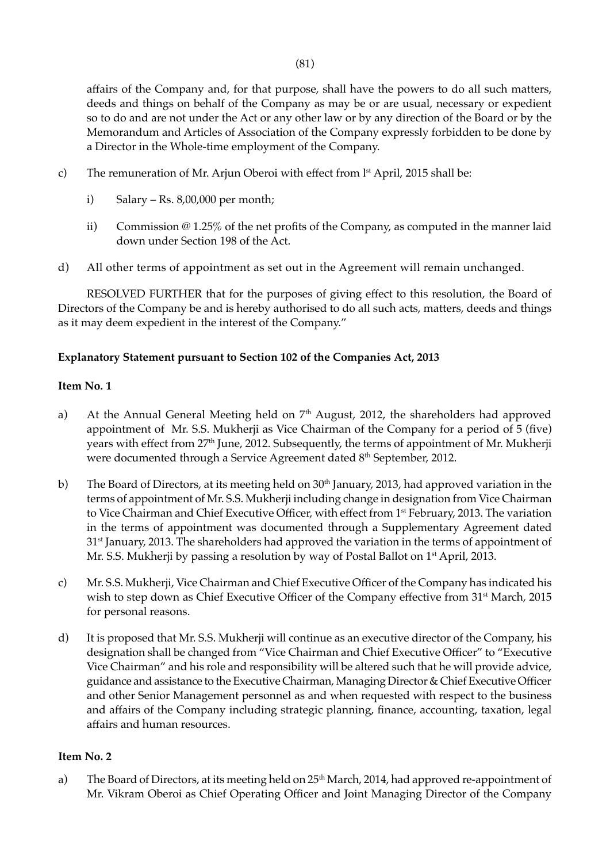affairs of the Company and, for that purpose, shall have the powers to do all such matters, deeds and things on behalf of the Company as may be or are usual, necessary or expedient so to do and are not under the Act or any other law or by any direction of the Board or by the Memorandum and Articles of Association of the Company expressly forbidden to be done by a Director in the Whole-time employment of the Company.

- c) The remuneration of Mr. Arjun Oberoi with effect from 1<sup>st</sup> April, 2015 shall be:
	- i) Salary Rs. 8,00,000 per month;
	- ii) Commission  $\omega$  1.25% of the net profits of the Company, as computed in the manner laid down under Section 198 of the Act.
- d) All other terms of appointment as set out in the Agreement will remain unchanged.

RESOLVED FURTHER that for the purposes of giving effect to this resolution, the Board of Directors of the Company be and is hereby authorised to do all such acts, matters, deeds and things as it may deem expedient in the interest of the Company."

# **Explanatory Statement pursuant to Section 102 of the Companies Act, 2013**

# **Item No. 1**

- a) At the Annual General Meeting held on 7<sup>th</sup> August, 2012, the shareholders had approved appointment of Mr. S.S. Mukherji as Vice Chairman of the Company for a period of 5 (five) years with effect from 27<sup>th</sup> June, 2012. Subsequently, the terms of appointment of Mr. Mukherji were documented through a Service Agreement dated 8<sup>th</sup> September, 2012.
- b) The Board of Directors, at its meeting held on 30<sup>th</sup> January, 2013, had approved variation in the terms of appointment of Mr. S.S. Mukherji including change in designation from Vice Chairman to Vice Chairman and Chief Executive Officer, with effect from 1<sup>st</sup> February, 2013. The variation in the terms of appointment was documented through a Supplementary Agreement dated 31<sup>st</sup> January, 2013. The shareholders had approved the variation in the terms of appointment of Mr. S.S. Mukherji by passing a resolution by way of Postal Ballot on 1<sup>st</sup> April, 2013.
- c) Mr. S.S. Mukherji, Vice Chairman and Chief Executive Officer of the Company has indicated his wish to step down as Chief Executive Officer of the Company effective from 31<sup>st</sup> March, 2015 for personal reasons.
- d) It is proposed that Mr. S.S. Mukherji will continue as an executive director of the Company, his designation shall be changed from "Vice Chairman and Chief Executive Officer" to "Executive Vice Chairman" and his role and responsibility will be altered such that he will provide advice, guidance and assistance to the Executive Chairman, Managing Director & Chief Executive Officer and other Senior Management personnel as and when requested with respect to the business and affairs of the Company including strategic planning, finance, accounting, taxation, legal affairs and human resources.

# **Item No. 2**

a) The Board of Directors, at its meeting held on 25<sup>th</sup> March, 2014, had approved re-appointment of Mr. Vikram Oberoi as Chief Operating Officer and Joint Managing Director of the Company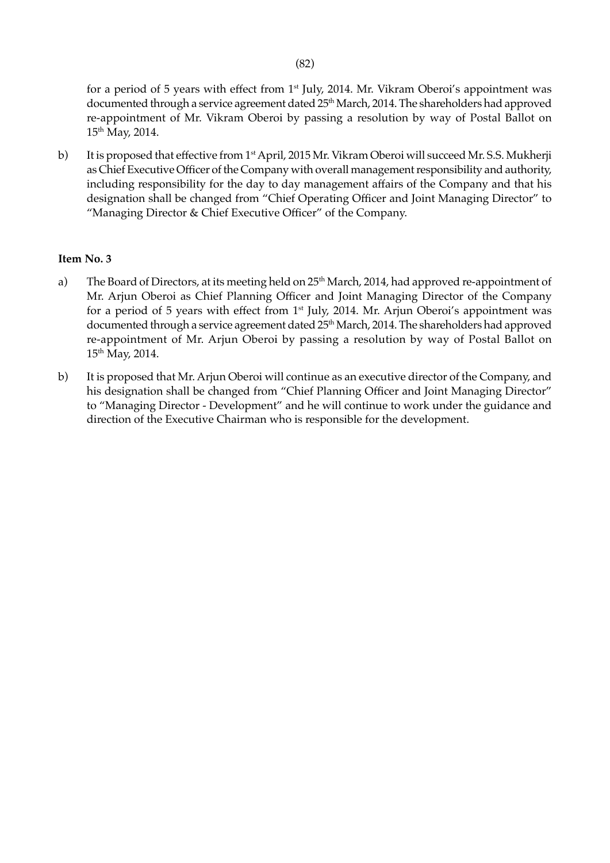for a period of 5 years with effect from  $1<sup>st</sup>$  July, 2014. Mr. Vikram Oberoi's appointment was documented through a service agreement dated 25<sup>th</sup> March, 2014. The shareholders had approved re-appointment of Mr. Vikram Oberoi by passing a resolution by way of Postal Ballot on 15th May, 2014.

b) It is proposed that effective from 1st April, 2015 Mr. Vikram Oberoi will succeed Mr. S.S. Mukherji as Chief Executive Officer of the Company with overall management responsibility and authority, including responsibility for the day to day management affairs of the Company and that his designation shall be changed from "Chief Operating Officer and Joint Managing Director" to "Managing Director & Chief Executive Officer" of the Company.

### **Item No. 3**

- a) The Board of Directors, at its meeting held on 25<sup>th</sup> March, 2014, had approved re-appointment of Mr. Arjun Oberoi as Chief Planning Officer and Joint Managing Director of the Company for a period of 5 years with effect from 1<sup>st</sup> July, 2014. Mr. Arjun Oberoi's appointment was documented through a service agreement dated 25<sup>th</sup> March, 2014. The shareholders had approved re-appointment of Mr. Arjun Oberoi by passing a resolution by way of Postal Ballot on 15th May, 2014.
- b) It is proposed that Mr. Arjun Oberoi will continue as an executive director of the Company, and his designation shall be changed from "Chief Planning Officer and Joint Managing Director" to "Managing Director - Development" and he will continue to work under the guidance and direction of the Executive Chairman who is responsible for the development.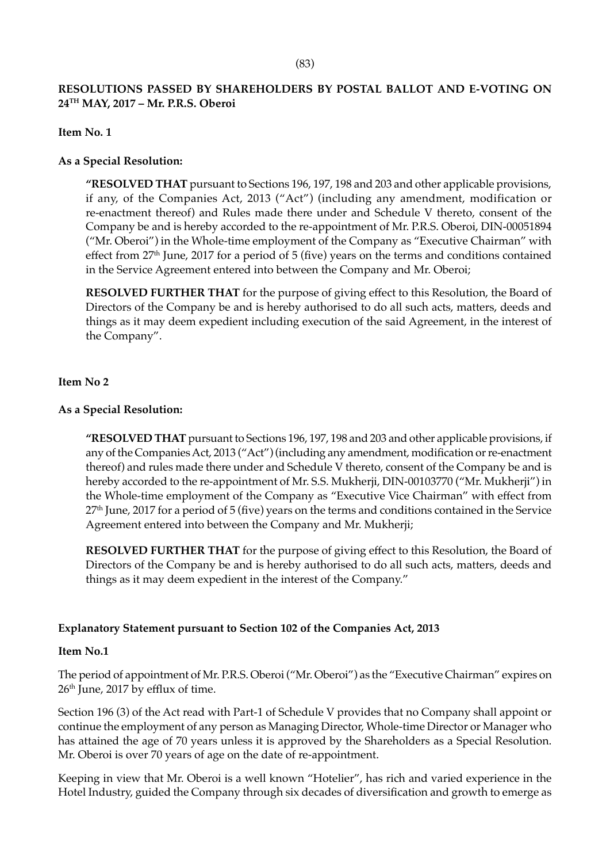# **RESOLUTIONS PASSED BY SHAREHOLDERS BY POSTAL BALLOT AND E-VOTING ON 24TH MAY, 2017 – Mr. P.R.S. Oberoi**

#### **Item No. 1**

#### **As a Special Resolution:**

 **"RESOLVED THAT** pursuant to Sections 196, 197, 198 and 203 and other applicable provisions, if any, of the Companies Act, 2013 ("Act") (including any amendment, modification or re-enactment thereof) and Rules made there under and Schedule V thereto, consent of the Company be and is hereby accorded to the re-appointment of Mr. P.R.S. Oberoi, DIN-00051894 ("Mr. Oberoi") in the Whole-time employment of the Company as "Executive Chairman" with effect from 27<sup>th</sup> June, 2017 for a period of 5 (five) years on the terms and conditions contained in the Service Agreement entered into between the Company and Mr. Oberoi;

**RESOLVED FURTHER THAT** for the purpose of giving effect to this Resolution, the Board of Directors of the Company be and is hereby authorised to do all such acts, matters, deeds and things as it may deem expedient including execution of the said Agreement, in the interest of the Company".

#### **Item No 2**

### **As a Special Resolution:**

**"RESOLVED THAT** pursuant to Sections 196, 197, 198 and 203 and other applicable provisions, if any of the Companies Act, 2013 ("Act") (including any amendment, modification or re-enactment thereof) and rules made there under and Schedule V thereto, consent of the Company be and is hereby accorded to the re-appointment of Mr. S.S. Mukherji, DIN-00103770 ("Mr. Mukherji") in the Whole-time employment of the Company as "Executive Vice Chairman" with effect from 27<sup>th</sup> June, 2017 for a period of 5 (five) years on the terms and conditions contained in the Service Agreement entered into between the Company and Mr. Mukherji;

 **RESOLVED FURTHER THAT** for the purpose of giving effect to this Resolution, the Board of Directors of the Company be and is hereby authorised to do all such acts, matters, deeds and things as it may deem expedient in the interest of the Company."

# **Explanatory Statement pursuant to Section 102 of the Companies Act, 2013**

#### **Item No.1**

The period of appointment of Mr. P.R.S. Oberoi ("Mr. Oberoi") as the "Executive Chairman" expires on 26<sup>th</sup> June, 2017 by efflux of time.

Section 196 (3) of the Act read with Part-1 of Schedule V provides that no Company shall appoint or continue the employment of any person as Managing Director, Whole-time Director or Manager who has attained the age of 70 years unless it is approved by the Shareholders as a Special Resolution. Mr. Oberoi is over 70 years of age on the date of re-appointment.

Keeping in view that Mr. Oberoi is a well known "Hotelier", has rich and varied experience in the Hotel Industry, guided the Company through six decades of diversification and growth to emerge as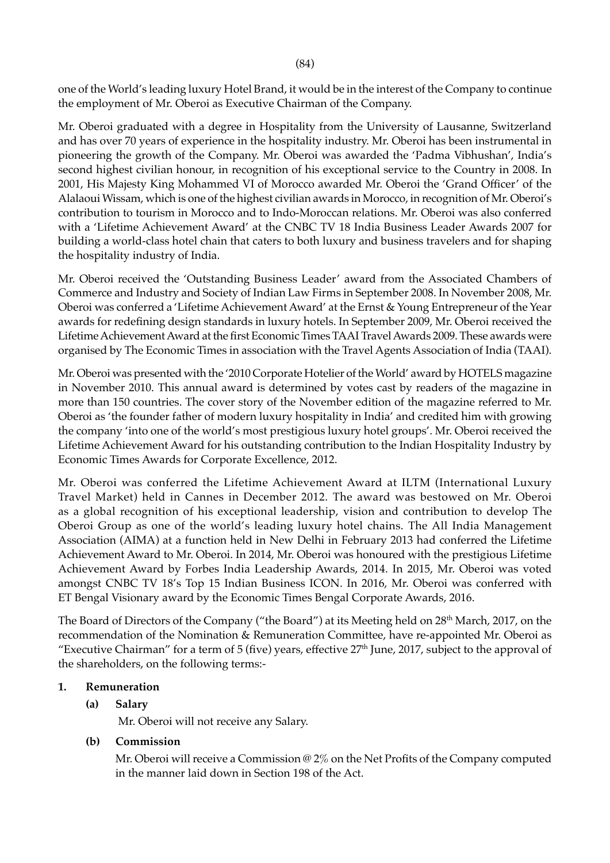one of the World's leading luxury Hotel Brand, it would be in the interest of the Company to continue the employment of Mr. Oberoi as Executive Chairman of the Company.

Mr. Oberoi graduated with a degree in Hospitality from the University of Lausanne, Switzerland and has over 70 years of experience in the hospitality industry. Mr. Oberoi has been instrumental in pioneering the growth of the Company. Mr. Oberoi was awarded the 'Padma Vibhushan', India's second highest civilian honour, in recognition of his exceptional service to the Country in 2008. In 2001, His Majesty King Mohammed VI of Morocco awarded Mr. Oberoi the 'Grand Officer' of the Alalaoui Wissam, which is one of the highest civilian awards in Morocco, in recognition of Mr. Oberoi's contribution to tourism in Morocco and to Indo-Moroccan relations. Mr. Oberoi was also conferred with a 'Lifetime Achievement Award' at the CNBC TV 18 India Business Leader Awards 2007 for building a world-class hotel chain that caters to both luxury and business travelers and for shaping the hospitality industry of India.

Mr. Oberoi received the 'Outstanding Business Leader' award from the Associated Chambers of Commerce and Industry and Society of Indian Law Firms in September 2008. In November 2008, Mr. Oberoi was conferred a 'Lifetime Achievement Award' at the Ernst & Young Entrepreneur of the Year awards for redefining design standards in luxury hotels. In September 2009, Mr. Oberoi received the Lifetime Achievement Award at the first Economic Times TAAI Travel Awards 2009. These awards were organised by The Economic Times in association with the Travel Agents Association of India (TAAI).

Mr. Oberoi was presented with the '2010 Corporate Hotelier of the World' award by HOTELS magazine in November 2010. This annual award is determined by votes cast by readers of the magazine in more than 150 countries. The cover story of the November edition of the magazine referred to Mr. Oberoi as 'the founder father of modern luxury hospitality in India' and credited him with growing the company 'into one of the world's most prestigious luxury hotel groups'. Mr. Oberoi received the Lifetime Achievement Award for his outstanding contribution to the Indian Hospitality Industry by Economic Times Awards for Corporate Excellence, 2012.

Mr. Oberoi was conferred the Lifetime Achievement Award at ILTM (International Luxury Travel Market) held in Cannes in December 2012. The award was bestowed on Mr. Oberoi as a global recognition of his exceptional leadership, vision and contribution to develop The Oberoi Group as one of the world's leading luxury hotel chains. The All India Management Association (AIMA) at a function held in New Delhi in February 2013 had conferred the Lifetime Achievement Award to Mr. Oberoi. In 2014, Mr. Oberoi was honoured with the prestigious Lifetime Achievement Award by Forbes India Leadership Awards, 2014. In 2015, Mr. Oberoi was voted amongst CNBC TV 18's Top 15 Indian Business ICON. In 2016, Mr. Oberoi was conferred with ET Bengal Visionary award by the Economic Times Bengal Corporate Awards, 2016.

The Board of Directors of the Company ("the Board") at its Meeting held on 28<sup>th</sup> March, 2017, on the recommendation of the Nomination & Remuneration Committee, have re-appointed Mr. Oberoi as "Executive Chairman" for a term of 5 (five) years, effective  $27<sup>th</sup>$  June, 2017, subject to the approval of the shareholders, on the following terms:-

#### **1. Remuneration**

# **(a) Salary**

Mr. Oberoi will not receive any Salary.

#### **(b) Commission**

Mr. Oberoi will receive a Commission @ 2% on the Net Profits of the Company computed in the manner laid down in Section 198 of the Act.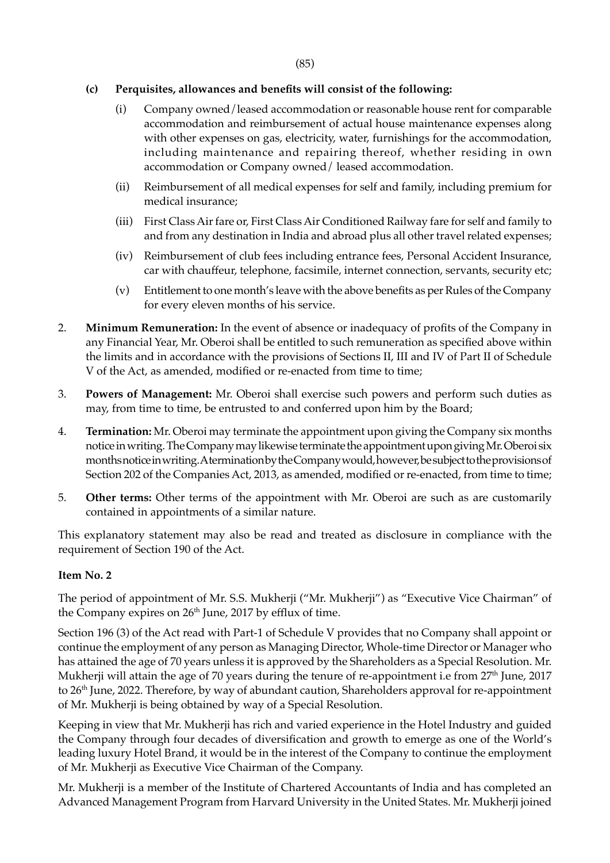## **(c) Perquisites, allowances and benefits will consist of the following:**

- (i) Company owned/leased accommodation or reasonable house rent for comparable accommodation and reimbursement of actual house maintenance expenses along with other expenses on gas, electricity, water, furnishings for the accommodation, including maintenance and repairing thereof, whether residing in own accommodation or Company owned/ leased accommodation.
- (ii) Reimbursement of all medical expenses for self and family, including premium for medical insurance;
- (iii) First Class Air fare or, First Class Air Conditioned Railway fare for self and family to and from any destination in India and abroad plus all other travel related expenses;
- (iv) Reimbursement of club fees including entrance fees, Personal Accident Insurance, car with chauffeur, telephone, facsimile, internet connection, servants, security etc;
- (v) Entitlement to one month's leave with the above benefits as per Rules of the Company for every eleven months of his service.
- 2. **Minimum Remuneration:** In the event of absence or inadequacy of profits of the Company in any Financial Year, Mr. Oberoi shall be entitled to such remuneration as specified above within the limits and in accordance with the provisions of Sections II, III and IV of Part II of Schedule V of the Act, as amended, modified or re-enacted from time to time;
- 3. **Powers of Management:** Mr. Oberoi shall exercise such powers and perform such duties as may, from time to time, be entrusted to and conferred upon him by the Board;
- 4. **Termination:** Mr. Oberoi may terminate the appointment upon giving the Company six months notice in writing. The Company may likewise terminate the appointment upon giving Mr. Oberoi six months notice in writing. A termination by the Company would, however, be subject to the provisions of Section 202 of the Companies Act, 2013, as amended, modified or re-enacted, from time to time;
- 5. **Other terms:** Other terms of the appointment with Mr. Oberoi are such as are customarily contained in appointments of a similar nature.

This explanatory statement may also be read and treated as disclosure in compliance with the requirement of Section 190 of the Act.

#### **Item No. 2**

The period of appointment of Mr. S.S. Mukherji ("Mr. Mukherji") as "Executive Vice Chairman" of the Company expires on 26<sup>th</sup> June, 2017 by efflux of time.

Section 196 (3) of the Act read with Part-1 of Schedule V provides that no Company shall appoint or continue the employment of any person as Managing Director, Whole-time Director or Manager who has attained the age of 70 years unless it is approved by the Shareholders as a Special Resolution. Mr. Mukherji will attain the age of 70 years during the tenure of re-appointment i.e from 27<sup>th</sup> June, 2017 to 26<sup>th</sup> June, 2022. Therefore, by way of abundant caution, Shareholders approval for re-appointment of Mr. Mukherji is being obtained by way of a Special Resolution.

Keeping in view that Mr. Mukherji has rich and varied experience in the Hotel Industry and guided the Company through four decades of diversification and growth to emerge as one of the World's leading luxury Hotel Brand, it would be in the interest of the Company to continue the employment of Mr. Mukherji as Executive Vice Chairman of the Company.

Mr. Mukherji is a member of the Institute of Chartered Accountants of India and has completed an Advanced Management Program from Harvard University in the United States. Mr. Mukherji joined